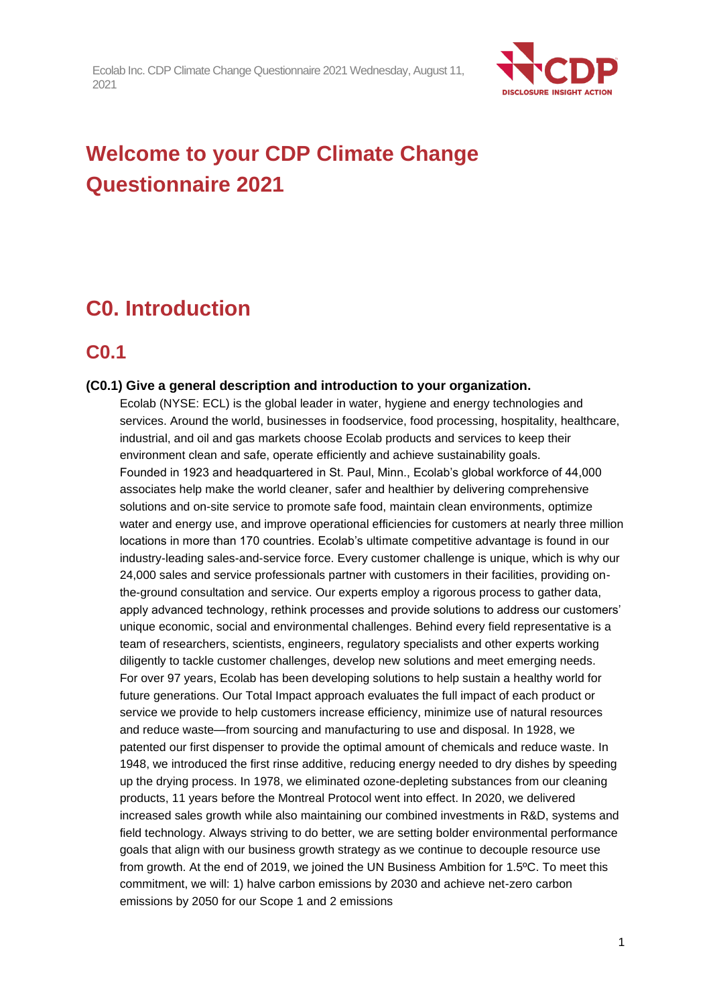

# **Welcome to your CDP Climate Change Questionnaire 2021**

# **C0. Introduction**

## **C0.1**

#### **(C0.1) Give a general description and introduction to your organization.**

Ecolab (NYSE: ECL) is the global leader in water, hygiene and energy technologies and services. Around the world, businesses in foodservice, food processing, hospitality, healthcare, industrial, and oil and gas markets choose Ecolab products and services to keep their environment clean and safe, operate efficiently and achieve sustainability goals. Founded in 1923 and headquartered in St. Paul, Minn., Ecolab's global workforce of 44,000 associates help make the world cleaner, safer and healthier by delivering comprehensive solutions and on-site service to promote safe food, maintain clean environments, optimize water and energy use, and improve operational efficiencies for customers at nearly three million locations in more than 170 countries. Ecolab's ultimate competitive advantage is found in our industry-leading sales-and-service force. Every customer challenge is unique, which is why our 24,000 sales and service professionals partner with customers in their facilities, providing onthe-ground consultation and service. Our experts employ a rigorous process to gather data, apply advanced technology, rethink processes and provide solutions to address our customers' unique economic, social and environmental challenges. Behind every field representative is a team of researchers, scientists, engineers, regulatory specialists and other experts working diligently to tackle customer challenges, develop new solutions and meet emerging needs. For over 97 years, Ecolab has been developing solutions to help sustain a healthy world for future generations. Our Total Impact approach evaluates the full impact of each product or service we provide to help customers increase efficiency, minimize use of natural resources and reduce waste—from sourcing and manufacturing to use and disposal. In 1928, we patented our first dispenser to provide the optimal amount of chemicals and reduce waste. In 1948, we introduced the first rinse additive, reducing energy needed to dry dishes by speeding up the drying process. In 1978, we eliminated ozone-depleting substances from our cleaning products, 11 years before the Montreal Protocol went into effect. In 2020, we delivered increased sales growth while also maintaining our combined investments in R&D, systems and field technology. Always striving to do better, we are setting bolder environmental performance goals that align with our business growth strategy as we continue to decouple resource use from growth. At the end of 2019, we joined the UN Business Ambition for 1.5ºC. To meet this commitment, we will: 1) halve carbon emissions by 2030 and achieve net-zero carbon emissions by 2050 for our Scope 1 and 2 emissions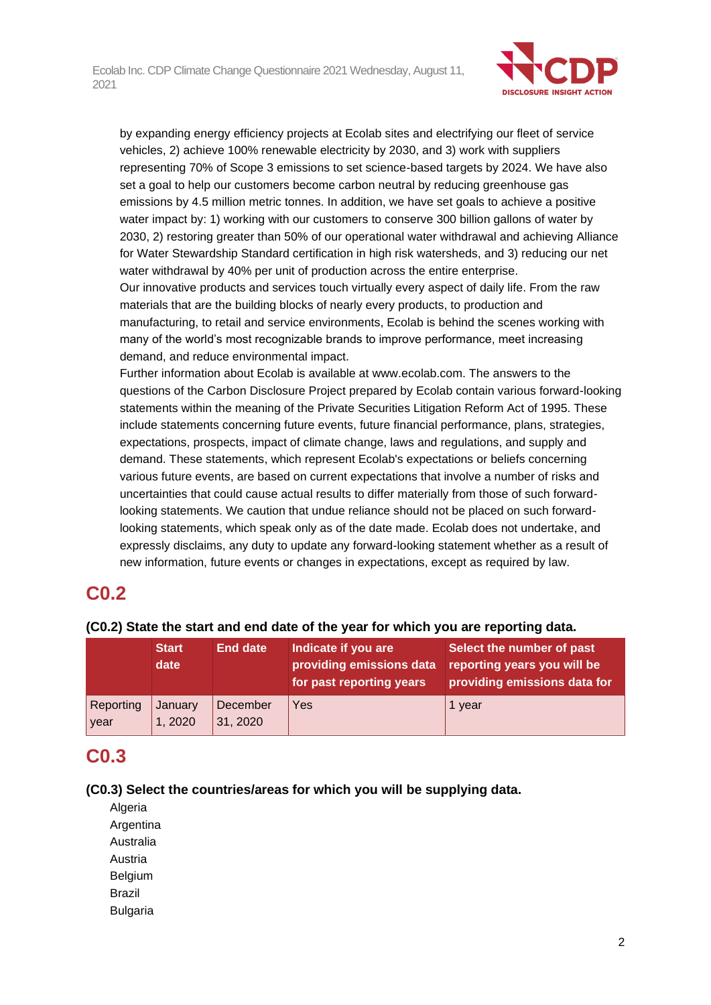

by expanding energy efficiency projects at Ecolab sites and electrifying our fleet of service vehicles, 2) achieve 100% renewable electricity by 2030, and 3) work with suppliers representing 70% of Scope 3 emissions to set science-based targets by 2024. We have also set a goal to help our customers become carbon neutral by reducing greenhouse gas emissions by 4.5 million metric tonnes. In addition, we have set goals to achieve a positive water impact by: 1) working with our customers to conserve 300 billion gallons of water by 2030, 2) restoring greater than 50% of our operational water withdrawal and achieving Alliance for Water Stewardship Standard certification in high risk watersheds, and 3) reducing our net water withdrawal by 40% per unit of production across the entire enterprise. Our innovative products and services touch virtually every aspect of daily life. From the raw

materials that are the building blocks of nearly every products, to production and manufacturing, to retail and service environments, Ecolab is behind the scenes working with many of the world's most recognizable brands to improve performance, meet increasing demand, and reduce environmental impact.

Further information about Ecolab is available at www.ecolab.com. The answers to the questions of the Carbon Disclosure Project prepared by Ecolab contain various forward-looking statements within the meaning of the Private Securities Litigation Reform Act of 1995. These include statements concerning future events, future financial performance, plans, strategies, expectations, prospects, impact of climate change, laws and regulations, and supply and demand. These statements, which represent Ecolab's expectations or beliefs concerning various future events, are based on current expectations that involve a number of risks and uncertainties that could cause actual results to differ materially from those of such forwardlooking statements. We caution that undue reliance should not be placed on such forwardlooking statements, which speak only as of the date made. Ecolab does not undertake, and expressly disclaims, any duty to update any forward-looking statement whether as a result of new information, future events or changes in expectations, except as required by law.

## **C0.2**

|                   | <b>Start</b><br>date | <b>End date</b>      | Indicate if you are<br>providing emissions data<br>for past reporting years | Select the number of past<br>reporting years you will be<br>providing emissions data for |
|-------------------|----------------------|----------------------|-----------------------------------------------------------------------------|------------------------------------------------------------------------------------------|
| Reporting<br>year | January<br>1,2020    | December<br>31, 2020 | Yes                                                                         | 1 year                                                                                   |

### **(C0.2) State the start and end date of the year for which you are reporting data.**

## **C0.3**

#### **(C0.3) Select the countries/areas for which you will be supplying data.**

- Algeria **Argentina** Australia Austria Belgium Brazil
- Bulgaria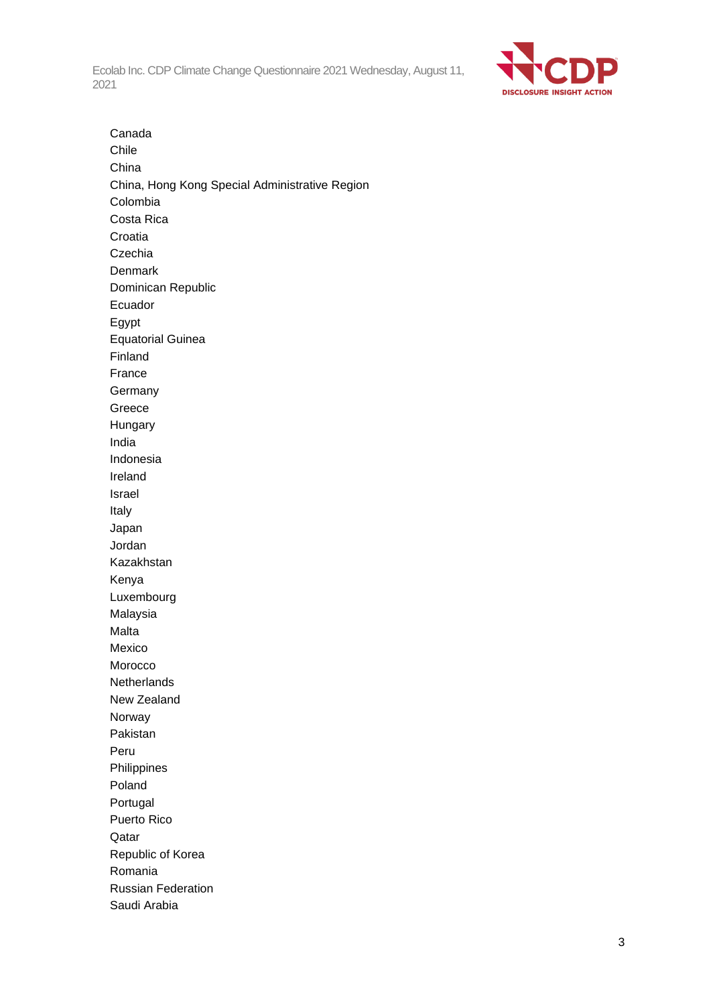

Canada Chile China China, Hong Kong Special Administrative Region Colombia Costa Rica Croatia Czechia Denmark Dominican Republic Ecuador Egypt Equatorial Guinea Finland France **Germany** Greece Hungary India Indonesia Ireland Israel Italy Japan Jordan Kazakhstan Kenya Luxembourg Malaysia Malta Mexico Morocco **Netherlands** New Zealand Norway Pakistan Peru Philippines Poland Portugal Puerto Rico Qatar Republic of Korea Romania Russian Federation Saudi Arabia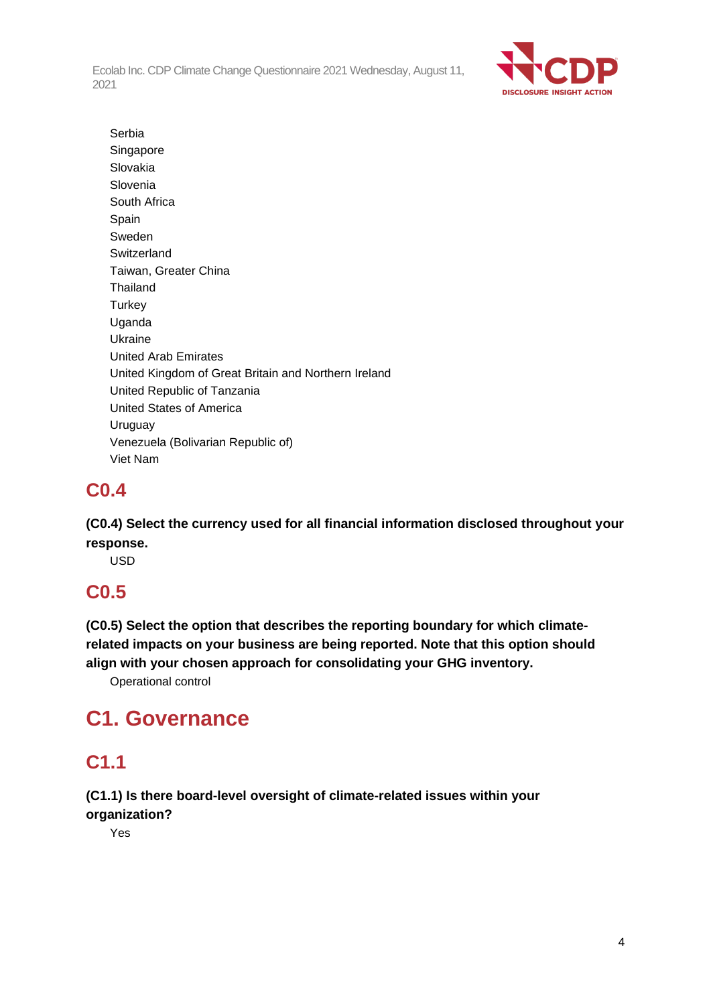

Serbia Singapore Slovakia Slovenia South Africa Spain Sweden Switzerland Taiwan, Greater China **Thailand Turkey** Uganda Ukraine United Arab Emirates United Kingdom of Great Britain and Northern Ireland United Republic of Tanzania United States of America Uruguay Venezuela (Bolivarian Republic of) Viet Nam

## **C0.4**

**(C0.4) Select the currency used for all financial information disclosed throughout your response.**

USD

# **C0.5**

**(C0.5) Select the option that describes the reporting boundary for which climaterelated impacts on your business are being reported. Note that this option should align with your chosen approach for consolidating your GHG inventory.**

Operational control

# **C1. Governance**

# **C1.1**

**(C1.1) Is there board-level oversight of climate-related issues within your organization?**

Yes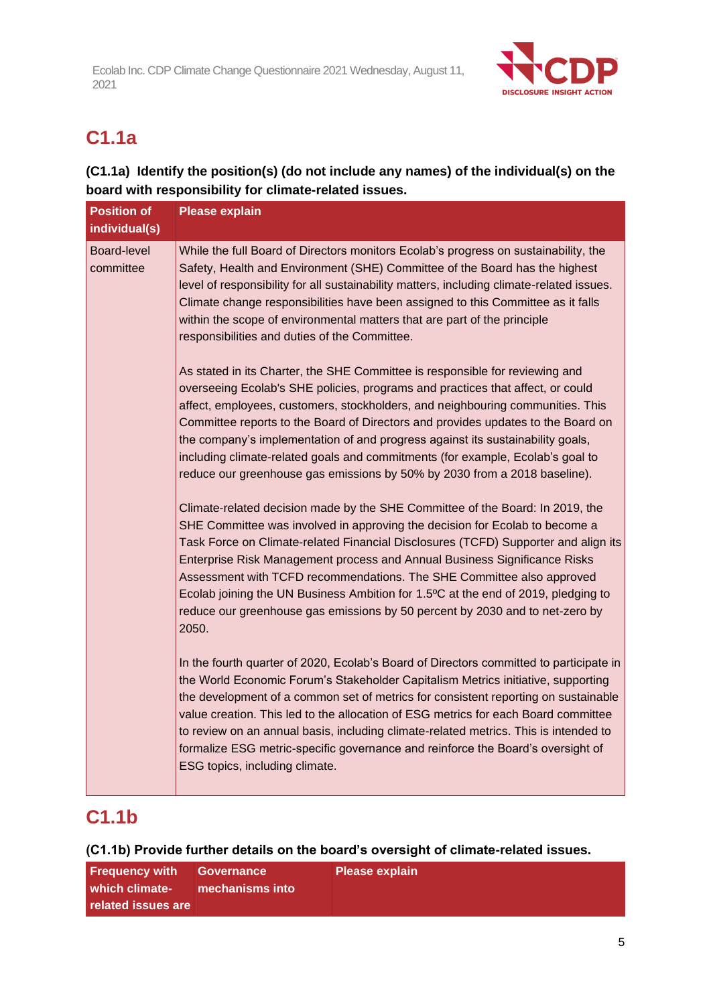

# **C1.1a**

## **(C1.1a) Identify the position(s) (do not include any names) of the individual(s) on the board with responsibility for climate-related issues.**

| <b>Position of</b>       | <b>Please explain</b>                                                                                                                                                                                                                                                                                                                                                                                                                                                                                                                                                                  |
|--------------------------|----------------------------------------------------------------------------------------------------------------------------------------------------------------------------------------------------------------------------------------------------------------------------------------------------------------------------------------------------------------------------------------------------------------------------------------------------------------------------------------------------------------------------------------------------------------------------------------|
| individual(s)            |                                                                                                                                                                                                                                                                                                                                                                                                                                                                                                                                                                                        |
| Board-level<br>committee | While the full Board of Directors monitors Ecolab's progress on sustainability, the<br>Safety, Health and Environment (SHE) Committee of the Board has the highest<br>level of responsibility for all sustainability matters, including climate-related issues.<br>Climate change responsibilities have been assigned to this Committee as it falls<br>within the scope of environmental matters that are part of the principle<br>responsibilities and duties of the Committee.                                                                                                       |
|                          | As stated in its Charter, the SHE Committee is responsible for reviewing and<br>overseeing Ecolab's SHE policies, programs and practices that affect, or could<br>affect, employees, customers, stockholders, and neighbouring communities. This<br>Committee reports to the Board of Directors and provides updates to the Board on<br>the company's implementation of and progress against its sustainability goals,<br>including climate-related goals and commitments (for example, Ecolab's goal to<br>reduce our greenhouse gas emissions by 50% by 2030 from a 2018 baseline).  |
|                          | Climate-related decision made by the SHE Committee of the Board: In 2019, the<br>SHE Committee was involved in approving the decision for Ecolab to become a<br>Task Force on Climate-related Financial Disclosures (TCFD) Supporter and align its<br>Enterprise Risk Management process and Annual Business Significance Risks<br>Assessment with TCFD recommendations. The SHE Committee also approved<br>Ecolab joining the UN Business Ambition for 1.5°C at the end of 2019, pledging to<br>reduce our greenhouse gas emissions by 50 percent by 2030 and to net-zero by<br>2050. |
|                          | In the fourth quarter of 2020, Ecolab's Board of Directors committed to participate in<br>the World Economic Forum's Stakeholder Capitalism Metrics initiative, supporting<br>the development of a common set of metrics for consistent reporting on sustainable<br>value creation. This led to the allocation of ESG metrics for each Board committee<br>to review on an annual basis, including climate-related metrics. This is intended to<br>formalize ESG metric-specific governance and reinforce the Board's oversight of<br>ESG topics, including climate.                    |

# **C1.1b**

### **(C1.1b) Provide further details on the board's oversight of climate-related issues.**

| <b>Frequency with Governance</b> |                 | <b>Please explain</b> |
|----------------------------------|-----------------|-----------------------|
| l which climate-                 | mechanisms into |                       |
| related issues are               |                 |                       |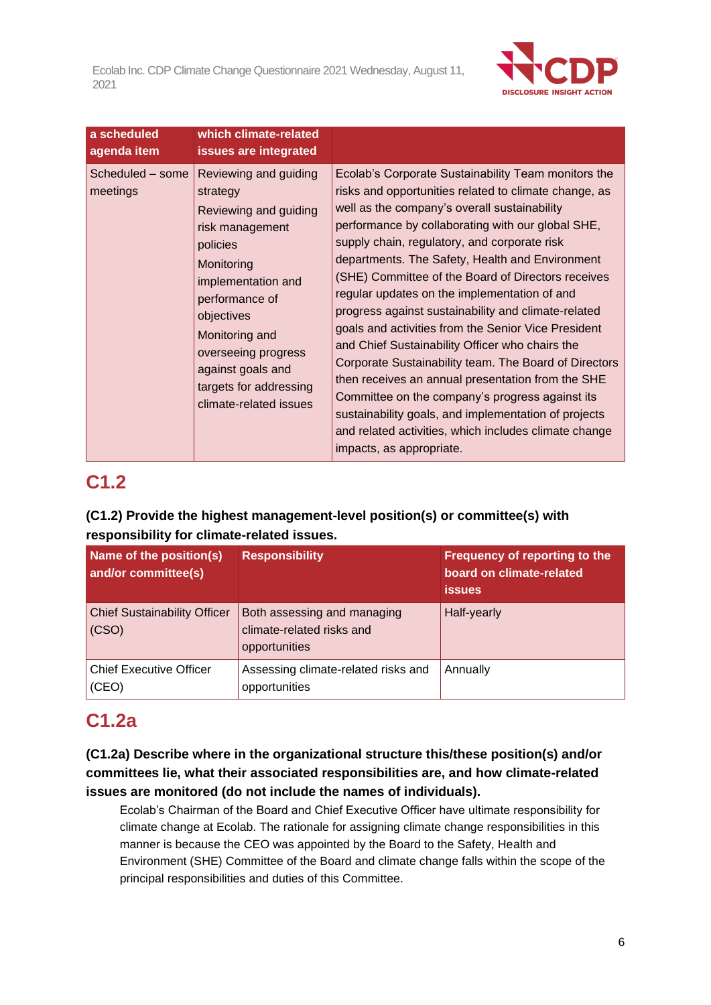

| a scheduled<br>agenda item   | which climate-related<br>issues are integrated                                                                                                                                                                                                                                  |                                                                                                                                                                                                                                                                                                                                                                                                                                                                                                                                                                                                                                                                                                                                                                                                                                                                                                           |
|------------------------------|---------------------------------------------------------------------------------------------------------------------------------------------------------------------------------------------------------------------------------------------------------------------------------|-----------------------------------------------------------------------------------------------------------------------------------------------------------------------------------------------------------------------------------------------------------------------------------------------------------------------------------------------------------------------------------------------------------------------------------------------------------------------------------------------------------------------------------------------------------------------------------------------------------------------------------------------------------------------------------------------------------------------------------------------------------------------------------------------------------------------------------------------------------------------------------------------------------|
| Scheduled - some<br>meetings | Reviewing and guiding<br>strategy<br>Reviewing and guiding<br>risk management<br>policies<br>Monitoring<br>implementation and<br>performance of<br>objectives<br>Monitoring and<br>overseeing progress<br>against goals and<br>targets for addressing<br>climate-related issues | Ecolab's Corporate Sustainability Team monitors the<br>risks and opportunities related to climate change, as<br>well as the company's overall sustainability<br>performance by collaborating with our global SHE,<br>supply chain, regulatory, and corporate risk<br>departments. The Safety, Health and Environment<br>(SHE) Committee of the Board of Directors receives<br>regular updates on the implementation of and<br>progress against sustainability and climate-related<br>goals and activities from the Senior Vice President<br>and Chief Sustainability Officer who chairs the<br>Corporate Sustainability team. The Board of Directors<br>then receives an annual presentation from the SHE<br>Committee on the company's progress against its<br>sustainability goals, and implementation of projects<br>and related activities, which includes climate change<br>impacts, as appropriate. |

# **C1.2**

## **(C1.2) Provide the highest management-level position(s) or committee(s) with responsibility for climate-related issues.**

| Name of the position(s)<br>and/or committee(s) | <b>Responsibility</b>                                                     | Frequency of reporting to the<br>board on climate-related<br><b>issues</b> |
|------------------------------------------------|---------------------------------------------------------------------------|----------------------------------------------------------------------------|
| <b>Chief Sustainability Officer</b><br>(CSO)   | Both assessing and managing<br>climate-related risks and<br>opportunities | Half-yearly                                                                |
| <b>Chief Executive Officer</b><br>(CEO)        | Assessing climate-related risks and<br>opportunities                      | Annually                                                                   |

# **C1.2a**

### **(C1.2a) Describe where in the organizational structure this/these position(s) and/or committees lie, what their associated responsibilities are, and how climate-related issues are monitored (do not include the names of individuals).**

Ecolab's Chairman of the Board and Chief Executive Officer have ultimate responsibility for climate change at Ecolab. The rationale for assigning climate change responsibilities in this manner is because the CEO was appointed by the Board to the Safety, Health and Environment (SHE) Committee of the Board and climate change falls within the scope of the principal responsibilities and duties of this Committee.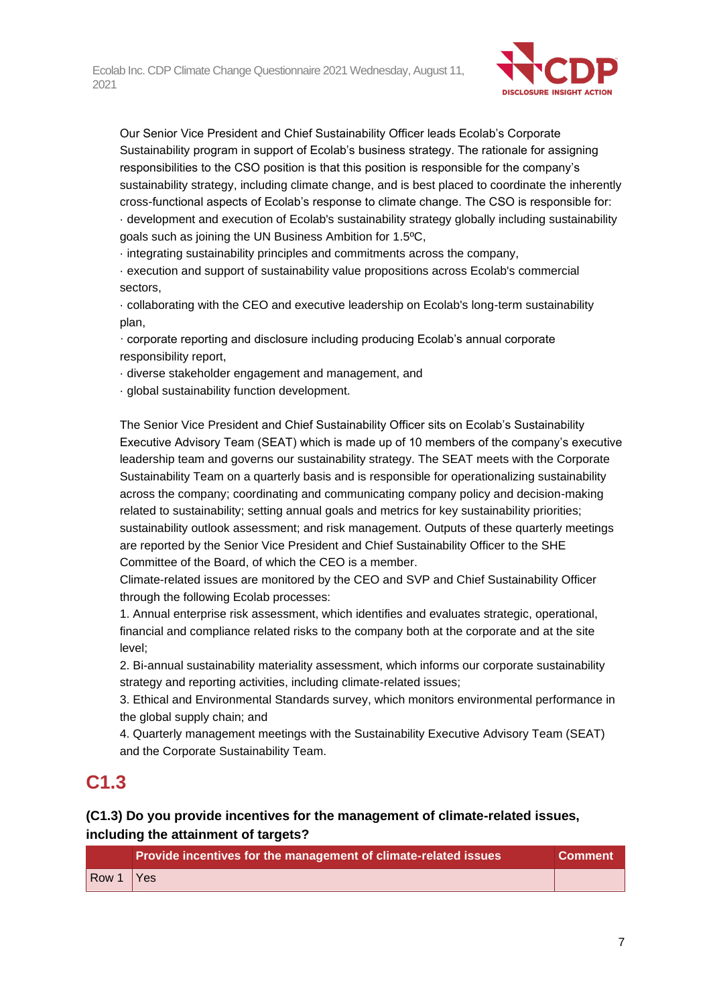

Our Senior Vice President and Chief Sustainability Officer leads Ecolab's Corporate Sustainability program in support of Ecolab's business strategy. The rationale for assigning responsibilities to the CSO position is that this position is responsible for the company's sustainability strategy, including climate change, and is best placed to coordinate the inherently cross-functional aspects of Ecolab's response to climate change. The CSO is responsible for: · development and execution of Ecolab's sustainability strategy globally including sustainability goals such as joining the UN Business Ambition for 1.5ºC,

· integrating sustainability principles and commitments across the company,

· execution and support of sustainability value propositions across Ecolab's commercial sectors,

· collaborating with the CEO and executive leadership on Ecolab's long-term sustainability plan,

· corporate reporting and disclosure including producing Ecolab's annual corporate responsibility report,

· diverse stakeholder engagement and management, and

· global sustainability function development.

The Senior Vice President and Chief Sustainability Officer sits on Ecolab's Sustainability Executive Advisory Team (SEAT) which is made up of 10 members of the company's executive leadership team and governs our sustainability strategy. The SEAT meets with the Corporate Sustainability Team on a quarterly basis and is responsible for operationalizing sustainability across the company; coordinating and communicating company policy and decision-making related to sustainability; setting annual goals and metrics for key sustainability priorities; sustainability outlook assessment; and risk management. Outputs of these quarterly meetings are reported by the Senior Vice President and Chief Sustainability Officer to the SHE Committee of the Board, of which the CEO is a member.

Climate-related issues are monitored by the CEO and SVP and Chief Sustainability Officer through the following Ecolab processes:

1. Annual enterprise risk assessment, which identifies and evaluates strategic, operational, financial and compliance related risks to the company both at the corporate and at the site level;

2. Bi-annual sustainability materiality assessment, which informs our corporate sustainability strategy and reporting activities, including climate-related issues;

3. Ethical and Environmental Standards survey, which monitors environmental performance in the global supply chain; and

4. Quarterly management meetings with the Sustainability Executive Advisory Team (SEAT) and the Corporate Sustainability Team.

## **C1.3**

### **(C1.3) Do you provide incentives for the management of climate-related issues, including the attainment of targets?**

|                              | Provide incentives for the management of climate-related issues | Comment <sup>1</sup> |
|------------------------------|-----------------------------------------------------------------|----------------------|
| $\sqrt{\frac{80001}{1}}$ Yes |                                                                 |                      |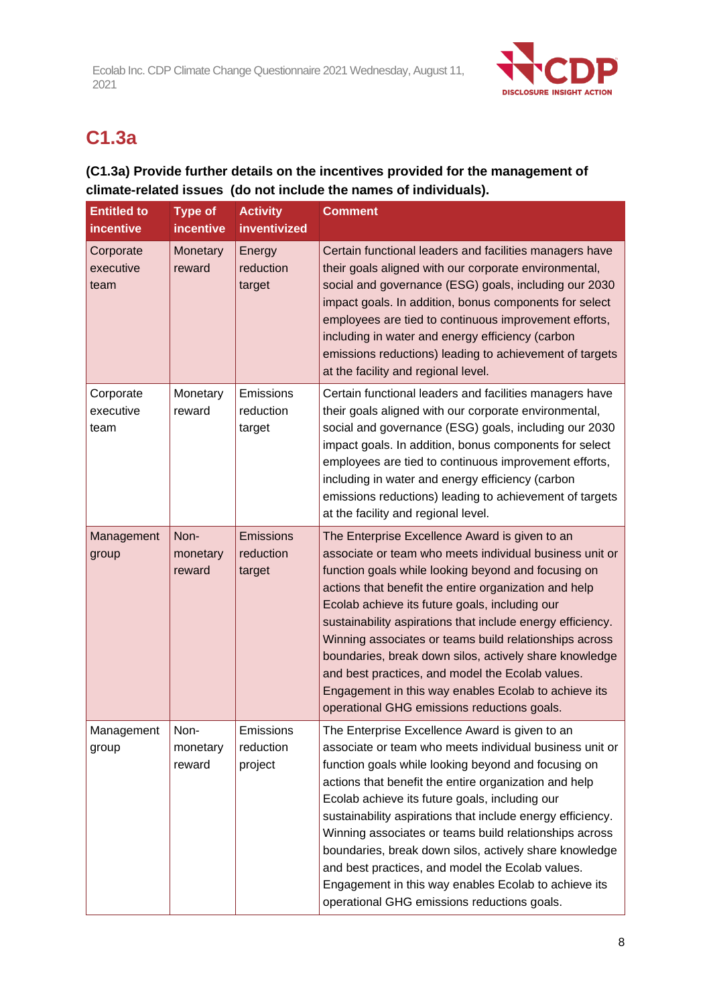

# **C1.3a**

## **(C1.3a) Provide further details on the incentives provided for the management of climate-related issues (do not include the names of individuals).**

| <b>Entitled to</b><br>incentive | <b>Type of</b><br>incentive | <b>Activity</b><br>inventivized         | <b>Comment</b>                                                                                                                                                                                                                                                                                                                                                                                                                                                                                                                                                                                                           |
|---------------------------------|-----------------------------|-----------------------------------------|--------------------------------------------------------------------------------------------------------------------------------------------------------------------------------------------------------------------------------------------------------------------------------------------------------------------------------------------------------------------------------------------------------------------------------------------------------------------------------------------------------------------------------------------------------------------------------------------------------------------------|
| Corporate<br>executive<br>team  | Monetary<br>reward          | Energy<br>reduction<br>target           | Certain functional leaders and facilities managers have<br>their goals aligned with our corporate environmental,<br>social and governance (ESG) goals, including our 2030<br>impact goals. In addition, bonus components for select<br>employees are tied to continuous improvement efforts,<br>including in water and energy efficiency (carbon<br>emissions reductions) leading to achievement of targets<br>at the facility and regional level.                                                                                                                                                                       |
| Corporate<br>executive<br>team  | Monetary<br>reward          | Emissions<br>reduction<br>target        | Certain functional leaders and facilities managers have<br>their goals aligned with our corporate environmental,<br>social and governance (ESG) goals, including our 2030<br>impact goals. In addition, bonus components for select<br>employees are tied to continuous improvement efforts,<br>including in water and energy efficiency (carbon<br>emissions reductions) leading to achievement of targets<br>at the facility and regional level.                                                                                                                                                                       |
| Management<br>group             | Non-<br>monetary<br>reward  | <b>Emissions</b><br>reduction<br>target | The Enterprise Excellence Award is given to an<br>associate or team who meets individual business unit or<br>function goals while looking beyond and focusing on<br>actions that benefit the entire organization and help<br>Ecolab achieve its future goals, including our<br>sustainability aspirations that include energy efficiency.<br>Winning associates or teams build relationships across<br>boundaries, break down silos, actively share knowledge<br>and best practices, and model the Ecolab values.<br>Engagement in this way enables Ecolab to achieve its<br>operational GHG emissions reductions goals. |
| Management<br>group             | Non-<br>monetary<br>reward  | Emissions<br>reduction<br>project       | The Enterprise Excellence Award is given to an<br>associate or team who meets individual business unit or<br>function goals while looking beyond and focusing on<br>actions that benefit the entire organization and help<br>Ecolab achieve its future goals, including our<br>sustainability aspirations that include energy efficiency.<br>Winning associates or teams build relationships across<br>boundaries, break down silos, actively share knowledge<br>and best practices, and model the Ecolab values.<br>Engagement in this way enables Ecolab to achieve its<br>operational GHG emissions reductions goals. |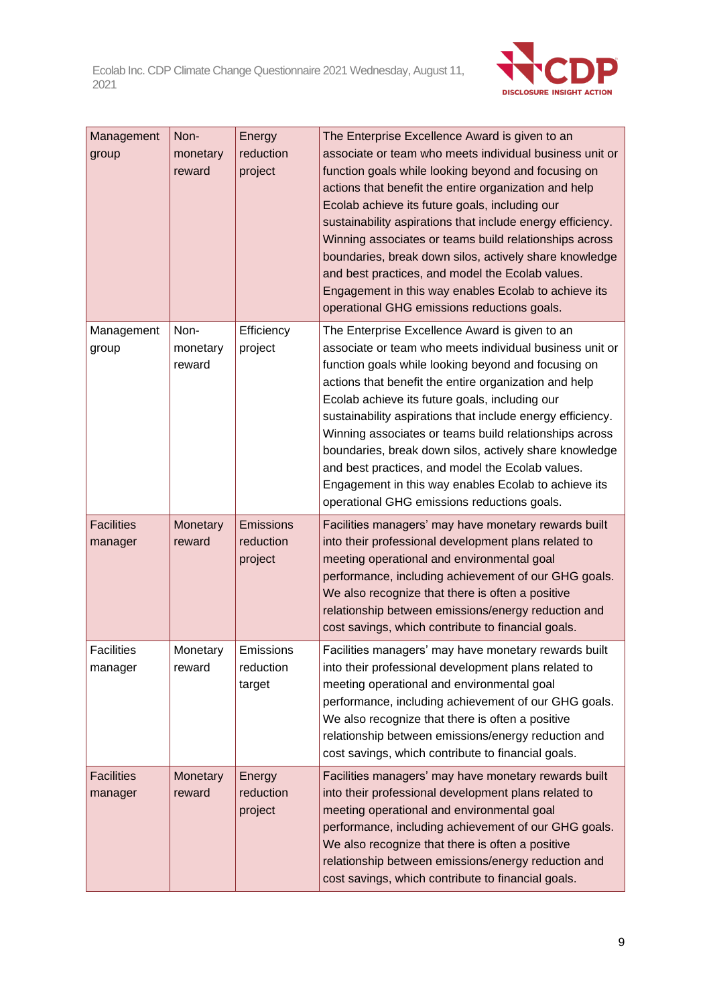

| Management<br>group          | Non-<br>monetary<br>reward | Energy<br>reduction<br>project           | The Enterprise Excellence Award is given to an<br>associate or team who meets individual business unit or<br>function goals while looking beyond and focusing on<br>actions that benefit the entire organization and help<br>Ecolab achieve its future goals, including our<br>sustainability aspirations that include energy efficiency.<br>Winning associates or teams build relationships across<br>boundaries, break down silos, actively share knowledge<br>and best practices, and model the Ecolab values.<br>Engagement in this way enables Ecolab to achieve its<br>operational GHG emissions reductions goals. |
|------------------------------|----------------------------|------------------------------------------|--------------------------------------------------------------------------------------------------------------------------------------------------------------------------------------------------------------------------------------------------------------------------------------------------------------------------------------------------------------------------------------------------------------------------------------------------------------------------------------------------------------------------------------------------------------------------------------------------------------------------|
| Management<br>group          | Non-<br>monetary<br>reward | Efficiency<br>project                    | The Enterprise Excellence Award is given to an<br>associate or team who meets individual business unit or<br>function goals while looking beyond and focusing on<br>actions that benefit the entire organization and help<br>Ecolab achieve its future goals, including our<br>sustainability aspirations that include energy efficiency.<br>Winning associates or teams build relationships across<br>boundaries, break down silos, actively share knowledge<br>and best practices, and model the Ecolab values.<br>Engagement in this way enables Ecolab to achieve its<br>operational GHG emissions reductions goals. |
| <b>Facilities</b><br>manager | Monetary<br>reward         | <b>Emissions</b><br>reduction<br>project | Facilities managers' may have monetary rewards built<br>into their professional development plans related to<br>meeting operational and environmental goal<br>performance, including achievement of our GHG goals.<br>We also recognize that there is often a positive<br>relationship between emissions/energy reduction and<br>cost savings, which contribute to financial goals.                                                                                                                                                                                                                                      |
| <b>Facilities</b><br>manager | Monetary<br>reward         | Emissions<br>reduction<br>target         | Facilities managers' may have monetary rewards built<br>into their professional development plans related to<br>meeting operational and environmental goal<br>performance, including achievement of our GHG goals.<br>We also recognize that there is often a positive<br>relationship between emissions/energy reduction and<br>cost savings, which contribute to financial goals.                                                                                                                                                                                                                                      |
| <b>Facilities</b><br>manager | Monetary<br>reward         | Energy<br>reduction<br>project           | Facilities managers' may have monetary rewards built<br>into their professional development plans related to<br>meeting operational and environmental goal<br>performance, including achievement of our GHG goals.<br>We also recognize that there is often a positive<br>relationship between emissions/energy reduction and<br>cost savings, which contribute to financial goals.                                                                                                                                                                                                                                      |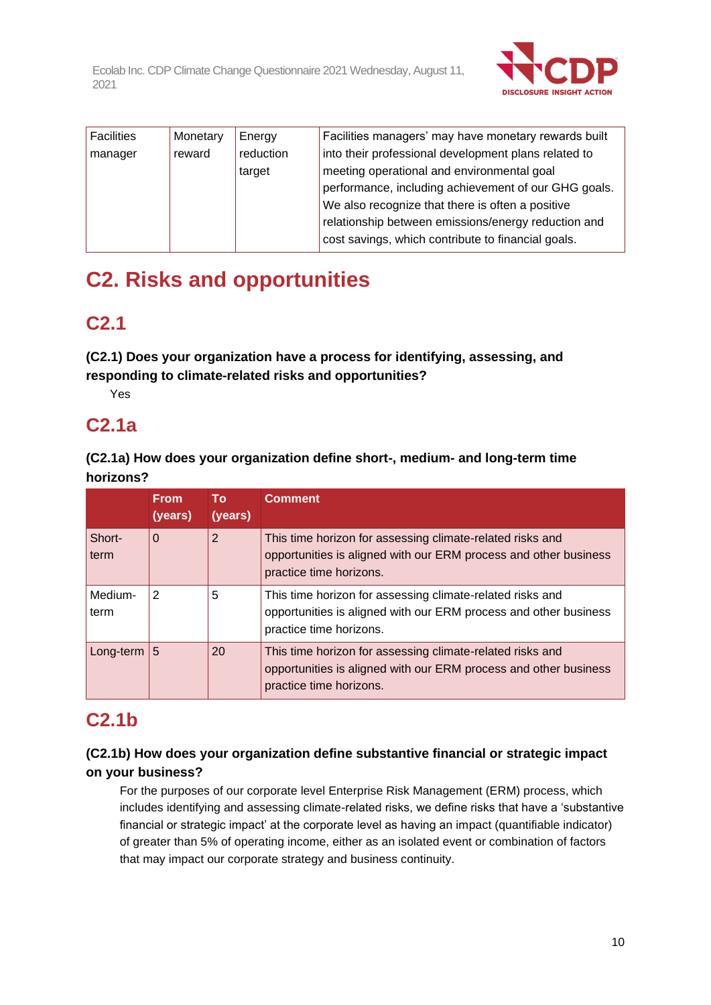

| <b>Facilities</b> | Monetary | Energy    | Facilities managers' may have monetary rewards built |
|-------------------|----------|-----------|------------------------------------------------------|
| manager           | reward   | reduction | into their professional development plans related to |
|                   |          | target    | meeting operational and environmental goal           |
|                   |          |           | performance, including achievement of our GHG goals. |
|                   |          |           | We also recognize that there is often a positive     |
|                   |          |           | relationship between emissions/energy reduction and  |
|                   |          |           | cost savings, which contribute to financial goals.   |

# **C2. Risks and opportunities**

# **C2.1**

**(C2.1) Does your organization have a process for identifying, assessing, and responding to climate-related risks and opportunities?**

Yes

# **C2.1a**

**(C2.1a) How does your organization define short-, medium- and long-term time horizons?**

|                 | <b>From</b><br>(years) | <b>To</b><br>(years) | <b>Comment</b>                                                                                                                                           |
|-----------------|------------------------|----------------------|----------------------------------------------------------------------------------------------------------------------------------------------------------|
| Short-<br>term  | $\Omega$               | 2                    | This time horizon for assessing climate-related risks and<br>opportunities is aligned with our ERM process and other business<br>practice time horizons. |
| Medium-<br>term | 2                      | 5                    | This time horizon for assessing climate-related risks and<br>opportunities is aligned with our ERM process and other business<br>practice time horizons. |
| Long-term $ 5$  |                        | 20                   | This time horizon for assessing climate-related risks and<br>opportunities is aligned with our ERM process and other business<br>practice time horizons. |

# **C2.1b**

## **(C2.1b) How does your organization define substantive financial or strategic impact on your business?**

For the purposes of our corporate level Enterprise Risk Management (ERM) process, which includes identifying and assessing climate-related risks, we define risks that have a 'substantive financial or strategic impact' at the corporate level as having an impact (quantifiable indicator) of greater than 5% of operating income, either as an isolated event or combination of factors that may impact our corporate strategy and business continuity.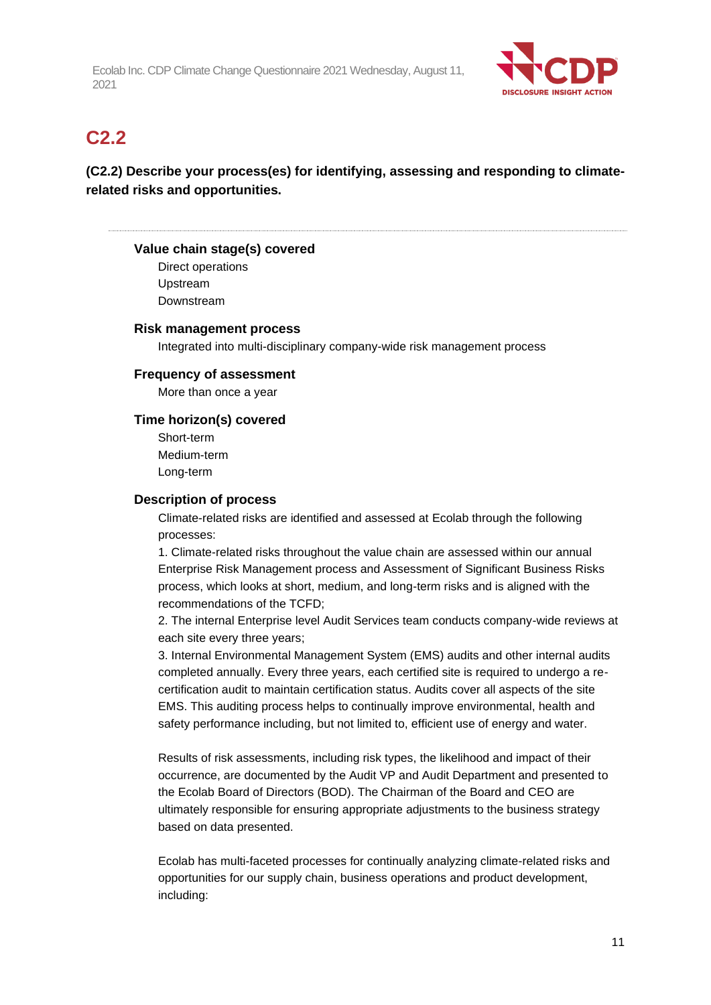

## **C2.2**

## **(C2.2) Describe your process(es) for identifying, assessing and responding to climaterelated risks and opportunities.**

#### **Value chain stage(s) covered**

Direct operations Upstream Downstream

#### **Risk management process**

Integrated into multi-disciplinary company-wide risk management process

#### **Frequency of assessment**

More than once a year

#### **Time horizon(s) covered**

Short-term Medium-term Long-term

#### **Description of process**

Climate-related risks are identified and assessed at Ecolab through the following processes:

1. Climate-related risks throughout the value chain are assessed within our annual Enterprise Risk Management process and Assessment of Significant Business Risks process, which looks at short, medium, and long-term risks and is aligned with the recommendations of the TCFD;

2. The internal Enterprise level Audit Services team conducts company-wide reviews at each site every three years;

3. Internal Environmental Management System (EMS) audits and other internal audits completed annually. Every three years, each certified site is required to undergo a recertification audit to maintain certification status. Audits cover all aspects of the site EMS. This auditing process helps to continually improve environmental, health and safety performance including, but not limited to, efficient use of energy and water.

Results of risk assessments, including risk types, the likelihood and impact of their occurrence, are documented by the Audit VP and Audit Department and presented to the Ecolab Board of Directors (BOD). The Chairman of the Board and CEO are ultimately responsible for ensuring appropriate adjustments to the business strategy based on data presented.

Ecolab has multi-faceted processes for continually analyzing climate-related risks and opportunities for our supply chain, business operations and product development, including: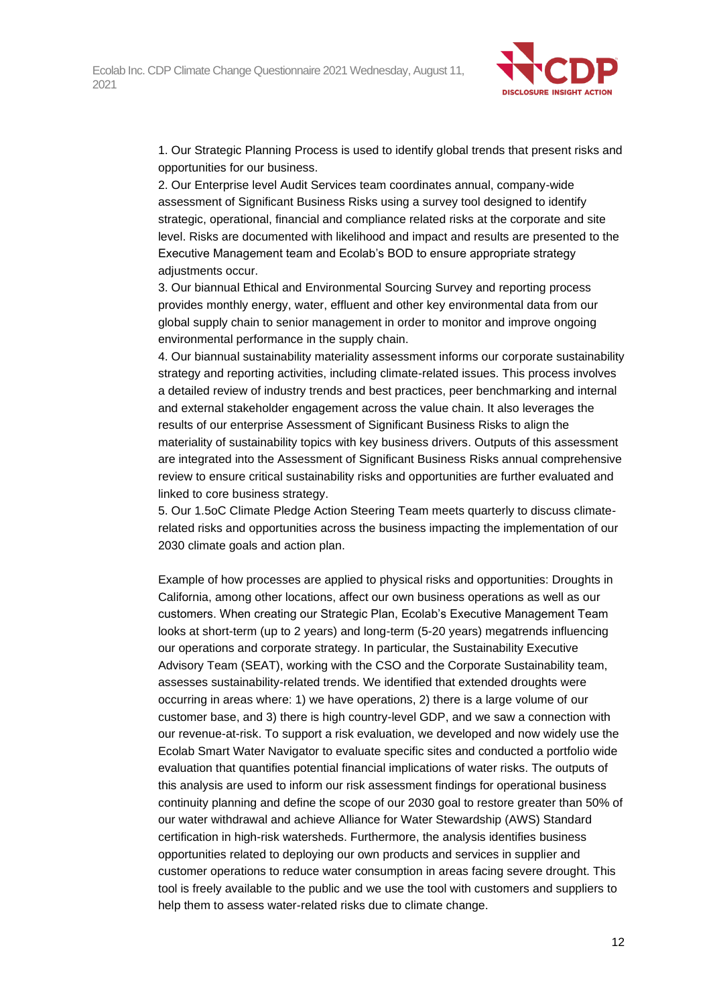

1. Our Strategic Planning Process is used to identify global trends that present risks and opportunities for our business.

2. Our Enterprise level Audit Services team coordinates annual, company-wide assessment of Significant Business Risks using a survey tool designed to identify strategic, operational, financial and compliance related risks at the corporate and site level. Risks are documented with likelihood and impact and results are presented to the Executive Management team and Ecolab's BOD to ensure appropriate strategy adjustments occur.

3. Our biannual Ethical and Environmental Sourcing Survey and reporting process provides monthly energy, water, effluent and other key environmental data from our global supply chain to senior management in order to monitor and improve ongoing environmental performance in the supply chain.

4. Our biannual sustainability materiality assessment informs our corporate sustainability strategy and reporting activities, including climate-related issues. This process involves a detailed review of industry trends and best practices, peer benchmarking and internal and external stakeholder engagement across the value chain. It also leverages the results of our enterprise Assessment of Significant Business Risks to align the materiality of sustainability topics with key business drivers. Outputs of this assessment are integrated into the Assessment of Significant Business Risks annual comprehensive review to ensure critical sustainability risks and opportunities are further evaluated and linked to core business strategy.

5. Our 1.5oC Climate Pledge Action Steering Team meets quarterly to discuss climaterelated risks and opportunities across the business impacting the implementation of our 2030 climate goals and action plan.

Example of how processes are applied to physical risks and opportunities: Droughts in California, among other locations, affect our own business operations as well as our customers. When creating our Strategic Plan, Ecolab's Executive Management Team looks at short-term (up to 2 years) and long-term (5-20 years) megatrends influencing our operations and corporate strategy. In particular, the Sustainability Executive Advisory Team (SEAT), working with the CSO and the Corporate Sustainability team, assesses sustainability-related trends. We identified that extended droughts were occurring in areas where: 1) we have operations, 2) there is a large volume of our customer base, and 3) there is high country-level GDP, and we saw a connection with our revenue-at-risk. To support a risk evaluation, we developed and now widely use the Ecolab Smart Water Navigator to evaluate specific sites and conducted a portfolio wide evaluation that quantifies potential financial implications of water risks. The outputs of this analysis are used to inform our risk assessment findings for operational business continuity planning and define the scope of our 2030 goal to restore greater than 50% of our water withdrawal and achieve Alliance for Water Stewardship (AWS) Standard certification in high-risk watersheds. Furthermore, the analysis identifies business opportunities related to deploying our own products and services in supplier and customer operations to reduce water consumption in areas facing severe drought. This tool is freely available to the public and we use the tool with customers and suppliers to help them to assess water-related risks due to climate change.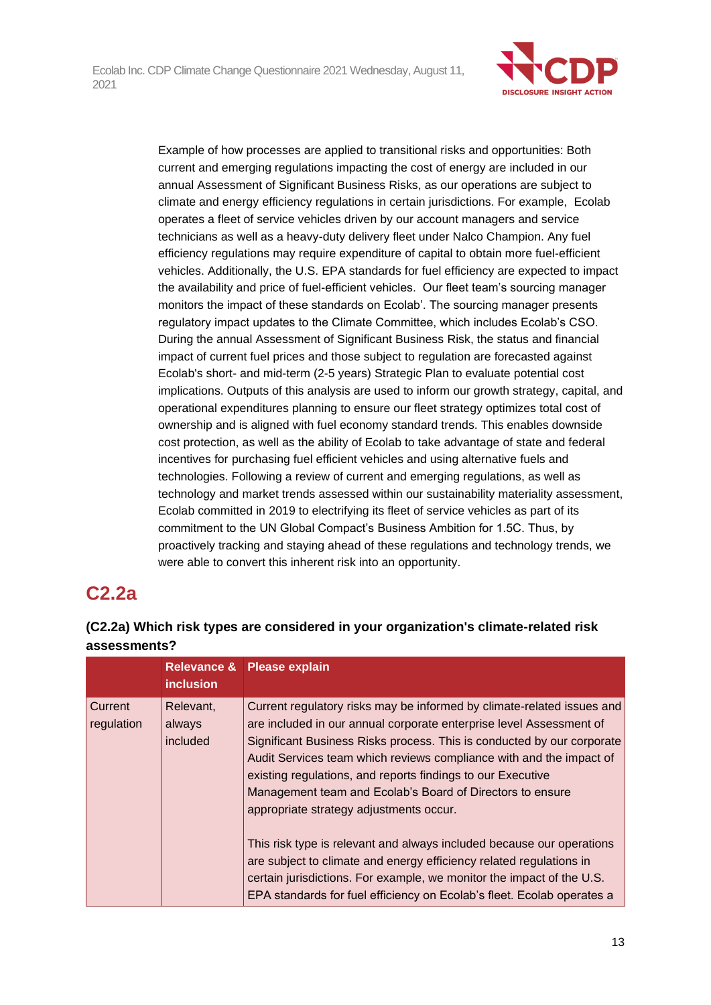

Example of how processes are applied to transitional risks and opportunities: Both current and emerging regulations impacting the cost of energy are included in our annual Assessment of Significant Business Risks, as our operations are subject to climate and energy efficiency regulations in certain jurisdictions. For example, Ecolab operates a fleet of service vehicles driven by our account managers and service technicians as well as a heavy-duty delivery fleet under Nalco Champion. Any fuel efficiency regulations may require expenditure of capital to obtain more fuel-efficient vehicles. Additionally, the U.S. EPA standards for fuel efficiency are expected to impact the availability and price of fuel-efficient vehicles. Our fleet team's sourcing manager monitors the impact of these standards on Ecolab'. The sourcing manager presents regulatory impact updates to the Climate Committee, which includes Ecolab's CSO. During the annual Assessment of Significant Business Risk, the status and financial impact of current fuel prices and those subject to regulation are forecasted against Ecolab's short- and mid-term (2-5 years) Strategic Plan to evaluate potential cost implications. Outputs of this analysis are used to inform our growth strategy, capital, and operational expenditures planning to ensure our fleet strategy optimizes total cost of ownership and is aligned with fuel economy standard trends. This enables downside cost protection, as well as the ability of Ecolab to take advantage of state and federal incentives for purchasing fuel efficient vehicles and using alternative fuels and technologies. Following a review of current and emerging regulations, as well as technology and market trends assessed within our sustainability materiality assessment, Ecolab committed in 2019 to electrifying its fleet of service vehicles as part of its commitment to the UN Global Compact's Business Ambition for 1.5C. Thus, by proactively tracking and staying ahead of these regulations and technology trends, we were able to convert this inherent risk into an opportunity.

# **C2.2a**

### **(C2.2a) Which risk types are considered in your organization's climate-related risk assessments?**

|                       | <b>inclusion</b>                | Relevance & Please explain                                                                                                                                                                                                                                                                                                                                                                                                                                            |
|-----------------------|---------------------------------|-----------------------------------------------------------------------------------------------------------------------------------------------------------------------------------------------------------------------------------------------------------------------------------------------------------------------------------------------------------------------------------------------------------------------------------------------------------------------|
| Current<br>regulation | Relevant,<br>always<br>included | Current regulatory risks may be informed by climate-related issues and<br>are included in our annual corporate enterprise level Assessment of<br>Significant Business Risks process. This is conducted by our corporate<br>Audit Services team which reviews compliance with and the impact of<br>existing regulations, and reports findings to our Executive<br>Management team and Ecolab's Board of Directors to ensure<br>appropriate strategy adjustments occur. |
|                       |                                 | This risk type is relevant and always included because our operations<br>are subject to climate and energy efficiency related regulations in<br>certain jurisdictions. For example, we monitor the impact of the U.S.<br>EPA standards for fuel efficiency on Ecolab's fleet. Ecolab operates a                                                                                                                                                                       |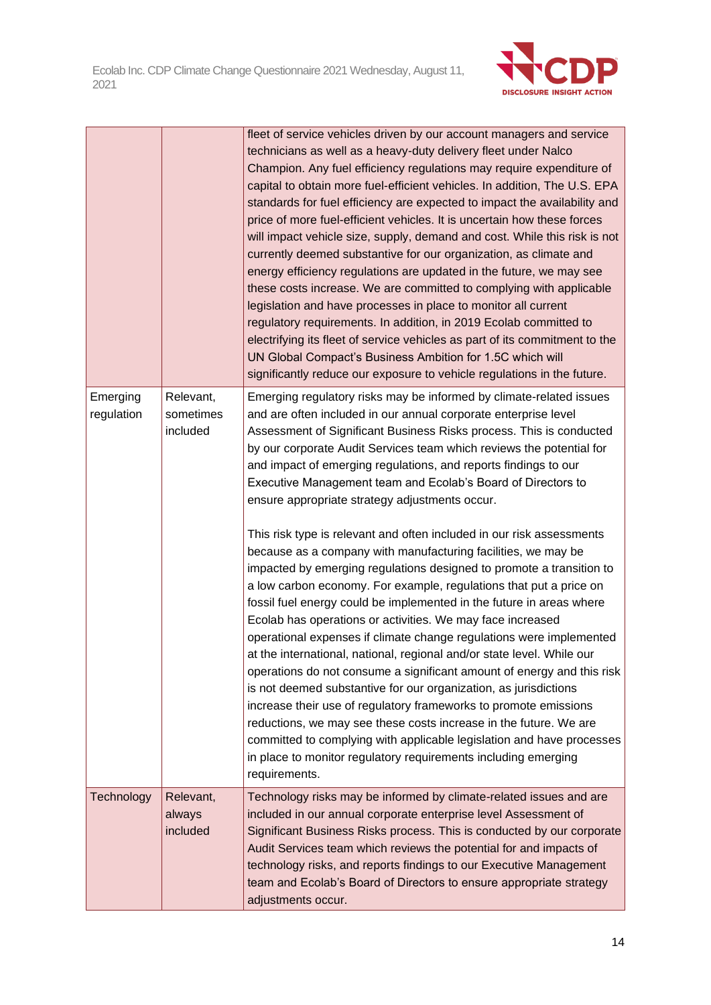

|                        |                                    | fleet of service vehicles driven by our account managers and service<br>technicians as well as a heavy-duty delivery fleet under Nalco<br>Champion. Any fuel efficiency regulations may require expenditure of<br>capital to obtain more fuel-efficient vehicles. In addition, The U.S. EPA<br>standards for fuel efficiency are expected to impact the availability and<br>price of more fuel-efficient vehicles. It is uncertain how these forces<br>will impact vehicle size, supply, demand and cost. While this risk is not<br>currently deemed substantive for our organization, as climate and<br>energy efficiency regulations are updated in the future, we may see<br>these costs increase. We are committed to complying with applicable<br>legislation and have processes in place to monitor all current<br>regulatory requirements. In addition, in 2019 Ecolab committed to<br>electrifying its fleet of service vehicles as part of its commitment to the<br>UN Global Compact's Business Ambition for 1.5C which will<br>significantly reduce our exposure to vehicle regulations in the future.                                                                                                                                                                                                                                                                                                                                                                                            |
|------------------------|------------------------------------|--------------------------------------------------------------------------------------------------------------------------------------------------------------------------------------------------------------------------------------------------------------------------------------------------------------------------------------------------------------------------------------------------------------------------------------------------------------------------------------------------------------------------------------------------------------------------------------------------------------------------------------------------------------------------------------------------------------------------------------------------------------------------------------------------------------------------------------------------------------------------------------------------------------------------------------------------------------------------------------------------------------------------------------------------------------------------------------------------------------------------------------------------------------------------------------------------------------------------------------------------------------------------------------------------------------------------------------------------------------------------------------------------------------------------------------------------------------------------------------------------------------|
| Emerging<br>regulation | Relevant,<br>sometimes<br>included | Emerging regulatory risks may be informed by climate-related issues<br>and are often included in our annual corporate enterprise level<br>Assessment of Significant Business Risks process. This is conducted<br>by our corporate Audit Services team which reviews the potential for<br>and impact of emerging regulations, and reports findings to our<br>Executive Management team and Ecolab's Board of Directors to<br>ensure appropriate strategy adjustments occur.<br>This risk type is relevant and often included in our risk assessments<br>because as a company with manufacturing facilities, we may be<br>impacted by emerging regulations designed to promote a transition to<br>a low carbon economy. For example, regulations that put a price on<br>fossil fuel energy could be implemented in the future in areas where<br>Ecolab has operations or activities. We may face increased<br>operational expenses if climate change regulations were implemented<br>at the international, national, regional and/or state level. While our<br>operations do not consume a significant amount of energy and this risk<br>is not deemed substantive for our organization, as jurisdictions<br>increase their use of regulatory frameworks to promote emissions<br>reductions, we may see these costs increase in the future. We are<br>committed to complying with applicable legislation and have processes<br>in place to monitor regulatory requirements including emerging<br>requirements. |
| Technology             | Relevant,<br>always<br>included    | Technology risks may be informed by climate-related issues and are<br>included in our annual corporate enterprise level Assessment of<br>Significant Business Risks process. This is conducted by our corporate<br>Audit Services team which reviews the potential for and impacts of<br>technology risks, and reports findings to our Executive Management<br>team and Ecolab's Board of Directors to ensure appropriate strategy<br>adjustments occur.                                                                                                                                                                                                                                                                                                                                                                                                                                                                                                                                                                                                                                                                                                                                                                                                                                                                                                                                                                                                                                                     |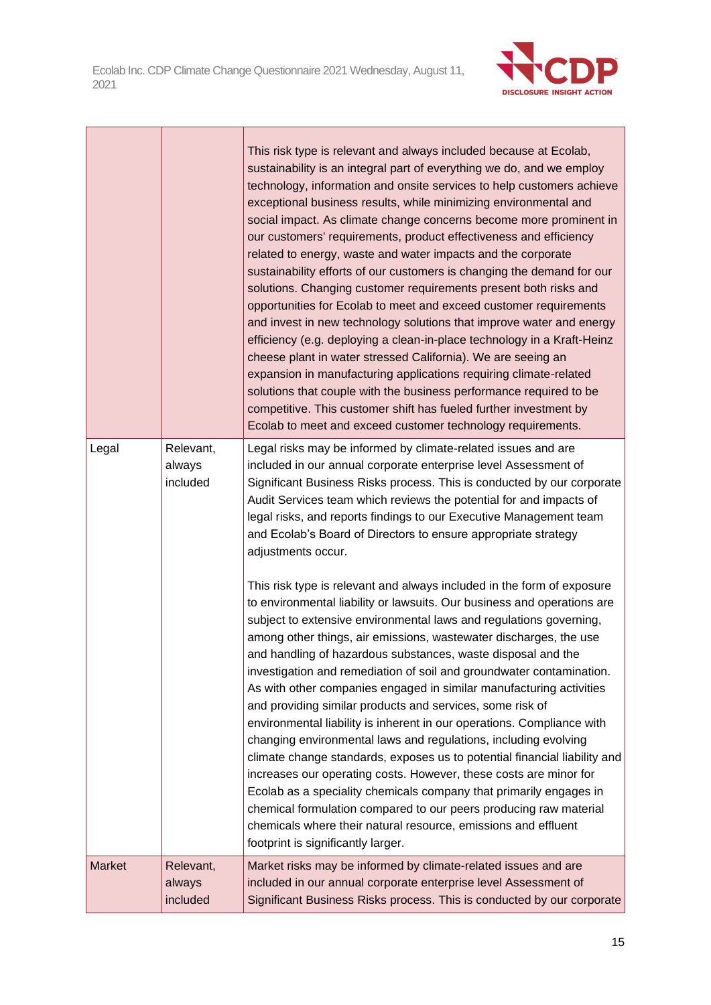

|               |                                 | This risk type is relevant and always included because at Ecolab,<br>sustainability is an integral part of everything we do, and we employ<br>technology, information and onsite services to help customers achieve<br>exceptional business results, while minimizing environmental and<br>social impact. As climate change concerns become more prominent in<br>our customers' requirements, product effectiveness and efficiency<br>related to energy, waste and water impacts and the corporate<br>sustainability efforts of our customers is changing the demand for our<br>solutions. Changing customer requirements present both risks and<br>opportunities for Ecolab to meet and exceed customer requirements<br>and invest in new technology solutions that improve water and energy<br>efficiency (e.g. deploying a clean-in-place technology in a Kraft-Heinz<br>cheese plant in water stressed California). We are seeing an<br>expansion in manufacturing applications requiring climate-related<br>solutions that couple with the business performance required to be<br>competitive. This customer shift has fueled further investment by<br>Ecolab to meet and exceed customer technology requirements. |
|---------------|---------------------------------|-------------------------------------------------------------------------------------------------------------------------------------------------------------------------------------------------------------------------------------------------------------------------------------------------------------------------------------------------------------------------------------------------------------------------------------------------------------------------------------------------------------------------------------------------------------------------------------------------------------------------------------------------------------------------------------------------------------------------------------------------------------------------------------------------------------------------------------------------------------------------------------------------------------------------------------------------------------------------------------------------------------------------------------------------------------------------------------------------------------------------------------------------------------------------------------------------------------------------|
| Legal         | Relevant,<br>always<br>included | Legal risks may be informed by climate-related issues and are<br>included in our annual corporate enterprise level Assessment of<br>Significant Business Risks process. This is conducted by our corporate                                                                                                                                                                                                                                                                                                                                                                                                                                                                                                                                                                                                                                                                                                                                                                                                                                                                                                                                                                                                              |
|               |                                 | Audit Services team which reviews the potential for and impacts of<br>legal risks, and reports findings to our Executive Management team<br>and Ecolab's Board of Directors to ensure appropriate strategy<br>adjustments occur.                                                                                                                                                                                                                                                                                                                                                                                                                                                                                                                                                                                                                                                                                                                                                                                                                                                                                                                                                                                        |
|               |                                 | This risk type is relevant and always included in the form of exposure<br>to environmental liability or lawsuits. Our business and operations are<br>subject to extensive environmental laws and regulations governing,<br>among other things, air emissions, wastewater discharges, the use<br>and handling of hazardous substances, waste disposal and the<br>investigation and remediation of soil and groundwater contamination.<br>As with other companies engaged in similar manufacturing activities<br>and providing similar products and services, some risk of<br>environmental liability is inherent in our operations. Compliance with<br>changing environmental laws and regulations, including evolving<br>climate change standards, exposes us to potential financial liability and<br>increases our operating costs. However, these costs are minor for<br>Ecolab as a speciality chemicals company that primarily engages in<br>chemical formulation compared to our peers producing raw material<br>chemicals where their natural resource, emissions and effluent<br>footprint is significantly larger.                                                                                              |
| <b>Market</b> | Relevant,<br>always             | Market risks may be informed by climate-related issues and are<br>included in our annual corporate enterprise level Assessment of                                                                                                                                                                                                                                                                                                                                                                                                                                                                                                                                                                                                                                                                                                                                                                                                                                                                                                                                                                                                                                                                                       |
|               | included                        | Significant Business Risks process. This is conducted by our corporate                                                                                                                                                                                                                                                                                                                                                                                                                                                                                                                                                                                                                                                                                                                                                                                                                                                                                                                                                                                                                                                                                                                                                  |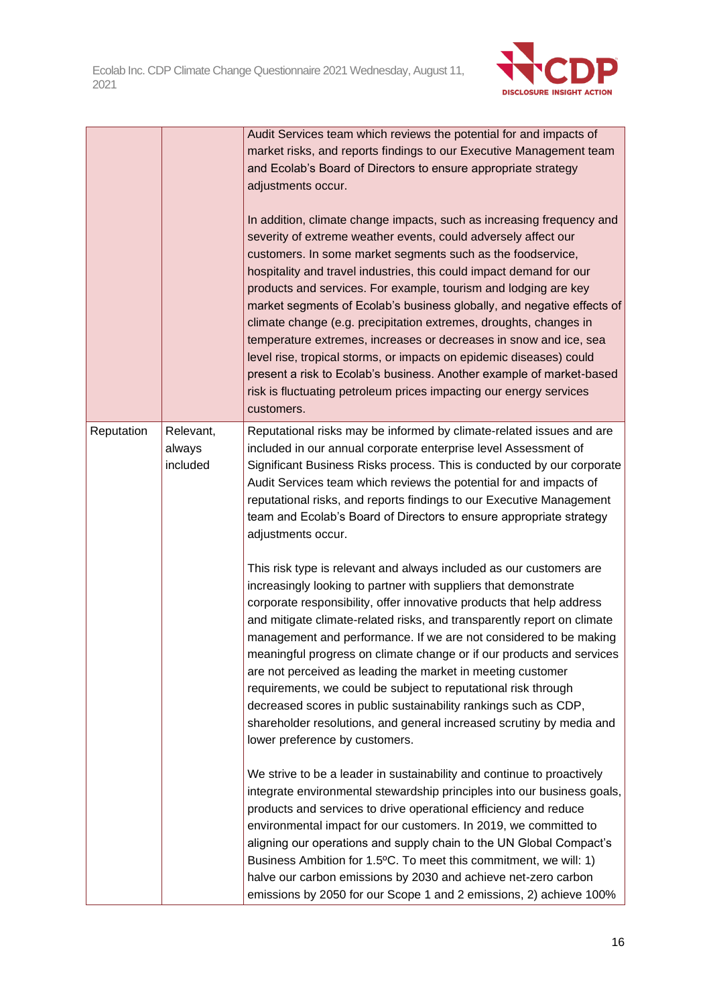

|            |                                 | Audit Services team which reviews the potential for and impacts of<br>market risks, and reports findings to our Executive Management team<br>and Ecolab's Board of Directors to ensure appropriate strategy<br>adjustments occur.<br>In addition, climate change impacts, such as increasing frequency and<br>severity of extreme weather events, could adversely affect our<br>customers. In some market segments such as the foodservice,<br>hospitality and travel industries, this could impact demand for our<br>products and services. For example, tourism and lodging are key<br>market segments of Ecolab's business globally, and negative effects of<br>climate change (e.g. precipitation extremes, droughts, changes in<br>temperature extremes, increases or decreases in snow and ice, sea<br>level rise, tropical storms, or impacts on epidemic diseases) could<br>present a risk to Ecolab's business. Another example of market-based<br>risk is fluctuating petroleum prices impacting our energy services<br>customers. |
|------------|---------------------------------|----------------------------------------------------------------------------------------------------------------------------------------------------------------------------------------------------------------------------------------------------------------------------------------------------------------------------------------------------------------------------------------------------------------------------------------------------------------------------------------------------------------------------------------------------------------------------------------------------------------------------------------------------------------------------------------------------------------------------------------------------------------------------------------------------------------------------------------------------------------------------------------------------------------------------------------------------------------------------------------------------------------------------------------------|
| Reputation | Relevant,<br>always<br>included | Reputational risks may be informed by climate-related issues and are<br>included in our annual corporate enterprise level Assessment of<br>Significant Business Risks process. This is conducted by our corporate<br>Audit Services team which reviews the potential for and impacts of<br>reputational risks, and reports findings to our Executive Management<br>team and Ecolab's Board of Directors to ensure appropriate strategy<br>adjustments occur.<br>This risk type is relevant and always included as our customers are<br>increasingly looking to partner with suppliers that demonstrate<br>corporate responsibility, offer innovative products that help address<br>and mitigate climate-related risks, and transparently report on climate                                                                                                                                                                                                                                                                                   |
|            |                                 | management and performance. If we are not considered to be making<br>meaningful progress on climate change or if our products and services<br>are not perceived as leading the market in meeting customer<br>requirements, we could be subject to reputational risk through<br>decreased scores in public sustainability rankings such as CDP,<br>shareholder resolutions, and general increased scrutiny by media and<br>lower preference by customers.<br>We strive to be a leader in sustainability and continue to proactively                                                                                                                                                                                                                                                                                                                                                                                                                                                                                                           |
|            |                                 | integrate environmental stewardship principles into our business goals,<br>products and services to drive operational efficiency and reduce<br>environmental impact for our customers. In 2019, we committed to<br>aligning our operations and supply chain to the UN Global Compact's<br>Business Ambition for 1.5°C. To meet this commitment, we will: 1)<br>halve our carbon emissions by 2030 and achieve net-zero carbon<br>emissions by 2050 for our Scope 1 and 2 emissions, 2) achieve 100%                                                                                                                                                                                                                                                                                                                                                                                                                                                                                                                                          |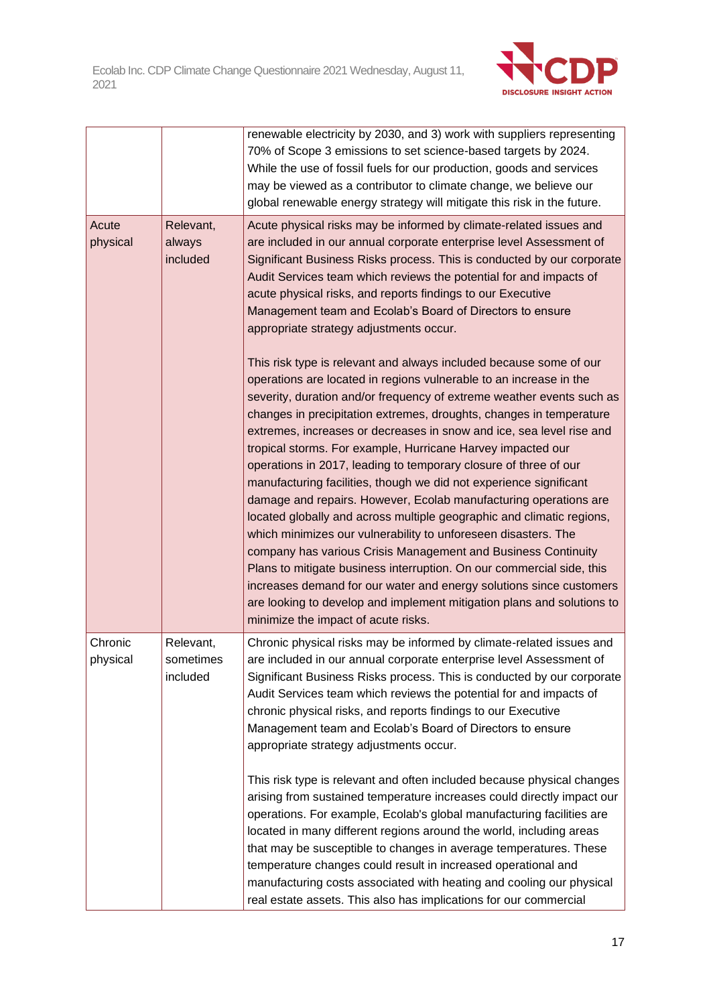

|                                                      |                                    | renewable electricity by 2030, and 3) work with suppliers representing<br>70% of Scope 3 emissions to set science-based targets by 2024.<br>While the use of fossil fuels for our production, goods and services<br>may be viewed as a contributor to climate change, we believe our<br>global renewable energy strategy will mitigate this risk in the future.                                                                                                                                                                                                                                                                                                                                                                                                                                                                                                                                                                                                                                                                                                                                                            |
|------------------------------------------------------|------------------------------------|----------------------------------------------------------------------------------------------------------------------------------------------------------------------------------------------------------------------------------------------------------------------------------------------------------------------------------------------------------------------------------------------------------------------------------------------------------------------------------------------------------------------------------------------------------------------------------------------------------------------------------------------------------------------------------------------------------------------------------------------------------------------------------------------------------------------------------------------------------------------------------------------------------------------------------------------------------------------------------------------------------------------------------------------------------------------------------------------------------------------------|
| Acute<br>Relevant,<br>physical<br>always<br>included |                                    | Acute physical risks may be informed by climate-related issues and<br>are included in our annual corporate enterprise level Assessment of<br>Significant Business Risks process. This is conducted by our corporate<br>Audit Services team which reviews the potential for and impacts of<br>acute physical risks, and reports findings to our Executive<br>Management team and Ecolab's Board of Directors to ensure<br>appropriate strategy adjustments occur.                                                                                                                                                                                                                                                                                                                                                                                                                                                                                                                                                                                                                                                           |
|                                                      |                                    | This risk type is relevant and always included because some of our<br>operations are located in regions vulnerable to an increase in the<br>severity, duration and/or frequency of extreme weather events such as<br>changes in precipitation extremes, droughts, changes in temperature<br>extremes, increases or decreases in snow and ice, sea level rise and<br>tropical storms. For example, Hurricane Harvey impacted our<br>operations in 2017, leading to temporary closure of three of our<br>manufacturing facilities, though we did not experience significant<br>damage and repairs. However, Ecolab manufacturing operations are<br>located globally and across multiple geographic and climatic regions,<br>which minimizes our vulnerability to unforeseen disasters. The<br>company has various Crisis Management and Business Continuity<br>Plans to mitigate business interruption. On our commercial side, this<br>increases demand for our water and energy solutions since customers<br>are looking to develop and implement mitigation plans and solutions to<br>minimize the impact of acute risks. |
| Chronic<br>physical                                  | Relevant,<br>sometimes<br>included | Chronic physical risks may be informed by climate-related issues and<br>are included in our annual corporate enterprise level Assessment of<br>Significant Business Risks process. This is conducted by our corporate<br>Audit Services team which reviews the potential for and impacts of<br>chronic physical risks, and reports findings to our Executive<br>Management team and Ecolab's Board of Directors to ensure<br>appropriate strategy adjustments occur.                                                                                                                                                                                                                                                                                                                                                                                                                                                                                                                                                                                                                                                       |
|                                                      |                                    | This risk type is relevant and often included because physical changes<br>arising from sustained temperature increases could directly impact our<br>operations. For example, Ecolab's global manufacturing facilities are<br>located in many different regions around the world, including areas<br>that may be susceptible to changes in average temperatures. These<br>temperature changes could result in increased operational and<br>manufacturing costs associated with heating and cooling our physical<br>real estate assets. This also has implications for our commercial                                                                                                                                                                                                                                                                                                                                                                                                                                                                                                                                        |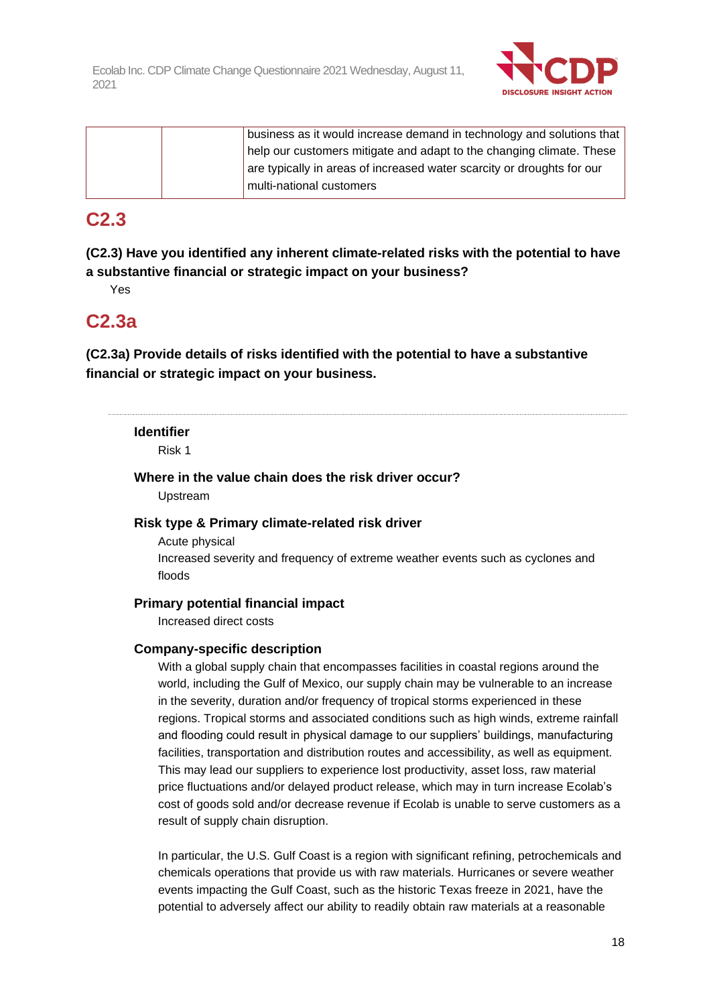

|  | business as it would increase demand in technology and solutions that  |
|--|------------------------------------------------------------------------|
|  | help our customers mitigate and adapt to the changing climate. These   |
|  | are typically in areas of increased water scarcity or droughts for our |
|  | multi-national customers                                               |

## **C2.3**

**(C2.3) Have you identified any inherent climate-related risks with the potential to have a substantive financial or strategic impact on your business?**

Yes

## **C2.3a**

**(C2.3a) Provide details of risks identified with the potential to have a substantive financial or strategic impact on your business.**

#### **Identifier**

Risk 1

#### **Where in the value chain does the risk driver occur?**

Upstream

#### **Risk type & Primary climate-related risk driver**

Acute physical Increased severity and frequency of extreme weather events such as cyclones and floods

#### **Primary potential financial impact**

Increased direct costs

#### **Company-specific description**

With a global supply chain that encompasses facilities in coastal regions around the world, including the Gulf of Mexico, our supply chain may be vulnerable to an increase in the severity, duration and/or frequency of tropical storms experienced in these regions. Tropical storms and associated conditions such as high winds, extreme rainfall and flooding could result in physical damage to our suppliers' buildings, manufacturing facilities, transportation and distribution routes and accessibility, as well as equipment. This may lead our suppliers to experience lost productivity, asset loss, raw material price fluctuations and/or delayed product release, which may in turn increase Ecolab's cost of goods sold and/or decrease revenue if Ecolab is unable to serve customers as a result of supply chain disruption.

In particular, the U.S. Gulf Coast is a region with significant refining, petrochemicals and chemicals operations that provide us with raw materials. Hurricanes or severe weather events impacting the Gulf Coast, such as the historic Texas freeze in 2021, have the potential to adversely affect our ability to readily obtain raw materials at a reasonable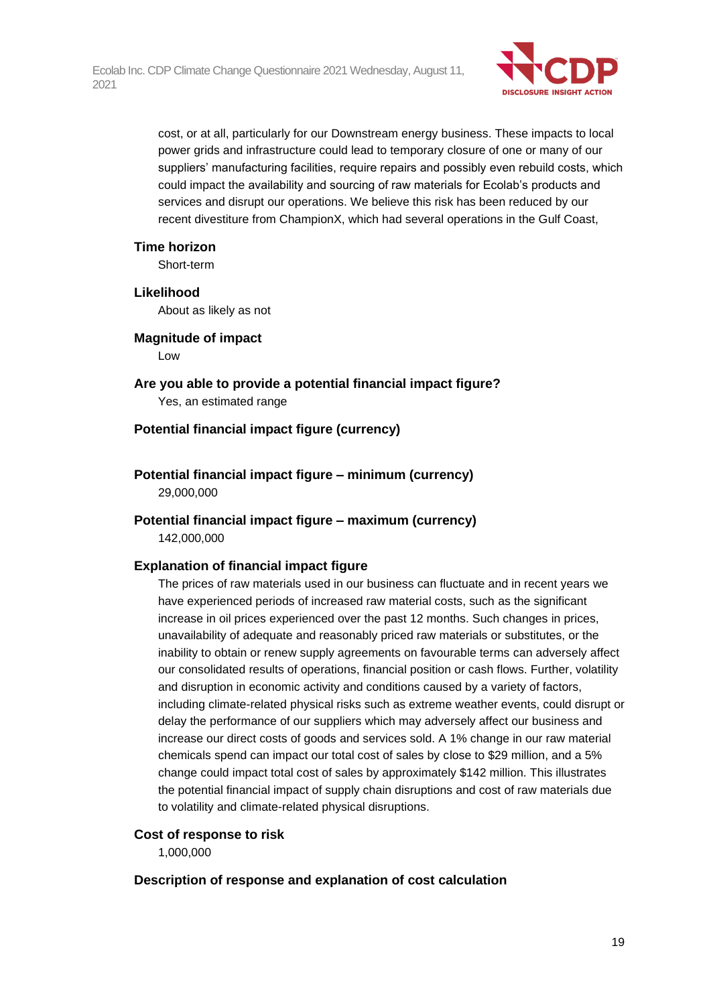

cost, or at all, particularly for our Downstream energy business. These impacts to local power grids and infrastructure could lead to temporary closure of one or many of our suppliers' manufacturing facilities, require repairs and possibly even rebuild costs, which could impact the availability and sourcing of raw materials for Ecolab's products and services and disrupt our operations. We believe this risk has been reduced by our recent divestiture from ChampionX, which had several operations in the Gulf Coast,

#### **Time horizon**

Short-term

#### **Likelihood**

About as likely as not

#### **Magnitude of impact**

Low

**Are you able to provide a potential financial impact figure?** Yes, an estimated range

#### **Potential financial impact figure (currency)**

**Potential financial impact figure – minimum (currency)** 29,000,000

## **Potential financial impact figure – maximum (currency)**

142,000,000

#### **Explanation of financial impact figure**

The prices of raw materials used in our business can fluctuate and in recent years we have experienced periods of increased raw material costs, such as the significant increase in oil prices experienced over the past 12 months. Such changes in prices, unavailability of adequate and reasonably priced raw materials or substitutes, or the inability to obtain or renew supply agreements on favourable terms can adversely affect our consolidated results of operations, financial position or cash flows. Further, volatility and disruption in economic activity and conditions caused by a variety of factors, including climate-related physical risks such as extreme weather events, could disrupt or delay the performance of our suppliers which may adversely affect our business and increase our direct costs of goods and services sold. A 1% change in our raw material chemicals spend can impact our total cost of sales by close to \$29 million, and a 5% change could impact total cost of sales by approximately \$142 million. This illustrates the potential financial impact of supply chain disruptions and cost of raw materials due to volatility and climate-related physical disruptions.

#### **Cost of response to risk**

1,000,000

#### **Description of response and explanation of cost calculation**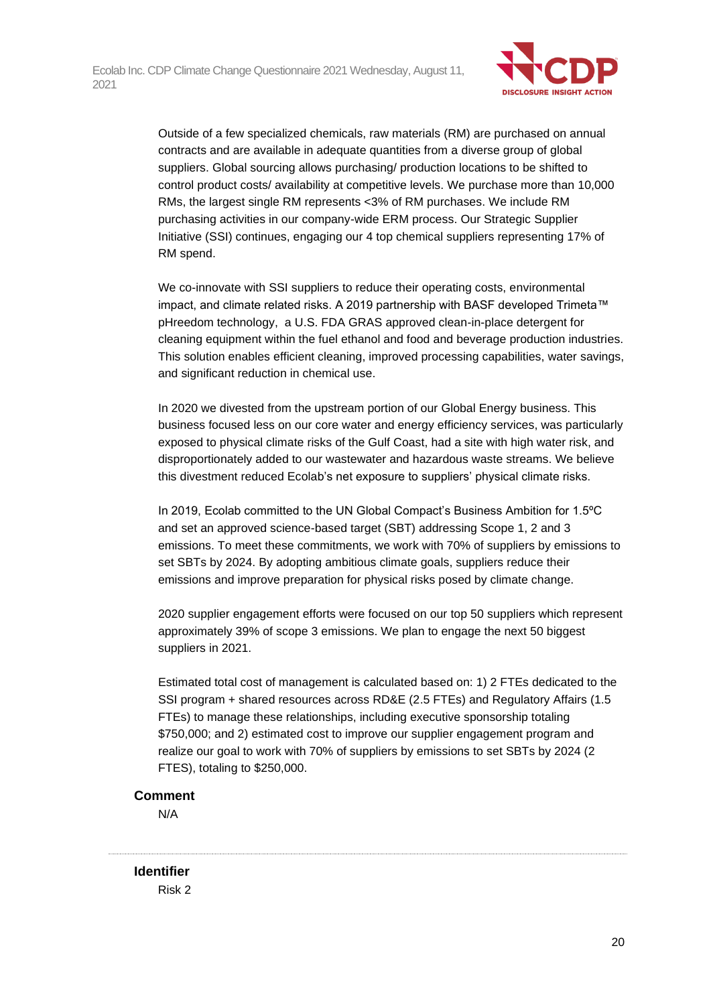

Outside of a few specialized chemicals, raw materials (RM) are purchased on annual contracts and are available in adequate quantities from a diverse group of global suppliers. Global sourcing allows purchasing/ production locations to be shifted to control product costs/ availability at competitive levels. We purchase more than 10,000 RMs, the largest single RM represents <3% of RM purchases. We include RM purchasing activities in our company-wide ERM process. Our Strategic Supplier Initiative (SSI) continues, engaging our 4 top chemical suppliers representing 17% of RM spend.

We co-innovate with SSI suppliers to reduce their operating costs, environmental impact, and climate related risks. A 2019 partnership with BASF developed Trimeta™ pHreedom technology, a U.S. FDA GRAS approved clean-in-place detergent for cleaning equipment within the fuel ethanol and food and beverage production industries. This solution enables efficient cleaning, improved processing capabilities, water savings, and significant reduction in chemical use.

In 2020 we divested from the upstream portion of our Global Energy business. This business focused less on our core water and energy efficiency services, was particularly exposed to physical climate risks of the Gulf Coast, had a site with high water risk, and disproportionately added to our wastewater and hazardous waste streams. We believe this divestment reduced Ecolab's net exposure to suppliers' physical climate risks.

In 2019, Ecolab committed to the UN Global Compact's Business Ambition for 1.5ºC and set an approved science-based target (SBT) addressing Scope 1, 2 and 3 emissions. To meet these commitments, we work with 70% of suppliers by emissions to set SBTs by 2024. By adopting ambitious climate goals, suppliers reduce their emissions and improve preparation for physical risks posed by climate change.

2020 supplier engagement efforts were focused on our top 50 suppliers which represent approximately 39% of scope 3 emissions. We plan to engage the next 50 biggest suppliers in 2021.

Estimated total cost of management is calculated based on: 1) 2 FTEs dedicated to the SSI program + shared resources across RD&E (2.5 FTEs) and Regulatory Affairs (1.5 FTEs) to manage these relationships, including executive sponsorship totaling \$750,000; and 2) estimated cost to improve our supplier engagement program and realize our goal to work with 70% of suppliers by emissions to set SBTs by 2024 (2 FTES), totaling to \$250,000.

#### **Comment**

N/A

**Identifier** Risk 2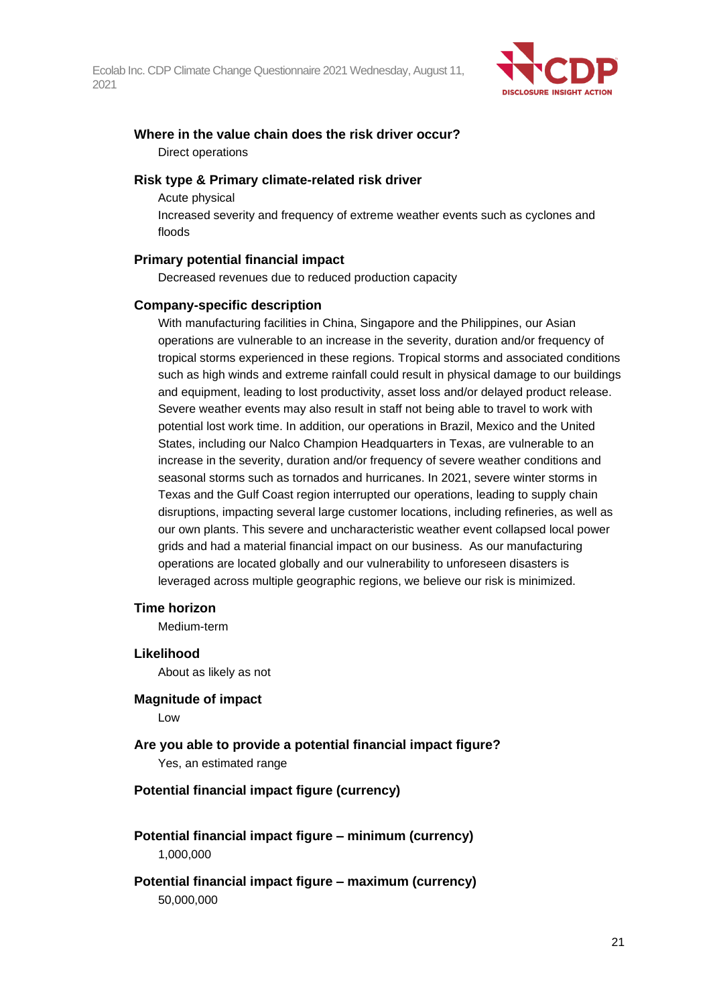

### **Where in the value chain does the risk driver occur?** Direct operations

#### **Risk type & Primary climate-related risk driver**

Acute physical

Increased severity and frequency of extreme weather events such as cyclones and floods

#### **Primary potential financial impact**

Decreased revenues due to reduced production capacity

#### **Company-specific description**

With manufacturing facilities in China, Singapore and the Philippines, our Asian operations are vulnerable to an increase in the severity, duration and/or frequency of tropical storms experienced in these regions. Tropical storms and associated conditions such as high winds and extreme rainfall could result in physical damage to our buildings and equipment, leading to lost productivity, asset loss and/or delayed product release. Severe weather events may also result in staff not being able to travel to work with potential lost work time. In addition, our operations in Brazil, Mexico and the United States, including our Nalco Champion Headquarters in Texas, are vulnerable to an increase in the severity, duration and/or frequency of severe weather conditions and seasonal storms such as tornados and hurricanes. In 2021, severe winter storms in Texas and the Gulf Coast region interrupted our operations, leading to supply chain disruptions, impacting several large customer locations, including refineries, as well as our own plants. This severe and uncharacteristic weather event collapsed local power grids and had a material financial impact on our business. As our manufacturing operations are located globally and our vulnerability to unforeseen disasters is leveraged across multiple geographic regions, we believe our risk is minimized.

#### **Time horizon**

Medium-term

#### **Likelihood**

About as likely as not

**Magnitude of impact**

Low

**Are you able to provide a potential financial impact figure?** Yes, an estimated range

#### **Potential financial impact figure (currency)**

- **Potential financial impact figure – minimum (currency)** 1,000,000
- **Potential financial impact figure – maximum (currency)** 50,000,000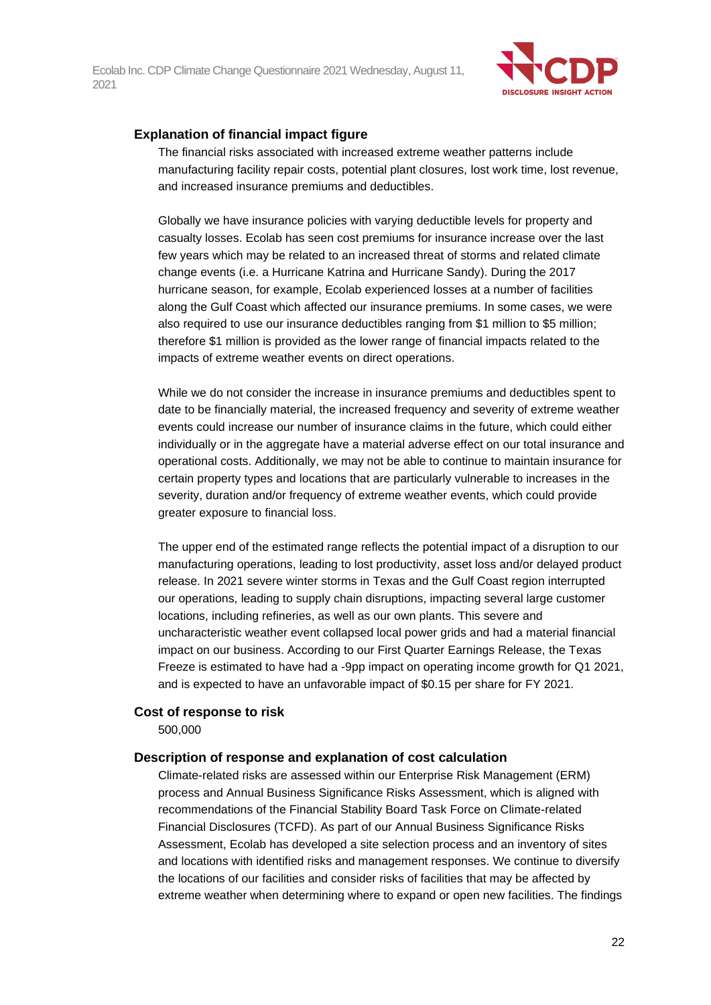

#### **Explanation of financial impact figure**

The financial risks associated with increased extreme weather patterns include manufacturing facility repair costs, potential plant closures, lost work time, lost revenue, and increased insurance premiums and deductibles.

Globally we have insurance policies with varying deductible levels for property and casualty losses. Ecolab has seen cost premiums for insurance increase over the last few years which may be related to an increased threat of storms and related climate change events (i.e. a Hurricane Katrina and Hurricane Sandy). During the 2017 hurricane season, for example, Ecolab experienced losses at a number of facilities along the Gulf Coast which affected our insurance premiums. In some cases, we were also required to use our insurance deductibles ranging from \$1 million to \$5 million; therefore \$1 million is provided as the lower range of financial impacts related to the impacts of extreme weather events on direct operations.

While we do not consider the increase in insurance premiums and deductibles spent to date to be financially material, the increased frequency and severity of extreme weather events could increase our number of insurance claims in the future, which could either individually or in the aggregate have a material adverse effect on our total insurance and operational costs. Additionally, we may not be able to continue to maintain insurance for certain property types and locations that are particularly vulnerable to increases in the severity, duration and/or frequency of extreme weather events, which could provide greater exposure to financial loss.

The upper end of the estimated range reflects the potential impact of a disruption to our manufacturing operations, leading to lost productivity, asset loss and/or delayed product release. In 2021 severe winter storms in Texas and the Gulf Coast region interrupted our operations, leading to supply chain disruptions, impacting several large customer locations, including refineries, as well as our own plants. This severe and uncharacteristic weather event collapsed local power grids and had a material financial impact on our business. According to our First Quarter Earnings Release, the Texas Freeze is estimated to have had a -9pp impact on operating income growth for Q1 2021, and is expected to have an unfavorable impact of \$0.15 per share for FY 2021.

#### **Cost of response to risk**

500,000

#### **Description of response and explanation of cost calculation**

Climate-related risks are assessed within our Enterprise Risk Management (ERM) process and Annual Business Significance Risks Assessment, which is aligned with recommendations of the Financial Stability Board Task Force on Climate-related Financial Disclosures (TCFD). As part of our Annual Business Significance Risks Assessment, Ecolab has developed a site selection process and an inventory of sites and locations with identified risks and management responses. We continue to diversify the locations of our facilities and consider risks of facilities that may be affected by extreme weather when determining where to expand or open new facilities. The findings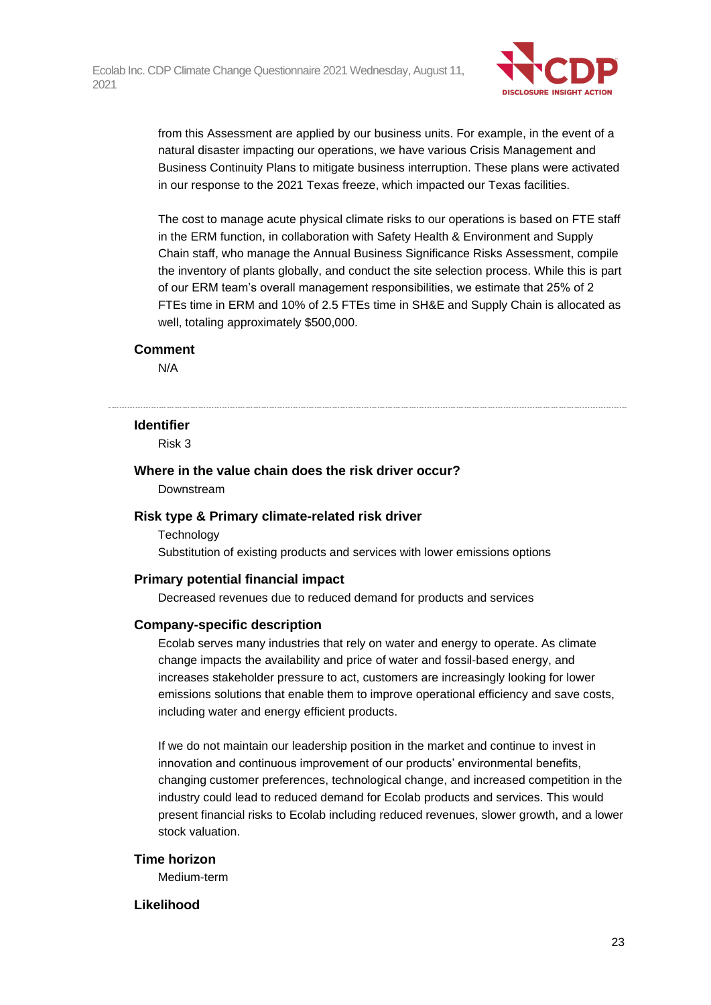

from this Assessment are applied by our business units. For example, in the event of a natural disaster impacting our operations, we have various Crisis Management and Business Continuity Plans to mitigate business interruption. These plans were activated in our response to the 2021 Texas freeze, which impacted our Texas facilities.

The cost to manage acute physical climate risks to our operations is based on FTE staff in the ERM function, in collaboration with Safety Health & Environment and Supply Chain staff, who manage the Annual Business Significance Risks Assessment, compile the inventory of plants globally, and conduct the site selection process. While this is part of our ERM team's overall management responsibilities, we estimate that 25% of 2 FTEs time in ERM and 10% of 2.5 FTEs time in SH&E and Supply Chain is allocated as well, totaling approximately \$500,000.

#### **Comment**

N/A

#### **Identifier**

Risk 3

### **Where in the value chain does the risk driver occur?**

Downstream

#### **Risk type & Primary climate-related risk driver**

**Technology** 

Substitution of existing products and services with lower emissions options

#### **Primary potential financial impact**

Decreased revenues due to reduced demand for products and services

#### **Company-specific description**

Ecolab serves many industries that rely on water and energy to operate. As climate change impacts the availability and price of water and fossil-based energy, and increases stakeholder pressure to act, customers are increasingly looking for lower emissions solutions that enable them to improve operational efficiency and save costs, including water and energy efficient products.

If we do not maintain our leadership position in the market and continue to invest in innovation and continuous improvement of our products' environmental benefits, changing customer preferences, technological change, and increased competition in the industry could lead to reduced demand for Ecolab products and services. This would present financial risks to Ecolab including reduced revenues, slower growth, and a lower stock valuation.

#### **Time horizon**

Medium-term

#### **Likelihood**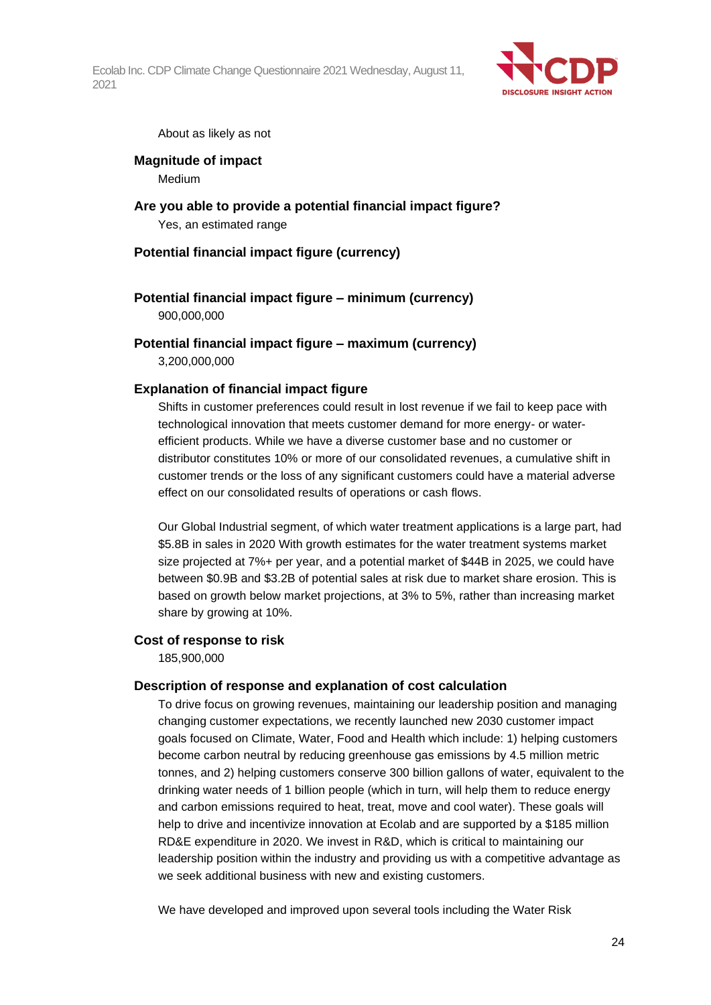

About as likely as not

## **Magnitude of impact**

Medium

### **Are you able to provide a potential financial impact figure?** Yes, an estimated range

### **Potential financial impact figure (currency)**

#### **Potential financial impact figure – minimum (currency)** 900,000,000

#### **Potential financial impact figure – maximum (currency)**

3,200,000,000

#### **Explanation of financial impact figure**

Shifts in customer preferences could result in lost revenue if we fail to keep pace with technological innovation that meets customer demand for more energy- or waterefficient products. While we have a diverse customer base and no customer or distributor constitutes 10% or more of our consolidated revenues, a cumulative shift in customer trends or the loss of any significant customers could have a material adverse effect on our consolidated results of operations or cash flows.

Our Global Industrial segment, of which water treatment applications is a large part, had \$5.8B in sales in 2020 With growth estimates for the water treatment systems market size projected at 7%+ per year, and a potential market of \$44B in 2025, we could have between \$0.9B and \$3.2B of potential sales at risk due to market share erosion. This is based on growth below market projections, at 3% to 5%, rather than increasing market share by growing at 10%.

#### **Cost of response to risk**

185,900,000

#### **Description of response and explanation of cost calculation**

To drive focus on growing revenues, maintaining our leadership position and managing changing customer expectations, we recently launched new 2030 customer impact goals focused on Climate, Water, Food and Health which include: 1) helping customers become carbon neutral by reducing greenhouse gas emissions by 4.5 million metric tonnes, and 2) helping customers conserve 300 billion gallons of water, equivalent to the drinking water needs of 1 billion people (which in turn, will help them to reduce energy and carbon emissions required to heat, treat, move and cool water). These goals will help to drive and incentivize innovation at Ecolab and are supported by a \$185 million RD&E expenditure in 2020. We invest in R&D, which is critical to maintaining our leadership position within the industry and providing us with a competitive advantage as we seek additional business with new and existing customers.

We have developed and improved upon several tools including the Water Risk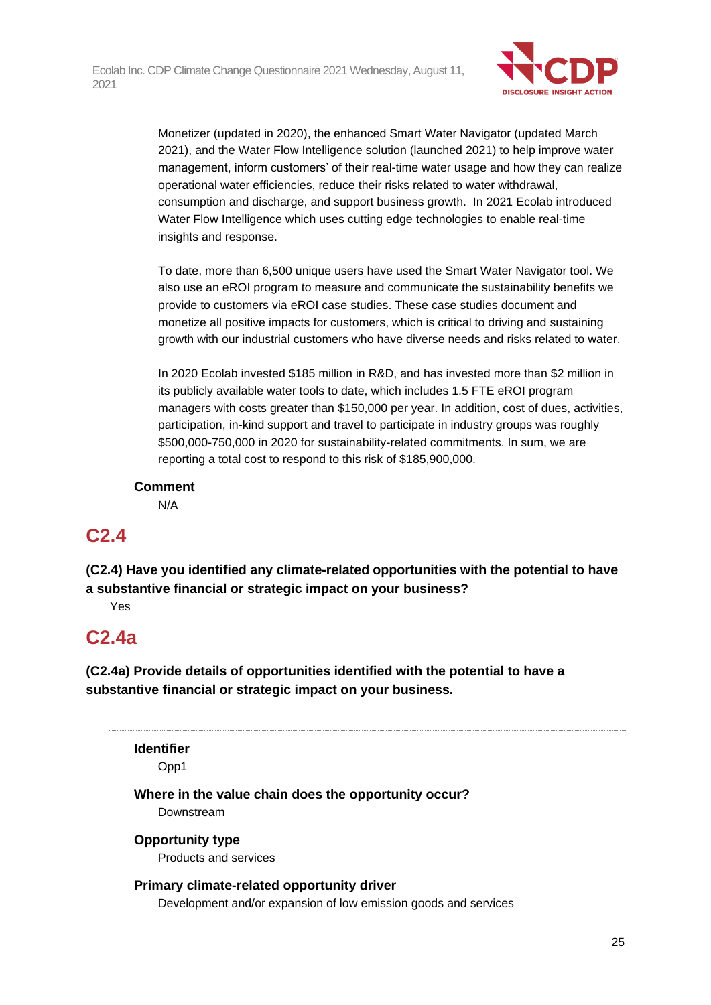

Monetizer (updated in 2020), the enhanced Smart Water Navigator (updated March 2021), and the Water Flow Intelligence solution (launched 2021) to help improve water management, inform customers' of their real-time water usage and how they can realize operational water efficiencies, reduce their risks related to water withdrawal, consumption and discharge, and support business growth. In 2021 Ecolab introduced Water Flow Intelligence which uses cutting edge technologies to enable real-time insights and response.

To date, more than 6,500 unique users have used the Smart Water Navigator tool. We also use an eROI program to measure and communicate the sustainability benefits we provide to customers via eROI case studies. These case studies document and monetize all positive impacts for customers, which is critical to driving and sustaining growth with our industrial customers who have diverse needs and risks related to water.

In 2020 Ecolab invested \$185 million in R&D, and has invested more than \$2 million in its publicly available water tools to date, which includes 1.5 FTE eROI program managers with costs greater than \$150,000 per year. In addition, cost of dues, activities, participation, in-kind support and travel to participate in industry groups was roughly \$500,000-750,000 in 2020 for sustainability-related commitments. In sum, we are reporting a total cost to respond to this risk of \$185,900,000.

### **Comment**

N/A

## **C2.4**

**(C2.4) Have you identified any climate-related opportunities with the potential to have a substantive financial or strategic impact on your business?**

Yes

# **C2.4a**

**(C2.4a) Provide details of opportunities identified with the potential to have a substantive financial or strategic impact on your business.**

**Identifier**

Opp1

### **Where in the value chain does the opportunity occur?**

Downstream

### **Opportunity type**

Products and services

### **Primary climate-related opportunity driver**

Development and/or expansion of low emission goods and services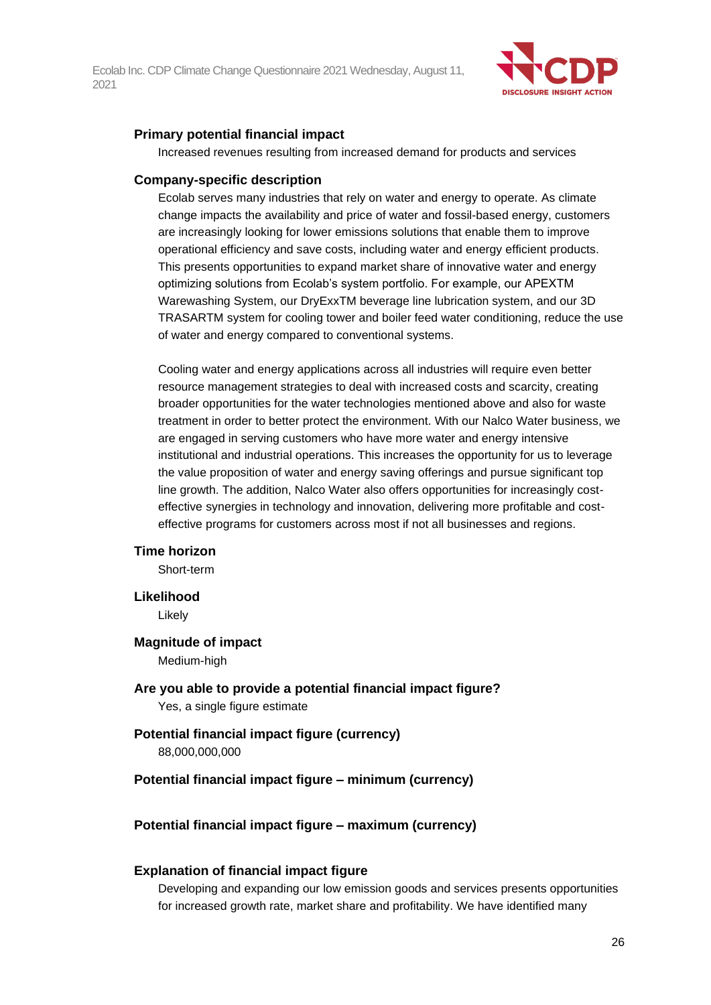

#### **Primary potential financial impact**

Increased revenues resulting from increased demand for products and services

#### **Company-specific description**

Ecolab serves many industries that rely on water and energy to operate. As climate change impacts the availability and price of water and fossil-based energy, customers are increasingly looking for lower emissions solutions that enable them to improve operational efficiency and save costs, including water and energy efficient products. This presents opportunities to expand market share of innovative water and energy optimizing solutions from Ecolab's system portfolio. For example, our APEXTM Warewashing System, our DryExxTM beverage line lubrication system, and our 3D TRASARTM system for cooling tower and boiler feed water conditioning, reduce the use of water and energy compared to conventional systems.

Cooling water and energy applications across all industries will require even better resource management strategies to deal with increased costs and scarcity, creating broader opportunities for the water technologies mentioned above and also for waste treatment in order to better protect the environment. With our Nalco Water business, we are engaged in serving customers who have more water and energy intensive institutional and industrial operations. This increases the opportunity for us to leverage the value proposition of water and energy saving offerings and pursue significant top line growth. The addition, Nalco Water also offers opportunities for increasingly costeffective synergies in technology and innovation, delivering more profitable and costeffective programs for customers across most if not all businesses and regions.

#### **Time horizon**

Short-term

#### **Likelihood**

Likely

#### **Magnitude of impact**

Medium-high

**Are you able to provide a potential financial impact figure?** Yes, a single figure estimate

# **Potential financial impact figure (currency)**

88,000,000,000

#### **Potential financial impact figure – minimum (currency)**

#### **Potential financial impact figure – maximum (currency)**

#### **Explanation of financial impact figure**

Developing and expanding our low emission goods and services presents opportunities for increased growth rate, market share and profitability. We have identified many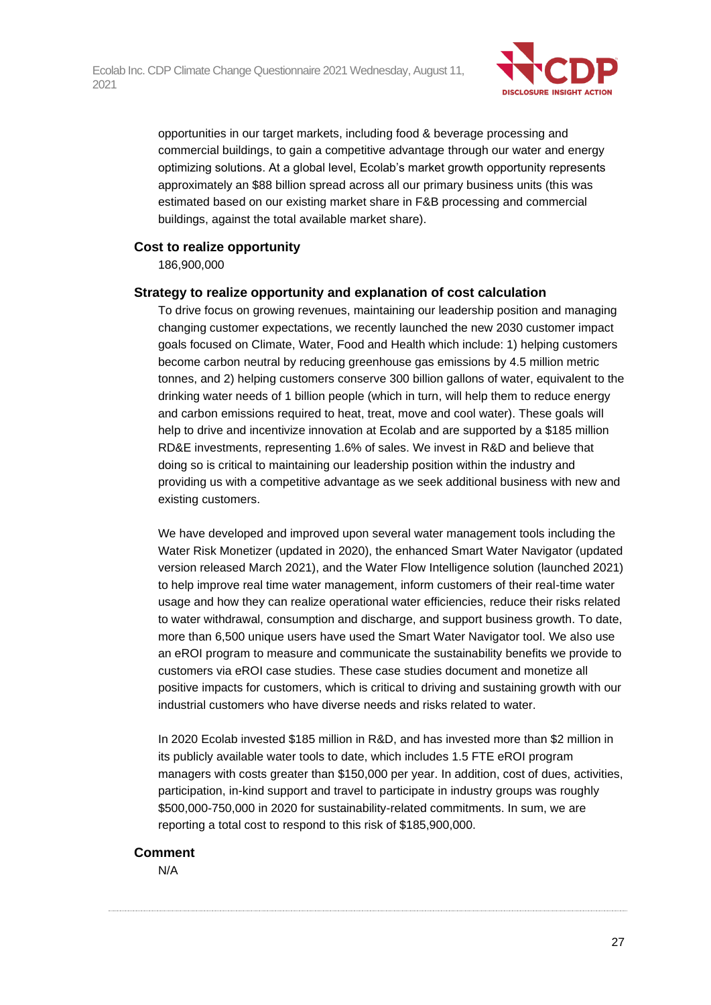

opportunities in our target markets, including food & beverage processing and commercial buildings, to gain a competitive advantage through our water and energy optimizing solutions. At a global level, Ecolab's market growth opportunity represents approximately an \$88 billion spread across all our primary business units (this was estimated based on our existing market share in F&B processing and commercial buildings, against the total available market share).

#### **Cost to realize opportunity**

186,900,000

#### **Strategy to realize opportunity and explanation of cost calculation**

To drive focus on growing revenues, maintaining our leadership position and managing changing customer expectations, we recently launched the new 2030 customer impact goals focused on Climate, Water, Food and Health which include: 1) helping customers become carbon neutral by reducing greenhouse gas emissions by 4.5 million metric tonnes, and 2) helping customers conserve 300 billion gallons of water, equivalent to the drinking water needs of 1 billion people (which in turn, will help them to reduce energy and carbon emissions required to heat, treat, move and cool water). These goals will help to drive and incentivize innovation at Ecolab and are supported by a \$185 million RD&E investments, representing 1.6% of sales. We invest in R&D and believe that doing so is critical to maintaining our leadership position within the industry and providing us with a competitive advantage as we seek additional business with new and existing customers.

We have developed and improved upon several water management tools including the Water Risk Monetizer (updated in 2020), the enhanced Smart Water Navigator (updated version released March 2021), and the Water Flow Intelligence solution (launched 2021) to help improve real time water management, inform customers of their real-time water usage and how they can realize operational water efficiencies, reduce their risks related to water withdrawal, consumption and discharge, and support business growth. To date, more than 6,500 unique users have used the Smart Water Navigator tool. We also use an eROI program to measure and communicate the sustainability benefits we provide to customers via eROI case studies. These case studies document and monetize all positive impacts for customers, which is critical to driving and sustaining growth with our industrial customers who have diverse needs and risks related to water.

In 2020 Ecolab invested \$185 million in R&D, and has invested more than \$2 million in its publicly available water tools to date, which includes 1.5 FTE eROI program managers with costs greater than \$150,000 per year. In addition, cost of dues, activities, participation, in-kind support and travel to participate in industry groups was roughly \$500,000-750,000 in 2020 for sustainability-related commitments. In sum, we are reporting a total cost to respond to this risk of \$185,900,000.

#### **Comment**

N/A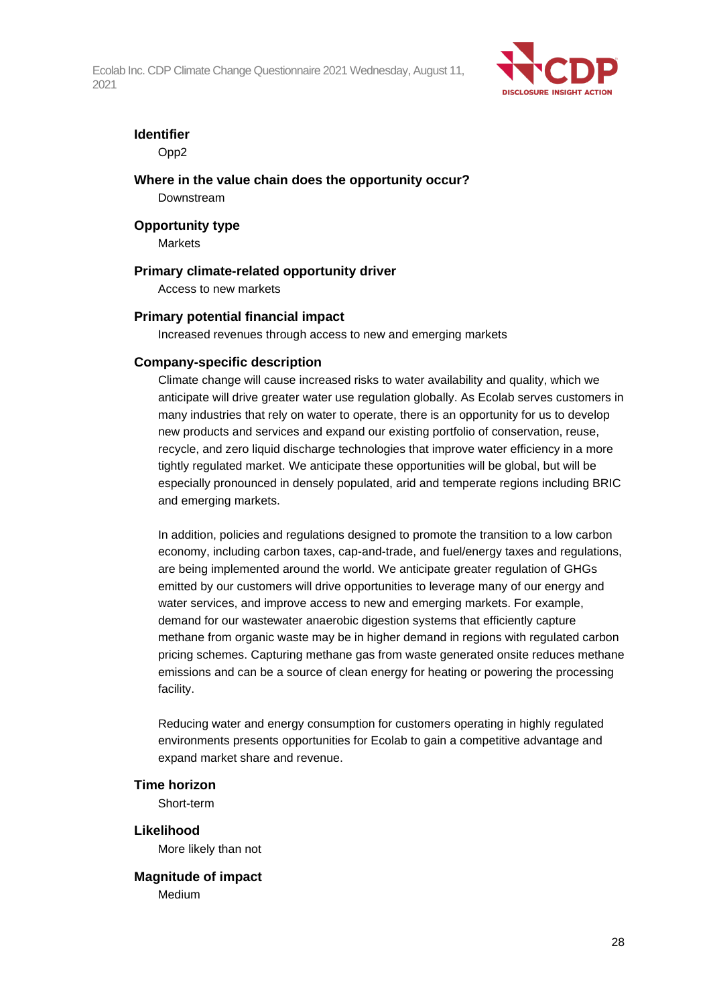

#### **Identifier**

Opp2

#### **Where in the value chain does the opportunity occur?**

Downstream

#### **Opportunity type**

Markets

#### **Primary climate-related opportunity driver**

Access to new markets

#### **Primary potential financial impact**

Increased revenues through access to new and emerging markets

#### **Company-specific description**

Climate change will cause increased risks to water availability and quality, which we anticipate will drive greater water use regulation globally. As Ecolab serves customers in many industries that rely on water to operate, there is an opportunity for us to develop new products and services and expand our existing portfolio of conservation, reuse, recycle, and zero liquid discharge technologies that improve water efficiency in a more tightly regulated market. We anticipate these opportunities will be global, but will be especially pronounced in densely populated, arid and temperate regions including BRIC and emerging markets.

In addition, policies and regulations designed to promote the transition to a low carbon economy, including carbon taxes, cap-and-trade, and fuel/energy taxes and regulations, are being implemented around the world. We anticipate greater regulation of GHGs emitted by our customers will drive opportunities to leverage many of our energy and water services, and improve access to new and emerging markets. For example, demand for our wastewater anaerobic digestion systems that efficiently capture methane from organic waste may be in higher demand in regions with regulated carbon pricing schemes. Capturing methane gas from waste generated onsite reduces methane emissions and can be a source of clean energy for heating or powering the processing facility.

Reducing water and energy consumption for customers operating in highly regulated environments presents opportunities for Ecolab to gain a competitive advantage and expand market share and revenue.

#### **Time horizon**

Short-term

**Likelihood** More likely than not

**Magnitude of impact** Medium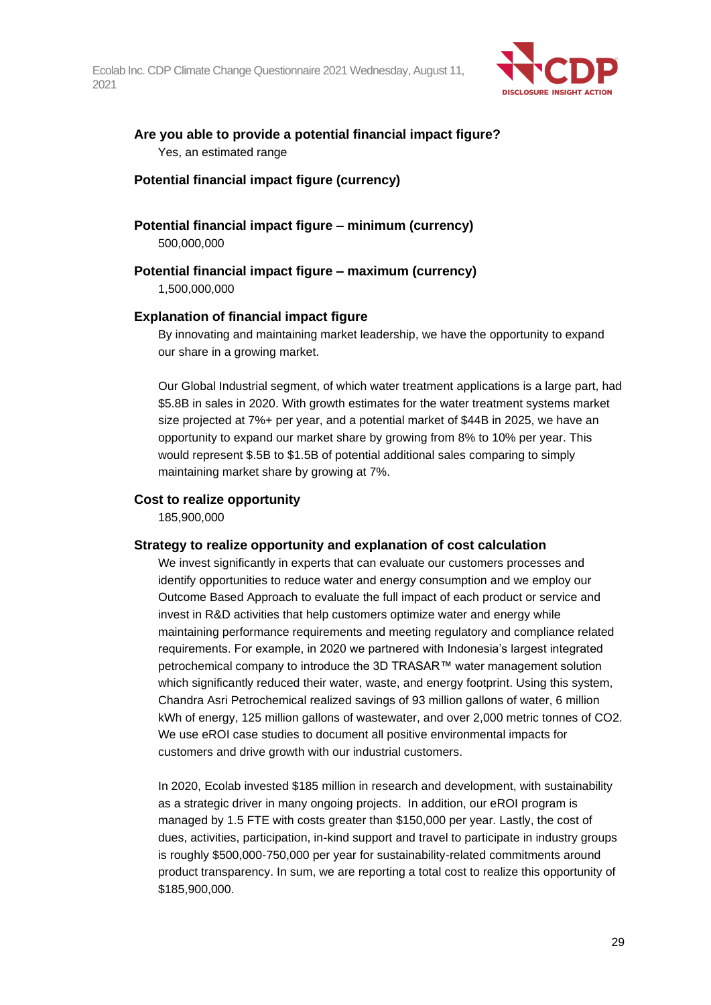

### **Are you able to provide a potential financial impact figure?** Yes, an estimated range

#### **Potential financial impact figure (currency)**

**Potential financial impact figure – minimum (currency)** 500,000,000

**Potential financial impact figure – maximum (currency)**

1,500,000,000

#### **Explanation of financial impact figure**

By innovating and maintaining market leadership, we have the opportunity to expand our share in a growing market.

Our Global Industrial segment, of which water treatment applications is a large part, had \$5.8B in sales in 2020. With growth estimates for the water treatment systems market size projected at 7%+ per year, and a potential market of \$44B in 2025, we have an opportunity to expand our market share by growing from 8% to 10% per year. This would represent \$.5B to \$1.5B of potential additional sales comparing to simply maintaining market share by growing at 7%.

#### **Cost to realize opportunity**

185,900,000

#### **Strategy to realize opportunity and explanation of cost calculation**

We invest significantly in experts that can evaluate our customers processes and identify opportunities to reduce water and energy consumption and we employ our Outcome Based Approach to evaluate the full impact of each product or service and invest in R&D activities that help customers optimize water and energy while maintaining performance requirements and meeting regulatory and compliance related requirements. For example, in 2020 we partnered with Indonesia's largest integrated petrochemical company to introduce the 3D TRASAR™ water management solution which significantly reduced their water, waste, and energy footprint. Using this system, Chandra Asri Petrochemical realized savings of 93 million gallons of water, 6 million kWh of energy, 125 million gallons of wastewater, and over 2,000 metric tonnes of CO2. We use eROI case studies to document all positive environmental impacts for customers and drive growth with our industrial customers.

In 2020, Ecolab invested \$185 million in research and development, with sustainability as a strategic driver in many ongoing projects. In addition, our eROI program is managed by 1.5 FTE with costs greater than \$150,000 per year. Lastly, the cost of dues, activities, participation, in-kind support and travel to participate in industry groups is roughly \$500,000-750,000 per year for sustainability-related commitments around product transparency. In sum, we are reporting a total cost to realize this opportunity of \$185,900,000.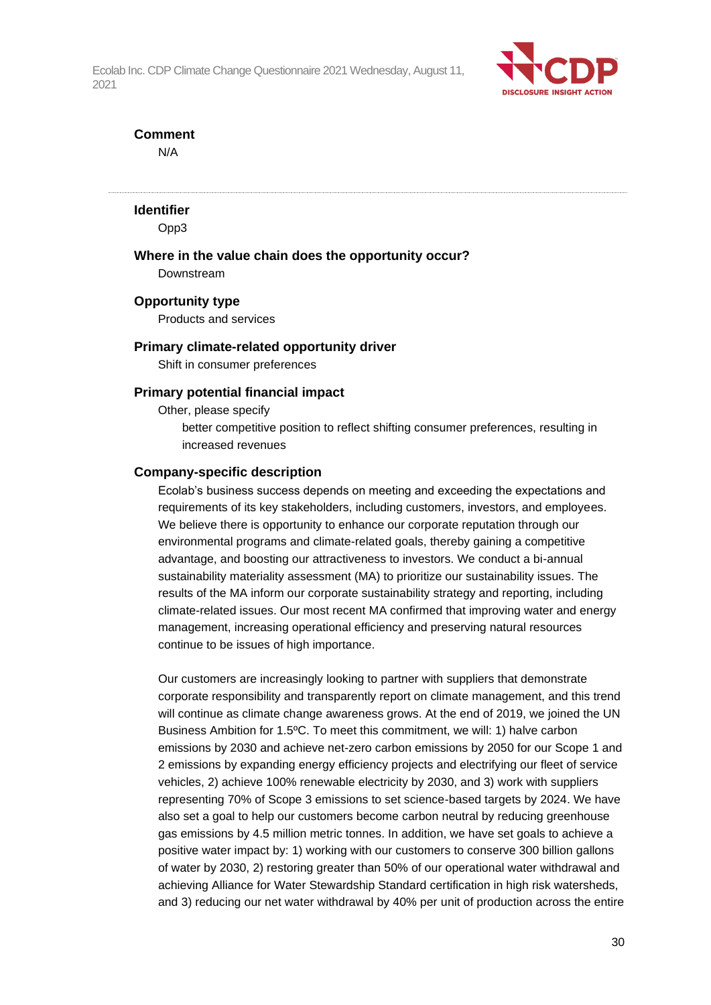

#### **Comment**

N/A

#### **Identifier**

Opp3

#### **Where in the value chain does the opportunity occur?**

Downstream

#### **Opportunity type**

Products and services

#### **Primary climate-related opportunity driver**

Shift in consumer preferences

#### **Primary potential financial impact**

Other, please specify

better competitive position to reflect shifting consumer preferences, resulting in increased revenues

#### **Company-specific description**

Ecolab's business success depends on meeting and exceeding the expectations and requirements of its key stakeholders, including customers, investors, and employees. We believe there is opportunity to enhance our corporate reputation through our environmental programs and climate-related goals, thereby gaining a competitive advantage, and boosting our attractiveness to investors. We conduct a bi-annual sustainability materiality assessment (MA) to prioritize our sustainability issues. The results of the MA inform our corporate sustainability strategy and reporting, including climate-related issues. Our most recent MA confirmed that improving water and energy management, increasing operational efficiency and preserving natural resources continue to be issues of high importance.

Our customers are increasingly looking to partner with suppliers that demonstrate corporate responsibility and transparently report on climate management, and this trend will continue as climate change awareness grows. At the end of 2019, we joined the UN Business Ambition for 1.5ºC. To meet this commitment, we will: 1) halve carbon emissions by 2030 and achieve net-zero carbon emissions by 2050 for our Scope 1 and 2 emissions by expanding energy efficiency projects and electrifying our fleet of service vehicles, 2) achieve 100% renewable electricity by 2030, and 3) work with suppliers representing 70% of Scope 3 emissions to set science-based targets by 2024. We have also set a goal to help our customers become carbon neutral by reducing greenhouse gas emissions by 4.5 million metric tonnes. In addition, we have set goals to achieve a positive water impact by: 1) working with our customers to conserve 300 billion gallons of water by 2030, 2) restoring greater than 50% of our operational water withdrawal and achieving Alliance for Water Stewardship Standard certification in high risk watersheds, and 3) reducing our net water withdrawal by 40% per unit of production across the entire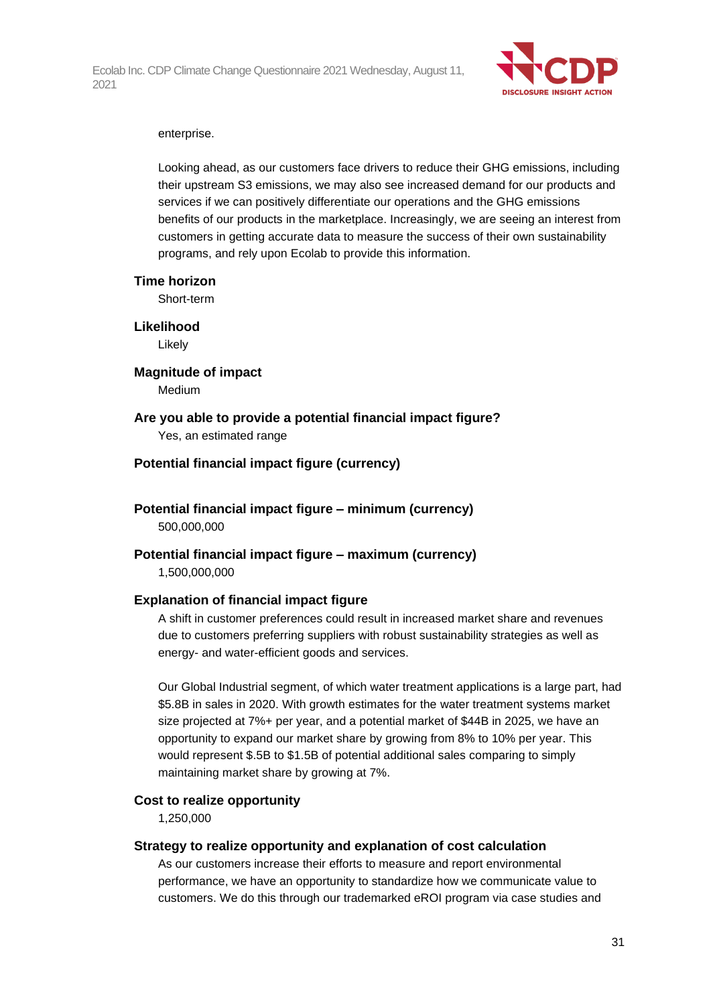

#### enterprise.

Looking ahead, as our customers face drivers to reduce their GHG emissions, including their upstream S3 emissions, we may also see increased demand for our products and services if we can positively differentiate our operations and the GHG emissions benefits of our products in the marketplace. Increasingly, we are seeing an interest from customers in getting accurate data to measure the success of their own sustainability programs, and rely upon Ecolab to provide this information.

#### **Time horizon**

Short-term

### **Likelihood**

Likely

**Magnitude of impact** Medium

#### **Are you able to provide a potential financial impact figure?**

Yes, an estimated range

#### **Potential financial impact figure (currency)**

**Potential financial impact figure – minimum (currency)** 500,000,000

# **Potential financial impact figure – maximum (currency)**

1,500,000,000

#### **Explanation of financial impact figure**

A shift in customer preferences could result in increased market share and revenues due to customers preferring suppliers with robust sustainability strategies as well as energy- and water-efficient goods and services.

Our Global Industrial segment, of which water treatment applications is a large part, had \$5.8B in sales in 2020. With growth estimates for the water treatment systems market size projected at 7%+ per year, and a potential market of \$44B in 2025, we have an opportunity to expand our market share by growing from 8% to 10% per year. This would represent \$.5B to \$1.5B of potential additional sales comparing to simply maintaining market share by growing at 7%.

#### **Cost to realize opportunity**

1,250,000

#### **Strategy to realize opportunity and explanation of cost calculation**

As our customers increase their efforts to measure and report environmental performance, we have an opportunity to standardize how we communicate value to customers. We do this through our trademarked eROI program via case studies and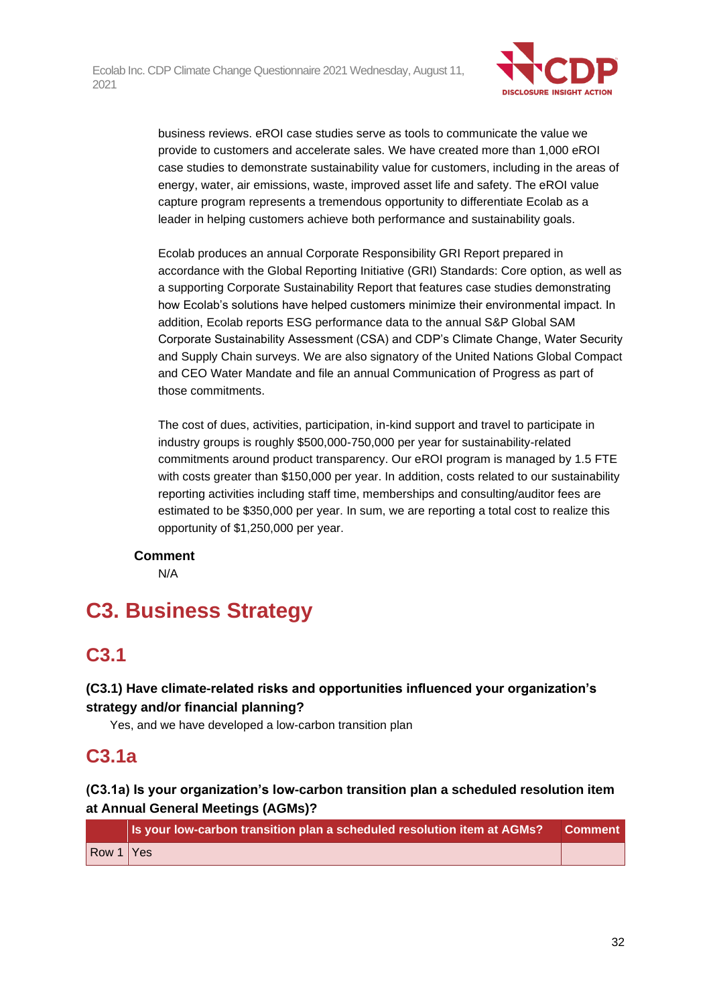

business reviews. eROI case studies serve as tools to communicate the value we provide to customers and accelerate sales. We have created more than 1,000 eROI case studies to demonstrate sustainability value for customers, including in the areas of energy, water, air emissions, waste, improved asset life and safety. The eROI value capture program represents a tremendous opportunity to differentiate Ecolab as a leader in helping customers achieve both performance and sustainability goals.

Ecolab produces an annual Corporate Responsibility GRI Report prepared in accordance with the Global Reporting Initiative (GRI) Standards: Core option, as well as a supporting Corporate Sustainability Report that features case studies demonstrating how Ecolab's solutions have helped customers minimize their environmental impact. In addition, Ecolab reports ESG performance data to the annual S&P Global SAM Corporate Sustainability Assessment (CSA) and CDP's Climate Change, Water Security and Supply Chain surveys. We are also signatory of the United Nations Global Compact and CEO Water Mandate and file an annual Communication of Progress as part of those commitments.

The cost of dues, activities, participation, in-kind support and travel to participate in industry groups is roughly \$500,000-750,000 per year for sustainability-related commitments around product transparency. Our eROI program is managed by 1.5 FTE with costs greater than \$150,000 per year. In addition, costs related to our sustainability reporting activities including staff time, memberships and consulting/auditor fees are estimated to be \$350,000 per year. In sum, we are reporting a total cost to realize this opportunity of \$1,250,000 per year.

#### **Comment**

N/A

# **C3. Business Strategy**

# **C3.1**

## **(C3.1) Have climate-related risks and opportunities influenced your organization's strategy and/or financial planning?**

Yes, and we have developed a low-carbon transition plan

# **C3.1a**

## **(C3.1a) Is your organization's low-carbon transition plan a scheduled resolution item at Annual General Meetings (AGMs)?**

|           | Is your low-carbon transition plan a scheduled resolution item at AGMs? | <b>Comment</b> |
|-----------|-------------------------------------------------------------------------|----------------|
| Row 1 Yes |                                                                         |                |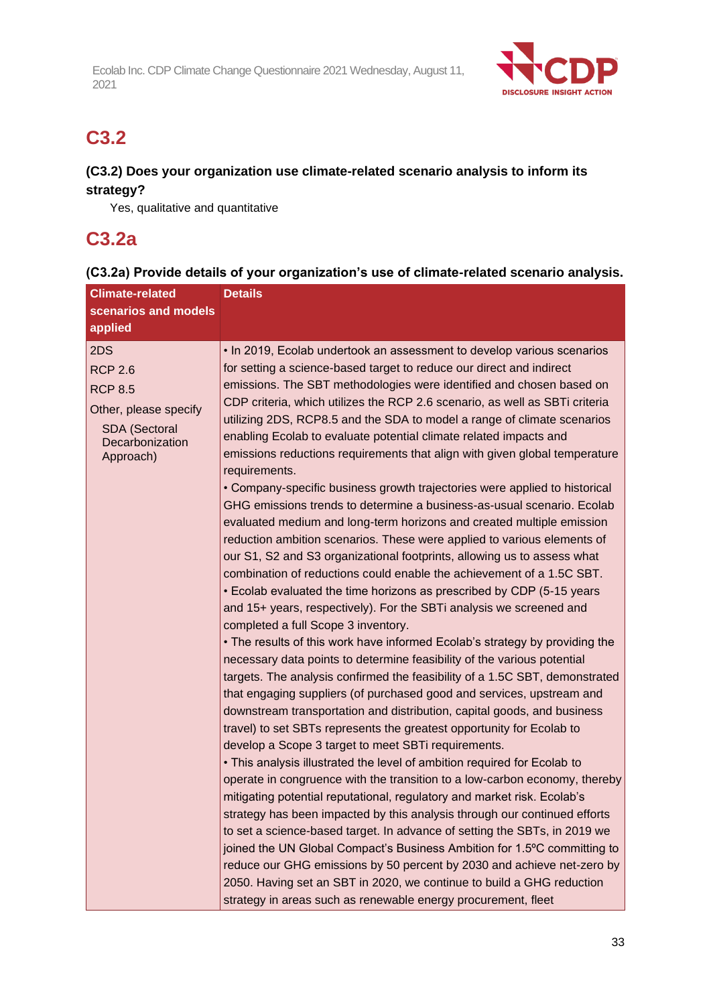

## **C3.2**

## **(C3.2) Does your organization use climate-related scenario analysis to inform its strategy?**

Yes, qualitative and quantitative

## **C3.2a**

## **(C3.2a) Provide details of your organization's use of climate-related scenario analysis.**

| <b>Climate-related</b>                                                                                                   | <b>Details</b>                                                                                                                                                                                                                                                                                                                                                                                                                                                                                                                                                                                                                                                                                                                                                                                                                                                                                                                                                                                                                                                                                       |  |  |
|--------------------------------------------------------------------------------------------------------------------------|------------------------------------------------------------------------------------------------------------------------------------------------------------------------------------------------------------------------------------------------------------------------------------------------------------------------------------------------------------------------------------------------------------------------------------------------------------------------------------------------------------------------------------------------------------------------------------------------------------------------------------------------------------------------------------------------------------------------------------------------------------------------------------------------------------------------------------------------------------------------------------------------------------------------------------------------------------------------------------------------------------------------------------------------------------------------------------------------------|--|--|
| scenarios and models                                                                                                     |                                                                                                                                                                                                                                                                                                                                                                                                                                                                                                                                                                                                                                                                                                                                                                                                                                                                                                                                                                                                                                                                                                      |  |  |
| applied                                                                                                                  |                                                                                                                                                                                                                                                                                                                                                                                                                                                                                                                                                                                                                                                                                                                                                                                                                                                                                                                                                                                                                                                                                                      |  |  |
| 2DS<br><b>RCP 2.6</b><br><b>RCP 8.5</b><br>Other, please specify<br><b>SDA</b> (Sectoral<br>Decarbonization<br>Approach) | . In 2019, Ecolab undertook an assessment to develop various scenarios<br>for setting a science-based target to reduce our direct and indirect<br>emissions. The SBT methodologies were identified and chosen based on<br>CDP criteria, which utilizes the RCP 2.6 scenario, as well as SBTi criteria<br>utilizing 2DS, RCP8.5 and the SDA to model a range of climate scenarios<br>enabling Ecolab to evaluate potential climate related impacts and<br>emissions reductions requirements that align with given global temperature<br>requirements.<br>• Company-specific business growth trajectories were applied to historical<br>GHG emissions trends to determine a business-as-usual scenario. Ecolab                                                                                                                                                                                                                                                                                                                                                                                         |  |  |
|                                                                                                                          | evaluated medium and long-term horizons and created multiple emission<br>reduction ambition scenarios. These were applied to various elements of<br>our S1, S2 and S3 organizational footprints, allowing us to assess what<br>combination of reductions could enable the achievement of a 1.5C SBT.<br>• Ecolab evaluated the time horizons as prescribed by CDP (5-15 years<br>and 15+ years, respectively). For the SBTi analysis we screened and<br>completed a full Scope 3 inventory.<br>• The results of this work have informed Ecolab's strategy by providing the<br>necessary data points to determine feasibility of the various potential<br>targets. The analysis confirmed the feasibility of a 1.5C SBT, demonstrated<br>that engaging suppliers (of purchased good and services, upstream and<br>downstream transportation and distribution, capital goods, and business<br>travel) to set SBTs represents the greatest opportunity for Ecolab to<br>develop a Scope 3 target to meet SBTi requirements.<br>• This analysis illustrated the level of ambition required for Ecolab to |  |  |
|                                                                                                                          | operate in congruence with the transition to a low-carbon economy, thereby<br>mitigating potential reputational, regulatory and market risk. Ecolab's<br>strategy has been impacted by this analysis through our continued efforts<br>to set a science-based target. In advance of setting the SBTs, in 2019 we<br>joined the UN Global Compact's Business Ambition for 1.5°C committing to<br>reduce our GHG emissions by 50 percent by 2030 and achieve net-zero by<br>2050. Having set an SBT in 2020, we continue to build a GHG reduction<br>strategy in areas such as renewable energy procurement, fleet                                                                                                                                                                                                                                                                                                                                                                                                                                                                                      |  |  |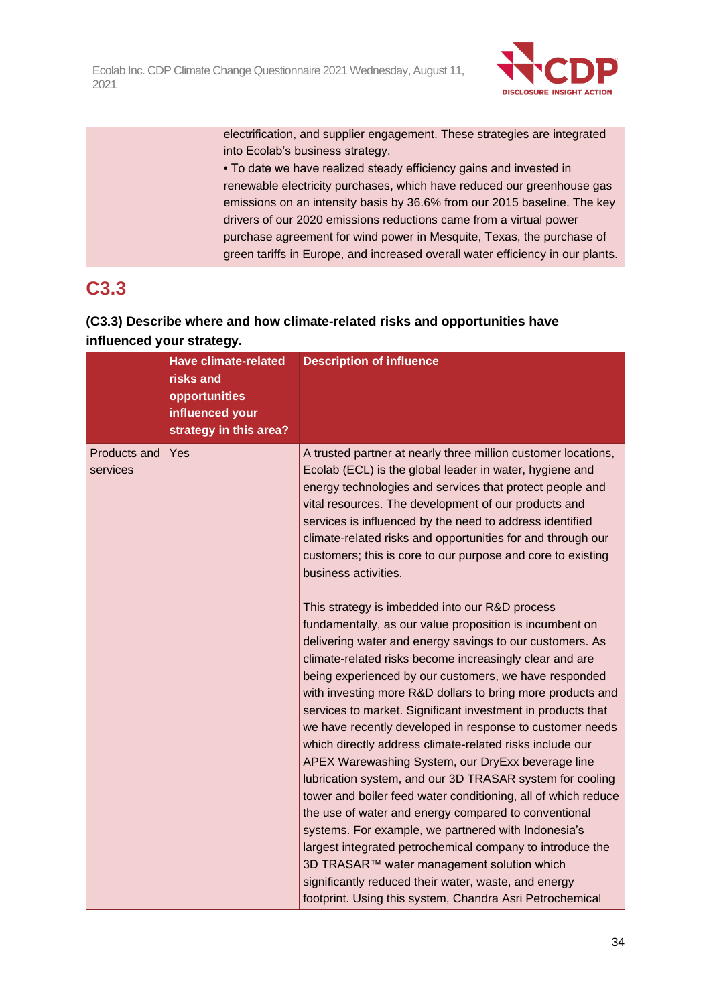

| electrification, and supplier engagement. These strategies are integrated      |
|--------------------------------------------------------------------------------|
| into Ecolab's business strategy.                                               |
| • To date we have realized steady efficiency gains and invested in             |
| renewable electricity purchases, which have reduced our greenhouse gas         |
| emissions on an intensity basis by 36.6% from our 2015 baseline. The key       |
| drivers of our 2020 emissions reductions came from a virtual power             |
| purchase agreement for wind power in Mesquite, Texas, the purchase of          |
| green tariffs in Europe, and increased overall water efficiency in our plants. |
|                                                                                |

# **C3.3**

## **(C3.3) Describe where and how climate-related risks and opportunities have influenced your strategy.**

|                          | <b>Have climate-related</b><br>risks and<br>opportunities<br>influenced your<br>strategy in this area? | <b>Description of influence</b>                                                                                                                                                                                                                                                                                                                                                                                                                                                                                                                                                                                                                                                                                                                                                                                                                                                                                                                                                                                                                                                                                                                                                                                                                                                                                                                                                                                                                                                      |
|--------------------------|--------------------------------------------------------------------------------------------------------|--------------------------------------------------------------------------------------------------------------------------------------------------------------------------------------------------------------------------------------------------------------------------------------------------------------------------------------------------------------------------------------------------------------------------------------------------------------------------------------------------------------------------------------------------------------------------------------------------------------------------------------------------------------------------------------------------------------------------------------------------------------------------------------------------------------------------------------------------------------------------------------------------------------------------------------------------------------------------------------------------------------------------------------------------------------------------------------------------------------------------------------------------------------------------------------------------------------------------------------------------------------------------------------------------------------------------------------------------------------------------------------------------------------------------------------------------------------------------------------|
| Products and<br>services | Yes                                                                                                    | A trusted partner at nearly three million customer locations,<br>Ecolab (ECL) is the global leader in water, hygiene and<br>energy technologies and services that protect people and<br>vital resources. The development of our products and<br>services is influenced by the need to address identified<br>climate-related risks and opportunities for and through our<br>customers; this is core to our purpose and core to existing<br>business activities.<br>This strategy is imbedded into our R&D process<br>fundamentally, as our value proposition is incumbent on<br>delivering water and energy savings to our customers. As<br>climate-related risks become increasingly clear and are<br>being experienced by our customers, we have responded<br>with investing more R&D dollars to bring more products and<br>services to market. Significant investment in products that<br>we have recently developed in response to customer needs<br>which directly address climate-related risks include our<br>APEX Warewashing System, our DryExx beverage line<br>lubrication system, and our 3D TRASAR system for cooling<br>tower and boiler feed water conditioning, all of which reduce<br>the use of water and energy compared to conventional<br>systems. For example, we partnered with Indonesia's<br>largest integrated petrochemical company to introduce the<br>3D TRASAR™ water management solution which<br>significantly reduced their water, waste, and energy |
|                          |                                                                                                        | footprint. Using this system, Chandra Asri Petrochemical                                                                                                                                                                                                                                                                                                                                                                                                                                                                                                                                                                                                                                                                                                                                                                                                                                                                                                                                                                                                                                                                                                                                                                                                                                                                                                                                                                                                                             |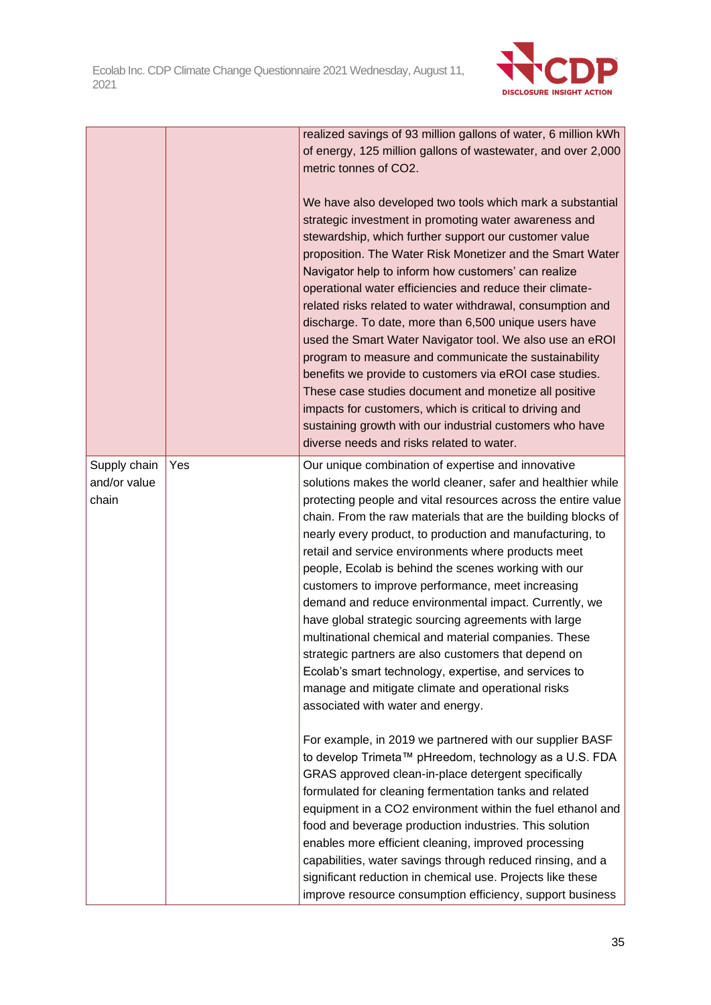

|                                       |     | realized savings of 93 million gallons of water, 6 million kWh<br>of energy, 125 million gallons of wastewater, and over 2,000<br>metric tonnes of CO2.<br>We have also developed two tools which mark a substantial<br>strategic investment in promoting water awareness and<br>stewardship, which further support our customer value<br>proposition. The Water Risk Monetizer and the Smart Water<br>Navigator help to inform how customers' can realize<br>operational water efficiencies and reduce their climate-<br>related risks related to water withdrawal, consumption and<br>discharge. To date, more than 6,500 unique users have<br>used the Smart Water Navigator tool. We also use an eROI<br>program to measure and communicate the sustainability<br>benefits we provide to customers via eROI case studies.<br>These case studies document and monetize all positive<br>impacts for customers, which is critical to driving and<br>sustaining growth with our industrial customers who have<br>diverse needs and risks related to water. |
|---------------------------------------|-----|------------------------------------------------------------------------------------------------------------------------------------------------------------------------------------------------------------------------------------------------------------------------------------------------------------------------------------------------------------------------------------------------------------------------------------------------------------------------------------------------------------------------------------------------------------------------------------------------------------------------------------------------------------------------------------------------------------------------------------------------------------------------------------------------------------------------------------------------------------------------------------------------------------------------------------------------------------------------------------------------------------------------------------------------------------|
| Supply chain<br>and/or value<br>chain | Yes | Our unique combination of expertise and innovative<br>solutions makes the world cleaner, safer and healthier while<br>protecting people and vital resources across the entire value<br>chain. From the raw materials that are the building blocks of<br>nearly every product, to production and manufacturing, to<br>retail and service environments where products meet<br>people, Ecolab is behind the scenes working with our<br>customers to improve performance, meet increasing<br>demand and reduce environmental impact. Currently, we<br>have global strategic sourcing agreements with large<br>multinational chemical and material companies. These<br>strategic partners are also customers that depend on<br>Ecolab's smart technology, expertise, and services to<br>manage and mitigate climate and operational risks<br>associated with water and energy.                                                                                                                                                                                  |
|                                       |     | For example, in 2019 we partnered with our supplier BASF<br>to develop Trimeta™ pHreedom, technology as a U.S. FDA<br>GRAS approved clean-in-place detergent specifically<br>formulated for cleaning fermentation tanks and related<br>equipment in a CO2 environment within the fuel ethanol and<br>food and beverage production industries. This solution<br>enables more efficient cleaning, improved processing<br>capabilities, water savings through reduced rinsing, and a<br>significant reduction in chemical use. Projects like these<br>improve resource consumption efficiency, support business                                                                                                                                                                                                                                                                                                                                                                                                                                               |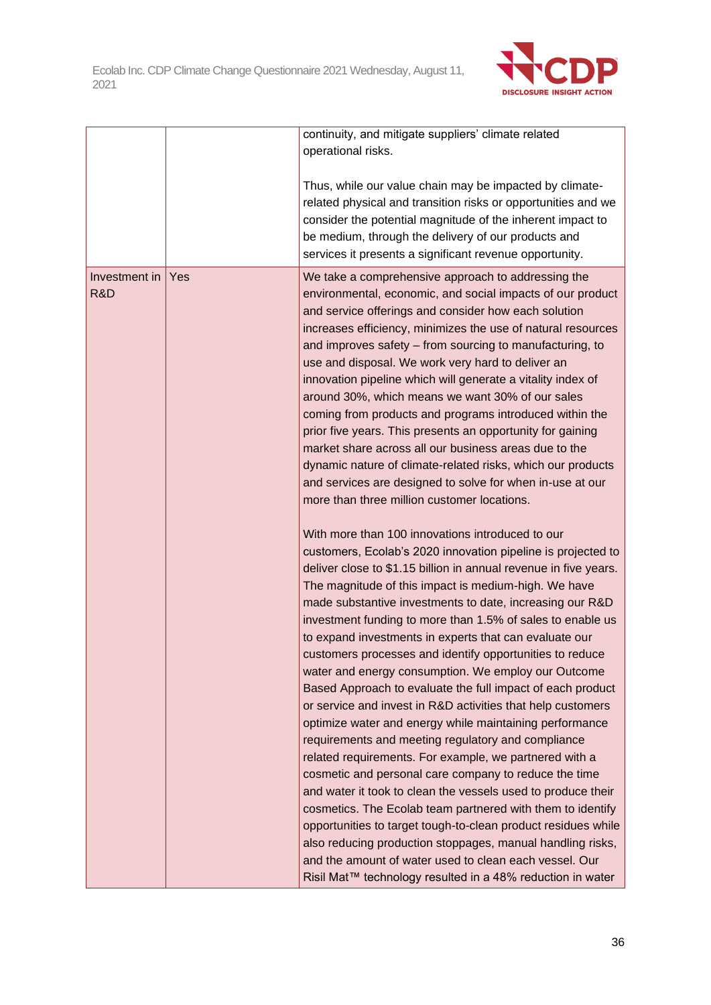

|                      |     | continuity, and mitigate suppliers' climate related<br>operational risks.                                                                                                                                                                                                                                                                                                                                                                                                                                                                                                                                                                                                                                                                                                                                                                                                                                                                                                                                                                                                                                                                                                                                                                                                                                 |
|----------------------|-----|-----------------------------------------------------------------------------------------------------------------------------------------------------------------------------------------------------------------------------------------------------------------------------------------------------------------------------------------------------------------------------------------------------------------------------------------------------------------------------------------------------------------------------------------------------------------------------------------------------------------------------------------------------------------------------------------------------------------------------------------------------------------------------------------------------------------------------------------------------------------------------------------------------------------------------------------------------------------------------------------------------------------------------------------------------------------------------------------------------------------------------------------------------------------------------------------------------------------------------------------------------------------------------------------------------------|
|                      |     | Thus, while our value chain may be impacted by climate-<br>related physical and transition risks or opportunities and we<br>consider the potential magnitude of the inherent impact to<br>be medium, through the delivery of our products and<br>services it presents a significant revenue opportunity.                                                                                                                                                                                                                                                                                                                                                                                                                                                                                                                                                                                                                                                                                                                                                                                                                                                                                                                                                                                                  |
| Investment in<br>R&D | Yes | We take a comprehensive approach to addressing the<br>environmental, economic, and social impacts of our product<br>and service offerings and consider how each solution<br>increases efficiency, minimizes the use of natural resources<br>and improves safety - from sourcing to manufacturing, to<br>use and disposal. We work very hard to deliver an<br>innovation pipeline which will generate a vitality index of<br>around 30%, which means we want 30% of our sales<br>coming from products and programs introduced within the<br>prior five years. This presents an opportunity for gaining<br>market share across all our business areas due to the<br>dynamic nature of climate-related risks, which our products<br>and services are designed to solve for when in-use at our<br>more than three million customer locations.                                                                                                                                                                                                                                                                                                                                                                                                                                                                 |
|                      |     | With more than 100 innovations introduced to our<br>customers, Ecolab's 2020 innovation pipeline is projected to<br>deliver close to \$1.15 billion in annual revenue in five years.<br>The magnitude of this impact is medium-high. We have<br>made substantive investments to date, increasing our R&D<br>investment funding to more than 1.5% of sales to enable us<br>to expand investments in experts that can evaluate our<br>customers processes and identify opportunities to reduce<br>water and energy consumption. We employ our Outcome<br>Based Approach to evaluate the full impact of each product<br>or service and invest in R&D activities that help customers<br>optimize water and energy while maintaining performance<br>requirements and meeting regulatory and compliance<br>related requirements. For example, we partnered with a<br>cosmetic and personal care company to reduce the time<br>and water it took to clean the vessels used to produce their<br>cosmetics. The Ecolab team partnered with them to identify<br>opportunities to target tough-to-clean product residues while<br>also reducing production stoppages, manual handling risks,<br>and the amount of water used to clean each vessel. Our<br>Risil Mat™ technology resulted in a 48% reduction in water |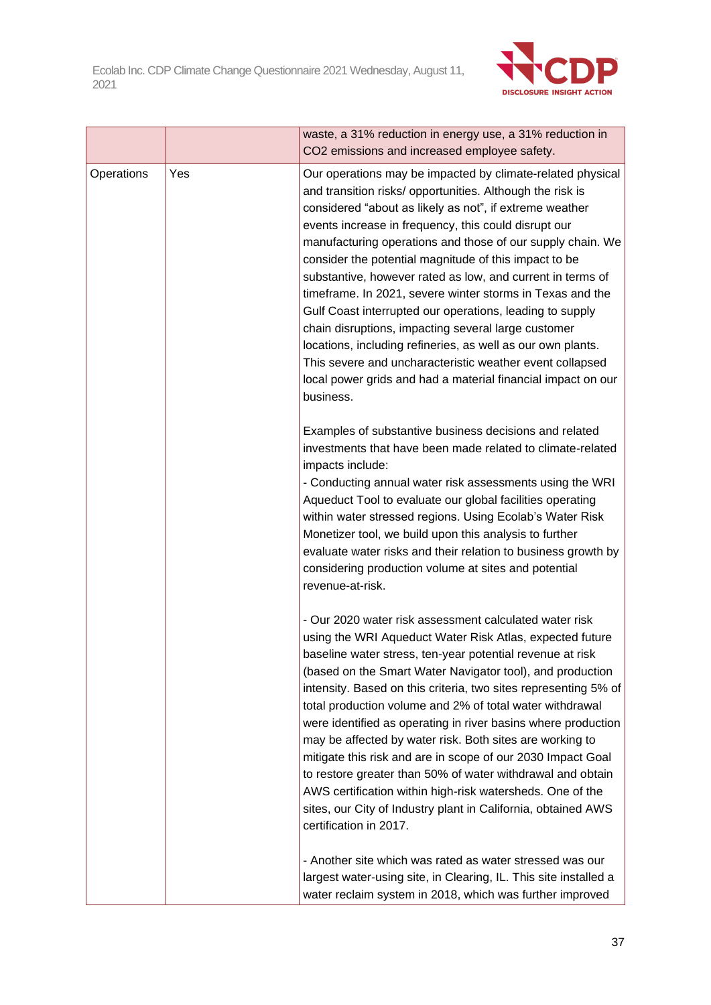

|            |     | waste, a 31% reduction in energy use, a 31% reduction in<br>CO2 emissions and increased employee safety.                                                                                                                                                                                                                                                                                                                                                                                                                                                                                                                                                                                                                                                                                                                |
|------------|-----|-------------------------------------------------------------------------------------------------------------------------------------------------------------------------------------------------------------------------------------------------------------------------------------------------------------------------------------------------------------------------------------------------------------------------------------------------------------------------------------------------------------------------------------------------------------------------------------------------------------------------------------------------------------------------------------------------------------------------------------------------------------------------------------------------------------------------|
| Operations | Yes | Our operations may be impacted by climate-related physical<br>and transition risks/ opportunities. Although the risk is<br>considered "about as likely as not", if extreme weather<br>events increase in frequency, this could disrupt our<br>manufacturing operations and those of our supply chain. We<br>consider the potential magnitude of this impact to be<br>substantive, however rated as low, and current in terms of<br>timeframe. In 2021, severe winter storms in Texas and the<br>Gulf Coast interrupted our operations, leading to supply<br>chain disruptions, impacting several large customer<br>locations, including refineries, as well as our own plants.<br>This severe and uncharacteristic weather event collapsed<br>local power grids and had a material financial impact on our<br>business. |
|            |     | Examples of substantive business decisions and related<br>investments that have been made related to climate-related<br>impacts include:<br>- Conducting annual water risk assessments using the WRI<br>Aqueduct Tool to evaluate our global facilities operating<br>within water stressed regions. Using Ecolab's Water Risk<br>Monetizer tool, we build upon this analysis to further<br>evaluate water risks and their relation to business growth by<br>considering production volume at sites and potential<br>revenue-at-risk.                                                                                                                                                                                                                                                                                    |
|            |     | - Our 2020 water risk assessment calculated water risk<br>using the WRI Aqueduct Water Risk Atlas, expected future<br>baseline water stress, ten-year potential revenue at risk<br>(based on the Smart Water Navigator tool), and production<br>intensity. Based on this criteria, two sites representing 5% of<br>total production volume and 2% of total water withdrawal<br>were identified as operating in river basins where production<br>may be affected by water risk. Both sites are working to<br>mitigate this risk and are in scope of our 2030 Impact Goal<br>to restore greater than 50% of water withdrawal and obtain<br>AWS certification within high-risk watersheds. One of the<br>sites, our City of Industry plant in California, obtained AWS<br>certification in 2017.                           |
|            |     | - Another site which was rated as water stressed was our<br>largest water-using site, in Clearing, IL. This site installed a<br>water reclaim system in 2018, which was further improved                                                                                                                                                                                                                                                                                                                                                                                                                                                                                                                                                                                                                                |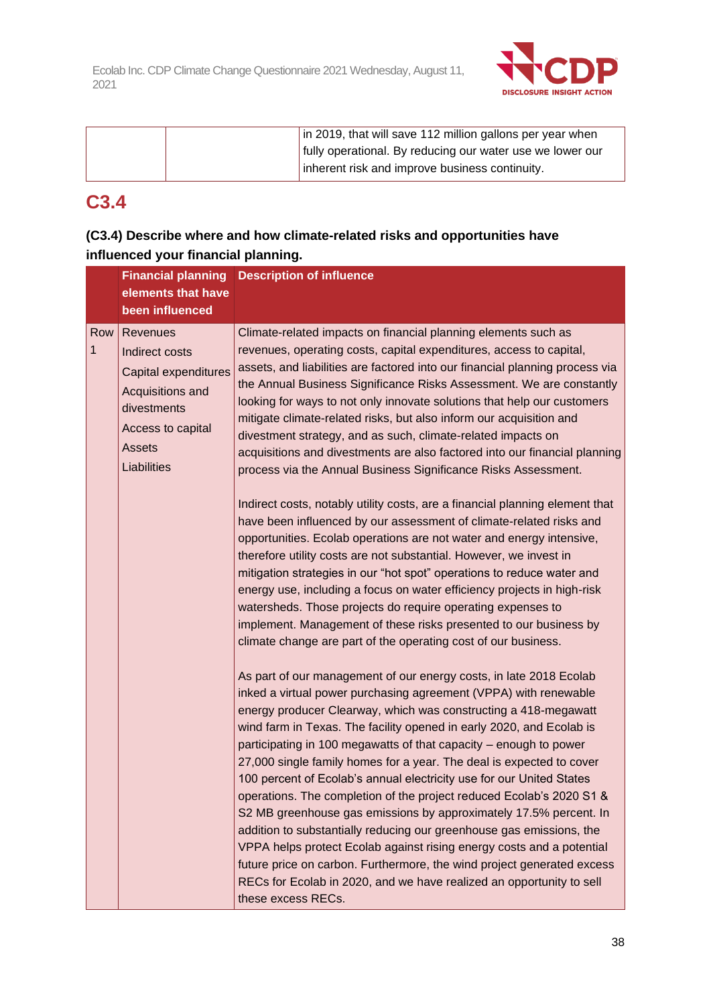

| in 2019, that will save 112 million gallons per year when |
|-----------------------------------------------------------|
| fully operational. By reducing our water use we lower our |
| inherent risk and improve business continuity.            |

## **C3.4**

## **(C3.4) Describe where and how climate-related risks and opportunities have influenced your financial planning.**

|          | <b>Financial planning</b><br>elements that have                                                                                            | <b>Description of influence</b>                                                                                                                                                                                                                                                                                                                                                                                                                                                                                                                                                                                                                                                                                                                                                                                                                                                                                                                                              |
|----------|--------------------------------------------------------------------------------------------------------------------------------------------|------------------------------------------------------------------------------------------------------------------------------------------------------------------------------------------------------------------------------------------------------------------------------------------------------------------------------------------------------------------------------------------------------------------------------------------------------------------------------------------------------------------------------------------------------------------------------------------------------------------------------------------------------------------------------------------------------------------------------------------------------------------------------------------------------------------------------------------------------------------------------------------------------------------------------------------------------------------------------|
|          | been influenced                                                                                                                            |                                                                                                                                                                                                                                                                                                                                                                                                                                                                                                                                                                                                                                                                                                                                                                                                                                                                                                                                                                              |
| Row<br>1 | Revenues<br>Indirect costs<br>Capital expenditures<br>Acquisitions and<br>divestments<br>Access to capital<br><b>Assets</b><br>Liabilities | Climate-related impacts on financial planning elements such as<br>revenues, operating costs, capital expenditures, access to capital,<br>assets, and liabilities are factored into our financial planning process via<br>the Annual Business Significance Risks Assessment. We are constantly<br>looking for ways to not only innovate solutions that help our customers<br>mitigate climate-related risks, but also inform our acquisition and<br>divestment strategy, and as such, climate-related impacts on<br>acquisitions and divestments are also factored into our financial planning<br>process via the Annual Business Significance Risks Assessment.                                                                                                                                                                                                                                                                                                              |
|          |                                                                                                                                            | Indirect costs, notably utility costs, are a financial planning element that<br>have been influenced by our assessment of climate-related risks and<br>opportunities. Ecolab operations are not water and energy intensive,<br>therefore utility costs are not substantial. However, we invest in<br>mitigation strategies in our "hot spot" operations to reduce water and<br>energy use, including a focus on water efficiency projects in high-risk<br>watersheds. Those projects do require operating expenses to<br>implement. Management of these risks presented to our business by<br>climate change are part of the operating cost of our business.                                                                                                                                                                                                                                                                                                                 |
|          |                                                                                                                                            | As part of our management of our energy costs, in late 2018 Ecolab<br>inked a virtual power purchasing agreement (VPPA) with renewable<br>energy producer Clearway, which was constructing a 418-megawatt<br>wind farm in Texas. The facility opened in early 2020, and Ecolab is<br>participating in 100 megawatts of that capacity – enough to power<br>27,000 single family homes for a year. The deal is expected to cover<br>100 percent of Ecolab's annual electricity use for our United States<br>operations. The completion of the project reduced Ecolab's 2020 S1 &<br>S2 MB greenhouse gas emissions by approximately 17.5% percent. In<br>addition to substantially reducing our greenhouse gas emissions, the<br>VPPA helps protect Ecolab against rising energy costs and a potential<br>future price on carbon. Furthermore, the wind project generated excess<br>RECs for Ecolab in 2020, and we have realized an opportunity to sell<br>these excess RECs. |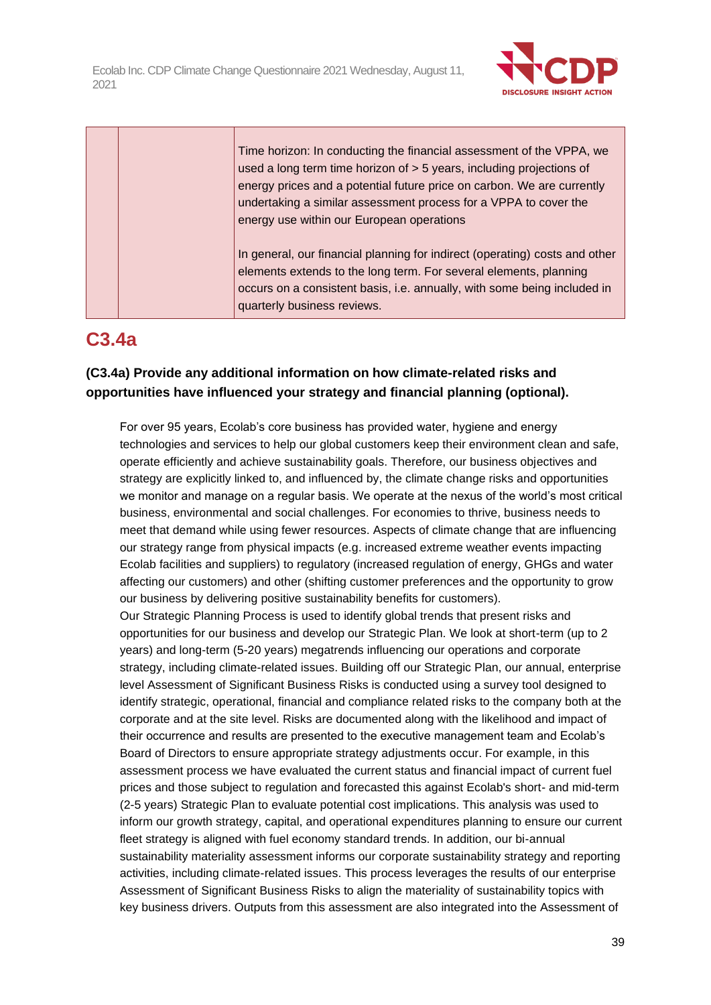

Time horizon: In conducting the financial assessment of the VPPA, we used a long term time horizon of > 5 years, including projections of energy prices and a potential future price on carbon. We are currently undertaking a similar assessment process for a VPPA to cover the energy use within our European operations

In general, our financial planning for indirect (operating) costs and other elements extends to the long term. For several elements, planning occurs on a consistent basis, i.e. annually, with some being included in quarterly business reviews.

# **C3.4a**

## **(C3.4a) Provide any additional information on how climate-related risks and opportunities have influenced your strategy and financial planning (optional).**

For over 95 years, Ecolab's core business has provided water, hygiene and energy technologies and services to help our global customers keep their environment clean and safe, operate efficiently and achieve sustainability goals. Therefore, our business objectives and strategy are explicitly linked to, and influenced by, the climate change risks and opportunities we monitor and manage on a regular basis. We operate at the nexus of the world's most critical business, environmental and social challenges. For economies to thrive, business needs to meet that demand while using fewer resources. Aspects of climate change that are influencing our strategy range from physical impacts (e.g. increased extreme weather events impacting Ecolab facilities and suppliers) to regulatory (increased regulation of energy, GHGs and water affecting our customers) and other (shifting customer preferences and the opportunity to grow our business by delivering positive sustainability benefits for customers).

Our Strategic Planning Process is used to identify global trends that present risks and opportunities for our business and develop our Strategic Plan. We look at short-term (up to 2 years) and long-term (5-20 years) megatrends influencing our operations and corporate strategy, including climate-related issues. Building off our Strategic Plan, our annual, enterprise level Assessment of Significant Business Risks is conducted using a survey tool designed to identify strategic, operational, financial and compliance related risks to the company both at the corporate and at the site level. Risks are documented along with the likelihood and impact of their occurrence and results are presented to the executive management team and Ecolab's Board of Directors to ensure appropriate strategy adjustments occur. For example, in this assessment process we have evaluated the current status and financial impact of current fuel prices and those subject to regulation and forecasted this against Ecolab's short- and mid-term (2-5 years) Strategic Plan to evaluate potential cost implications. This analysis was used to inform our growth strategy, capital, and operational expenditures planning to ensure our current fleet strategy is aligned with fuel economy standard trends. In addition, our bi-annual sustainability materiality assessment informs our corporate sustainability strategy and reporting activities, including climate-related issues. This process leverages the results of our enterprise Assessment of Significant Business Risks to align the materiality of sustainability topics with key business drivers. Outputs from this assessment are also integrated into the Assessment of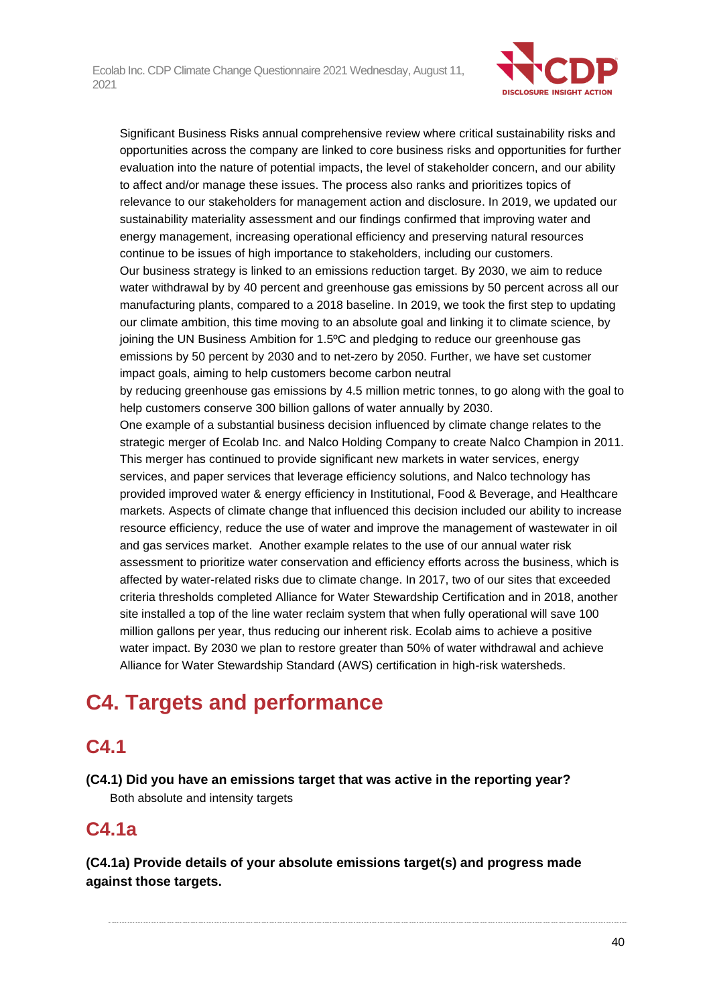

Significant Business Risks annual comprehensive review where critical sustainability risks and opportunities across the company are linked to core business risks and opportunities for further evaluation into the nature of potential impacts, the level of stakeholder concern, and our ability to affect and/or manage these issues. The process also ranks and prioritizes topics of relevance to our stakeholders for management action and disclosure. In 2019, we updated our sustainability materiality assessment and our findings confirmed that improving water and energy management, increasing operational efficiency and preserving natural resources continue to be issues of high importance to stakeholders, including our customers. Our business strategy is linked to an emissions reduction target. By 2030, we aim to reduce water withdrawal by by 40 percent and greenhouse gas emissions by 50 percent across all our manufacturing plants, compared to a 2018 baseline. In 2019, we took the first step to updating our climate ambition, this time moving to an absolute goal and linking it to climate science, by joining the UN Business Ambition for 1.5ºC and pledging to reduce our greenhouse gas emissions by 50 percent by 2030 and to net-zero by 2050. Further, we have set customer impact goals, aiming to help customers become carbon neutral by reducing greenhouse gas emissions by 4.5 million metric tonnes, to go along with the goal to help customers conserve 300 billion gallons of water annually by 2030. One example of a substantial business decision influenced by climate change relates to the strategic merger of Ecolab Inc. and Nalco Holding Company to create Nalco Champion in 2011. This merger has continued to provide significant new markets in water services, energy services, and paper services that leverage efficiency solutions, and Nalco technology has provided improved water & energy efficiency in Institutional, Food & Beverage, and Healthcare markets. Aspects of climate change that influenced this decision included our ability to increase resource efficiency, reduce the use of water and improve the management of wastewater in oil and gas services market. Another example relates to the use of our annual water risk assessment to prioritize water conservation and efficiency efforts across the business, which is

affected by water-related risks due to climate change. In 2017, two of our sites that exceeded criteria thresholds completed Alliance for Water Stewardship Certification and in 2018, another site installed a top of the line water reclaim system that when fully operational will save 100 million gallons per year, thus reducing our inherent risk. Ecolab aims to achieve a positive water impact. By 2030 we plan to restore greater than 50% of water withdrawal and achieve Alliance for Water Stewardship Standard (AWS) certification in high-risk watersheds.

# **C4. Targets and performance**

## **C4.1**

**(C4.1) Did you have an emissions target that was active in the reporting year?** Both absolute and intensity targets

## **C4.1a**

**(C4.1a) Provide details of your absolute emissions target(s) and progress made against those targets.**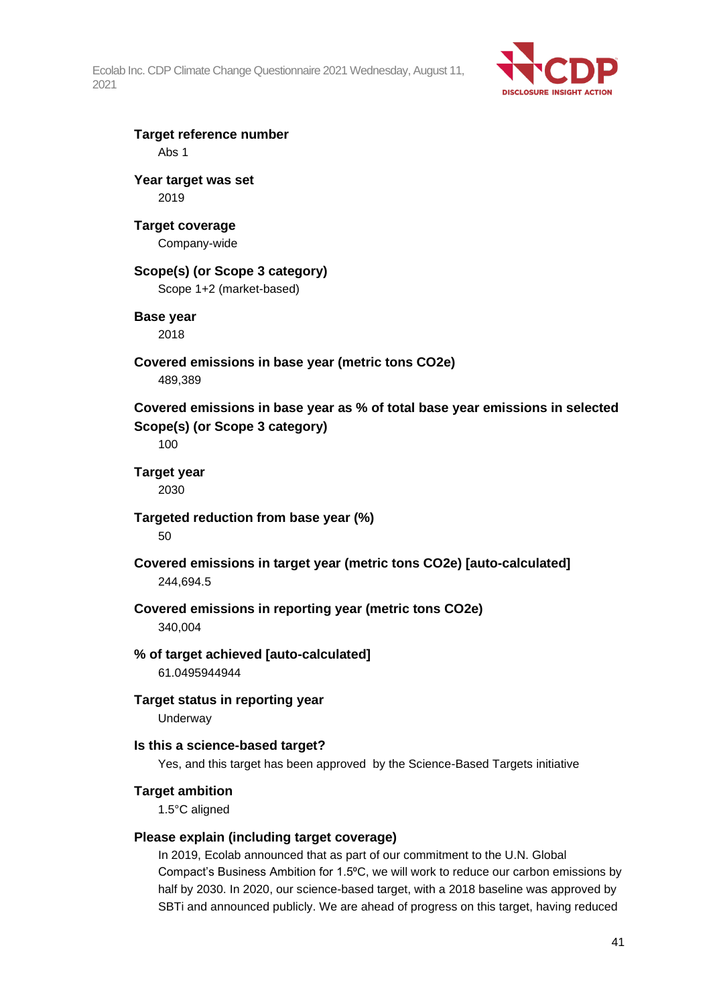

## **Target reference number** Abs 1

**Year target was set** 2019

## **Target coverage**

Company-wide

## **Scope(s) (or Scope 3 category)**

Scope 1+2 (market-based)

## **Base year**

2018

# **Covered emissions in base year (metric tons CO2e)**

489,389

**Covered emissions in base year as % of total base year emissions in selected Scope(s) (or Scope 3 category)**

100

#### **Target year** 2030

**Targeted reduction from base year (%)**

50

**Covered emissions in target year (metric tons CO2e) [auto-calculated]** 244,694.5

# **Covered emissions in reporting year (metric tons CO2e)**

340,004

#### **% of target achieved [auto-calculated]** 61.0495944944

**Target status in reporting year Underway** 

## **Is this a science-based target?**

Yes, and this target has been approved by the Science-Based Targets initiative

## **Target ambition**

1.5°C aligned

## **Please explain (including target coverage)**

In 2019, Ecolab announced that as part of our commitment to the U.N. Global Compact's Business Ambition for 1.5°C, we will work to reduce our carbon emissions by half by 2030. In 2020, our science-based target, with a 2018 baseline was approved by SBTi and announced publicly. We are ahead of progress on this target, having reduced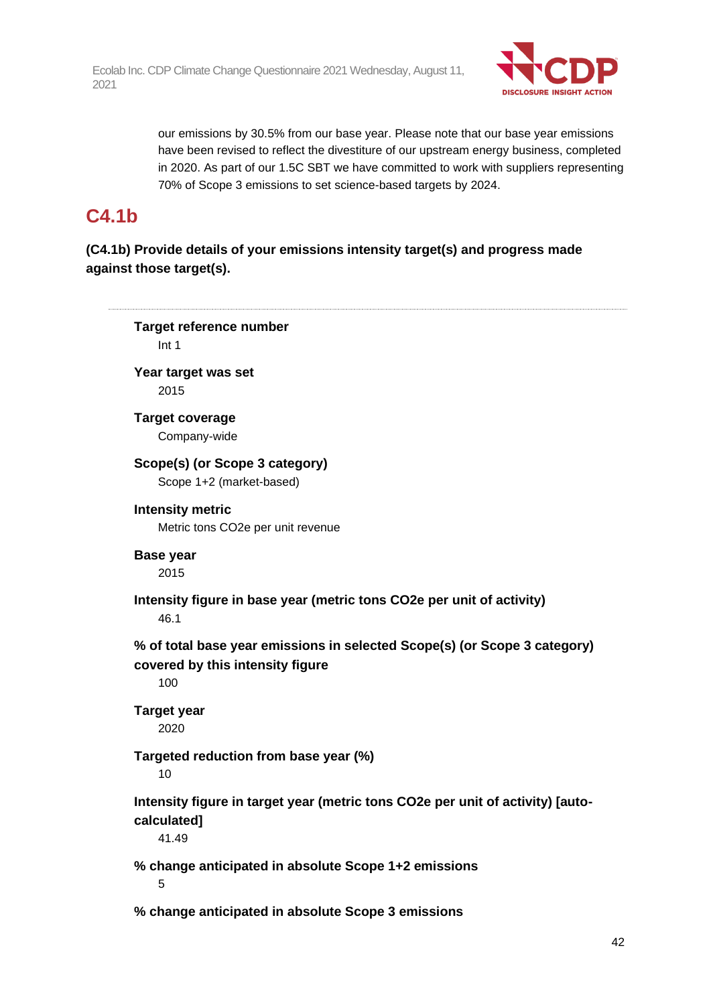

our emissions by 30.5% from our base year. Please note that our base year emissions have been revised to reflect the divestiture of our upstream energy business, completed in 2020. As part of our 1.5C SBT we have committed to work with suppliers representing 70% of Scope 3 emissions to set science-based targets by 2024.

## **C4.1b**

**(C4.1b) Provide details of your emissions intensity target(s) and progress made against those target(s).**

**Target reference number** Int 1 **Year target was set** 2015 **Target coverage** Company-wide **Scope(s) (or Scope 3 category)** Scope 1+2 (market-based) **Intensity metric** Metric tons CO2e per unit revenue **Base year** 2015 **Intensity figure in base year (metric tons CO2e per unit of activity)** 46.1 **% of total base year emissions in selected Scope(s) (or Scope 3 category) covered by this intensity figure** 100 **Target year** 2020 **Targeted reduction from base year (%)** 10 **Intensity figure in target year (metric tons CO2e per unit of activity) [autocalculated]** 41.49 **% change anticipated in absolute Scope 1+2 emissions** 5 **% change anticipated in absolute Scope 3 emissions**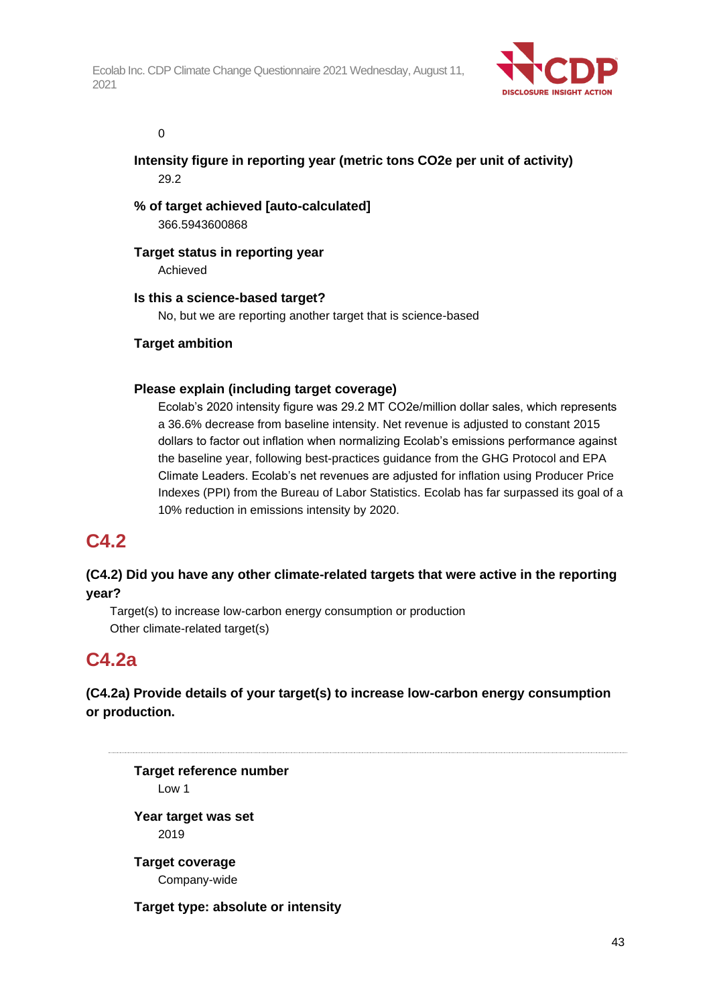

#### 0

**Intensity figure in reporting year (metric tons CO2e per unit of activity)** 29.2

**% of target achieved [auto-calculated]** 366.5943600868

## **Target status in reporting year**

Achieved

## **Is this a science-based target?**

No, but we are reporting another target that is science-based

## **Target ambition**

## **Please explain (including target coverage)**

Ecolab's 2020 intensity figure was 29.2 MT CO2e/million dollar sales, which represents a 36.6% decrease from baseline intensity. Net revenue is adjusted to constant 2015 dollars to factor out inflation when normalizing Ecolab's emissions performance against the baseline year, following best-practices guidance from the GHG Protocol and EPA Climate Leaders. Ecolab's net revenues are adjusted for inflation using Producer Price Indexes (PPI) from the Bureau of Labor Statistics. Ecolab has far surpassed its goal of a 10% reduction in emissions intensity by 2020.

## **C4.2**

## **(C4.2) Did you have any other climate-related targets that were active in the reporting year?**

Target(s) to increase low-carbon energy consumption or production Other climate-related target(s)

## **C4.2a**

## **(C4.2a) Provide details of your target(s) to increase low-carbon energy consumption or production.**

**Target reference number** Low 1 **Year target was set** 2019 **Target coverage** Company-wide

**Target type: absolute or intensity**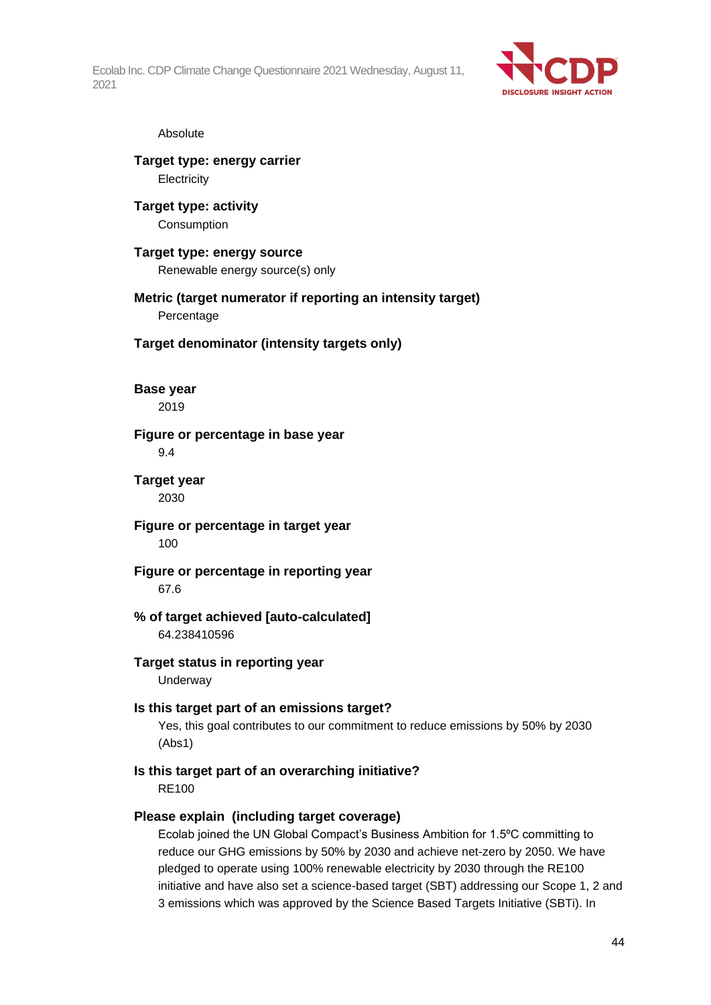

#### Absolute

### **Target type: energy carrier Electricity**

**Target type: activity** Consumption

#### **Target type: energy source** Renewable energy source(s) only

**Metric (target numerator if reporting an intensity target)** Percentage

**Target denominator (intensity targets only)**

**Base year**

2019

#### **Figure or percentage in base year**

9.4

#### **Target year** 2030

**Figure or percentage in target year** 100

#### **Figure or percentage in reporting year** 67.6

#### **% of target achieved [auto-calculated]** 64.238410596

**Target status in reporting year**

**Underway** 

## **Is this target part of an emissions target?**

Yes, this goal contributes to our commitment to reduce emissions by 50% by 2030 (Abs1)

## **Is this target part of an overarching initiative?**

RE100

## **Please explain (including target coverage)**

Ecolab joined the UN Global Compact's Business Ambition for 1.5ºC committing to reduce our GHG emissions by 50% by 2030 and achieve net-zero by 2050. We have pledged to operate using 100% renewable electricity by 2030 through the RE100 initiative and have also set a science-based target (SBT) addressing our Scope 1, 2 and 3 emissions which was approved by the Science Based Targets Initiative (SBTi). In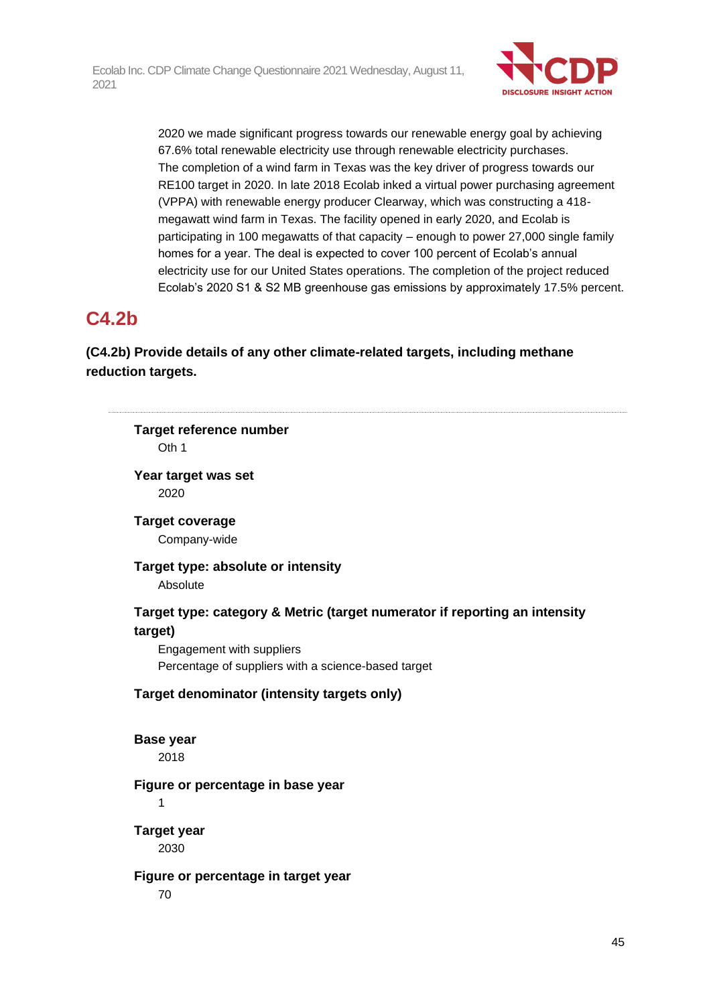

2020 we made significant progress towards our renewable energy goal by achieving 67.6% total renewable electricity use through renewable electricity purchases. The completion of a wind farm in Texas was the key driver of progress towards our RE100 target in 2020. In late 2018 Ecolab inked a virtual power purchasing agreement (VPPA) with renewable energy producer Clearway, which was constructing a 418 megawatt wind farm in Texas. The facility opened in early 2020, and Ecolab is participating in 100 megawatts of that capacity – enough to power 27,000 single family homes for a year. The deal is expected to cover 100 percent of Ecolab's annual electricity use for our United States operations. The completion of the project reduced Ecolab's 2020 S1 & S2 MB greenhouse gas emissions by approximately 17.5% percent.

## **C4.2b**

## **(C4.2b) Provide details of any other climate-related targets, including methane reduction targets.**

|                        | <b>Target reference number</b>                                             |
|------------------------|----------------------------------------------------------------------------|
| Oth 1                  |                                                                            |
|                        | Year target was set                                                        |
| 2020                   |                                                                            |
| <b>Target coverage</b> |                                                                            |
|                        | Company-wide                                                               |
|                        | Target type: absolute or intensity                                         |
| Absolute               |                                                                            |
|                        | Target type: category & Metric (target numerator if reporting an intensity |
| target)                |                                                                            |
|                        | Engagement with suppliers                                                  |
|                        | Percentage of suppliers with a science-based target                        |
|                        | Target denominator (intensity targets only)                                |
| <b>Base year</b>       |                                                                            |
| 2018                   |                                                                            |
|                        | Figure or percentage in base year                                          |
| 1                      |                                                                            |
| <b>Target year</b>     |                                                                            |
|                        |                                                                            |
| 2030                   |                                                                            |
|                        | Figure or percentage in target year                                        |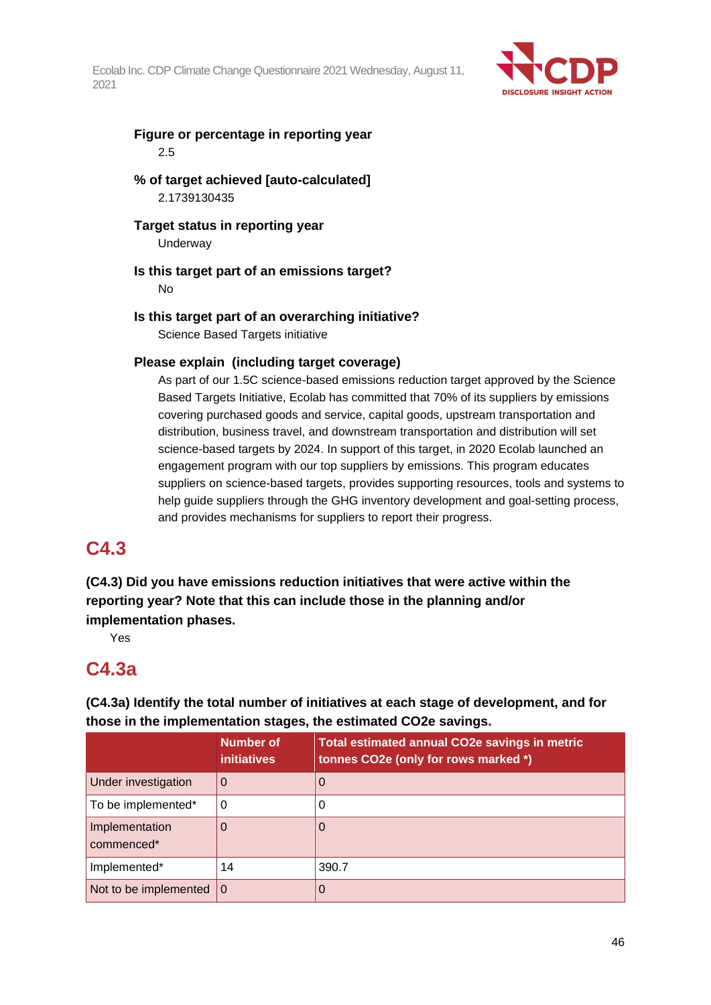

## **Figure or percentage in reporting year** 2.5

## **% of target achieved [auto-calculated]** 2.1739130435

**Target status in reporting year**

Underway

## **Is this target part of an emissions target?**

No

## **Is this target part of an overarching initiative?**

Science Based Targets initiative

## **Please explain (including target coverage)**

As part of our 1.5C science-based emissions reduction target approved by the Science Based Targets Initiative, Ecolab has committed that 70% of its suppliers by emissions covering purchased goods and service, capital goods, upstream transportation and distribution, business travel, and downstream transportation and distribution will set science-based targets by 2024. In support of this target, in 2020 Ecolab launched an engagement program with our top suppliers by emissions. This program educates suppliers on science-based targets, provides supporting resources, tools and systems to help guide suppliers through the GHG inventory development and goal-setting process, and provides mechanisms for suppliers to report their progress.

## **C4.3**

## **(C4.3) Did you have emissions reduction initiatives that were active within the reporting year? Note that this can include those in the planning and/or implementation phases.**

Yes

## **C4.3a**

## **(C4.3a) Identify the total number of initiatives at each stage of development, and for those in the implementation stages, the estimated CO2e savings.**

|                              | Number of<br><i>initiatives</i> | Total estimated annual CO2e savings in metric<br>tonnes CO2e (only for rows marked *) |
|------------------------------|---------------------------------|---------------------------------------------------------------------------------------|
| Under investigation          | 0                               | $\overline{0}$                                                                        |
| To be implemented*           | 0                               |                                                                                       |
| Implementation<br>commenced* |                                 |                                                                                       |
| Implemented*                 | 14                              | 390.7                                                                                 |
| Not to be implemented        | $\Omega$                        |                                                                                       |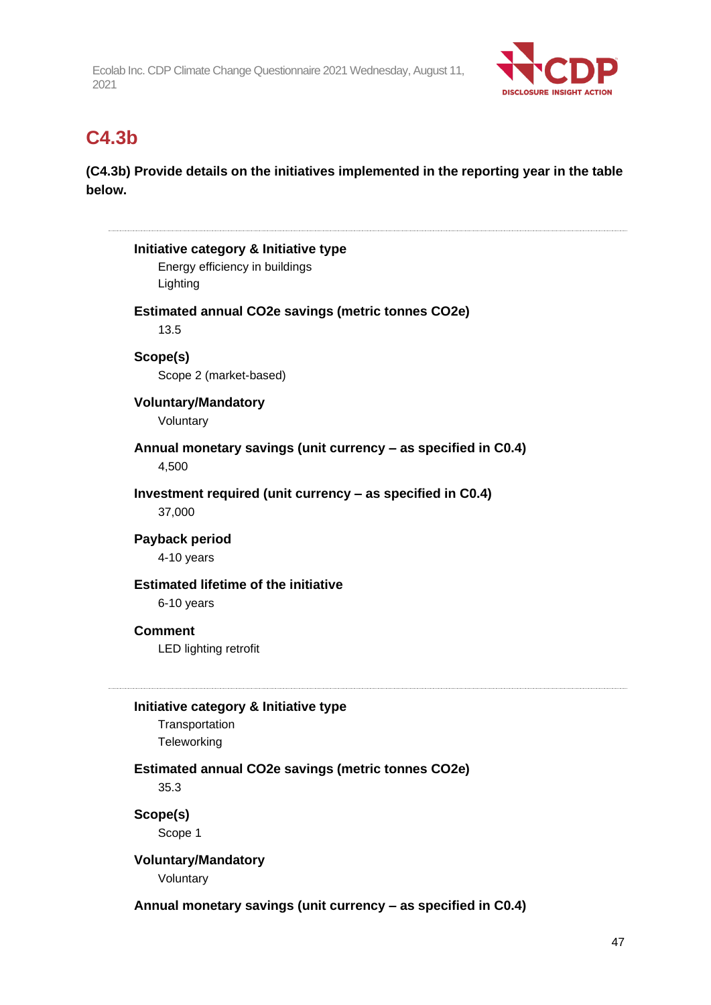

## **C4.3b**

**(C4.3b) Provide details on the initiatives implemented in the reporting year in the table below.**

|                                                                   | Initiative category & Initiative type                          |
|-------------------------------------------------------------------|----------------------------------------------------------------|
| Lighting                                                          | Energy efficiency in buildings                                 |
|                                                                   |                                                                |
| <b>Estimated annual CO2e savings (metric tonnes CO2e)</b><br>13.5 |                                                                |
|                                                                   |                                                                |
| Scope(s)                                                          | Scope 2 (market-based)                                         |
|                                                                   |                                                                |
| Voluntary                                                         | <b>Voluntary/Mandatory</b>                                     |
|                                                                   |                                                                |
| 4,500                                                             | Annual monetary savings (unit currency - as specified in C0.4) |
|                                                                   |                                                                |
| 37,000                                                            | Investment required (unit currency – as specified in C0.4)     |
| Payback period                                                    |                                                                |
|                                                                   | 4-10 years                                                     |
|                                                                   | <b>Estimated lifetime of the initiative</b>                    |
|                                                                   | 6-10 years                                                     |
| <b>Comment</b>                                                    |                                                                |
|                                                                   | <b>LED lighting retrofit</b>                                   |
|                                                                   |                                                                |
|                                                                   | Initiative category & Initiative type                          |
|                                                                   | Transportation                                                 |
|                                                                   | Teleworking                                                    |
|                                                                   | Estimated annual CO2e savings (metric tonnes CO2e)             |
| 35.3                                                              |                                                                |
| Scope(s)                                                          |                                                                |
| Scope 1                                                           |                                                                |
|                                                                   | <b>Voluntary/Mandatory</b>                                     |
| Voluntary                                                         |                                                                |

**Annual monetary savings (unit currency – as specified in C0.4)**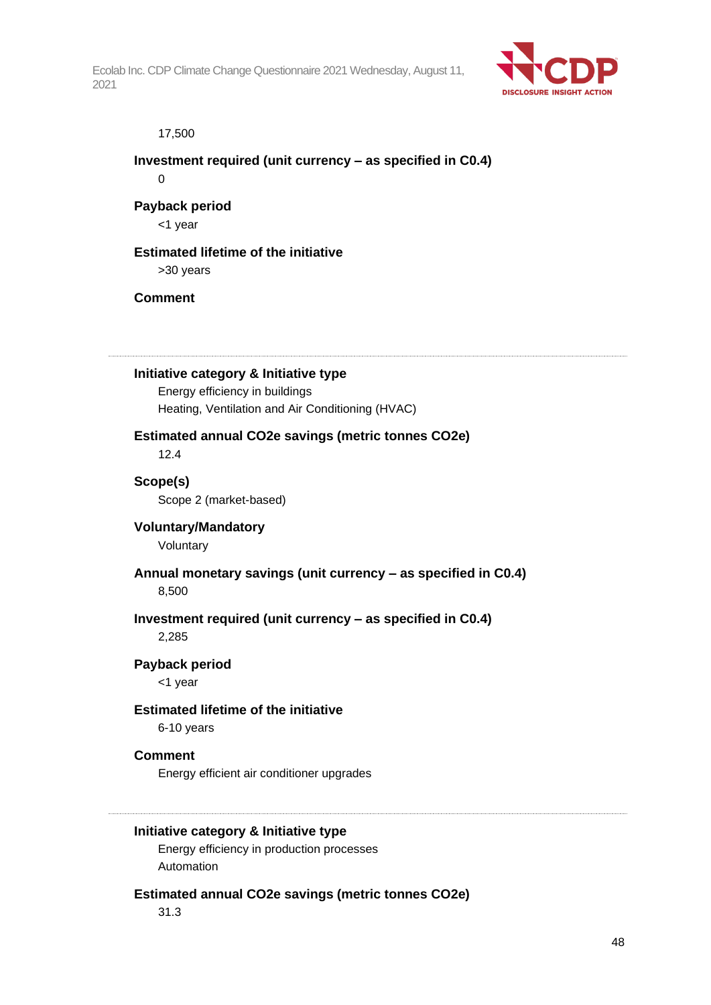

#### 17,500

## **Investment required (unit currency – as specified in C0.4)**  $\Omega$

# **Payback period**

<1 year

## **Estimated lifetime of the initiative**

>30 years

## **Comment**

## **Initiative category & Initiative type**

Energy efficiency in buildings Heating, Ventilation and Air Conditioning (HVAC)

## **Estimated annual CO2e savings (metric tonnes CO2e)**

12.4

## **Scope(s)**

Scope 2 (market-based)

## **Voluntary/Mandatory**

Voluntary

## **Annual monetary savings (unit currency – as specified in C0.4)**

8,500

## **Investment required (unit currency – as specified in C0.4)**

2,285

## **Payback period**

<1 year

## **Estimated lifetime of the initiative**

6-10 years

## **Comment**

Energy efficient air conditioner upgrades

## **Initiative category & Initiative type**

Energy efficiency in production processes Automation

## **Estimated annual CO2e savings (metric tonnes CO2e)**

31.3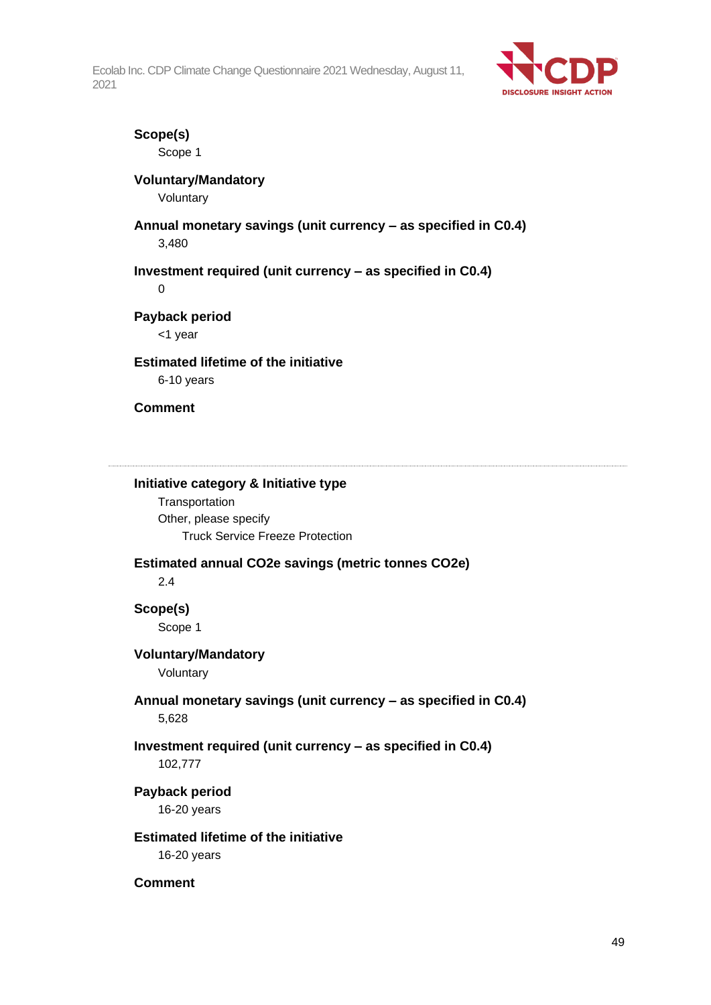

## **Scope(s)**

Scope 1

## **Voluntary/Mandatory**

Voluntary

# **Annual monetary savings (unit currency – as specified in C0.4)**

3,480

## **Investment required (unit currency – as specified in C0.4)**

 $\Omega$ 

## **Payback period**

<1 year

## **Estimated lifetime of the initiative**

6-10 years

## **Comment**

### **Initiative category & Initiative type**

**Transportation** Other, please specify Truck Service Freeze Protection

## **Estimated annual CO2e savings (metric tonnes CO2e)**

2.4

## **Scope(s)**

Scope 1

## **Voluntary/Mandatory**

Voluntary

## **Annual monetary savings (unit currency – as specified in C0.4)** 5,628

## **Investment required (unit currency – as specified in C0.4)** 102,777

# **Payback period**

16-20 years

## **Estimated lifetime of the initiative**

16-20 years

## **Comment**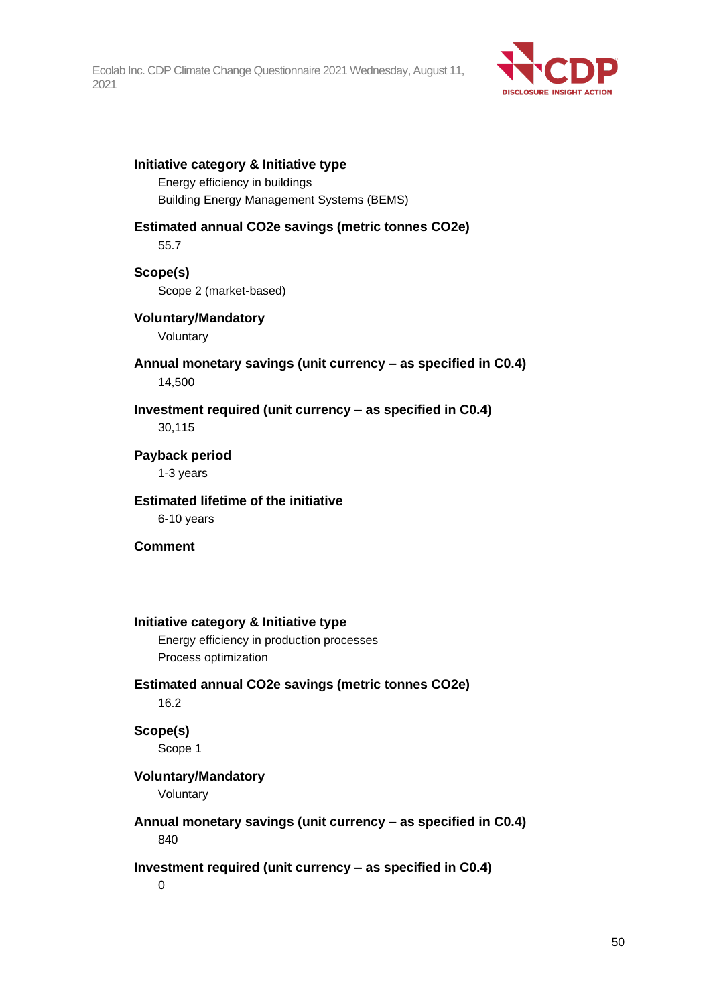

#### **Initiative category & Initiative type**

Energy efficiency in buildings Building Energy Management Systems (BEMS)

#### **Estimated annual CO2e savings (metric tonnes CO2e)**

55.7

#### **Scope(s)**

Scope 2 (market-based)

#### **Voluntary/Mandatory**

Voluntary

#### **Annual monetary savings (unit currency – as specified in C0.4)** 14,500

**Investment required (unit currency – as specified in C0.4)** 30,115

#### **Payback period** 1-3 years

**Estimated lifetime of the initiative** 6-10 years

#### **Comment**

#### **Initiative category & Initiative type**

Energy efficiency in production processes Process optimization

## **Estimated annual CO2e savings (metric tonnes CO2e)**

16.2

#### **Scope(s)**

Scope 1

#### **Voluntary/Mandatory**

Voluntary

## **Annual monetary savings (unit currency – as specified in C0.4)**

840

#### **Investment required (unit currency – as specified in C0.4)**

0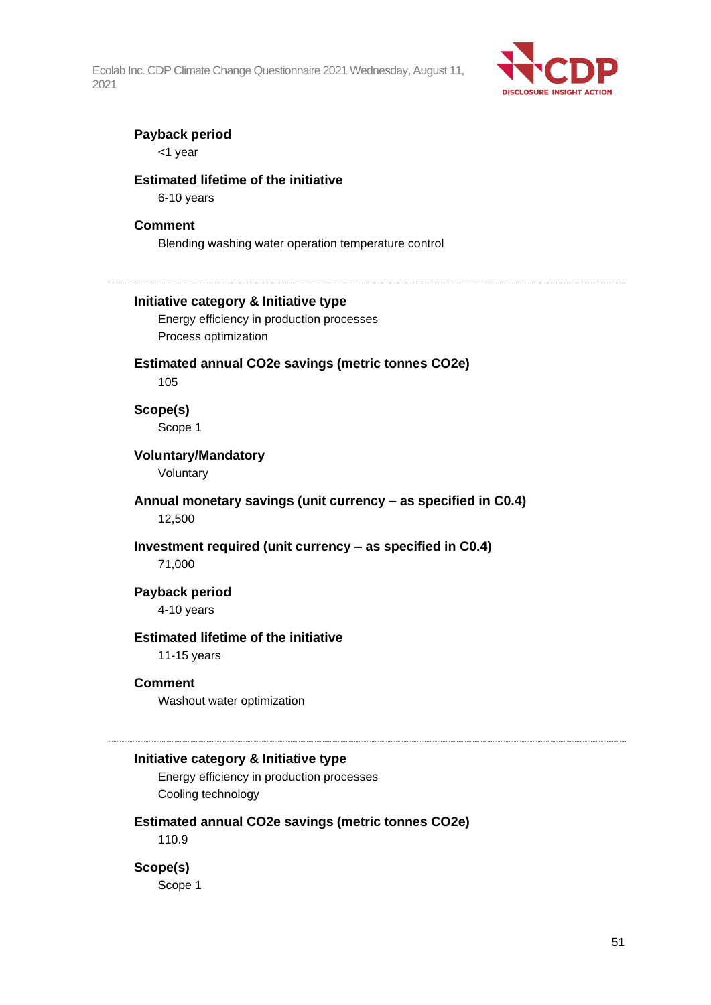

#### **Payback period**

<1 year

#### **Estimated lifetime of the initiative**

6-10 years

#### **Comment**

Blending washing water operation temperature control

#### **Initiative category & Initiative type**

Energy efficiency in production processes Process optimization

## **Estimated annual CO2e savings (metric tonnes CO2e)**

105

## **Scope(s)**

Scope 1

#### **Voluntary/Mandatory**

Voluntary

#### **Annual monetary savings (unit currency – as specified in C0.4)** 12,500

#### **Investment required (unit currency – as specified in C0.4)**

71,000

## **Payback period**

4-10 years

#### **Estimated lifetime of the initiative**

11-15 years

#### **Comment**

Washout water optimization

#### **Initiative category & Initiative type**

Energy efficiency in production processes Cooling technology

#### **Estimated annual CO2e savings (metric tonnes CO2e)**

110.9

#### **Scope(s)**

Scope 1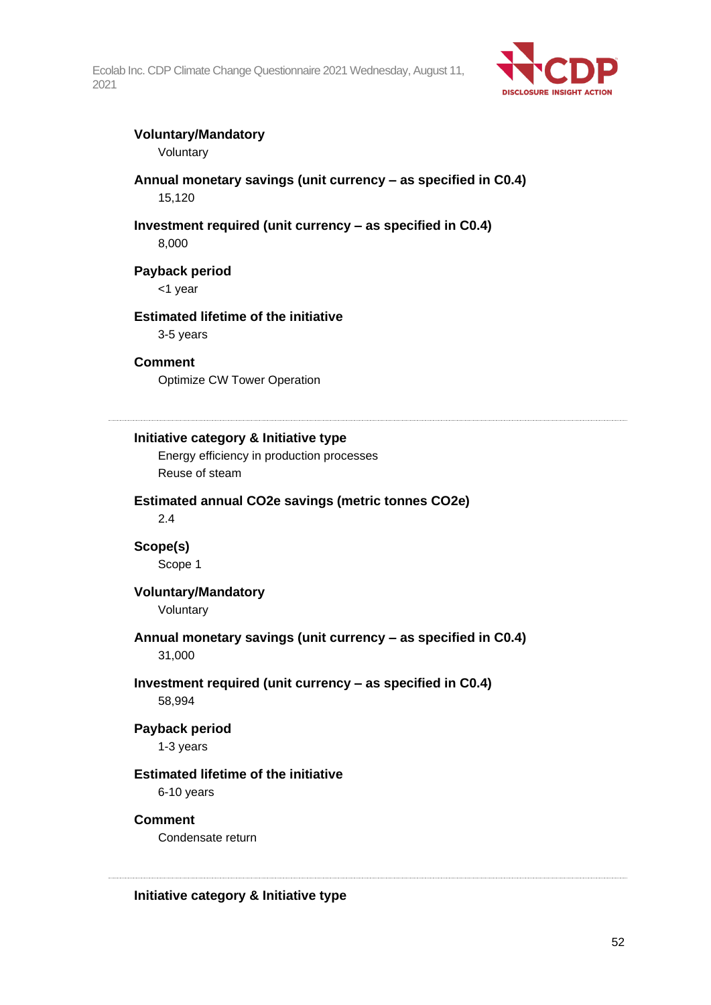

## **Voluntary/Mandatory**

Voluntary

### **Annual monetary savings (unit currency – as specified in C0.4)** 15,120

## **Investment required (unit currency – as specified in C0.4)**

8,000

## **Payback period**

<1 year

## **Estimated lifetime of the initiative**

3-5 years

## **Comment**

Optimize CW Tower Operation

#### **Initiative category & Initiative type**

Energy efficiency in production processes Reuse of steam

## **Estimated annual CO2e savings (metric tonnes CO2e)**

2.4

### **Scope(s)** Scope 1

## **Voluntary/Mandatory**

Voluntary

#### **Annual monetary savings (unit currency – as specified in C0.4)** 31,000

## **Investment required (unit currency – as specified in C0.4)**

58,994

#### **Payback period**

1-3 years

#### **Estimated lifetime of the initiative**

6-10 years

#### **Comment**

Condensate return

**Initiative category & Initiative type**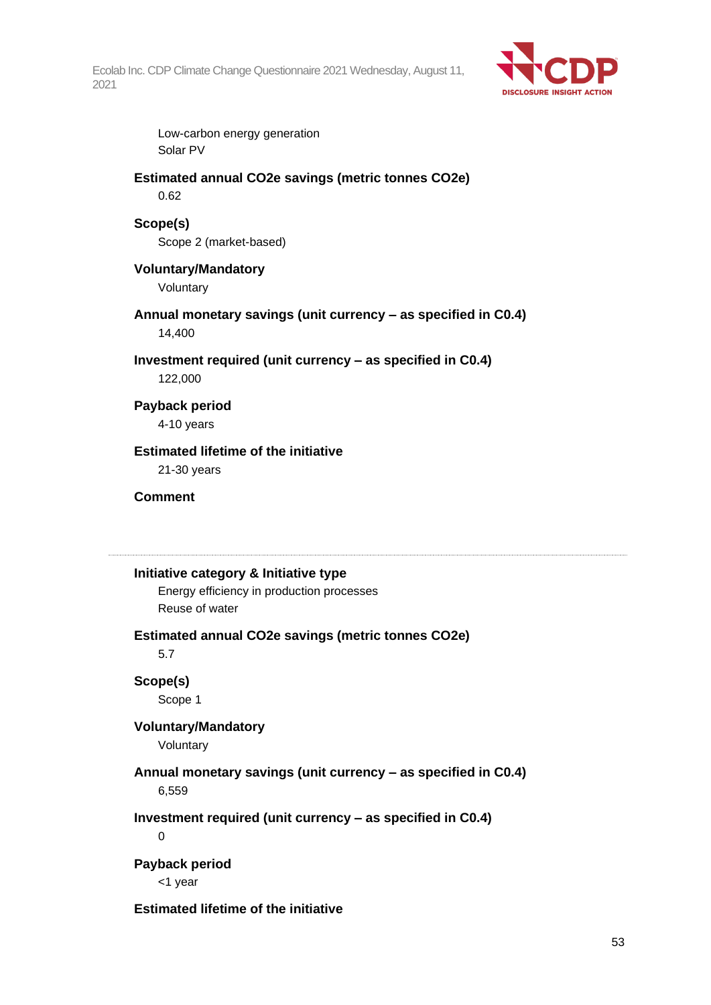

Low-carbon energy generation Solar PV

#### **Estimated annual CO2e savings (metric tonnes CO2e)** 0.62

## **Scope(s)**

Scope 2 (market-based)

## **Voluntary/Mandatory**

Voluntary

## **Annual monetary savings (unit currency – as specified in C0.4)**

14,400

## **Investment required (unit currency – as specified in C0.4)**

122,000

## **Payback period**

4-10 years

## **Estimated lifetime of the initiative**

21-30 years

#### **Comment**

## **Initiative category & Initiative type**

Energy efficiency in production processes Reuse of water

## **Estimated annual CO2e savings (metric tonnes CO2e)**

5.7

## **Scope(s)**

Scope 1

## **Voluntary/Mandatory**

Voluntary

## **Annual monetary savings (unit currency – as specified in C0.4)** 6,559

## **Investment required (unit currency – as specified in C0.4)**

0

## **Payback period**

<1 year

## **Estimated lifetime of the initiative**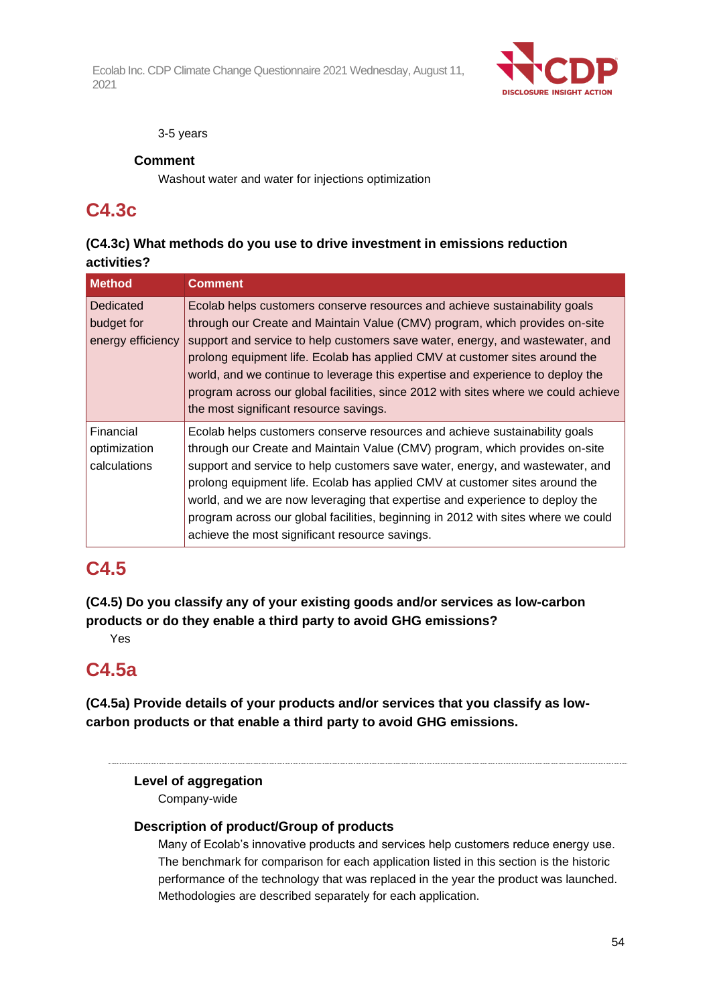

#### 3-5 years

## **Comment**

Washout water and water for injections optimization

## **C4.3c**

## **(C4.3c) What methods do you use to drive investment in emissions reduction activities?**

| <b>Method</b>                                | <b>Comment</b>                                                                                                                                                                                                                                                                                                                                                                                                                                                                                                                                   |
|----------------------------------------------|--------------------------------------------------------------------------------------------------------------------------------------------------------------------------------------------------------------------------------------------------------------------------------------------------------------------------------------------------------------------------------------------------------------------------------------------------------------------------------------------------------------------------------------------------|
| Dedicated<br>budget for<br>energy efficiency | Ecolab helps customers conserve resources and achieve sustainability goals<br>through our Create and Maintain Value (CMV) program, which provides on-site<br>support and service to help customers save water, energy, and wastewater, and<br>prolong equipment life. Ecolab has applied CMV at customer sites around the<br>world, and we continue to leverage this expertise and experience to deploy the<br>program across our global facilities, since 2012 with sites where we could achieve<br>the most significant resource savings.      |
| Financial<br>optimization<br>calculations    | Ecolab helps customers conserve resources and achieve sustainability goals<br>through our Create and Maintain Value (CMV) program, which provides on-site<br>support and service to help customers save water, energy, and wastewater, and<br>prolong equipment life. Ecolab has applied CMV at customer sites around the<br>world, and we are now leveraging that expertise and experience to deploy the<br>program across our global facilities, beginning in 2012 with sites where we could<br>achieve the most significant resource savings. |

# **C4.5**

**(C4.5) Do you classify any of your existing goods and/or services as low-carbon products or do they enable a third party to avoid GHG emissions?**

Yes

## **C4.5a**

**(C4.5a) Provide details of your products and/or services that you classify as lowcarbon products or that enable a third party to avoid GHG emissions.**

## **Level of aggregation**

Company-wide

## **Description of product/Group of products**

Many of Ecolab's innovative products and services help customers reduce energy use. The benchmark for comparison for each application listed in this section is the historic performance of the technology that was replaced in the year the product was launched. Methodologies are described separately for each application.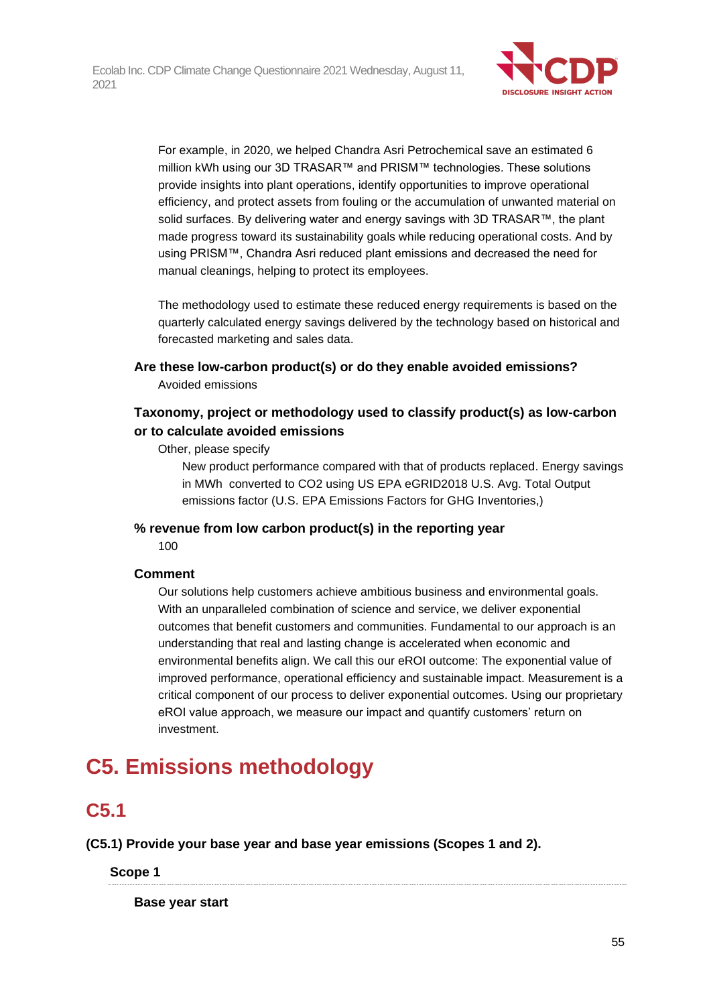

For example, in 2020, we helped Chandra Asri Petrochemical save an estimated 6 million kWh using our 3D TRASAR™ and PRISM™ technologies. These solutions provide insights into plant operations, identify opportunities to improve operational efficiency, and protect assets from fouling or the accumulation of unwanted material on solid surfaces. By delivering water and energy savings with 3D TRASAR™, the plant made progress toward its sustainability goals while reducing operational costs. And by using PRISM™, Chandra Asri reduced plant emissions and decreased the need for manual cleanings, helping to protect its employees.

The methodology used to estimate these reduced energy requirements is based on the quarterly calculated energy savings delivered by the technology based on historical and forecasted marketing and sales data.

## **Are these low-carbon product(s) or do they enable avoided emissions?**

Avoided emissions

## **Taxonomy, project or methodology used to classify product(s) as low-carbon or to calculate avoided emissions**

Other, please specify

New product performance compared with that of products replaced. Energy savings in MWh converted to CO2 using US EPA eGRID2018 U.S. Avg. Total Output emissions factor (U.S. EPA Emissions Factors for GHG Inventories,)

**% revenue from low carbon product(s) in the reporting year** 100

## **Comment**

Our solutions help customers achieve ambitious business and environmental goals. With an unparalleled combination of science and service, we deliver exponential outcomes that benefit customers and communities. Fundamental to our approach is an understanding that real and lasting change is accelerated when economic and environmental benefits align. We call this our eROI outcome: The exponential value of improved performance, operational efficiency and sustainable impact. Measurement is a critical component of our process to deliver exponential outcomes. Using our proprietary eROI value approach, we measure our impact and quantify customers' return on investment.

# **C5. Emissions methodology**

# **C5.1**

**(C5.1) Provide your base year and base year emissions (Scopes 1 and 2).**

**Scope 1**

**Base year start**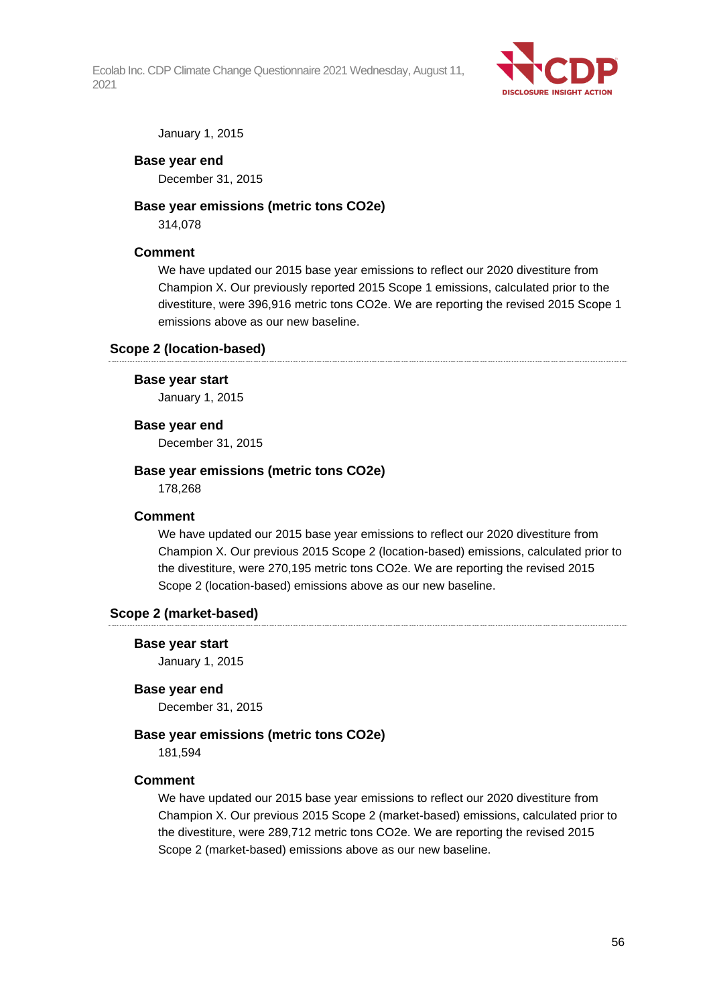

January 1, 2015

#### **Base year end**

December 31, 2015

#### **Base year emissions (metric tons CO2e)**

314,078

#### **Comment**

We have updated our 2015 base year emissions to reflect our 2020 divestiture from Champion X. Our previously reported 2015 Scope 1 emissions, calculated prior to the divestiture, were 396,916 metric tons CO2e. We are reporting the revised 2015 Scope 1 emissions above as our new baseline.

#### **Scope 2 (location-based)**

#### **Base year start**

January 1, 2015

#### **Base year end**

December 31, 2015

#### **Base year emissions (metric tons CO2e)**

178,268

#### **Comment**

We have updated our 2015 base year emissions to reflect our 2020 divestiture from Champion X. Our previous 2015 Scope 2 (location-based) emissions, calculated prior to the divestiture, were 270,195 metric tons CO2e. We are reporting the revised 2015 Scope 2 (location-based) emissions above as our new baseline.

#### **Scope 2 (market-based)**

#### **Base year start**

January 1, 2015

#### **Base year end**

December 31, 2015

#### **Base year emissions (metric tons CO2e)**

181,594

#### **Comment**

We have updated our 2015 base year emissions to reflect our 2020 divestiture from Champion X. Our previous 2015 Scope 2 (market-based) emissions, calculated prior to the divestiture, were 289,712 metric tons CO2e. We are reporting the revised 2015 Scope 2 (market-based) emissions above as our new baseline.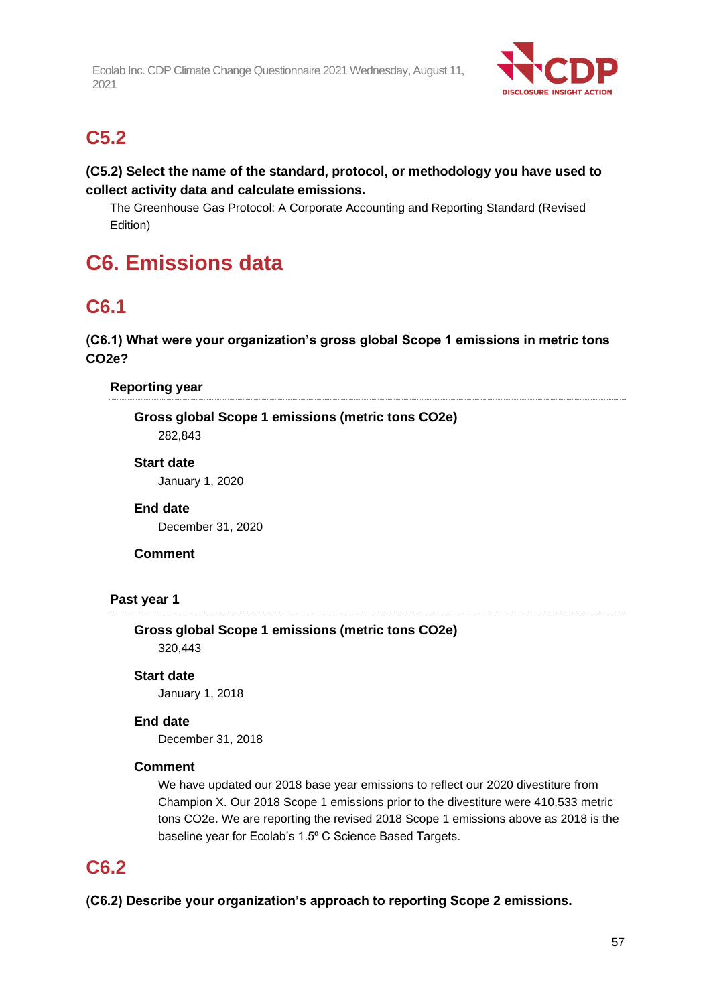

## **C5.2**

## **(C5.2) Select the name of the standard, protocol, or methodology you have used to collect activity data and calculate emissions.**

The Greenhouse Gas Protocol: A Corporate Accounting and Reporting Standard (Revised Edition)

# **C6. Emissions data**

## **C6.1**

**(C6.1) What were your organization's gross global Scope 1 emissions in metric tons CO2e?**

## **Reporting year**

**Gross global Scope 1 emissions (metric tons CO2e)** 282,843

#### **Start date**

January 1, 2020

#### **End date**

December 31, 2020

#### **Comment**

#### **Past year 1**

**Gross global Scope 1 emissions (metric tons CO2e)** 320,443

#### **Start date**

January 1, 2018

#### **End date**

December 31, 2018

#### **Comment**

We have updated our 2018 base year emissions to reflect our 2020 divestiture from Champion X. Our 2018 Scope 1 emissions prior to the divestiture were 410,533 metric tons CO2e. We are reporting the revised 2018 Scope 1 emissions above as 2018 is the baseline year for Ecolab's 1.5° C Science Based Targets.

## **C6.2**

**(C6.2) Describe your organization's approach to reporting Scope 2 emissions.**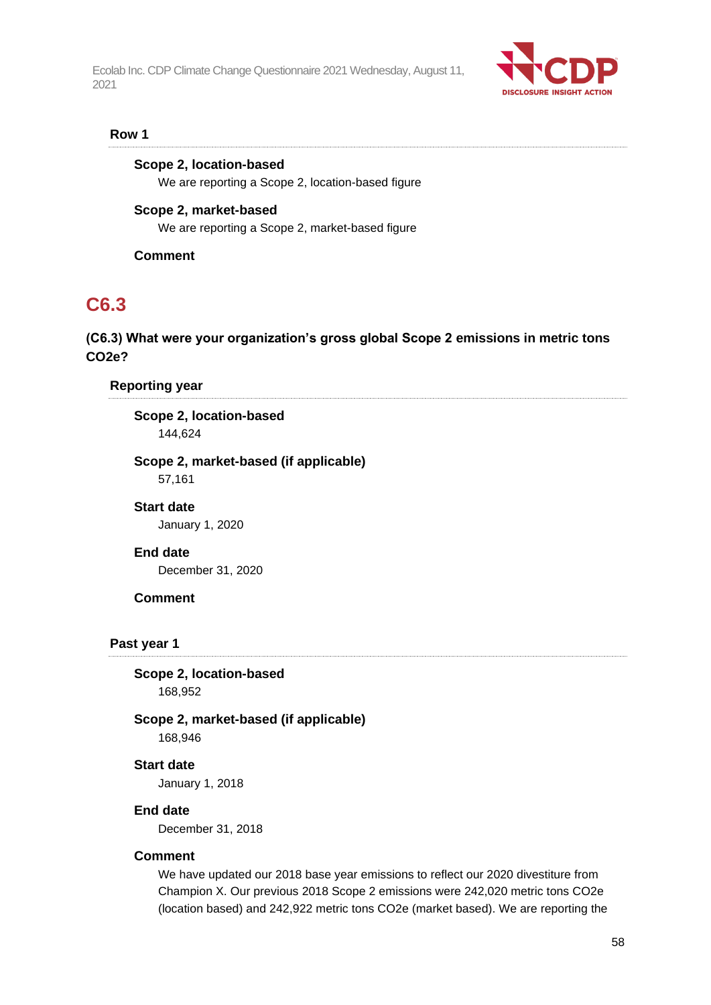

#### **Row 1**

#### **Scope 2, location-based**

We are reporting a Scope 2, location-based figure

#### **Scope 2, market-based**

We are reporting a Scope 2, market-based figure

**Comment**

## **C6.3**

## **(C6.3) What were your organization's gross global Scope 2 emissions in metric tons CO2e?**

#### **Reporting year**

## **Scope 2, location-based**

144,624

## **Scope 2, market-based (if applicable)**

57,161

#### **Start date**

January 1, 2020

#### **End date**

December 31, 2020

#### **Comment**

#### **Past year 1**

**Scope 2, location-based**

168,952

## **Scope 2, market-based (if applicable)**

168,946

## **Start date**

January 1, 2018

#### **End date**

December 31, 2018

## **Comment**

We have updated our 2018 base year emissions to reflect our 2020 divestiture from Champion X. Our previous 2018 Scope 2 emissions were 242,020 metric tons CO2e (location based) and 242,922 metric tons CO2e (market based). We are reporting the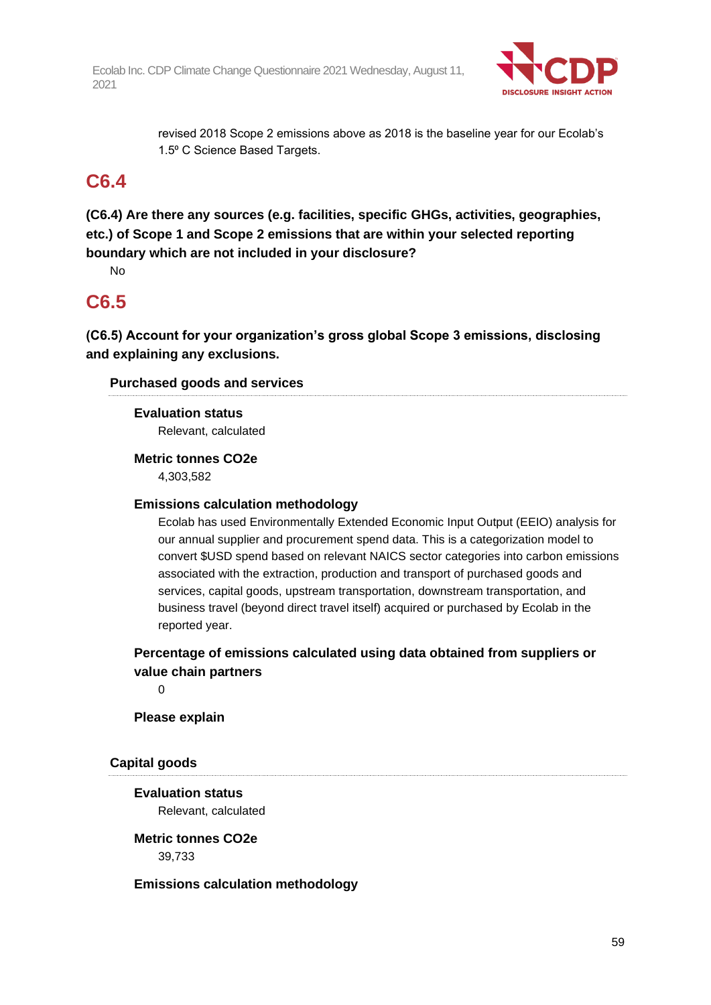

revised 2018 Scope 2 emissions above as 2018 is the baseline year for our Ecolab's 1.5° C Science Based Targets.

## **C6.4**

**(C6.4) Are there any sources (e.g. facilities, specific GHGs, activities, geographies, etc.) of Scope 1 and Scope 2 emissions that are within your selected reporting boundary which are not included in your disclosure?**

No

## **C6.5**

**(C6.5) Account for your organization's gross global Scope 3 emissions, disclosing and explaining any exclusions.**

## **Purchased goods and services**

**Evaluation status** Relevant, calculated

**Metric tonnes CO2e**

4,303,582

## **Emissions calculation methodology**

Ecolab has used Environmentally Extended Economic Input Output (EEIO) analysis for our annual supplier and procurement spend data. This is a categorization model to convert \$USD spend based on relevant NAICS sector categories into carbon emissions associated with the extraction, production and transport of purchased goods and services, capital goods, upstream transportation, downstream transportation, and business travel (beyond direct travel itself) acquired or purchased by Ecolab in the reported year.

**Percentage of emissions calculated using data obtained from suppliers or value chain partners**

 $\Omega$ 

## **Please explain**

## **Capital goods**

**Evaluation status** Relevant, calculated

**Metric tonnes CO2e**

39,733

## **Emissions calculation methodology**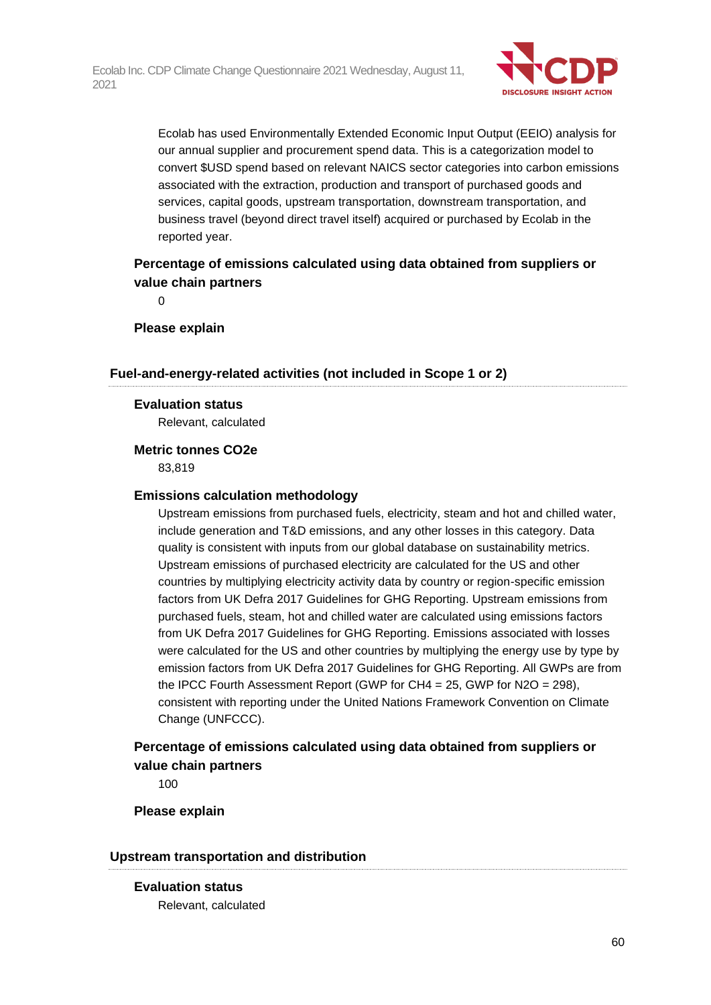

Ecolab has used Environmentally Extended Economic Input Output (EEIO) analysis for our annual supplier and procurement spend data. This is a categorization model to convert \$USD spend based on relevant NAICS sector categories into carbon emissions associated with the extraction, production and transport of purchased goods and services, capital goods, upstream transportation, downstream transportation, and business travel (beyond direct travel itself) acquired or purchased by Ecolab in the reported year.

## **Percentage of emissions calculated using data obtained from suppliers or value chain partners**

 $\Omega$ 

**Please explain**

#### **Fuel-and-energy-related activities (not included in Scope 1 or 2)**

#### **Evaluation status**

Relevant, calculated

#### **Metric tonnes CO2e**

83,819

#### **Emissions calculation methodology**

Upstream emissions from purchased fuels, electricity, steam and hot and chilled water, include generation and T&D emissions, and any other losses in this category. Data quality is consistent with inputs from our global database on sustainability metrics. Upstream emissions of purchased electricity are calculated for the US and other countries by multiplying electricity activity data by country or region-specific emission factors from UK Defra 2017 Guidelines for GHG Reporting. Upstream emissions from purchased fuels, steam, hot and chilled water are calculated using emissions factors from UK Defra 2017 Guidelines for GHG Reporting. Emissions associated with losses were calculated for the US and other countries by multiplying the energy use by type by emission factors from UK Defra 2017 Guidelines for GHG Reporting. All GWPs are from the IPCC Fourth Assessment Report (GWP for CH4 = 25, GWP for N2O = 298), consistent with reporting under the United Nations Framework Convention on Climate Change (UNFCCC).

## **Percentage of emissions calculated using data obtained from suppliers or value chain partners**

100

#### **Please explain**

#### **Upstream transportation and distribution**

**Evaluation status** Relevant, calculated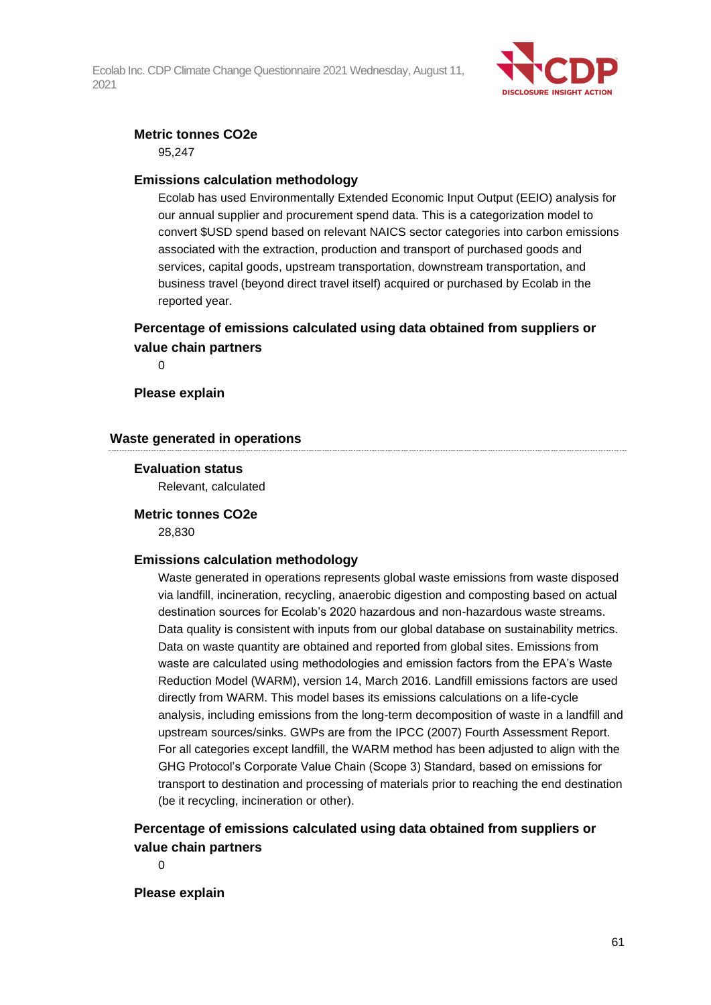

### **Metric tonnes CO2e**

95,247

#### **Emissions calculation methodology**

Ecolab has used Environmentally Extended Economic Input Output (EEIO) analysis for our annual supplier and procurement spend data. This is a categorization model to convert \$USD spend based on relevant NAICS sector categories into carbon emissions associated with the extraction, production and transport of purchased goods and services, capital goods, upstream transportation, downstream transportation, and business travel (beyond direct travel itself) acquired or purchased by Ecolab in the reported year.

## **Percentage of emissions calculated using data obtained from suppliers or value chain partners**

 $\Omega$ 

### **Please explain**

### **Waste generated in operations**

#### **Evaluation status**

Relevant, calculated

#### **Metric tonnes CO2e**

28,830

#### **Emissions calculation methodology**

Waste generated in operations represents global waste emissions from waste disposed via landfill, incineration, recycling, anaerobic digestion and composting based on actual destination sources for Ecolab's 2020 hazardous and non-hazardous waste streams. Data quality is consistent with inputs from our global database on sustainability metrics. Data on waste quantity are obtained and reported from global sites. Emissions from waste are calculated using methodologies and emission factors from the EPA's Waste Reduction Model (WARM), version 14, March 2016. Landfill emissions factors are used directly from WARM. This model bases its emissions calculations on a life-cycle analysis, including emissions from the long-term decomposition of waste in a landfill and upstream sources/sinks. GWPs are from the IPCC (2007) Fourth Assessment Report. For all categories except landfill, the WARM method has been adjusted to align with the GHG Protocol's Corporate Value Chain (Scope 3) Standard, based on emissions for transport to destination and processing of materials prior to reaching the end destination (be it recycling, incineration or other).

## **Percentage of emissions calculated using data obtained from suppliers or value chain partners**

 $\Omega$ 

**Please explain**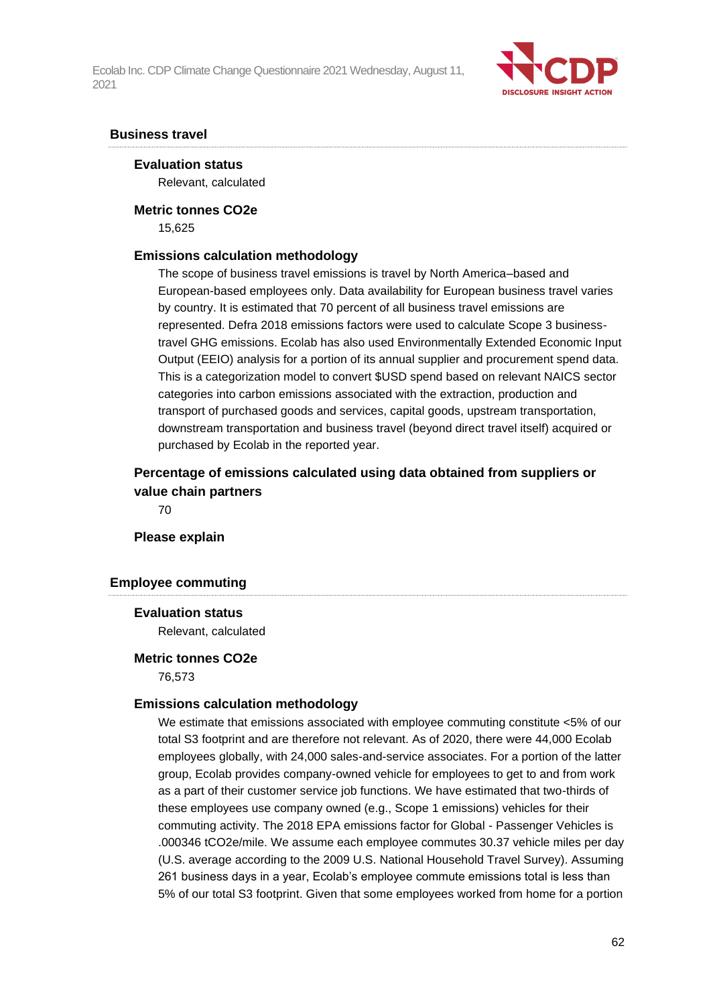

#### **Business travel**

#### **Evaluation status**

Relevant, calculated

#### **Metric tonnes CO2e**

15,625

#### **Emissions calculation methodology**

The scope of business travel emissions is travel by North America–based and European-based employees only. Data availability for European business travel varies by country. It is estimated that 70 percent of all business travel emissions are represented. Defra 2018 emissions factors were used to calculate Scope 3 businesstravel GHG emissions. Ecolab has also used Environmentally Extended Economic Input Output (EEIO) analysis for a portion of its annual supplier and procurement spend data. This is a categorization model to convert \$USD spend based on relevant NAICS sector categories into carbon emissions associated with the extraction, production and transport of purchased goods and services, capital goods, upstream transportation, downstream transportation and business travel (beyond direct travel itself) acquired or purchased by Ecolab in the reported year.

## **Percentage of emissions calculated using data obtained from suppliers or value chain partners**

70

#### **Please explain**

#### **Employee commuting**

#### **Evaluation status**

Relevant, calculated

#### **Metric tonnes CO2e**

76,573

#### **Emissions calculation methodology**

We estimate that emissions associated with employee commuting constitute <5% of our total S3 footprint and are therefore not relevant. As of 2020, there were 44,000 Ecolab employees globally, with 24,000 sales-and-service associates. For a portion of the latter group, Ecolab provides company-owned vehicle for employees to get to and from work as a part of their customer service job functions. We have estimated that two-thirds of these employees use company owned (e.g., Scope 1 emissions) vehicles for their commuting activity. The 2018 EPA emissions factor for Global - Passenger Vehicles is .000346 tCO2e/mile. We assume each employee commutes 30.37 vehicle miles per day (U.S. average according to the 2009 U.S. National Household Travel Survey). Assuming 261 business days in a year, Ecolab's employee commute emissions total is less than 5% of our total S3 footprint. Given that some employees worked from home for a portion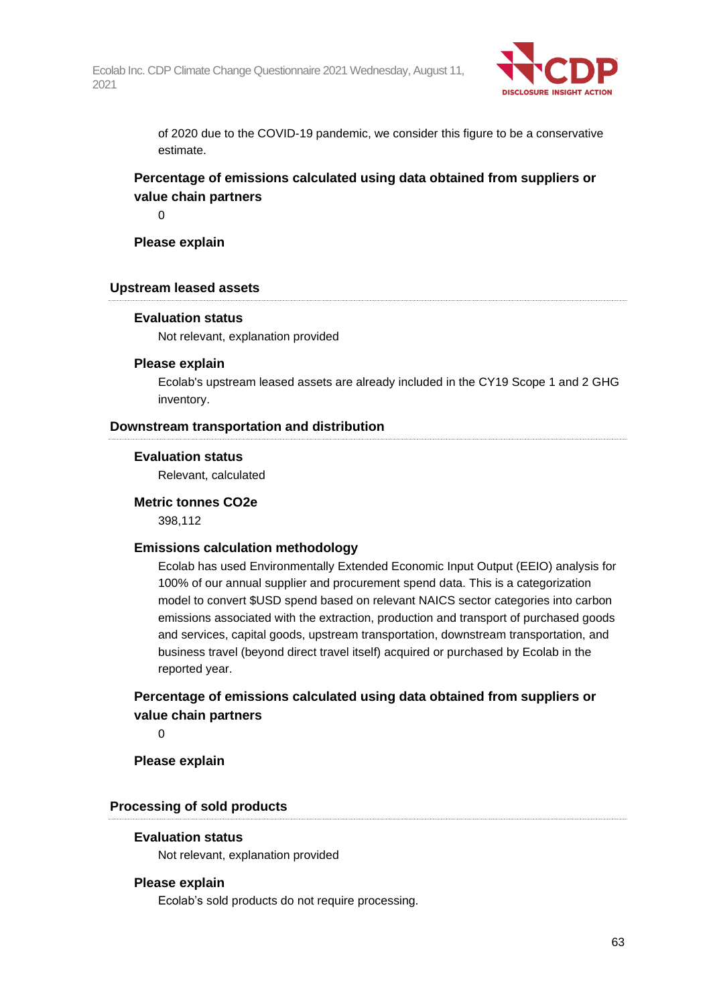

of 2020 due to the COVID-19 pandemic, we consider this figure to be a conservative estimate.

## **Percentage of emissions calculated using data obtained from suppliers or value chain partners**

 $\Omega$ 

**Please explain**

#### **Upstream leased assets**

#### **Evaluation status**

Not relevant, explanation provided

#### **Please explain**

Ecolab's upstream leased assets are already included in the CY19 Scope 1 and 2 GHG inventory.

#### **Downstream transportation and distribution**

#### **Evaluation status**

Relevant, calculated

#### **Metric tonnes CO2e**

398,112

#### **Emissions calculation methodology**

Ecolab has used Environmentally Extended Economic Input Output (EEIO) analysis for 100% of our annual supplier and procurement spend data. This is a categorization model to convert \$USD spend based on relevant NAICS sector categories into carbon emissions associated with the extraction, production and transport of purchased goods and services, capital goods, upstream transportation, downstream transportation, and business travel (beyond direct travel itself) acquired or purchased by Ecolab in the reported year.

## **Percentage of emissions calculated using data obtained from suppliers or value chain partners**

 $\Omega$ 

**Please explain**

#### **Processing of sold products**

#### **Evaluation status**

Not relevant, explanation provided

#### **Please explain**

Ecolab's sold products do not require processing.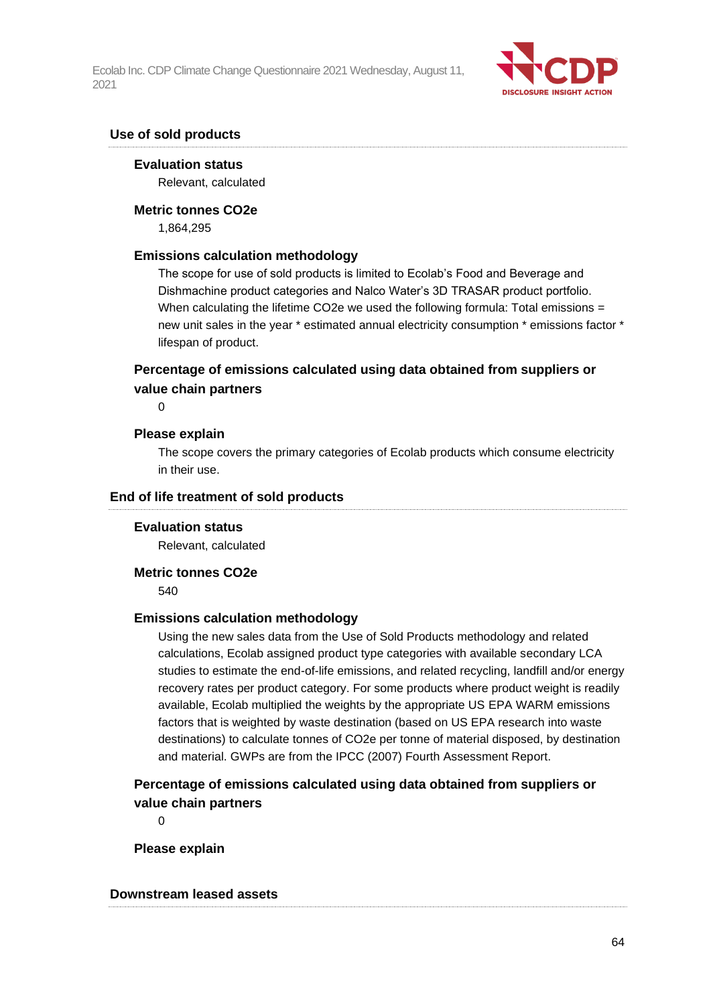

## **Use of sold products**

#### **Evaluation status**

Relevant, calculated

#### **Metric tonnes CO2e**

1,864,295

#### **Emissions calculation methodology**

The scope for use of sold products is limited to Ecolab's Food and Beverage and Dishmachine product categories and Nalco Water's 3D TRASAR product portfolio. When calculating the lifetime CO2e we used the following formula: Total emissions  $=$ new unit sales in the year \* estimated annual electricity consumption \* emissions factor \* lifespan of product.

## **Percentage of emissions calculated using data obtained from suppliers or value chain partners**

 $\Omega$ 

#### **Please explain**

The scope covers the primary categories of Ecolab products which consume electricity in their use.

#### **End of life treatment of sold products**

#### **Evaluation status**

Relevant, calculated

#### **Metric tonnes CO2e**

540

#### **Emissions calculation methodology**

Using the new sales data from the Use of Sold Products methodology and related calculations, Ecolab assigned product type categories with available secondary LCA studies to estimate the end-of-life emissions, and related recycling, landfill and/or energy recovery rates per product category. For some products where product weight is readily available, Ecolab multiplied the weights by the appropriate US EPA WARM emissions factors that is weighted by waste destination (based on US EPA research into waste destinations) to calculate tonnes of CO2e per tonne of material disposed, by destination and material. GWPs are from the IPCC (2007) Fourth Assessment Report.

## **Percentage of emissions calculated using data obtained from suppliers or value chain partners**

 $\Omega$ 

**Please explain**

#### **Downstream leased assets**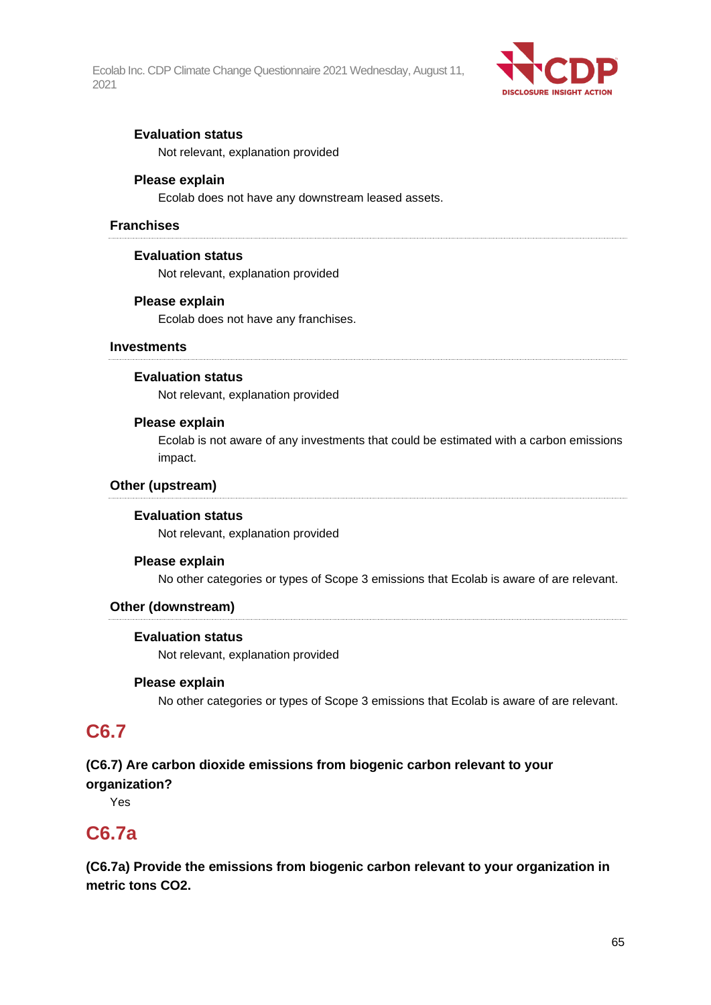

## **Evaluation status**

Not relevant, explanation provided

#### **Please explain**

Ecolab does not have any downstream leased assets.

#### **Franchises**

#### **Evaluation status**

Not relevant, explanation provided

#### **Please explain**

Ecolab does not have any franchises.

#### **Investments**

#### **Evaluation status**

Not relevant, explanation provided

#### **Please explain**

Ecolab is not aware of any investments that could be estimated with a carbon emissions impact.

#### **Other (upstream)**

#### **Evaluation status**

Not relevant, explanation provided

#### **Please explain**

No other categories or types of Scope 3 emissions that Ecolab is aware of are relevant.

#### **Other (downstream)**

#### **Evaluation status**

Not relevant, explanation provided

#### **Please explain**

No other categories or types of Scope 3 emissions that Ecolab is aware of are relevant.

## **C6.7**

## **(C6.7) Are carbon dioxide emissions from biogenic carbon relevant to your organization?**

Yes

## **C6.7a**

**(C6.7a) Provide the emissions from biogenic carbon relevant to your organization in metric tons CO2.**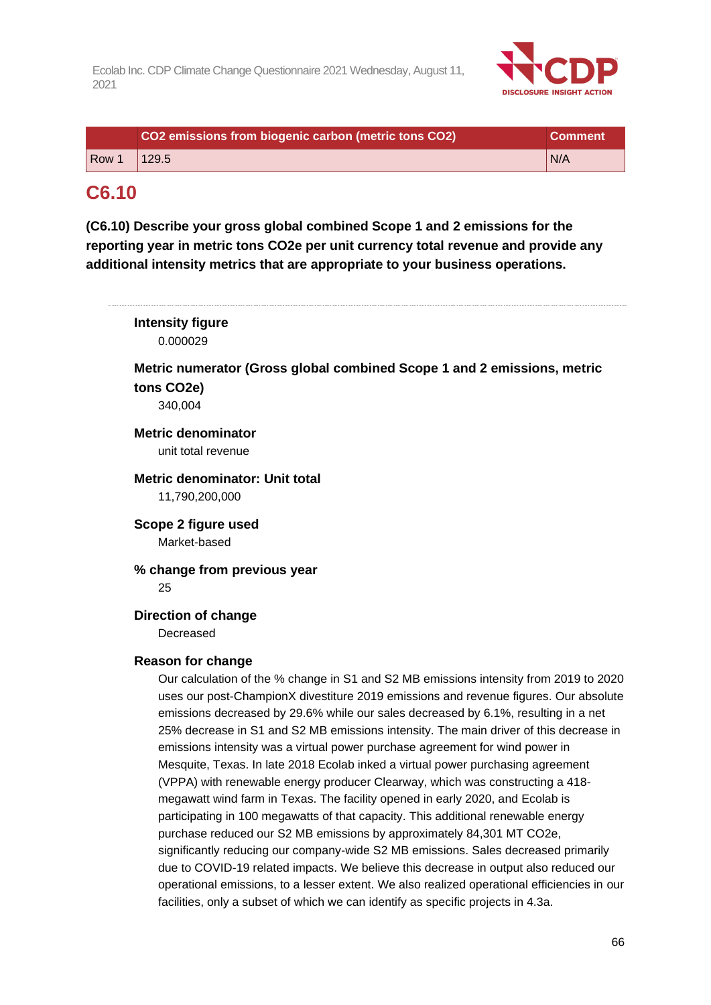

|       | CO2 emissions from biogenic carbon (metric tons CO2) | <b>Comment</b> |
|-------|------------------------------------------------------|----------------|
| Row 1 | 1129.5                                               | N/A            |

## **C6.10**

**(C6.10) Describe your gross global combined Scope 1 and 2 emissions for the reporting year in metric tons CO2e per unit currency total revenue and provide any additional intensity metrics that are appropriate to your business operations.**

| <b>Intensity figure</b><br>0.000029                                                                                                                                                                                                                                                                                                                                                                                                                                                                                                                                                                                                                                                                                                                                                                                                                                                                                                                                                                                                                                                                                                                                                                                                                          |
|--------------------------------------------------------------------------------------------------------------------------------------------------------------------------------------------------------------------------------------------------------------------------------------------------------------------------------------------------------------------------------------------------------------------------------------------------------------------------------------------------------------------------------------------------------------------------------------------------------------------------------------------------------------------------------------------------------------------------------------------------------------------------------------------------------------------------------------------------------------------------------------------------------------------------------------------------------------------------------------------------------------------------------------------------------------------------------------------------------------------------------------------------------------------------------------------------------------------------------------------------------------|
| Metric numerator (Gross global combined Scope 1 and 2 emissions, metric<br>tons CO2e)<br>340,004                                                                                                                                                                                                                                                                                                                                                                                                                                                                                                                                                                                                                                                                                                                                                                                                                                                                                                                                                                                                                                                                                                                                                             |
| <b>Metric denominator</b><br>unit total revenue                                                                                                                                                                                                                                                                                                                                                                                                                                                                                                                                                                                                                                                                                                                                                                                                                                                                                                                                                                                                                                                                                                                                                                                                              |
| <b>Metric denominator: Unit total</b><br>11,790,200,000                                                                                                                                                                                                                                                                                                                                                                                                                                                                                                                                                                                                                                                                                                                                                                                                                                                                                                                                                                                                                                                                                                                                                                                                      |
| Scope 2 figure used<br>Market-based                                                                                                                                                                                                                                                                                                                                                                                                                                                                                                                                                                                                                                                                                                                                                                                                                                                                                                                                                                                                                                                                                                                                                                                                                          |
| % change from previous year<br>25                                                                                                                                                                                                                                                                                                                                                                                                                                                                                                                                                                                                                                                                                                                                                                                                                                                                                                                                                                                                                                                                                                                                                                                                                            |
| <b>Direction of change</b><br>Decreased                                                                                                                                                                                                                                                                                                                                                                                                                                                                                                                                                                                                                                                                                                                                                                                                                                                                                                                                                                                                                                                                                                                                                                                                                      |
| <b>Reason for change</b><br>Our calculation of the % change in S1 and S2 MB emissions intensity from 2019 to 2020<br>uses our post-ChampionX divestiture 2019 emissions and revenue figures. Our absolute<br>emissions decreased by 29.6% while our sales decreased by 6.1%, resulting in a net<br>25% decrease in S1 and S2 MB emissions intensity. The main driver of this decrease in<br>emissions intensity was a virtual power purchase agreement for wind power in<br>Mesquite, Texas. In late 2018 Ecolab inked a virtual power purchasing agreement<br>(VPPA) with renewable energy producer Clearway, which was constructing a 418-<br>megawatt wind farm in Texas. The facility opened in early 2020, and Ecolab is<br>participating in 100 megawatts of that capacity. This additional renewable energy<br>purchase reduced our S2 MB emissions by approximately 84,301 MT CO2e,<br>significantly reducing our company-wide S2 MB emissions. Sales decreased primarily<br>due to COVID-19 related impacts. We believe this decrease in output also reduced our<br>operational emissions, to a lesser extent. We also realized operational efficiencies in our<br>facilities, only a subset of which we can identify as specific projects in 4.3a. |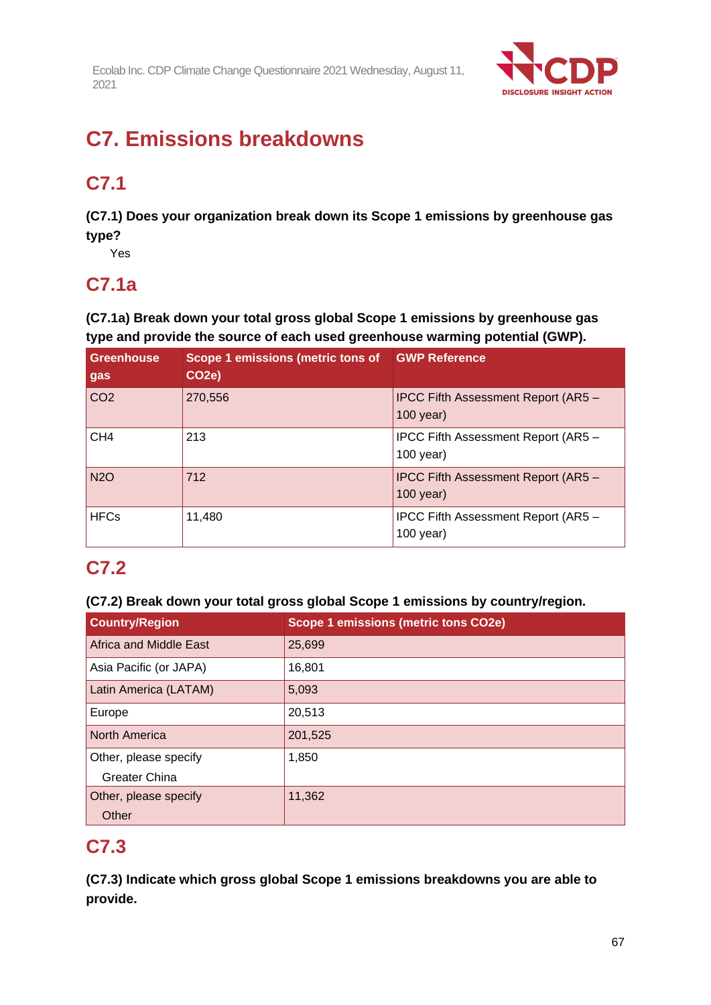

# **C7. Emissions breakdowns**

# **C7.1**

**(C7.1) Does your organization break down its Scope 1 emissions by greenhouse gas type?**

Yes

## **C7.1a**

**(C7.1a) Break down your total gross global Scope 1 emissions by greenhouse gas type and provide the source of each used greenhouse warming potential (GWP).**

| <b>Greenhouse</b><br>gas | Scope 1 emissions (metric tons of<br>CO <sub>2</sub> e) | <b>GWP Reference</b>                               |
|--------------------------|---------------------------------------------------------|----------------------------------------------------|
| CO <sub>2</sub>          | 270,556                                                 | IPCC Fifth Assessment Report (AR5 -<br>$100$ year) |
| CH <sub>4</sub>          | 213                                                     | IPCC Fifth Assessment Report (AR5 -<br>$100$ year) |
| <b>N2O</b>               | 712                                                     | IPCC Fifth Assessment Report (AR5 -<br>100 year)   |
| <b>HFCs</b>              | 11,480                                                  | IPCC Fifth Assessment Report (AR5 -<br>$100$ year) |

# **C7.2**

## **(C7.2) Break down your total gross global Scope 1 emissions by country/region.**

| <b>Country/Region</b>  | Scope 1 emissions (metric tons CO2e) |
|------------------------|--------------------------------------|
| Africa and Middle East | 25,699                               |
| Asia Pacific (or JAPA) | 16,801                               |
| Latin America (LATAM)  | 5,093                                |
| Europe                 | 20,513                               |
| <b>North America</b>   | 201,525                              |
| Other, please specify  | 1,850                                |
| <b>Greater China</b>   |                                      |
| Other, please specify  | 11,362                               |
| Other                  |                                      |

## **C7.3**

**(C7.3) Indicate which gross global Scope 1 emissions breakdowns you are able to provide.**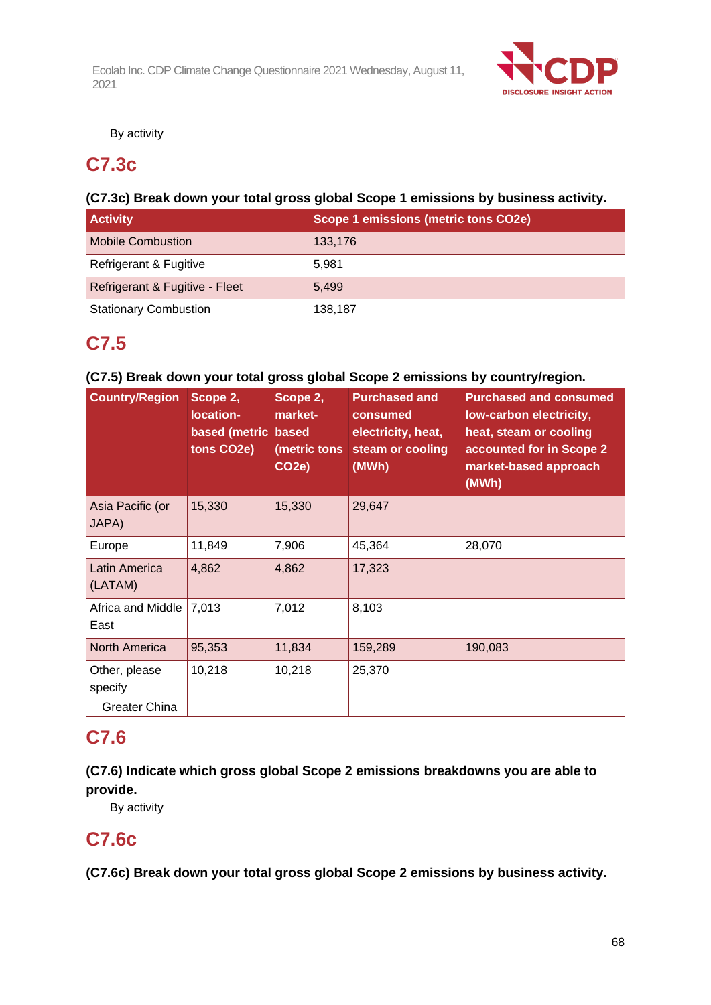

By activity

## **C7.3c**

## **(C7.3c) Break down your total gross global Scope 1 emissions by business activity.**

| <b>Activity</b>                | Scope 1 emissions (metric tons CO2e) |
|--------------------------------|--------------------------------------|
| <b>Mobile Combustion</b>       | 133,176                              |
| Refrigerant & Fugitive         | 5,981                                |
| Refrigerant & Fugitive - Fleet | 5.499                                |
| <b>Stationary Combustion</b>   | 138,187                              |

## **C7.5**

## **(C7.5) Break down your total gross global Scope 2 emissions by country/region.**

| <b>Country/Region</b>                            | Scope 2,<br>location-<br>based (metric based<br>tons CO2e) | Scope 2,<br>market-<br>(metric tons<br>CO <sub>2</sub> e) | <b>Purchased and</b><br>consumed<br>electricity, heat,<br>steam or cooling<br>(MWh) | <b>Purchased and consumed</b><br>low-carbon electricity,<br>heat, steam or cooling<br>accounted for in Scope 2<br>market-based approach<br>(MWh) |
|--------------------------------------------------|------------------------------------------------------------|-----------------------------------------------------------|-------------------------------------------------------------------------------------|--------------------------------------------------------------------------------------------------------------------------------------------------|
| Asia Pacific (or<br>JAPA)                        | 15,330                                                     | 15,330                                                    | 29,647                                                                              |                                                                                                                                                  |
| Europe                                           | 11,849                                                     | 7,906                                                     | 45,364                                                                              | 28,070                                                                                                                                           |
| Latin America<br>(LATAM)                         | 4,862                                                      | 4,862                                                     | 17,323                                                                              |                                                                                                                                                  |
| Africa and Middle<br>East                        | 7,013                                                      | 7,012                                                     | 8,103                                                                               |                                                                                                                                                  |
| North America                                    | 95,353                                                     | 11,834                                                    | 159,289                                                                             | 190,083                                                                                                                                          |
| Other, please<br>specify<br><b>Greater China</b> | 10,218                                                     | 10,218                                                    | 25,370                                                                              |                                                                                                                                                  |

## **C7.6**

## **(C7.6) Indicate which gross global Scope 2 emissions breakdowns you are able to provide.**

By activity

## **C7.6c**

**(C7.6c) Break down your total gross global Scope 2 emissions by business activity.**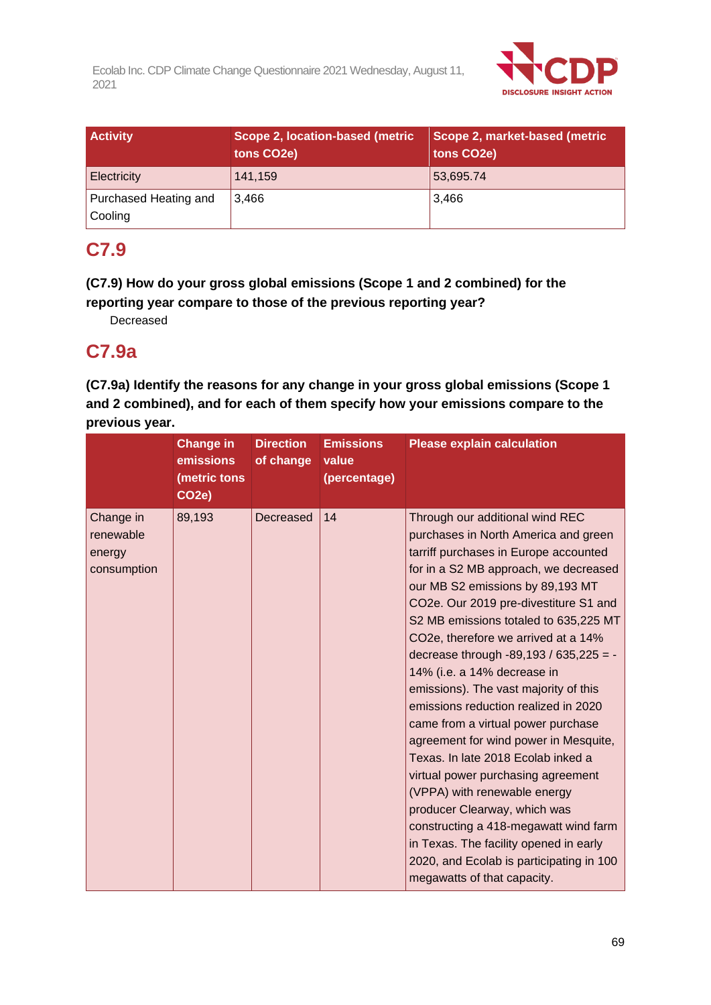

| <b>Activity</b>                  | Scope 2, location-based (metric<br>tons CO2e) | Scope 2, market-based (metric<br>tons CO <sub>2</sub> e) |
|----------------------------------|-----------------------------------------------|----------------------------------------------------------|
| Electricity                      | 141,159                                       | 53,695.74                                                |
| Purchased Heating and<br>Cooling | 3.466                                         | 3.466                                                    |

## **C7.9**

**(C7.9) How do your gross global emissions (Scope 1 and 2 combined) for the reporting year compare to those of the previous reporting year?**

Decreased

## **C7.9a**

**(C7.9a) Identify the reasons for any change in your gross global emissions (Scope 1 and 2 combined), and for each of them specify how your emissions compare to the previous year.**

|                                                 | <b>Change in</b><br>emissions<br>(metric tons<br>CO <sub>2e</sub> ) | <b>Direction</b><br>of change | <b>Emissions</b><br>value<br>(percentage) | <b>Please explain calculation</b>                                                                                                                                                                                                                                                                                                                                                                                                                                                                                                                                                                                                                                                                                                                                                                                                                                         |
|-------------------------------------------------|---------------------------------------------------------------------|-------------------------------|-------------------------------------------|---------------------------------------------------------------------------------------------------------------------------------------------------------------------------------------------------------------------------------------------------------------------------------------------------------------------------------------------------------------------------------------------------------------------------------------------------------------------------------------------------------------------------------------------------------------------------------------------------------------------------------------------------------------------------------------------------------------------------------------------------------------------------------------------------------------------------------------------------------------------------|
| Change in<br>renewable<br>energy<br>consumption | 89,193                                                              | Decreased                     | 14                                        | Through our additional wind REC<br>purchases in North America and green<br>tarriff purchases in Europe accounted<br>for in a S2 MB approach, we decreased<br>our MB S2 emissions by 89,193 MT<br>CO2e. Our 2019 pre-divestiture S1 and<br>S2 MB emissions totaled to 635,225 MT<br>CO2e, therefore we arrived at a 14%<br>decrease through -89,193 / 635,225 = -<br>14% (i.e. a 14% decrease in<br>emissions). The vast majority of this<br>emissions reduction realized in 2020<br>came from a virtual power purchase<br>agreement for wind power in Mesquite,<br>Texas. In late 2018 Ecolab inked a<br>virtual power purchasing agreement<br>(VPPA) with renewable energy<br>producer Clearway, which was<br>constructing a 418-megawatt wind farm<br>in Texas. The facility opened in early<br>2020, and Ecolab is participating in 100<br>megawatts of that capacity. |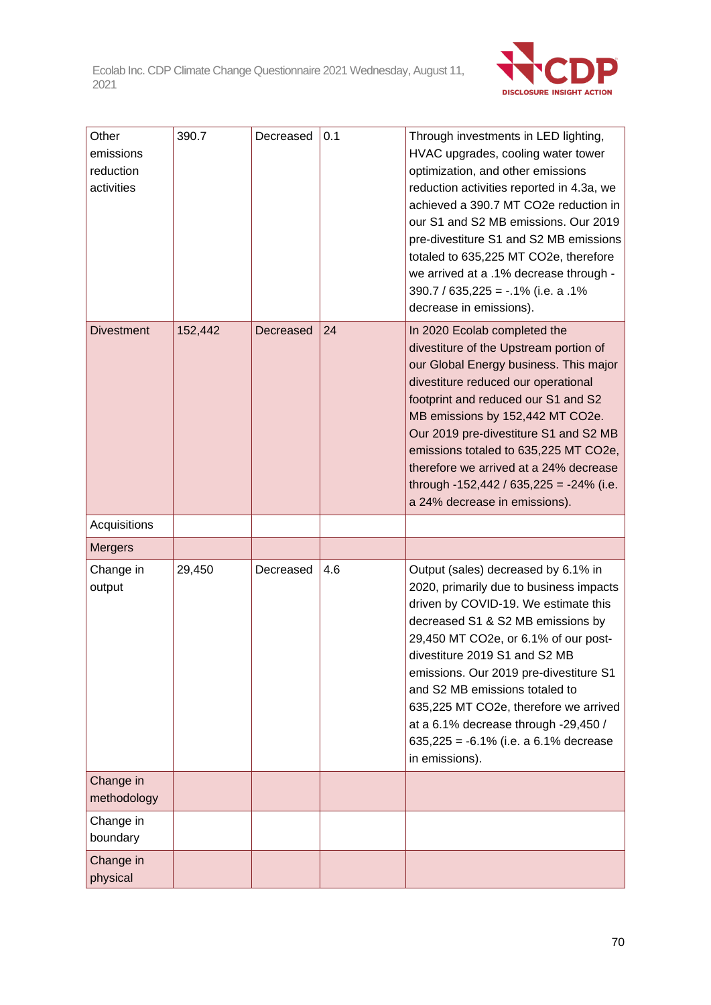

| Other<br>emissions<br>reduction<br>activities | 390.7   | Decreased | 0.1 | Through investments in LED lighting,<br>HVAC upgrades, cooling water tower<br>optimization, and other emissions<br>reduction activities reported in 4.3a, we<br>achieved a 390.7 MT CO2e reduction in<br>our S1 and S2 MB emissions. Our 2019<br>pre-divestiture S1 and S2 MB emissions<br>totaled to 635,225 MT CO2e, therefore<br>we arrived at a .1% decrease through -<br>$390.7 / 635,225 = -0.1\%$ (i.e. a .1%)<br>decrease in emissions).                |
|-----------------------------------------------|---------|-----------|-----|-----------------------------------------------------------------------------------------------------------------------------------------------------------------------------------------------------------------------------------------------------------------------------------------------------------------------------------------------------------------------------------------------------------------------------------------------------------------|
| <b>Divestment</b>                             | 152,442 | Decreased | 24  | In 2020 Ecolab completed the<br>divestiture of the Upstream portion of<br>our Global Energy business. This major<br>divestiture reduced our operational<br>footprint and reduced our S1 and S2<br>MB emissions by 152,442 MT CO2e.<br>Our 2019 pre-divestiture S1 and S2 MB<br>emissions totaled to 635,225 MT CO2e,<br>therefore we arrived at a 24% decrease<br>through -152,442 / 635,225 = -24% (i.e.<br>a 24% decrease in emissions).                      |
| Acquisitions                                  |         |           |     |                                                                                                                                                                                                                                                                                                                                                                                                                                                                 |
| <b>Mergers</b>                                |         |           |     |                                                                                                                                                                                                                                                                                                                                                                                                                                                                 |
| Change in<br>output                           | 29,450  | Decreased | 4.6 | Output (sales) decreased by 6.1% in<br>2020, primarily due to business impacts<br>driven by COVID-19. We estimate this<br>decreased S1 & S2 MB emissions by<br>29,450 MT CO2e, or 6.1% of our post-<br>divestiture 2019 S1 and S2 MB<br>emissions. Our 2019 pre-divestiture S1<br>and S2 MB emissions totaled to<br>635,225 MT CO2e, therefore we arrived<br>at a 6.1% decrease through -29,450 /<br>635,225 = $-6.1\%$ (i.e. a 6.1% decrease<br>in emissions). |
| Change in<br>methodology                      |         |           |     |                                                                                                                                                                                                                                                                                                                                                                                                                                                                 |
| Change in<br>boundary                         |         |           |     |                                                                                                                                                                                                                                                                                                                                                                                                                                                                 |
| Change in<br>physical                         |         |           |     |                                                                                                                                                                                                                                                                                                                                                                                                                                                                 |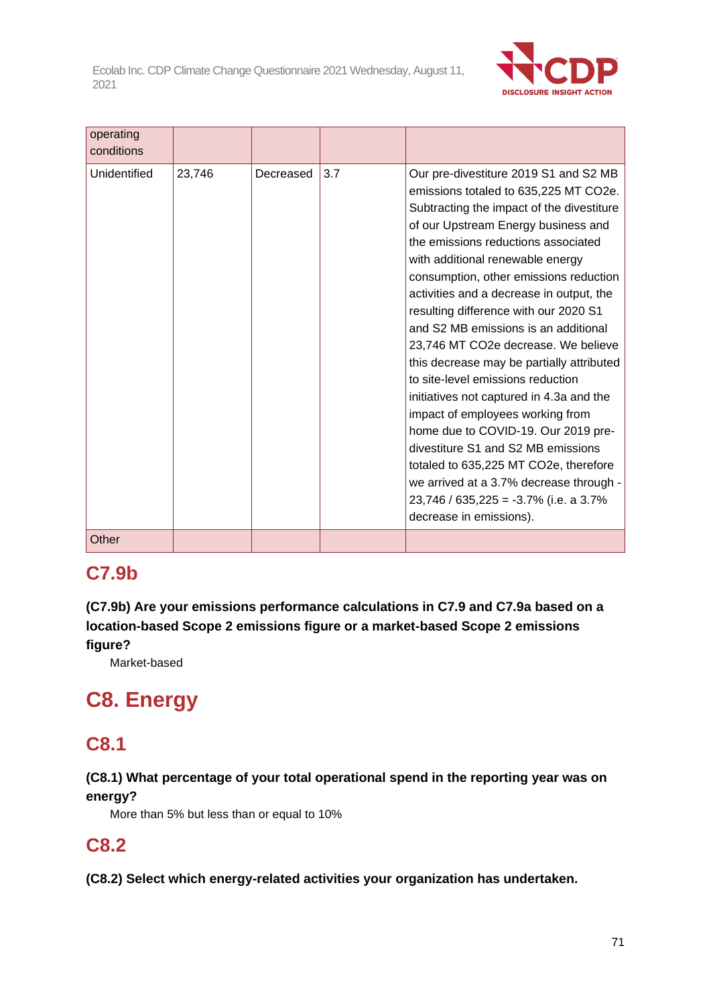

| operating<br>conditions |        |           |     |                                                                                                                                                                                                                                                                                                                                                                                                                                                                                                                                                                                                                                                                                                                                                                                                                                                                      |
|-------------------------|--------|-----------|-----|----------------------------------------------------------------------------------------------------------------------------------------------------------------------------------------------------------------------------------------------------------------------------------------------------------------------------------------------------------------------------------------------------------------------------------------------------------------------------------------------------------------------------------------------------------------------------------------------------------------------------------------------------------------------------------------------------------------------------------------------------------------------------------------------------------------------------------------------------------------------|
| Unidentified            | 23,746 | Decreased | 3.7 | Our pre-divestiture 2019 S1 and S2 MB<br>emissions totaled to 635,225 MT CO2e.<br>Subtracting the impact of the divestiture<br>of our Upstream Energy business and<br>the emissions reductions associated<br>with additional renewable energy<br>consumption, other emissions reduction<br>activities and a decrease in output, the<br>resulting difference with our 2020 S1<br>and S2 MB emissions is an additional<br>23,746 MT CO2e decrease. We believe<br>this decrease may be partially attributed<br>to site-level emissions reduction<br>initiatives not captured in 4.3a and the<br>impact of employees working from<br>home due to COVID-19. Our 2019 pre-<br>divestiture S1 and S2 MB emissions<br>totaled to 635,225 MT CO2e, therefore<br>we arrived at a 3.7% decrease through -<br>$23,746 / 635,225 = -3.7%$ (i.e. a 3.7%<br>decrease in emissions). |
| Other                   |        |           |     |                                                                                                                                                                                                                                                                                                                                                                                                                                                                                                                                                                                                                                                                                                                                                                                                                                                                      |

# **C7.9b**

**(C7.9b) Are your emissions performance calculations in C7.9 and C7.9a based on a location-based Scope 2 emissions figure or a market-based Scope 2 emissions figure?**

Market-based

# **C8. Energy**

## **C8.1**

## **(C8.1) What percentage of your total operational spend in the reporting year was on energy?**

More than 5% but less than or equal to 10%

## **C8.2**

**(C8.2) Select which energy-related activities your organization has undertaken.**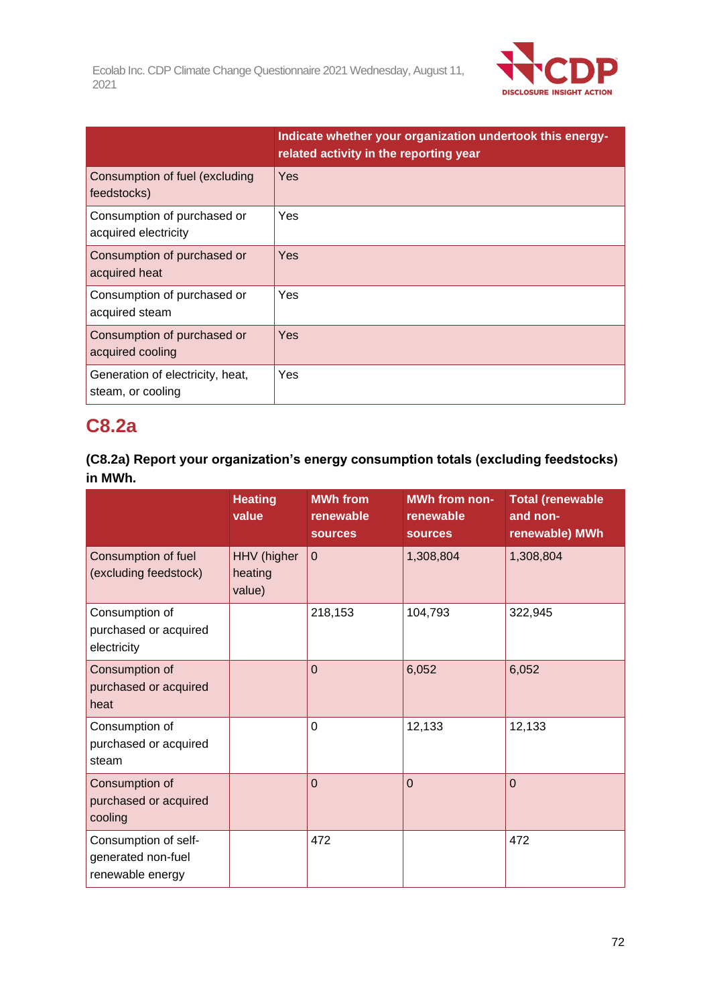

|                                                       | Indicate whether your organization undertook this energy-<br>related activity in the reporting year |
|-------------------------------------------------------|-----------------------------------------------------------------------------------------------------|
| Consumption of fuel (excluding<br>feedstocks)         | Yes                                                                                                 |
| Consumption of purchased or<br>acquired electricity   | Yes                                                                                                 |
| Consumption of purchased or<br>acquired heat          | Yes                                                                                                 |
| Consumption of purchased or<br>acquired steam         | Yes                                                                                                 |
| Consumption of purchased or<br>acquired cooling       | Yes                                                                                                 |
| Generation of electricity, heat,<br>steam, or cooling | Yes                                                                                                 |

## **C8.2a**

| (C8.2a) Report your organization's energy consumption totals (excluding feedstocks) |  |
|-------------------------------------------------------------------------------------|--|
| in MWh.                                                                             |  |

|                                                                | <b>Heating</b><br>value          | <b>MWh from</b><br>renewable<br><b>sources</b> | <b>MWh from non-</b><br>renewable<br><b>sources</b> | <b>Total (renewable</b><br>and non-<br>renewable) MWh |
|----------------------------------------------------------------|----------------------------------|------------------------------------------------|-----------------------------------------------------|-------------------------------------------------------|
| Consumption of fuel<br>(excluding feedstock)                   | HHV (higher<br>heating<br>value) | $\overline{0}$                                 | 1,308,804                                           | 1,308,804                                             |
| Consumption of<br>purchased or acquired<br>electricity         |                                  | 218,153                                        | 104,793                                             | 322,945                                               |
| Consumption of<br>purchased or acquired<br>heat                |                                  | $\overline{0}$                                 | 6,052                                               | 6,052                                                 |
| Consumption of<br>purchased or acquired<br>steam               |                                  | $\mathbf 0$                                    | 12,133                                              | 12,133                                                |
| Consumption of<br>purchased or acquired<br>cooling             |                                  | $\overline{0}$                                 | $\overline{0}$                                      | $\overline{0}$                                        |
| Consumption of self-<br>generated non-fuel<br>renewable energy |                                  | 472                                            |                                                     | 472                                                   |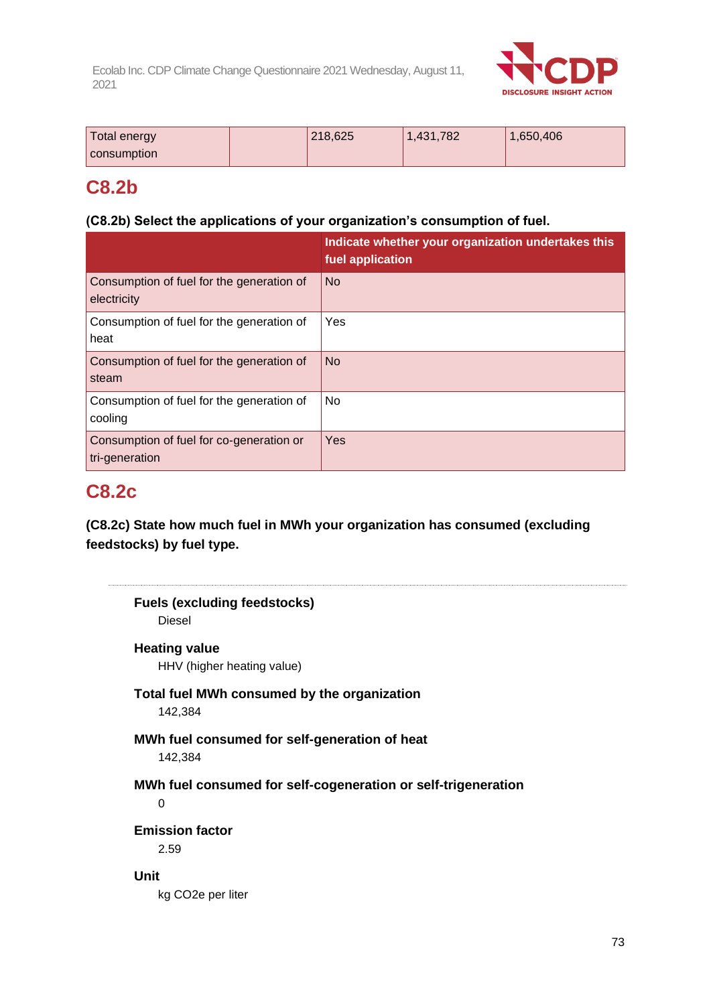

| Total energy<br>consumption | 218,625 | 1,431,782 | 1,650,406 |
|-----------------------------|---------|-----------|-----------|
|                             |         |           |           |

## **C8.2b**

## **(C8.2b) Select the applications of your organization's consumption of fuel.**

|                                                            | Indicate whether your organization undertakes this<br>fuel application |
|------------------------------------------------------------|------------------------------------------------------------------------|
| Consumption of fuel for the generation of<br>electricity   | <b>No</b>                                                              |
| Consumption of fuel for the generation of<br>heat          | Yes                                                                    |
| Consumption of fuel for the generation of<br>steam         | <b>No</b>                                                              |
| Consumption of fuel for the generation of<br>cooling       | No                                                                     |
| Consumption of fuel for co-generation or<br>tri-generation | Yes                                                                    |

## **C8.2c**

**(C8.2c) State how much fuel in MWh your organization has consumed (excluding feedstocks) by fuel type.**

|                                | <b>Fuels (excluding feedstocks)</b>                           |
|--------------------------------|---------------------------------------------------------------|
| Diesel                         |                                                               |
| <b>Heating value</b>           |                                                               |
|                                | HHV (higher heating value)                                    |
|                                | Total fuel MWh consumed by the organization                   |
| 142,384                        |                                                               |
|                                | MWh fuel consumed for self-generation of heat                 |
| 142,384                        |                                                               |
|                                | MWh fuel consumed for self-cogeneration or self-trigeneration |
| $\Omega$                       |                                                               |
| <b>Emission factor</b>         |                                                               |
| 2.59                           |                                                               |
| <b>Unit</b>                    |                                                               |
| kg CO <sub>2</sub> e per liter |                                                               |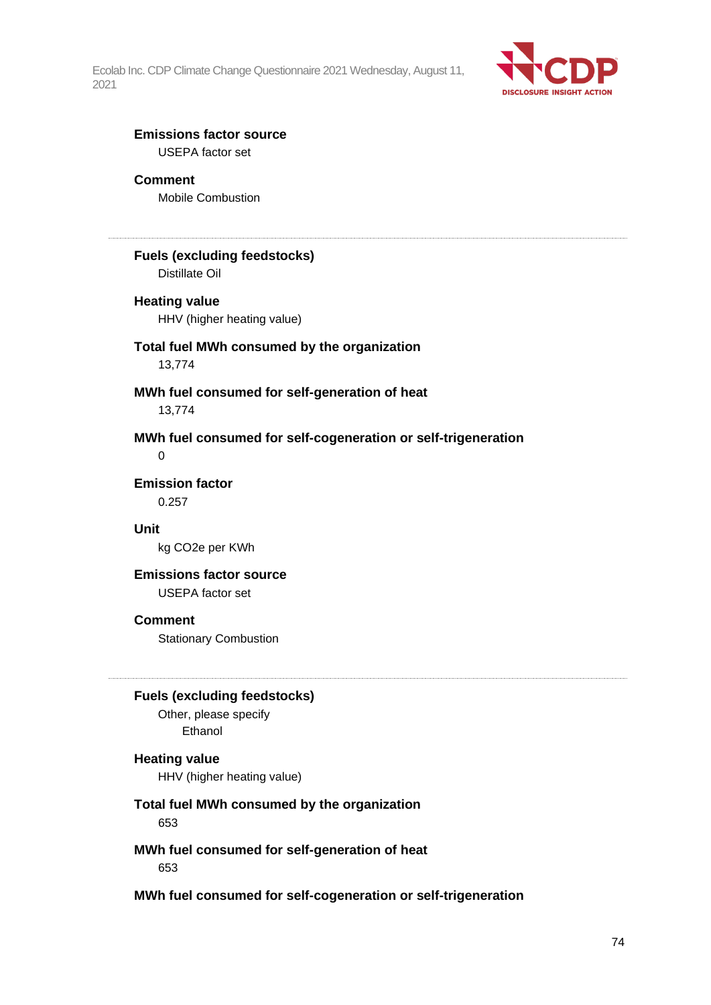

## **Emissions factor source**

USEPA factor set

## **Comment**

Mobile Combustion

## **Fuels (excluding feedstocks)**

Distillate Oil

#### **Heating value**

HHV (higher heating value)

#### **Total fuel MWh consumed by the organization** 13,774

### **MWh fuel consumed for self-generation of heat** 13,774

**MWh fuel consumed for self-cogeneration or self-trigeneration** 0

**Emission factor**

0.257

### **Unit**

kg CO2e per KWh

## **Emissions factor source**

USEPA factor set

#### **Comment**

Stationary Combustion

#### **Fuels (excluding feedstocks)**

Other, please specify Ethanol

#### **Heating value**

HHV (higher heating value)

## **Total fuel MWh consumed by the organization**

653

#### **MWh fuel consumed for self-generation of heat** 653

#### **MWh fuel consumed for self-cogeneration or self-trigeneration**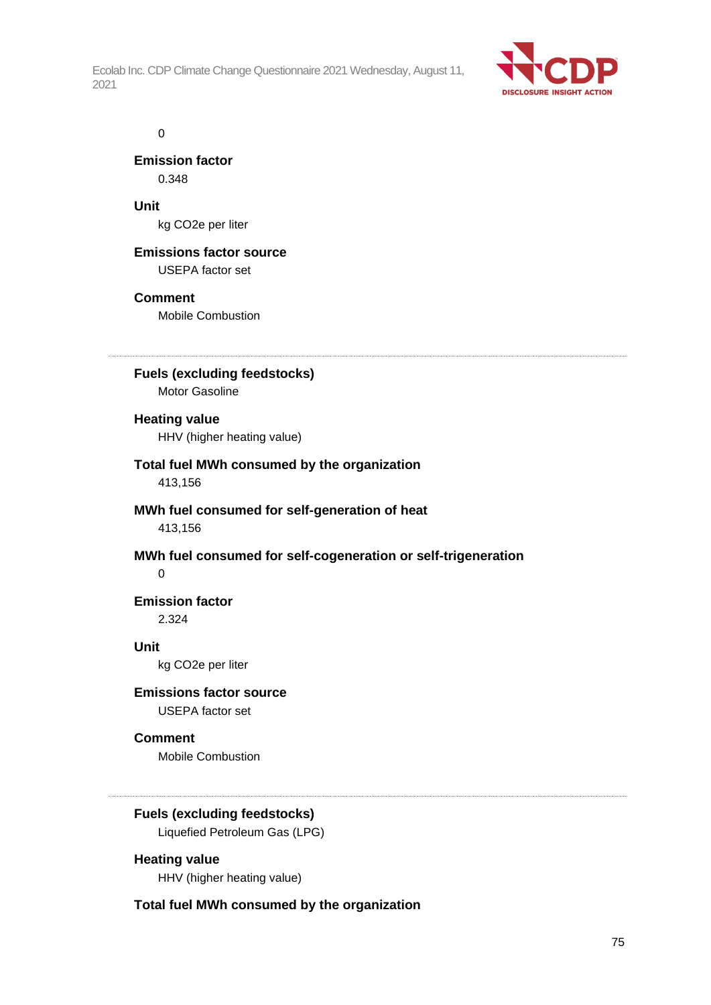

#### 0

**Emission factor** 0.348

**Unit** kg CO2e per liter

## **Emissions factor source**

USEPA factor set

## **Comment**

Mobile Combustion

**Fuels (excluding feedstocks)** Motor Gasoline

## **Heating value**

HHV (higher heating value)

## **Total fuel MWh consumed by the organization**

413,156

## **MWh fuel consumed for self-generation of heat** 413,156

**MWh fuel consumed for self-cogeneration or self-trigeneration**  $\Omega$ 

## **Emission factor** 2.324

## **Unit**

kg CO2e per liter

## **Emissions factor source**

USEPA factor set

## **Comment**

Mobile Combustion

## **Fuels (excluding feedstocks)**

Liquefied Petroleum Gas (LPG)

**Heating value** HHV (higher heating value)

## **Total fuel MWh consumed by the organization**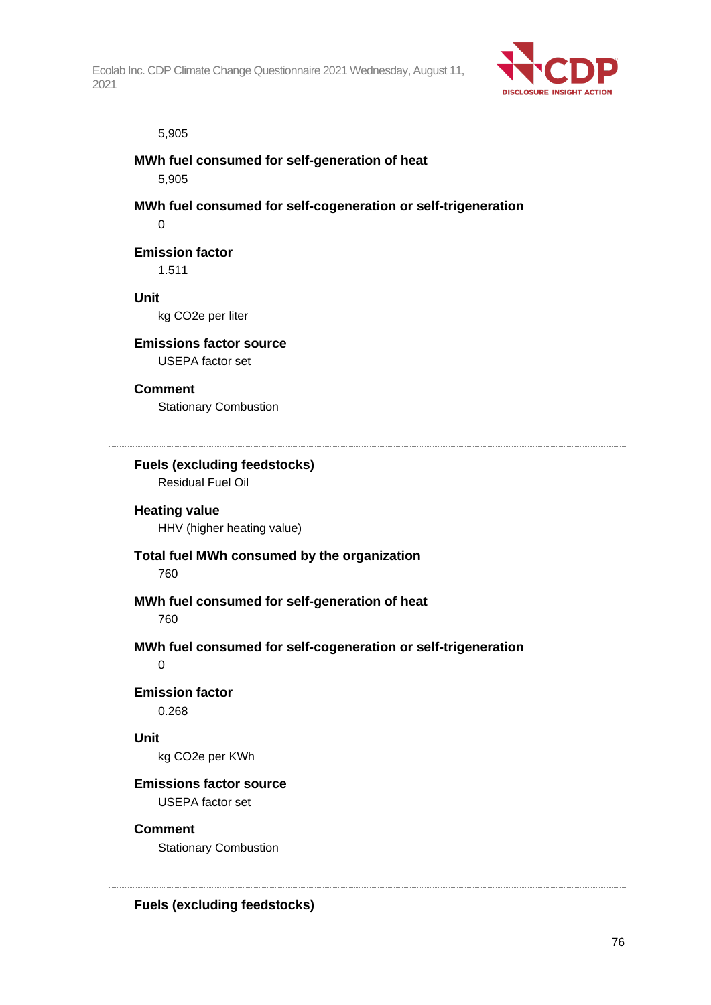

#### 5,905

### **MWh fuel consumed for self-generation of heat**

5,905

**MWh fuel consumed for self-cogeneration or self-trigeneration**

 $\Omega$ 

## **Emission factor**

1.511

#### **Unit**

kg CO2e per liter

#### **Emissions factor source**

USEPA factor set

#### **Comment**

Stationary Combustion

## **Fuels (excluding feedstocks)**

Residual Fuel Oil

## **Heating value**

HHV (higher heating value)

#### **Total fuel MWh consumed by the organization**

760

## **MWh fuel consumed for self-generation of heat**

760

## **MWh fuel consumed for self-cogeneration or self-trigeneration**

 $\Omega$ 

## **Emission factor**

0.268

## **Unit**

kg CO2e per KWh

## **Emissions factor source**

USEPA factor set

## **Comment**

Stationary Combustion

**Fuels (excluding feedstocks)**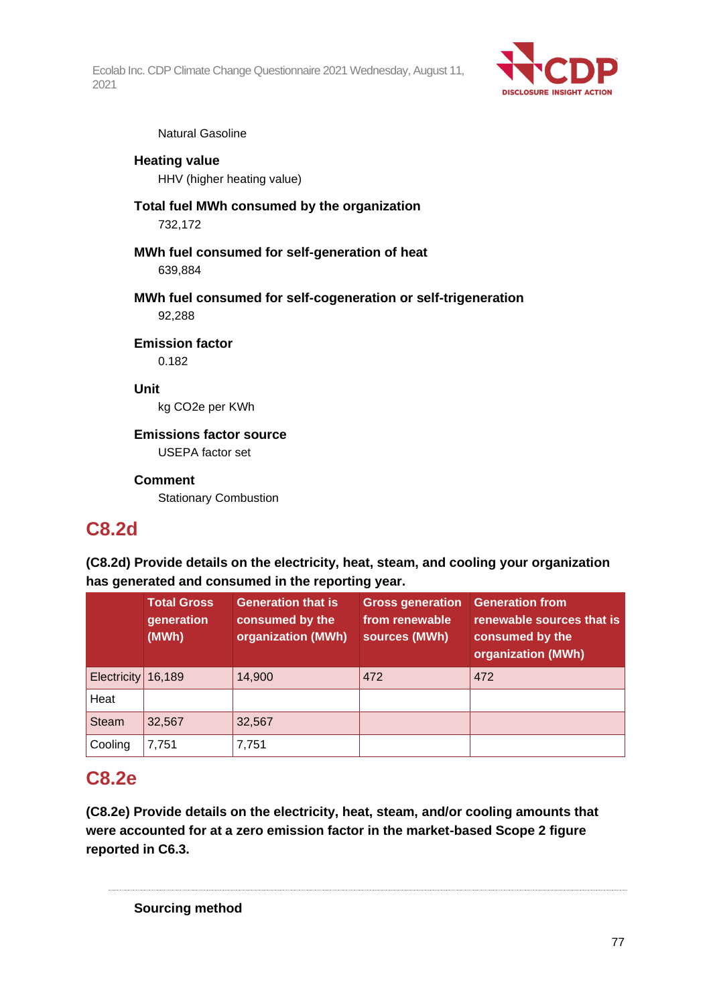

Natural Gasoline

## **Heating value** HHV (higher heating value)

**Total fuel MWh consumed by the organization** 732,172

## **MWh fuel consumed for self-generation of heat** 639,884

**MWh fuel consumed for self-cogeneration or self-trigeneration** 92,288

## **Emission factor**

0.182

## **Unit**

kg CO2e per KWh

## **Emissions factor source**

USEPA factor set

## **Comment**

Stationary Combustion

## **C8.2d**

**(C8.2d) Provide details on the electricity, heat, steam, and cooling your organization has generated and consumed in the reporting year.**

|              | <b>Total Gross</b><br>generation<br>(MWh) | <b>Generation that is</b><br>consumed by the<br>organization (MWh) | <b>Gross generation</b><br>from renewable<br>sources (MWh) | <b>Generation from</b><br>renewable sources that is<br>consumed by the<br>organization (MWh) |
|--------------|-------------------------------------------|--------------------------------------------------------------------|------------------------------------------------------------|----------------------------------------------------------------------------------------------|
| Electricity  | 16,189                                    | 14,900                                                             | 472                                                        | 472                                                                                          |
| Heat         |                                           |                                                                    |                                                            |                                                                                              |
| <b>Steam</b> | 32,567                                    | 32,567                                                             |                                                            |                                                                                              |
| Cooling      | 7,751                                     | 7,751                                                              |                                                            |                                                                                              |

## **C8.2e**

**(C8.2e) Provide details on the electricity, heat, steam, and/or cooling amounts that were accounted for at a zero emission factor in the market-based Scope 2 figure reported in C6.3.**

**Sourcing method**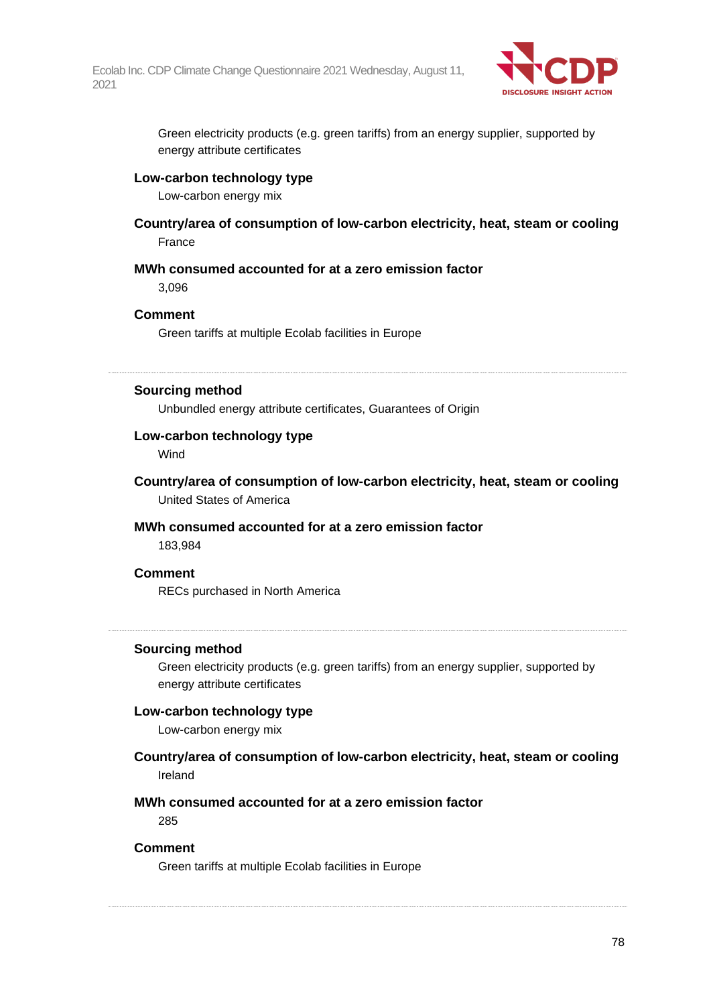

Green electricity products (e.g. green tariffs) from an energy supplier, supported by energy attribute certificates

#### **Low-carbon technology type**

Low-carbon energy mix

**Country/area of consumption of low-carbon electricity, heat, steam or cooling** France

#### **MWh consumed accounted for at a zero emission factor**

3,096

#### **Comment**

Green tariffs at multiple Ecolab facilities in Europe

#### **Sourcing method**

Unbundled energy attribute certificates, Guarantees of Origin

## **Low-carbon technology type**

**Wind** 

**Country/area of consumption of low-carbon electricity, heat, steam or cooling** United States of America

## **MWh consumed accounted for at a zero emission factor**

183,984

#### **Comment**

RECs purchased in North America

#### **Sourcing method**

Green electricity products (e.g. green tariffs) from an energy supplier, supported by energy attribute certificates

#### **Low-carbon technology type**

Low-carbon energy mix

**Country/area of consumption of low-carbon electricity, heat, steam or cooling** Ireland

## **MWh consumed accounted for at a zero emission factor**

285

#### **Comment**

Green tariffs at multiple Ecolab facilities in Europe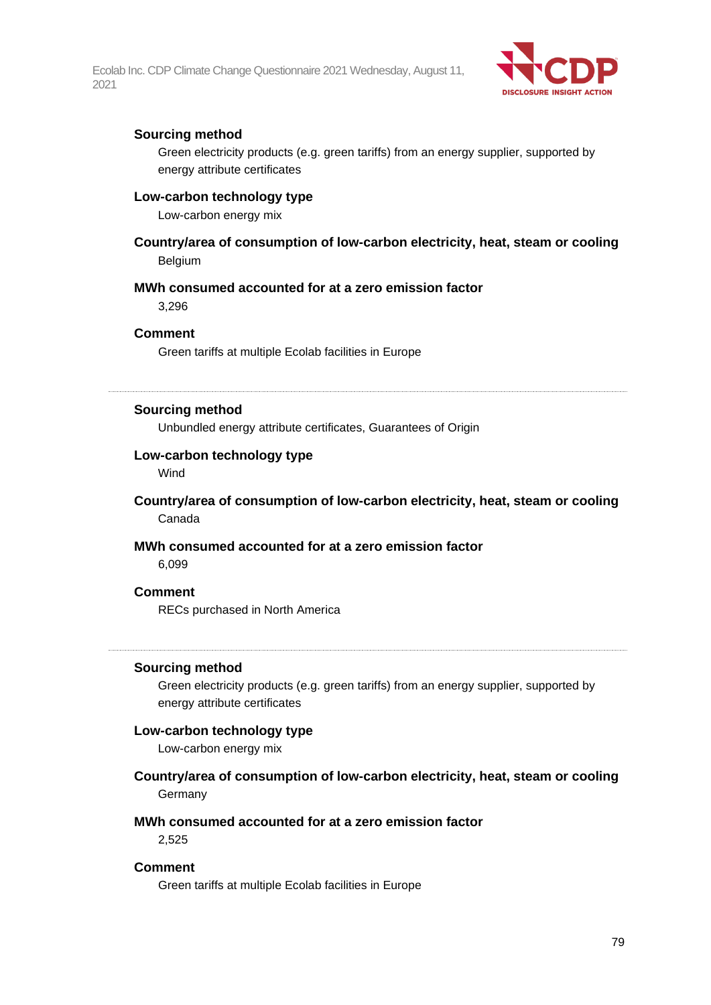

## **Sourcing method**

Green electricity products (e.g. green tariffs) from an energy supplier, supported by energy attribute certificates

#### **Low-carbon technology type**

Low-carbon energy mix

## **Country/area of consumption of low-carbon electricity, heat, steam or cooling** Belgium

#### **MWh consumed accounted for at a zero emission factor**

3,296

## **Comment**

Green tariffs at multiple Ecolab facilities in Europe

#### **Sourcing method**

Unbundled energy attribute certificates, Guarantees of Origin

#### **Low-carbon technology type**

Wind

### **Country/area of consumption of low-carbon electricity, heat, steam or cooling** Canada

#### **MWh consumed accounted for at a zero emission factor**

6,099

#### **Comment**

RECs purchased in North America

#### **Sourcing method**

Green electricity products (e.g. green tariffs) from an energy supplier, supported by energy attribute certificates

#### **Low-carbon technology type**

Low-carbon energy mix

#### **Country/area of consumption of low-carbon electricity, heat, steam or cooling** Germany

#### **MWh consumed accounted for at a zero emission factor**

2,525

#### **Comment**

Green tariffs at multiple Ecolab facilities in Europe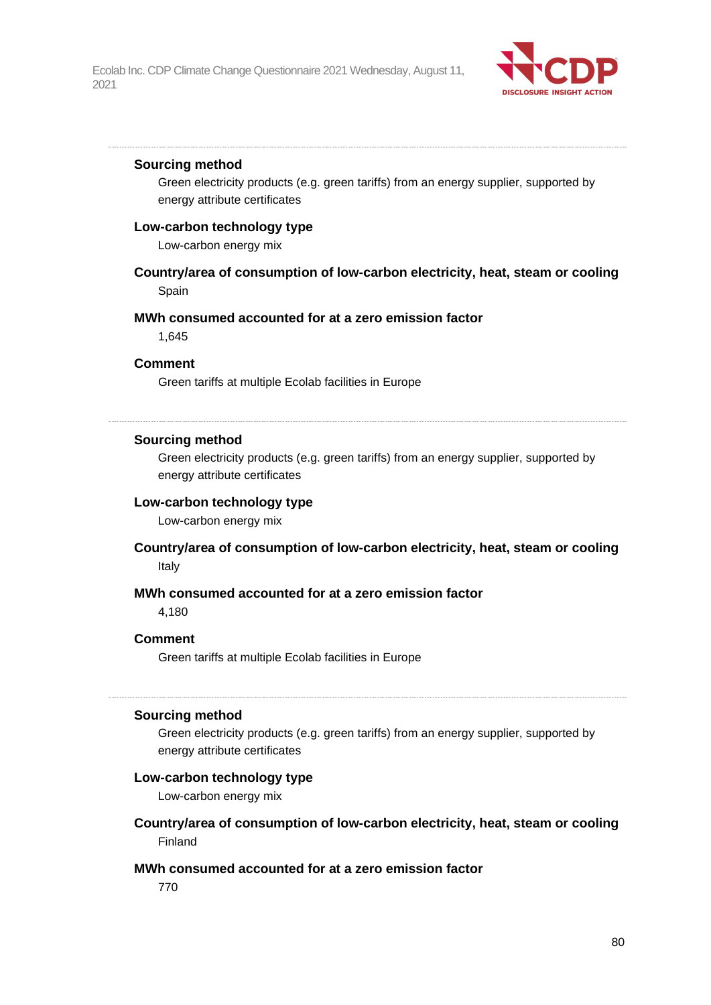

#### **Sourcing method**

Green electricity products (e.g. green tariffs) from an energy supplier, supported by energy attribute certificates

#### **Low-carbon technology type**

Low-carbon energy mix

### **Country/area of consumption of low-carbon electricity, heat, steam or cooling** Spain

#### **MWh consumed accounted for at a zero emission factor**

1,645

#### **Comment**

Green tariffs at multiple Ecolab facilities in Europe

#### **Sourcing method**

Green electricity products (e.g. green tariffs) from an energy supplier, supported by energy attribute certificates

## **Low-carbon technology type**

Low-carbon energy mix

#### **Country/area of consumption of low-carbon electricity, heat, steam or cooling** Italy

#### **MWh consumed accounted for at a zero emission factor**

4,180

#### **Comment**

Green tariffs at multiple Ecolab facilities in Europe

#### **Sourcing method**

Green electricity products (e.g. green tariffs) from an energy supplier, supported by energy attribute certificates

#### **Low-carbon technology type**

Low-carbon energy mix

**Country/area of consumption of low-carbon electricity, heat, steam or cooling** Finland

#### **MWh consumed accounted for at a zero emission factor**

770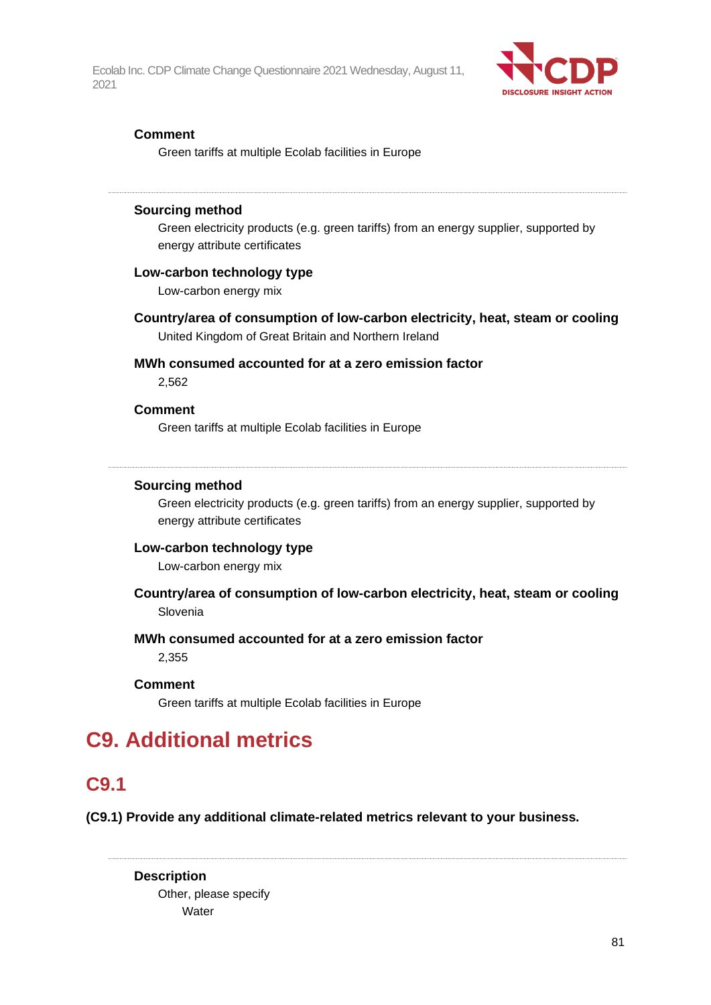

## **Comment**

Green tariffs at multiple Ecolab facilities in Europe

#### **Sourcing method**

Green electricity products (e.g. green tariffs) from an energy supplier, supported by energy attribute certificates

#### **Low-carbon technology type**

Low-carbon energy mix

**Country/area of consumption of low-carbon electricity, heat, steam or cooling** United Kingdom of Great Britain and Northern Ireland

## **MWh consumed accounted for at a zero emission factor**

2,562

#### **Comment**

Green tariffs at multiple Ecolab facilities in Europe

#### **Sourcing method**

Green electricity products (e.g. green tariffs) from an energy supplier, supported by energy attribute certificates

## **Low-carbon technology type**

Low-carbon energy mix

## **Country/area of consumption of low-carbon electricity, heat, steam or cooling** Slovenia

### **MWh consumed accounted for at a zero emission factor**

2,355

#### **Comment**

Green tariffs at multiple Ecolab facilities in Europe

# **C9. Additional metrics**

## **C9.1**

**(C9.1) Provide any additional climate-related metrics relevant to your business.**

**Description** Other, please specify **Water**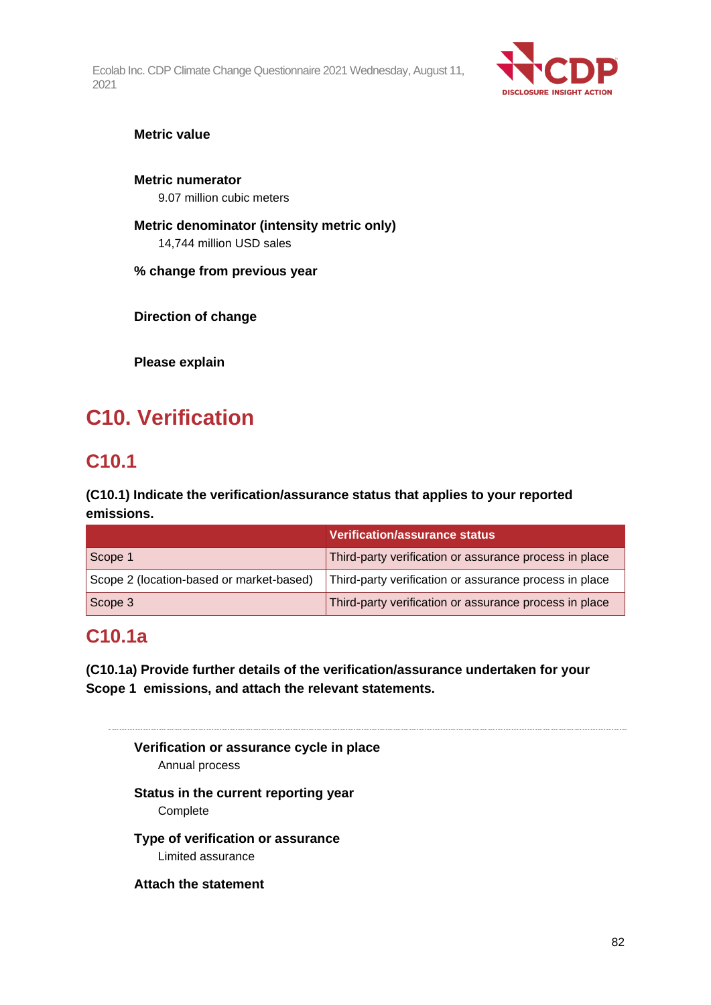

**Metric value**

**Metric numerator** 9.07 million cubic meters

**Metric denominator (intensity metric only)** 14,744 million USD sales

**% change from previous year**

**Direction of change**

**Please explain**

# **C10. Verification**

## **C10.1**

**(C10.1) Indicate the verification/assurance status that applies to your reported emissions.**

|                                          | <b>Verification/assurance status</b>                   |
|------------------------------------------|--------------------------------------------------------|
| Scope 1                                  | Third-party verification or assurance process in place |
| Scope 2 (location-based or market-based) | Third-party verification or assurance process in place |
| Scope 3                                  | Third-party verification or assurance process in place |

# **C10.1a**

**(C10.1a) Provide further details of the verification/assurance undertaken for your Scope 1 emissions, and attach the relevant statements.**

**Verification or assurance cycle in place** Annual process **Status in the current reporting year** Complete **Type of verification or assurance** Limited assurance **Attach the statement**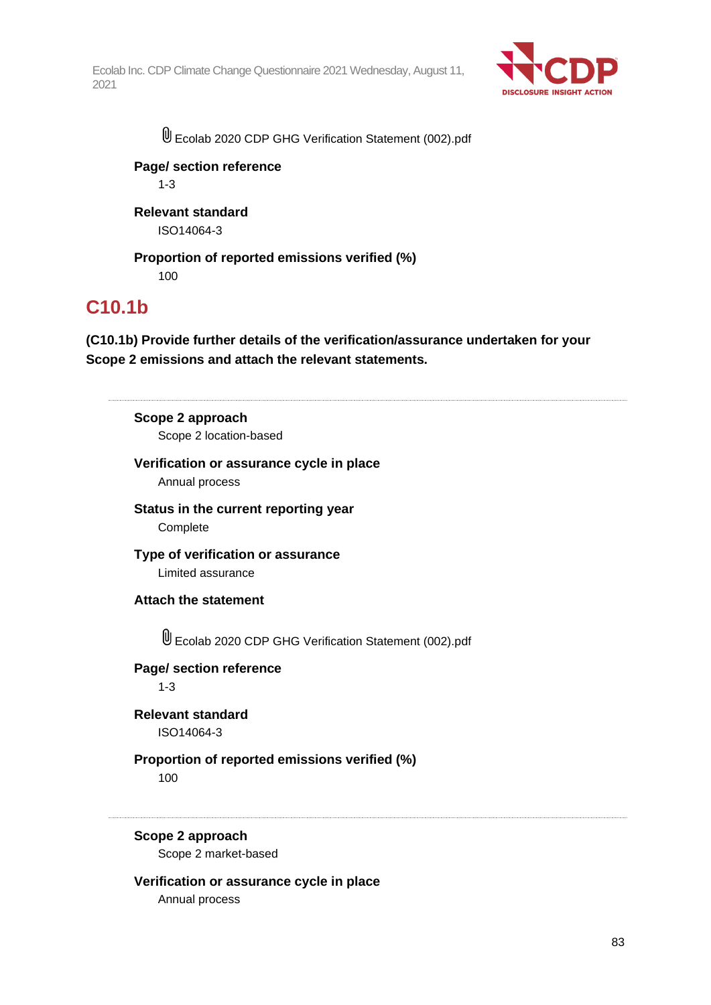

Ecolab 2020 CDP GHG Verification Statement (002).pdf

## **Page/ section reference**

1-3

## **Relevant standard** ISO14064-3

**Proportion of reported emissions verified (%)** 100

## **C10.1b**

**(C10.1b) Provide further details of the verification/assurance undertaken for your Scope 2 emissions and attach the relevant statements.**

# **Scope 2 approach**

Scope 2 location-based

## **Verification or assurance cycle in place**

Annual process

**Status in the current reporting year** Complete

**Type of verification or assurance** Limited assurance

## **Attach the statement**

U Ecolab 2020 CDP GHG Verification Statement (002).pdf

**Page/ section reference**

1-3

**Relevant standard** ISO14064-3

## **Proportion of reported emissions verified (%)**

100

## **Scope 2 approach**

Scope 2 market-based

## **Verification or assurance cycle in place**

Annual process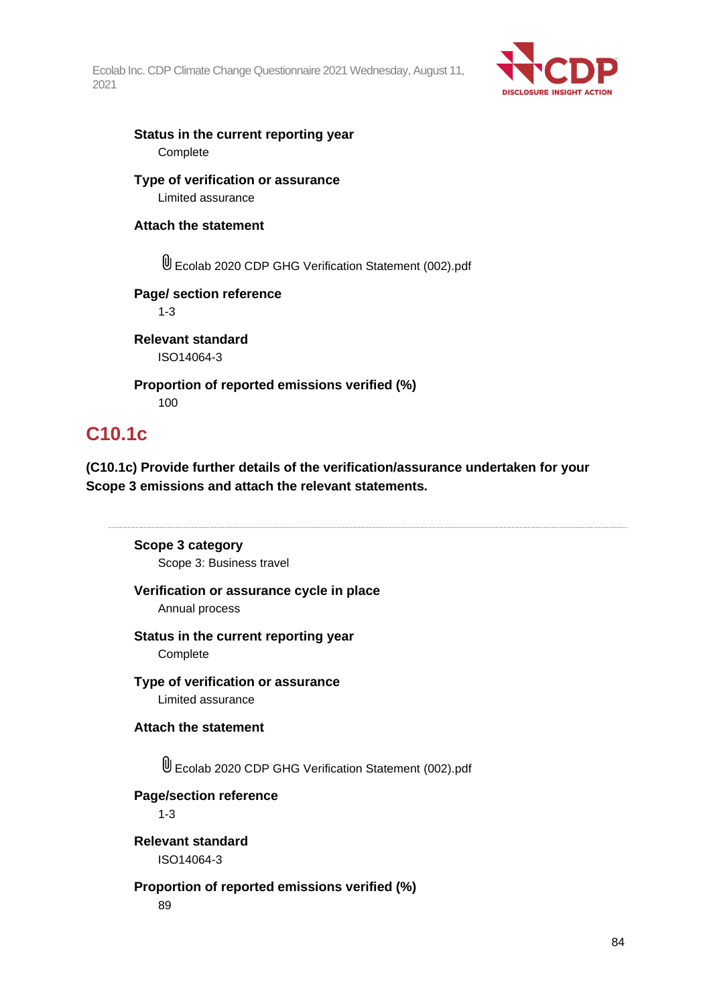

## **Status in the current reporting year Complete**

## **Type of verification or assurance** Limited assurance

## **Attach the statement**

Ecolab 2020 CDP GHG Verification Statement (002).pdf

## **Page/ section reference**

1-3

**Relevant standard** ISO14064-3

**Proportion of reported emissions verified (%)** 100

## **C10.1c**

**(C10.1c) Provide further details of the verification/assurance undertaken for your Scope 3 emissions and attach the relevant statements.**

## **Scope 3 category**

Scope 3: Business travel

## **Verification or assurance cycle in place**

Annual process

## **Status in the current reporting year**

**Complete** 

# **Type of verification or assurance**

Limited assurance

## **Attach the statement**

Ecolab 2020 CDP GHG Verification Statement (002).pdf

## **Page/section reference**

1-3

## **Relevant standard** ISO14064-3

**Proportion of reported emissions verified (%)** 89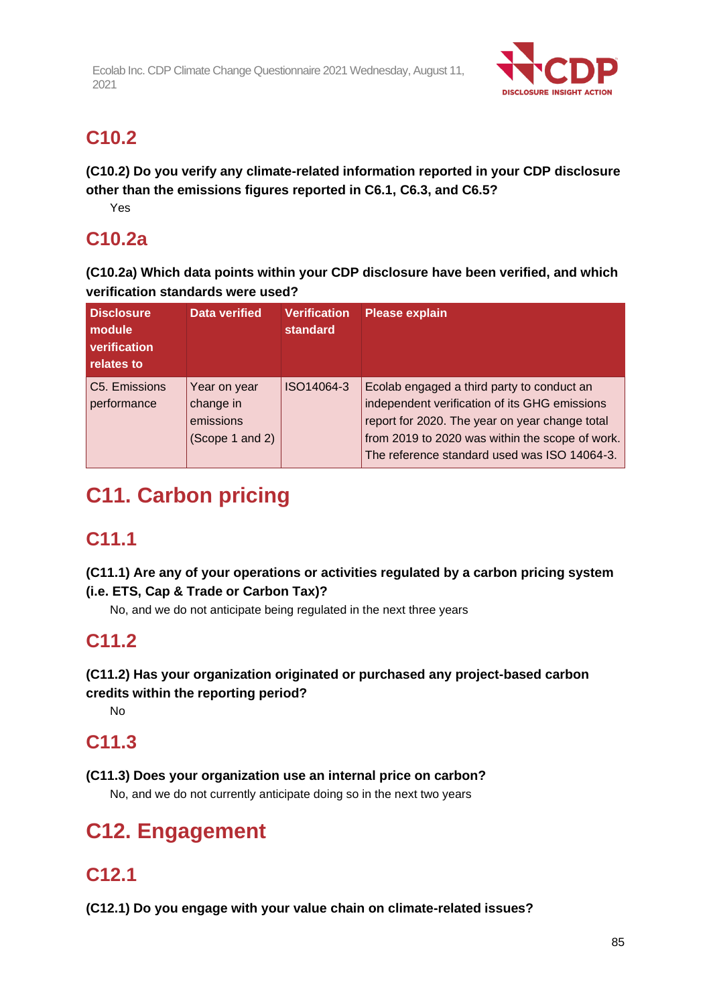

# **C10.2**

**(C10.2) Do you verify any climate-related information reported in your CDP disclosure other than the emissions figures reported in C6.1, C6.3, and C6.5?**

Yes

## **C10.2a**

**(C10.2a) Which data points within your CDP disclosure have been verified, and which verification standards were used?**

| <b>Disclosure</b><br>module<br>verification<br>relates to | <b>Data verified</b>                                      | <b>Verification</b><br><b>standard</b> | <b>Please explain</b>                                                                                                                                                                                                                            |
|-----------------------------------------------------------|-----------------------------------------------------------|----------------------------------------|--------------------------------------------------------------------------------------------------------------------------------------------------------------------------------------------------------------------------------------------------|
| C5. Emissions<br>performance                              | Year on year<br>change in<br>emissions<br>(Scope 1 and 2) | ISO14064-3                             | Ecolab engaged a third party to conduct an<br>independent verification of its GHG emissions<br>report for 2020. The year on year change total<br>from 2019 to 2020 was within the scope of work.<br>The reference standard used was ISO 14064-3. |

# **C11. Carbon pricing**

# **C11.1**

**(C11.1) Are any of your operations or activities regulated by a carbon pricing system (i.e. ETS, Cap & Trade or Carbon Tax)?**

No, and we do not anticipate being regulated in the next three years

# **C11.2**

## **(C11.2) Has your organization originated or purchased any project-based carbon**

**credits within the reporting period?**

No

## **C11.3**

**(C11.3) Does your organization use an internal price on carbon?**

No, and we do not currently anticipate doing so in the next two years

# **C12. Engagement**

# **C12.1**

**(C12.1) Do you engage with your value chain on climate-related issues?**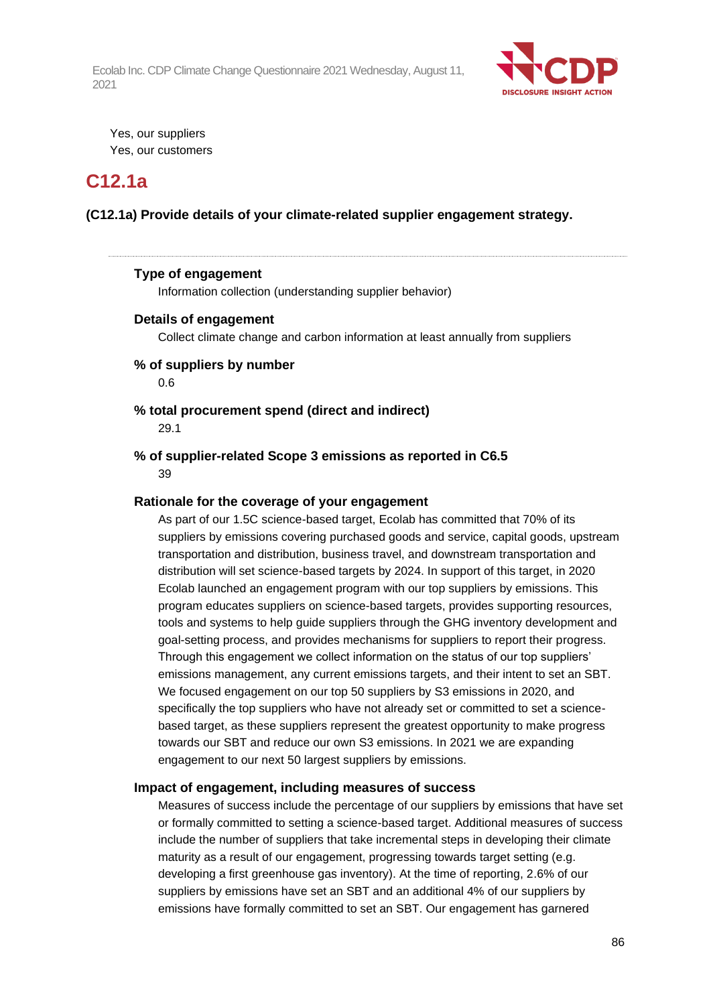

Yes, our suppliers Yes, our customers

## **C12.1a**

**(C12.1a) Provide details of your climate-related supplier engagement strategy.**

#### **Type of engagement**

Information collection (understanding supplier behavior)

#### **Details of engagement**

Collect climate change and carbon information at least annually from suppliers

#### **% of suppliers by number**

0.6

## **% total procurement spend (direct and indirect)**

29.1

#### **% of supplier-related Scope 3 emissions as reported in C6.5** 39

#### **Rationale for the coverage of your engagement**

As part of our 1.5C science-based target, Ecolab has committed that 70% of its suppliers by emissions covering purchased goods and service, capital goods, upstream transportation and distribution, business travel, and downstream transportation and distribution will set science-based targets by 2024. In support of this target, in 2020 Ecolab launched an engagement program with our top suppliers by emissions. This program educates suppliers on science-based targets, provides supporting resources, tools and systems to help guide suppliers through the GHG inventory development and goal-setting process, and provides mechanisms for suppliers to report their progress. Through this engagement we collect information on the status of our top suppliers' emissions management, any current emissions targets, and their intent to set an SBT. We focused engagement on our top 50 suppliers by S3 emissions in 2020, and specifically the top suppliers who have not already set or committed to set a sciencebased target, as these suppliers represent the greatest opportunity to make progress towards our SBT and reduce our own S3 emissions. In 2021 we are expanding engagement to our next 50 largest suppliers by emissions.

#### **Impact of engagement, including measures of success**

Measures of success include the percentage of our suppliers by emissions that have set or formally committed to setting a science-based target. Additional measures of success include the number of suppliers that take incremental steps in developing their climate maturity as a result of our engagement, progressing towards target setting (e.g. developing a first greenhouse gas inventory). At the time of reporting, 2.6% of our suppliers by emissions have set an SBT and an additional 4% of our suppliers by emissions have formally committed to set an SBT. Our engagement has garnered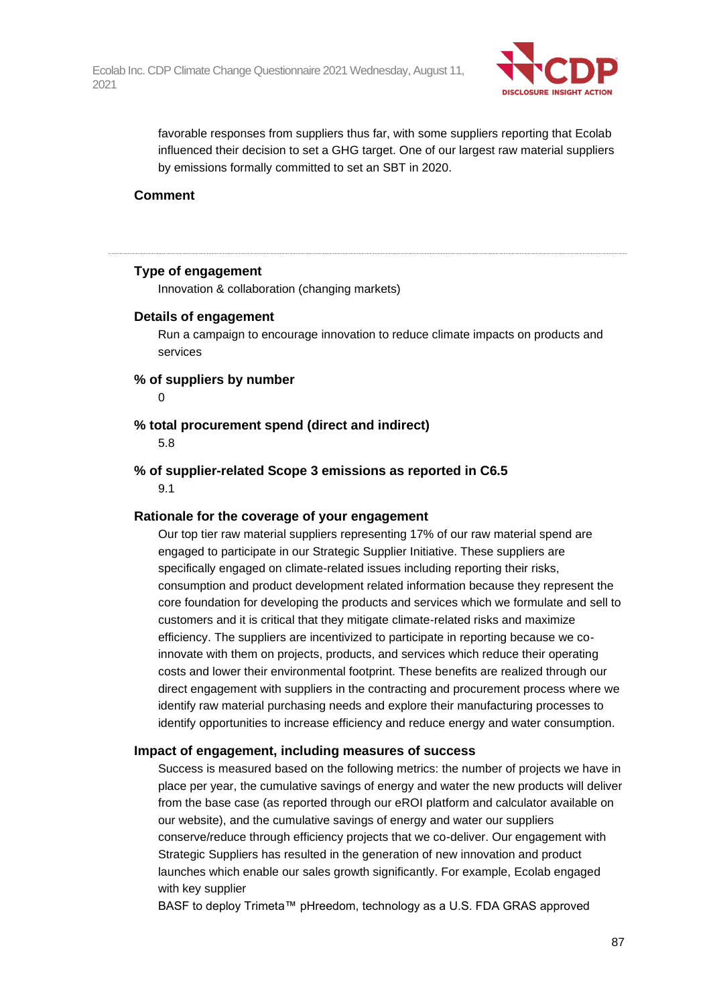

favorable responses from suppliers thus far, with some suppliers reporting that Ecolab influenced their decision to set a GHG target. One of our largest raw material suppliers by emissions formally committed to set an SBT in 2020.

#### **Comment**

#### **Type of engagement**

Innovation & collaboration (changing markets)

#### **Details of engagement**

Run a campaign to encourage innovation to reduce climate impacts on products and services

### **% of suppliers by number**

 $\Omega$ 

#### **% total procurement spend (direct and indirect)**

5.8

## **% of supplier-related Scope 3 emissions as reported in C6.5**

9.1

#### **Rationale for the coverage of your engagement**

Our top tier raw material suppliers representing 17% of our raw material spend are engaged to participate in our Strategic Supplier Initiative. These suppliers are specifically engaged on climate-related issues including reporting their risks, consumption and product development related information because they represent the core foundation for developing the products and services which we formulate and sell to customers and it is critical that they mitigate climate-related risks and maximize efficiency. The suppliers are incentivized to participate in reporting because we coinnovate with them on projects, products, and services which reduce their operating costs and lower their environmental footprint. These benefits are realized through our direct engagement with suppliers in the contracting and procurement process where we identify raw material purchasing needs and explore their manufacturing processes to identify opportunities to increase efficiency and reduce energy and water consumption.

#### **Impact of engagement, including measures of success**

Success is measured based on the following metrics: the number of projects we have in place per year, the cumulative savings of energy and water the new products will deliver from the base case (as reported through our eROI platform and calculator available on our website), and the cumulative savings of energy and water our suppliers conserve/reduce through efficiency projects that we co-deliver. Our engagement with Strategic Suppliers has resulted in the generation of new innovation and product launches which enable our sales growth significantly. For example, Ecolab engaged with key supplier

BASF to deploy Trimeta™ pHreedom, technology as a U.S. FDA GRAS approved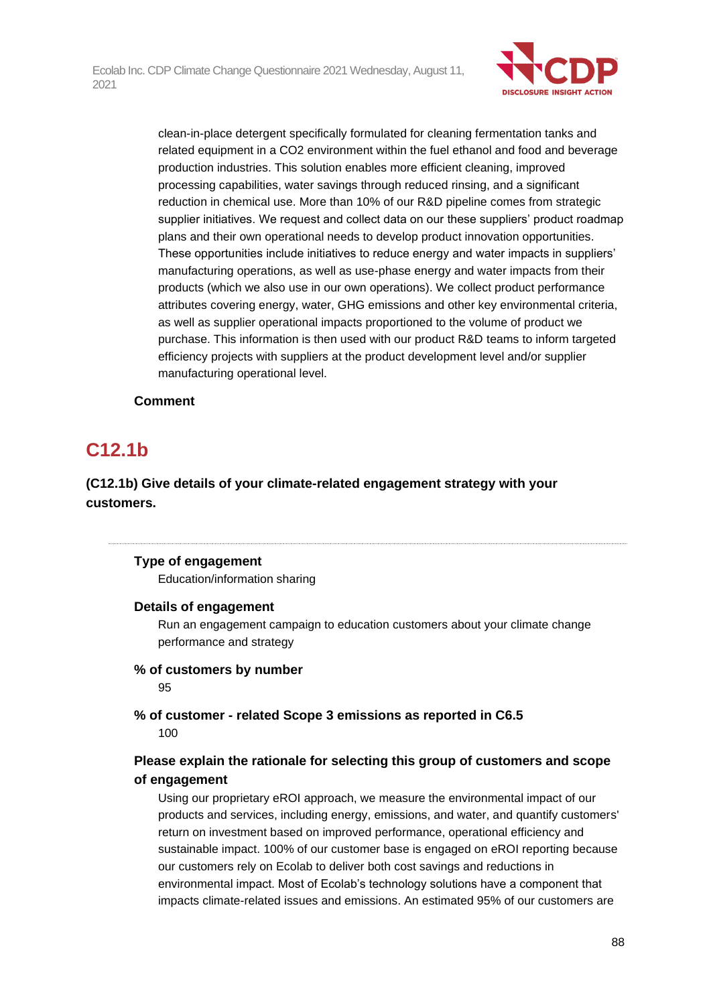

clean-in-place detergent specifically formulated for cleaning fermentation tanks and related equipment in a CO2 environment within the fuel ethanol and food and beverage production industries. This solution enables more efficient cleaning, improved processing capabilities, water savings through reduced rinsing, and a significant reduction in chemical use. More than 10% of our R&D pipeline comes from strategic supplier initiatives. We request and collect data on our these suppliers' product roadmap plans and their own operational needs to develop product innovation opportunities. These opportunities include initiatives to reduce energy and water impacts in suppliers' manufacturing operations, as well as use-phase energy and water impacts from their products (which we also use in our own operations). We collect product performance attributes covering energy, water, GHG emissions and other key environmental criteria, as well as supplier operational impacts proportioned to the volume of product we purchase. This information is then used with our product R&D teams to inform targeted efficiency projects with suppliers at the product development level and/or supplier manufacturing operational level.

## **Comment**

## **C12.1b**

## **(C12.1b) Give details of your climate-related engagement strategy with your customers.**

## **Type of engagement**

Education/information sharing

## **Details of engagement**

Run an engagement campaign to education customers about your climate change performance and strategy

## **% of customers by number**

95

## **% of customer - related Scope 3 emissions as reported in C6.5** 100

## **Please explain the rationale for selecting this group of customers and scope of engagement**

Using our proprietary eROI approach, we measure the environmental impact of our products and services, including energy, emissions, and water, and quantify customers' return on investment based on improved performance, operational efficiency and sustainable impact. 100% of our customer base is engaged on eROI reporting because our customers rely on Ecolab to deliver both cost savings and reductions in environmental impact. Most of Ecolab's technology solutions have a component that impacts climate-related issues and emissions. An estimated 95% of our customers are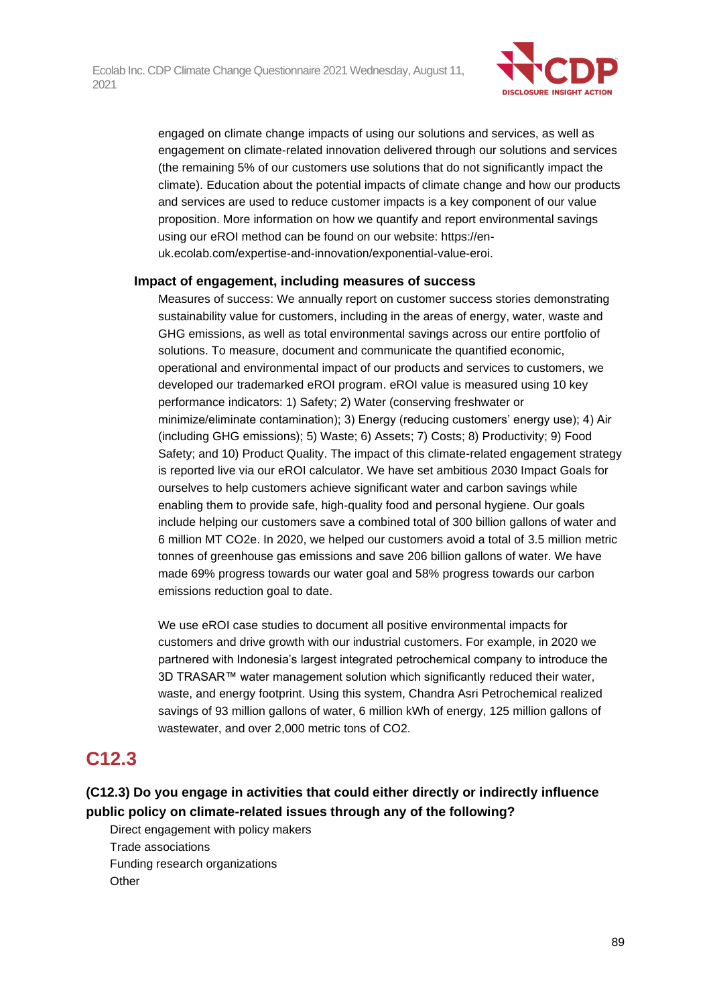

engaged on climate change impacts of using our solutions and services, as well as engagement on climate-related innovation delivered through our solutions and services (the remaining 5% of our customers use solutions that do not significantly impact the climate). Education about the potential impacts of climate change and how our products and services are used to reduce customer impacts is a key component of our value proposition. More information on how we quantify and report environmental savings using our eROI method can be found on our website: https://enuk.ecolab.com/expertise-and-innovation/exponential-value-eroi.

#### **Impact of engagement, including measures of success**

Measures of success: We annually report on customer success stories demonstrating sustainability value for customers, including in the areas of energy, water, waste and GHG emissions, as well as total environmental savings across our entire portfolio of solutions. To measure, document and communicate the quantified economic, operational and environmental impact of our products and services to customers, we developed our trademarked eROI program. eROI value is measured using 10 key performance indicators: 1) Safety; 2) Water (conserving freshwater or minimize/eliminate contamination); 3) Energy (reducing customers' energy use); 4) Air (including GHG emissions); 5) Waste; 6) Assets; 7) Costs; 8) Productivity; 9) Food Safety; and 10) Product Quality. The impact of this climate-related engagement strategy is reported live via our eROI calculator. We have set ambitious 2030 Impact Goals for ourselves to help customers achieve significant water and carbon savings while enabling them to provide safe, high-quality food and personal hygiene. Our goals include helping our customers save a combined total of 300 billion gallons of water and 6 million MT CO2e. In 2020, we helped our customers avoid a total of 3.5 million metric tonnes of greenhouse gas emissions and save 206 billion gallons of water. We have made 69% progress towards our water goal and 58% progress towards our carbon emissions reduction goal to date.

We use eROI case studies to document all positive environmental impacts for customers and drive growth with our industrial customers. For example, in 2020 we partnered with Indonesia's largest integrated petrochemical company to introduce the 3D TRASAR™ water management solution which significantly reduced their water, waste, and energy footprint. Using this system, Chandra Asri Petrochemical realized savings of 93 million gallons of water, 6 million kWh of energy, 125 million gallons of wastewater, and over 2,000 metric tons of CO2.

## **C12.3**

## **(C12.3) Do you engage in activities that could either directly or indirectly influence public policy on climate-related issues through any of the following?**

Direct engagement with policy makers Trade associations Funding research organizations **Other**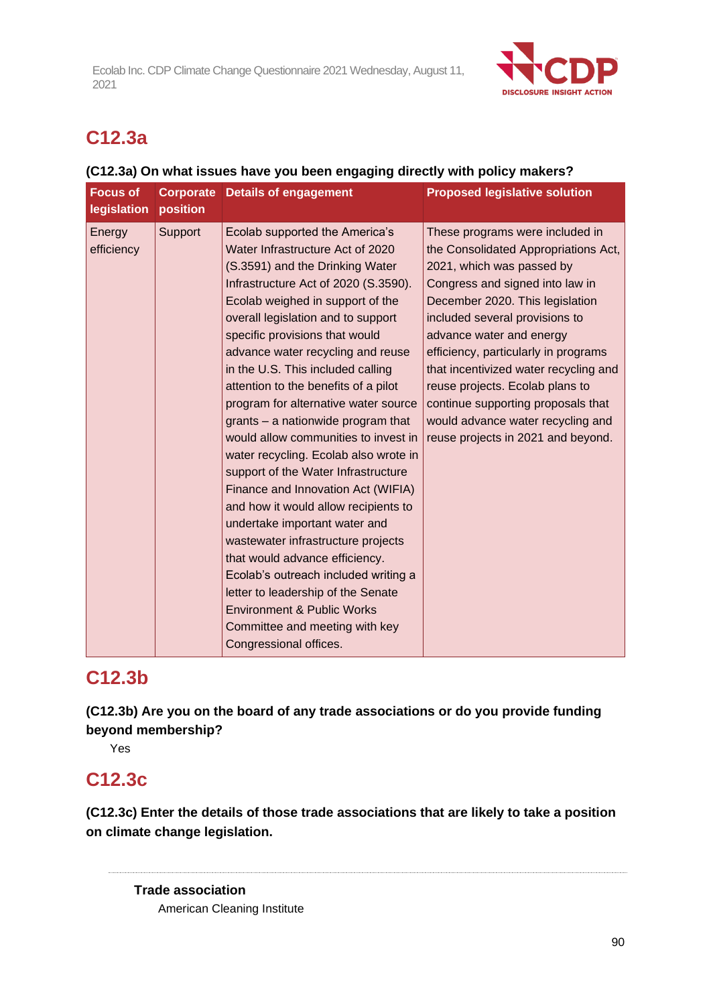

# **C12.3a**

## **(C12.3a) On what issues have you been engaging directly with policy makers?**

| <b>Focus of</b><br>legislation | <b>Corporate</b><br>position | <b>Details of engagement</b>                                                                                                                                                                                                                                                                                                                                                                                                                                                                                                                                                                                                                                                                                                                                                                                                                                                                                                                                | <b>Proposed legislative solution</b>                                                                                                                                                                                                                                                                                                                                                                                                                                          |
|--------------------------------|------------------------------|-------------------------------------------------------------------------------------------------------------------------------------------------------------------------------------------------------------------------------------------------------------------------------------------------------------------------------------------------------------------------------------------------------------------------------------------------------------------------------------------------------------------------------------------------------------------------------------------------------------------------------------------------------------------------------------------------------------------------------------------------------------------------------------------------------------------------------------------------------------------------------------------------------------------------------------------------------------|-------------------------------------------------------------------------------------------------------------------------------------------------------------------------------------------------------------------------------------------------------------------------------------------------------------------------------------------------------------------------------------------------------------------------------------------------------------------------------|
| Energy<br>efficiency           | Support                      | Ecolab supported the America's<br>Water Infrastructure Act of 2020<br>(S.3591) and the Drinking Water<br>Infrastructure Act of 2020 (S.3590).<br>Ecolab weighed in support of the<br>overall legislation and to support<br>specific provisions that would<br>advance water recycling and reuse<br>in the U.S. This included calling<br>attention to the benefits of a pilot<br>program for alternative water source<br>grants - a nationwide program that<br>would allow communities to invest in<br>water recycling. Ecolab also wrote in<br>support of the Water Infrastructure<br>Finance and Innovation Act (WIFIA)<br>and how it would allow recipients to<br>undertake important water and<br>wastewater infrastructure projects<br>that would advance efficiency.<br>Ecolab's outreach included writing a<br>letter to leadership of the Senate<br><b>Environment &amp; Public Works</b><br>Committee and meeting with key<br>Congressional offices. | These programs were included in<br>the Consolidated Appropriations Act,<br>2021, which was passed by<br>Congress and signed into law in<br>December 2020. This legislation<br>included several provisions to<br>advance water and energy<br>efficiency, particularly in programs<br>that incentivized water recycling and<br>reuse projects. Ecolab plans to<br>continue supporting proposals that<br>would advance water recycling and<br>reuse projects in 2021 and beyond. |

## **C12.3b**

**(C12.3b) Are you on the board of any trade associations or do you provide funding beyond membership?**

Yes

## **C12.3c**

**(C12.3c) Enter the details of those trade associations that are likely to take a position on climate change legislation.**

**Trade association** American Cleaning Institute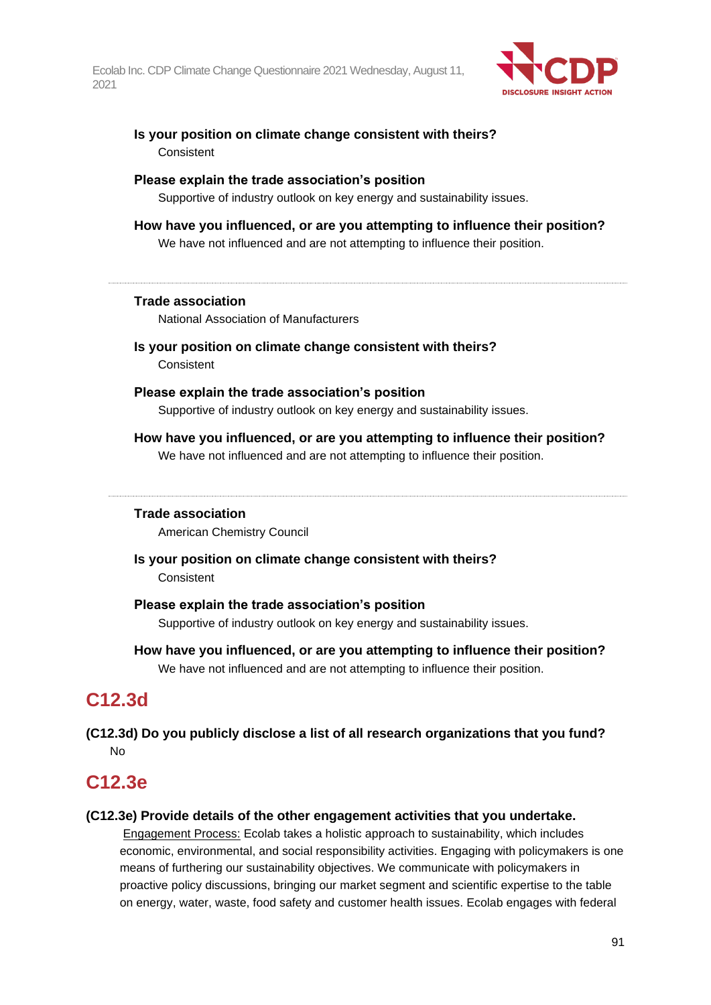

## **Is your position on climate change consistent with theirs? Consistent**

#### **Please explain the trade association's position**

Supportive of industry outlook on key energy and sustainability issues.

#### **How have you influenced, or are you attempting to influence their position?** We have not influenced and are not attempting to influence their position.

## **Trade association**

National Association of Manufacturers

**Is your position on climate change consistent with theirs?** Consistent

### **Please explain the trade association's position**

Supportive of industry outlook on key energy and sustainability issues.

### **How have you influenced, or are you attempting to influence their position?** We have not influenced and are not attempting to influence their position.

## **Trade association**

American Chemistry Council

## **Is your position on climate change consistent with theirs?** Consistent

#### **Please explain the trade association's position**

Supportive of industry outlook on key energy and sustainability issues.

**How have you influenced, or are you attempting to influence their position?** We have not influenced and are not attempting to influence their position.

## **C12.3d**

**(C12.3d) Do you publicly disclose a list of all research organizations that you fund?** No

## **C12.3e**

#### **(C12.3e) Provide details of the other engagement activities that you undertake.**

Engagement Process: Ecolab takes a holistic approach to sustainability, which includes economic, environmental, and social responsibility activities. Engaging with policymakers is one means of furthering our sustainability objectives. We communicate with policymakers in proactive policy discussions, bringing our market segment and scientific expertise to the table on energy, water, waste, food safety and customer health issues. Ecolab engages with federal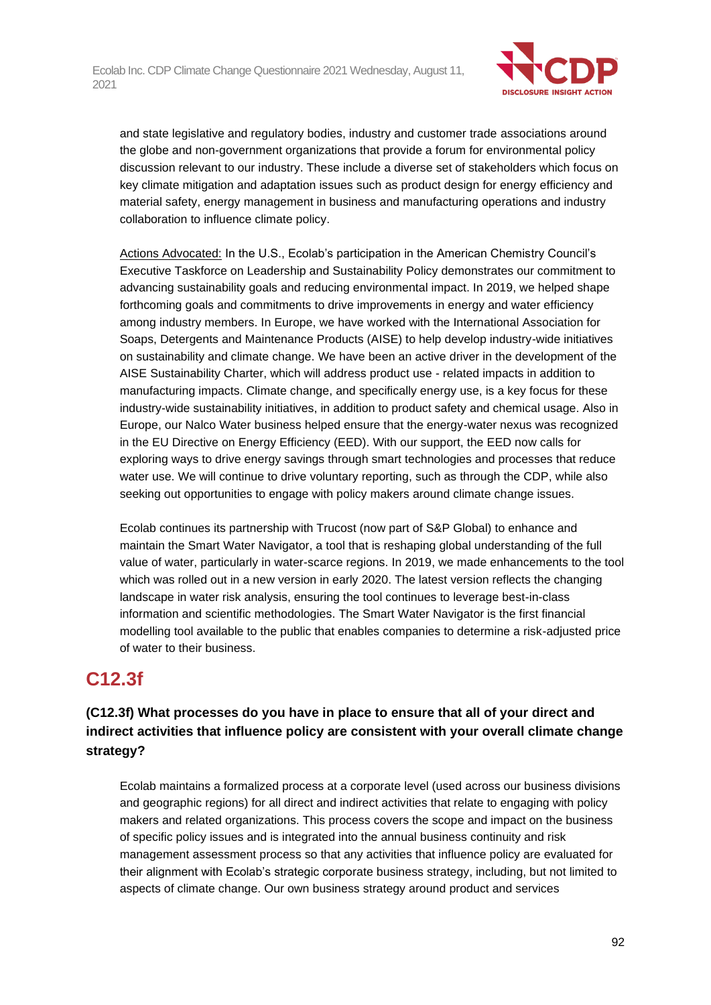

and state legislative and regulatory bodies, industry and customer trade associations around the globe and non-government organizations that provide a forum for environmental policy discussion relevant to our industry. These include a diverse set of stakeholders which focus on key climate mitigation and adaptation issues such as product design for energy efficiency and material safety, energy management in business and manufacturing operations and industry collaboration to influence climate policy.

Actions Advocated: In the U.S., Ecolab's participation in the American Chemistry Council's Executive Taskforce on Leadership and Sustainability Policy demonstrates our commitment to advancing sustainability goals and reducing environmental impact. In 2019, we helped shape forthcoming goals and commitments to drive improvements in energy and water efficiency among industry members. In Europe, we have worked with the International Association for Soaps, Detergents and Maintenance Products (AISE) to help develop industry-wide initiatives on sustainability and climate change. We have been an active driver in the development of the AISE Sustainability Charter, which will address product use - related impacts in addition to manufacturing impacts. Climate change, and specifically energy use, is a key focus for these industry-wide sustainability initiatives, in addition to product safety and chemical usage. Also in Europe, our Nalco Water business helped ensure that the energy-water nexus was recognized in the EU Directive on Energy Efficiency (EED). With our support, the EED now calls for exploring ways to drive energy savings through smart technologies and processes that reduce water use. We will continue to drive voluntary reporting, such as through the CDP, while also seeking out opportunities to engage with policy makers around climate change issues.

Ecolab continues its partnership with Trucost (now part of S&P Global) to enhance and maintain the Smart Water Navigator, a tool that is reshaping global understanding of the full value of water, particularly in water-scarce regions. In 2019, we made enhancements to the tool which was rolled out in a new version in early 2020. The latest version reflects the changing landscape in water risk analysis, ensuring the tool continues to leverage best-in-class information and scientific methodologies. The Smart Water Navigator is the first financial modelling tool available to the public that enables companies to determine a risk-adjusted price of water to their business.

# **C12.3f**

## **(C12.3f) What processes do you have in place to ensure that all of your direct and indirect activities that influence policy are consistent with your overall climate change strategy?**

Ecolab maintains a formalized process at a corporate level (used across our business divisions and geographic regions) for all direct and indirect activities that relate to engaging with policy makers and related organizations. This process covers the scope and impact on the business of specific policy issues and is integrated into the annual business continuity and risk management assessment process so that any activities that influence policy are evaluated for their alignment with Ecolab's strategic corporate business strategy, including, but not limited to aspects of climate change. Our own business strategy around product and services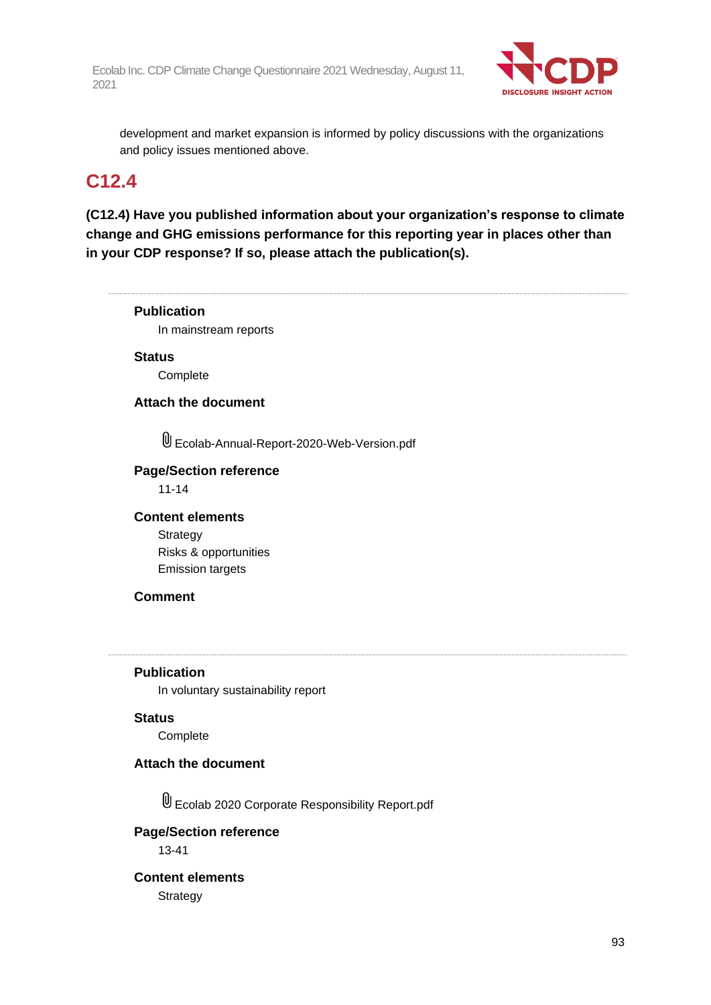

development and market expansion is informed by policy discussions with the organizations and policy issues mentioned above.

## **C12.4**

**(C12.4) Have you published information about your organization's response to climate change and GHG emissions performance for this reporting year in places other than in your CDP response? If so, please attach the publication(s).**

**Publication** In mainstream reports **Status Complete Attach the document** Ecolab-Annual-Report-2020-Web-Version.pdf **Page/Section reference** 11-14 **Content elements Strategy** Risks & opportunities Emission targets **Comment Publication** In voluntary sustainability report **Status Complete Attach the document** Ecolab 2020 Corporate Responsibility Report.pdf **Page/Section reference** 13-41 **Content elements Strategy**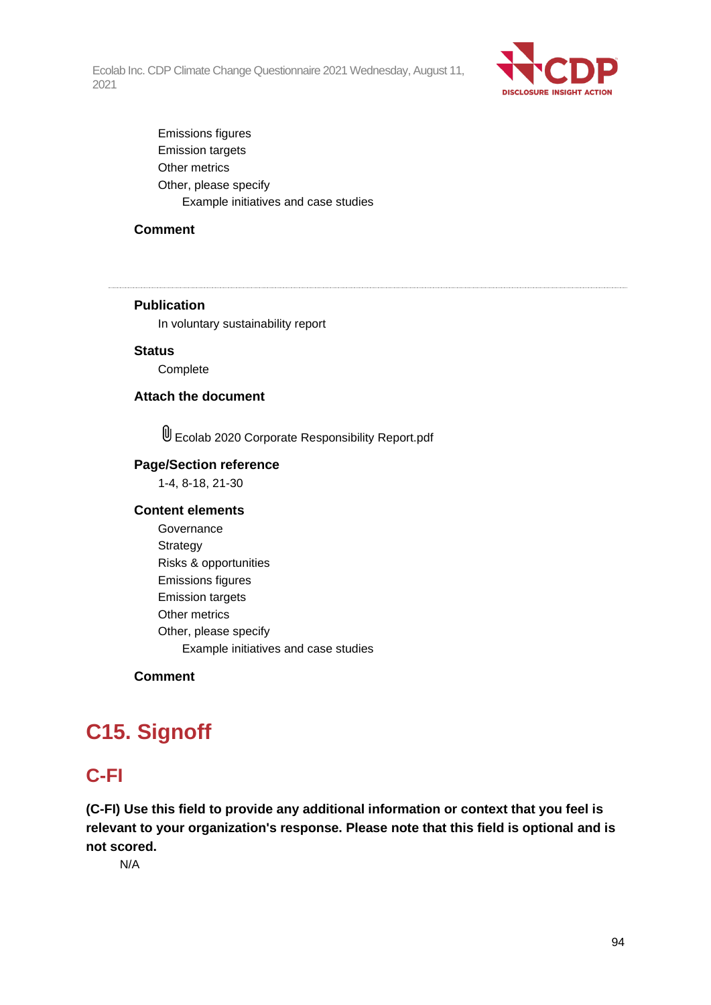

Emissions figures Emission targets Other metrics Other, please specify Example initiatives and case studies

## **Comment**

#### **Publication**

In voluntary sustainability report

#### **Status**

**Complete** 

## **Attach the document**

Ecolab 2020 Corporate Responsibility Report.pdf

#### **Page/Section reference**

1-4, 8-18, 21-30

#### **Content elements**

**Governance** Strategy Risks & opportunities Emissions figures Emission targets Other metrics Other, please specify Example initiatives and case studies

## **Comment**

# **C15. Signoff**

## **C-FI**

**(C-FI) Use this field to provide any additional information or context that you feel is relevant to your organization's response. Please note that this field is optional and is not scored.**

N/A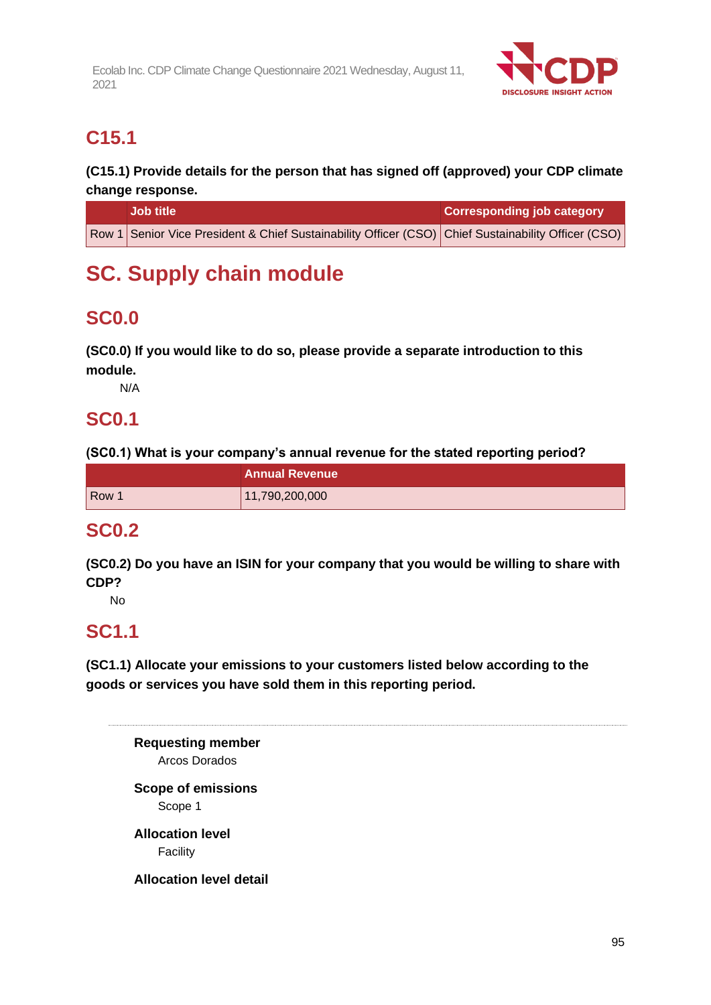

# **C15.1**

**(C15.1) Provide details for the person that has signed off (approved) your CDP climate change response.**

| <b>Job title</b>                                                                                    | <b>Corresponding job category</b> |
|-----------------------------------------------------------------------------------------------------|-----------------------------------|
| Row 1 Senior Vice President & Chief Sustainability Officer (CSO) Chief Sustainability Officer (CSO) |                                   |

# **SC. Supply chain module**

# **SC0.0**

**(SC0.0) If you would like to do so, please provide a separate introduction to this module.**

N/A

# **SC0.1**

**(SC0.1) What is your company's annual revenue for the stated reporting period?**

|       | <b>Annual Revenue</b> |
|-------|-----------------------|
| Row 1 | 11,790,200,000        |

# **SC0.2**

**(SC0.2) Do you have an ISIN for your company that you would be willing to share with CDP?**

No

# **SC1.1**

**(SC1.1) Allocate your emissions to your customers listed below according to the goods or services you have sold them in this reporting period.**

**Requesting member** Arcos Dorados **Scope of emissions** Scope 1 **Allocation level** Facility

**Allocation level detail**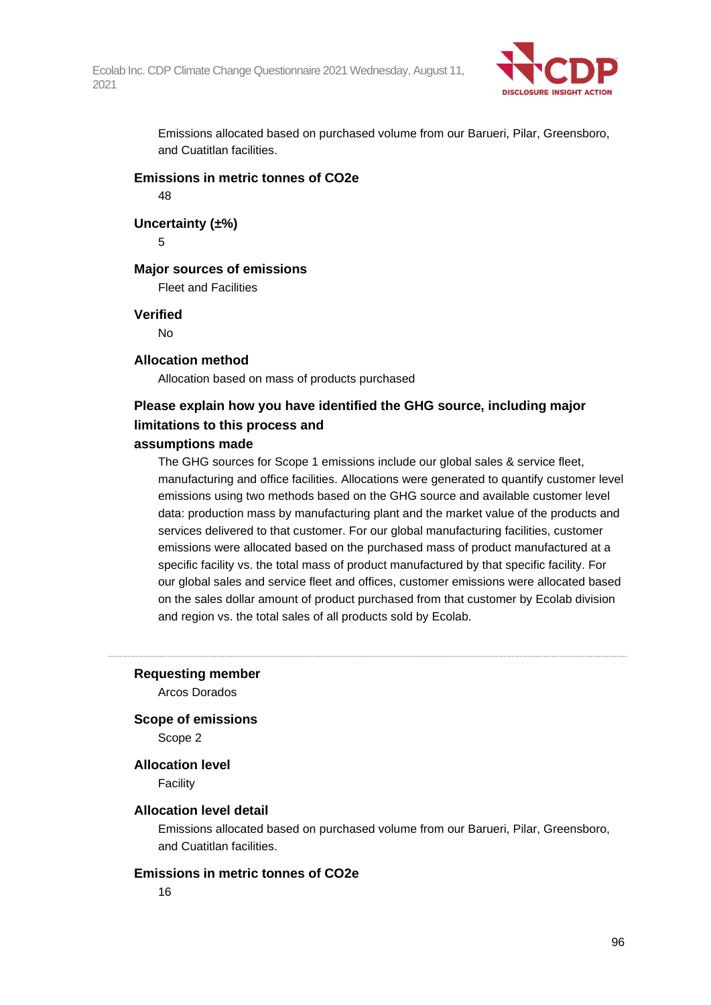

Emissions allocated based on purchased volume from our Barueri, Pilar, Greensboro, and Cuatitlan facilities.

## **Emissions in metric tonnes of CO2e**

48

**Uncertainty (±%)**

5

#### **Major sources of emissions**

Fleet and Facilities

#### **Verified**

No

#### **Allocation method**

Allocation based on mass of products purchased

## **Please explain how you have identified the GHG source, including major limitations to this process and**

#### **assumptions made**

The GHG sources for Scope 1 emissions include our global sales & service fleet, manufacturing and office facilities. Allocations were generated to quantify customer level emissions using two methods based on the GHG source and available customer level data: production mass by manufacturing plant and the market value of the products and services delivered to that customer. For our global manufacturing facilities, customer emissions were allocated based on the purchased mass of product manufactured at a specific facility vs. the total mass of product manufactured by that specific facility. For our global sales and service fleet and offices, customer emissions were allocated based on the sales dollar amount of product purchased from that customer by Ecolab division and region vs. the total sales of all products sold by Ecolab.

#### **Requesting member**

Arcos Dorados

#### **Scope of emissions**

Scope 2

#### **Allocation level**

Facility

#### **Allocation level detail**

Emissions allocated based on purchased volume from our Barueri, Pilar, Greensboro, and Cuatitlan facilities.

### **Emissions in metric tonnes of CO2e**

16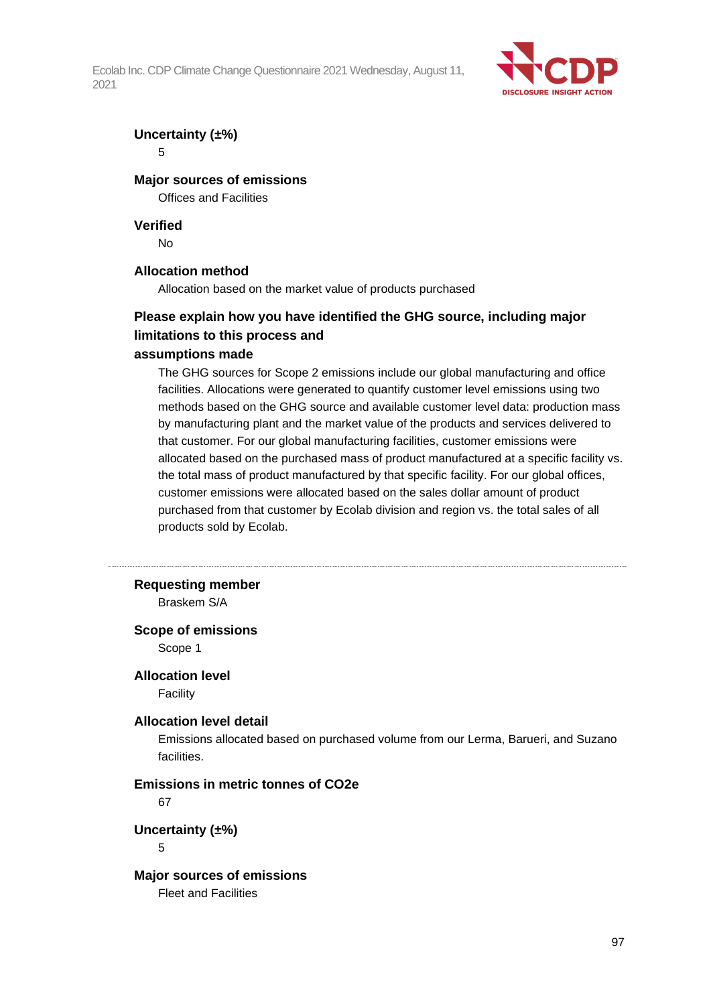

### **Uncertainty (±%)**

5

## **Major sources of emissions**

Offices and Facilities

#### **Verified**

No

#### **Allocation method**

Allocation based on the market value of products purchased

## **Please explain how you have identified the GHG source, including major limitations to this process and**

#### **assumptions made**

The GHG sources for Scope 2 emissions include our global manufacturing and office facilities. Allocations were generated to quantify customer level emissions using two methods based on the GHG source and available customer level data: production mass by manufacturing plant and the market value of the products and services delivered to that customer. For our global manufacturing facilities, customer emissions were allocated based on the purchased mass of product manufactured at a specific facility vs. the total mass of product manufactured by that specific facility. For our global offices, customer emissions were allocated based on the sales dollar amount of product purchased from that customer by Ecolab division and region vs. the total sales of all products sold by Ecolab.

#### **Requesting member**

Braskem S/A

#### **Scope of emissions**

Scope 1

## **Allocation level**

Facility

#### **Allocation level detail**

Emissions allocated based on purchased volume from our Lerma, Barueri, and Suzano facilities.

## **Emissions in metric tonnes of CO2e**

67

**Uncertainty (±%)**

5

## **Major sources of emissions**

Fleet and Facilities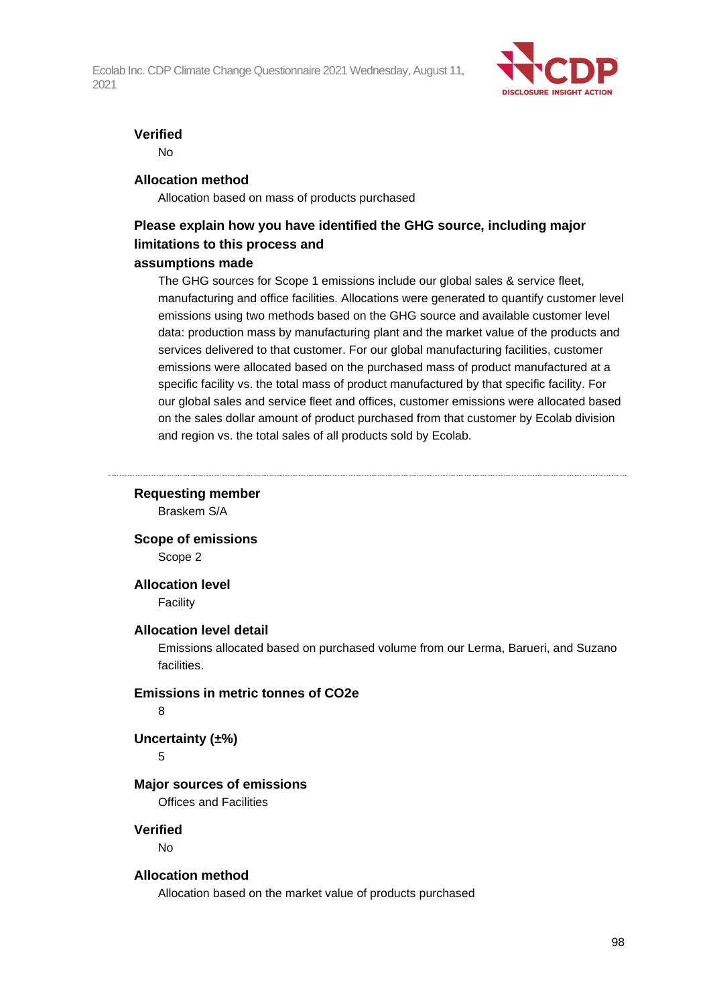

#### **Verified**

No

#### **Allocation method**

Allocation based on mass of products purchased

## **Please explain how you have identified the GHG source, including major limitations to this process and**

#### **assumptions made**

The GHG sources for Scope 1 emissions include our global sales & service fleet, manufacturing and office facilities. Allocations were generated to quantify customer level emissions using two methods based on the GHG source and available customer level data: production mass by manufacturing plant and the market value of the products and services delivered to that customer. For our global manufacturing facilities, customer emissions were allocated based on the purchased mass of product manufactured at a specific facility vs. the total mass of product manufactured by that specific facility. For our global sales and service fleet and offices, customer emissions were allocated based on the sales dollar amount of product purchased from that customer by Ecolab division and region vs. the total sales of all products sold by Ecolab.

## **Requesting member**

Braskem S/A

**Scope of emissions** Scope 2

## **Allocation level**

**Facility** 

#### **Allocation level detail**

Emissions allocated based on purchased volume from our Lerma, Barueri, and Suzano facilities.

#### **Emissions in metric tonnes of CO2e**

8

## **Uncertainty (±%)**

5

#### **Major sources of emissions**

Offices and Facilities

## **Verified**

No

#### **Allocation method**

Allocation based on the market value of products purchased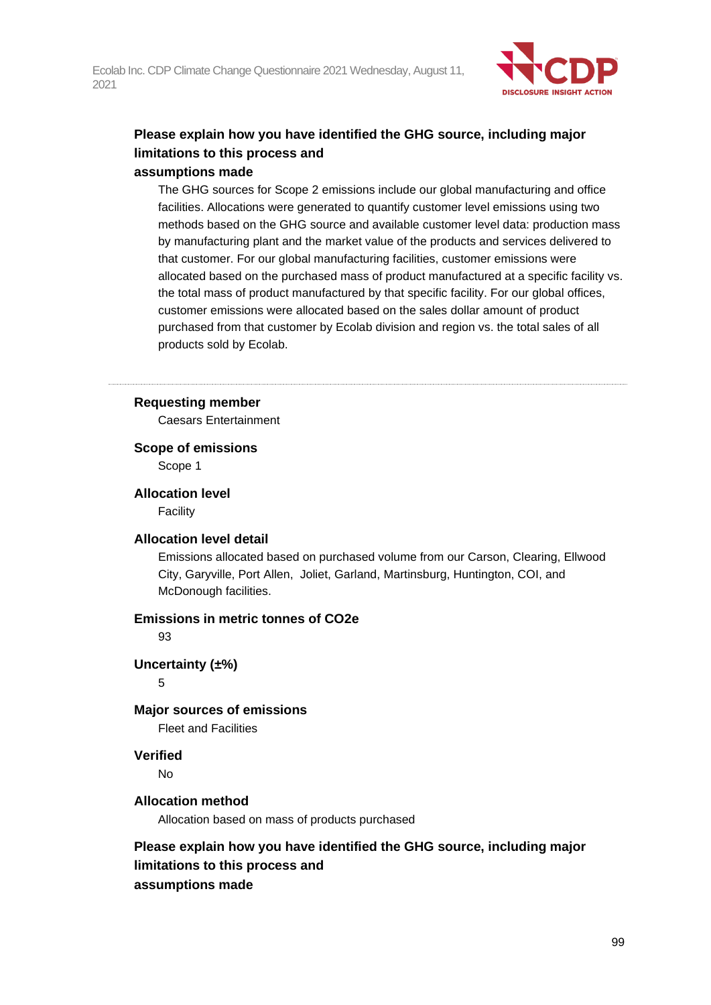

## **Please explain how you have identified the GHG source, including major limitations to this process and assumptions made**

## The GHG sources for Scope 2 emissions include our global manufacturing and office facilities. Allocations were generated to quantify customer level emissions using two methods based on the GHG source and available customer level data: production mass by manufacturing plant and the market value of the products and services delivered to that customer. For our global manufacturing facilities, customer emissions were allocated based on the purchased mass of product manufactured at a specific facility vs. the total mass of product manufactured by that specific facility. For our global offices, customer emissions were allocated based on the sales dollar amount of product purchased from that customer by Ecolab division and region vs. the total sales of all products sold by Ecolab.

#### **Requesting member**

Caesars Entertainment

#### **Scope of emissions**

Scope 1

#### **Allocation level**

Facility

#### **Allocation level detail**

Emissions allocated based on purchased volume from our Carson, Clearing, Ellwood City, Garyville, Port Allen, Joliet, Garland, Martinsburg, Huntington, COI, and McDonough facilities.

## **Emissions in metric tonnes of CO2e**

93

## **Uncertainty (±%)**

5

## **Major sources of emissions**

Fleet and Facilities

## **Verified**

No

## **Allocation method**

Allocation based on mass of products purchased

## **Please explain how you have identified the GHG source, including major limitations to this process and assumptions made**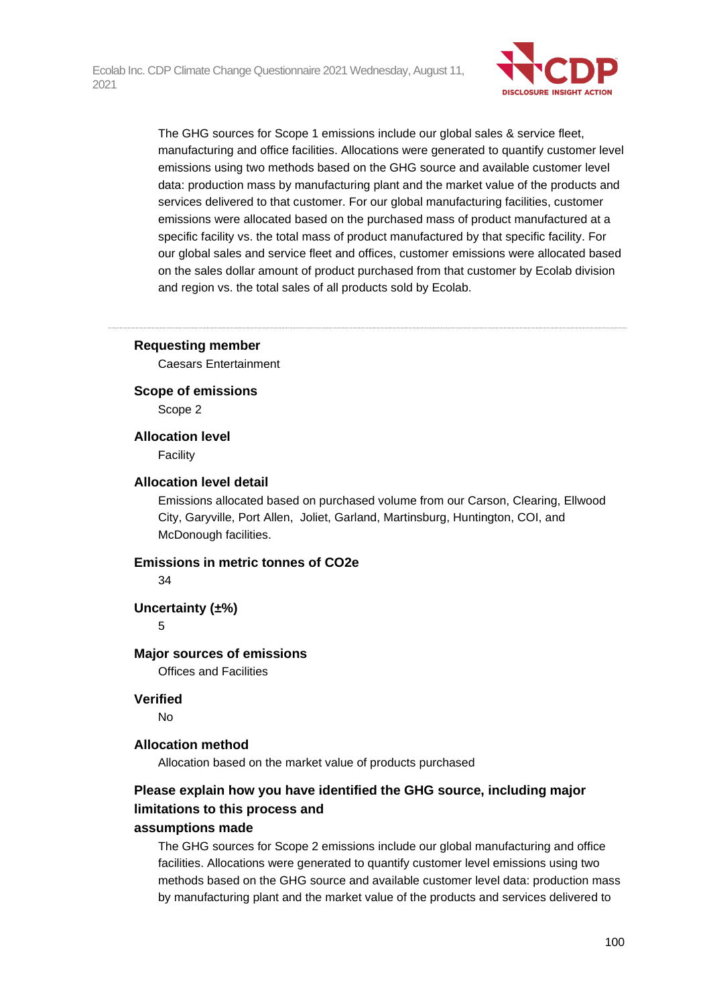

The GHG sources for Scope 1 emissions include our global sales & service fleet, manufacturing and office facilities. Allocations were generated to quantify customer level emissions using two methods based on the GHG source and available customer level data: production mass by manufacturing plant and the market value of the products and services delivered to that customer. For our global manufacturing facilities, customer emissions were allocated based on the purchased mass of product manufactured at a specific facility vs. the total mass of product manufactured by that specific facility. For our global sales and service fleet and offices, customer emissions were allocated based on the sales dollar amount of product purchased from that customer by Ecolab division and region vs. the total sales of all products sold by Ecolab.

#### **Requesting member**

Caesars Entertainment

**Scope of emissions**

Scope 2

**Allocation level**

Facility

#### **Allocation level detail**

Emissions allocated based on purchased volume from our Carson, Clearing, Ellwood City, Garyville, Port Allen, Joliet, Garland, Martinsburg, Huntington, COI, and McDonough facilities.

#### **Emissions in metric tonnes of CO2e**

34

**Uncertainty (±%)**

#### 5

#### **Major sources of emissions**

Offices and Facilities

#### **Verified**

No

#### **Allocation method**

Allocation based on the market value of products purchased

## **Please explain how you have identified the GHG source, including major limitations to this process and**

#### **assumptions made**

The GHG sources for Scope 2 emissions include our global manufacturing and office facilities. Allocations were generated to quantify customer level emissions using two methods based on the GHG source and available customer level data: production mass by manufacturing plant and the market value of the products and services delivered to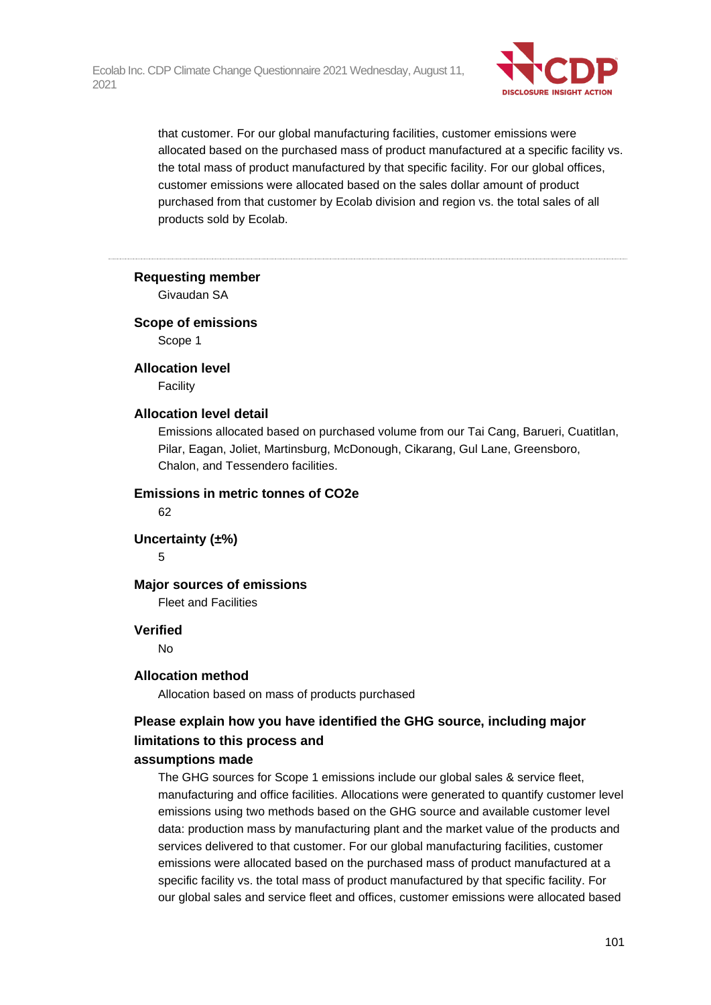

that customer. For our global manufacturing facilities, customer emissions were allocated based on the purchased mass of product manufactured at a specific facility vs. the total mass of product manufactured by that specific facility. For our global offices, customer emissions were allocated based on the sales dollar amount of product purchased from that customer by Ecolab division and region vs. the total sales of all products sold by Ecolab.

#### **Requesting member**

Givaudan SA

#### **Scope of emissions**

Scope 1

#### **Allocation level**

Facility

#### **Allocation level detail**

Emissions allocated based on purchased volume from our Tai Cang, Barueri, Cuatitlan, Pilar, Eagan, Joliet, Martinsburg, McDonough, Cikarang, Gul Lane, Greensboro, Chalon, and Tessendero facilities.

## **Emissions in metric tonnes of CO2e**

62

#### **Uncertainty (±%)**

5

#### **Major sources of emissions**

Fleet and Facilities

#### **Verified**

No

#### **Allocation method**

Allocation based on mass of products purchased

## **Please explain how you have identified the GHG source, including major limitations to this process and**

#### **assumptions made**

The GHG sources for Scope 1 emissions include our global sales & service fleet, manufacturing and office facilities. Allocations were generated to quantify customer level emissions using two methods based on the GHG source and available customer level data: production mass by manufacturing plant and the market value of the products and services delivered to that customer. For our global manufacturing facilities, customer emissions were allocated based on the purchased mass of product manufactured at a specific facility vs. the total mass of product manufactured by that specific facility. For our global sales and service fleet and offices, customer emissions were allocated based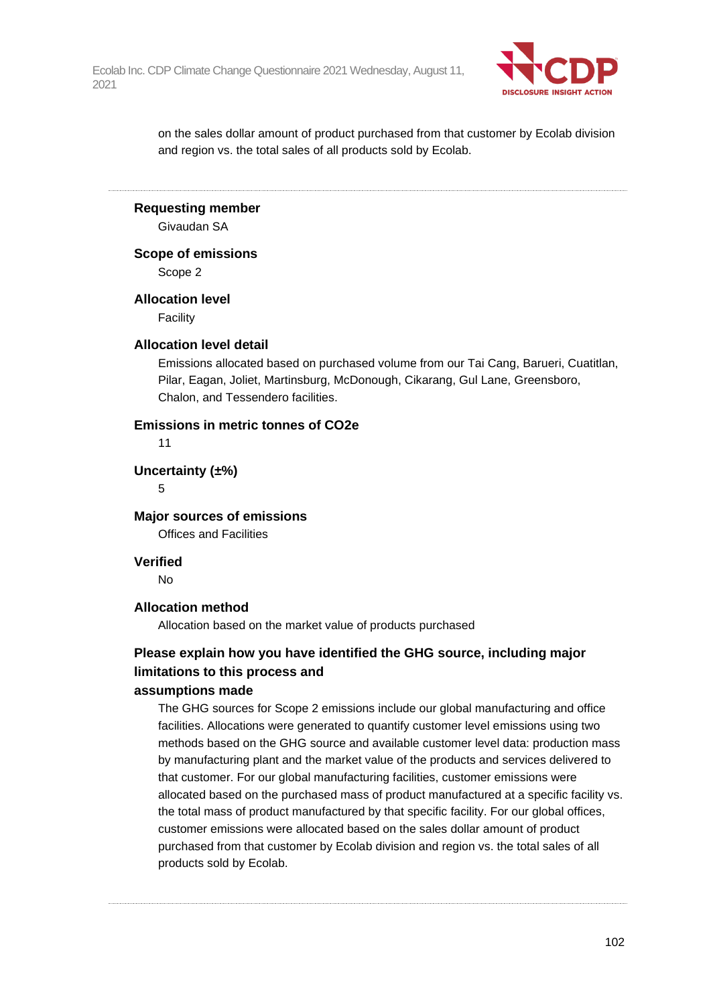

on the sales dollar amount of product purchased from that customer by Ecolab division and region vs. the total sales of all products sold by Ecolab.

**Requesting member**

Givaudan SA

**Scope of emissions**

Scope 2

**Allocation level**

Facility

#### **Allocation level detail**

Emissions allocated based on purchased volume from our Tai Cang, Barueri, Cuatitlan, Pilar, Eagan, Joliet, Martinsburg, McDonough, Cikarang, Gul Lane, Greensboro, Chalon, and Tessendero facilities.

#### **Emissions in metric tonnes of CO2e**

11

**Uncertainty (±%)**

5

**Major sources of emissions**

Offices and Facilities

#### **Verified**

No

#### **Allocation method**

Allocation based on the market value of products purchased

## **Please explain how you have identified the GHG source, including major limitations to this process and**

#### **assumptions made**

The GHG sources for Scope 2 emissions include our global manufacturing and office facilities. Allocations were generated to quantify customer level emissions using two methods based on the GHG source and available customer level data: production mass by manufacturing plant and the market value of the products and services delivered to that customer. For our global manufacturing facilities, customer emissions were allocated based on the purchased mass of product manufactured at a specific facility vs. the total mass of product manufactured by that specific facility. For our global offices, customer emissions were allocated based on the sales dollar amount of product purchased from that customer by Ecolab division and region vs. the total sales of all products sold by Ecolab.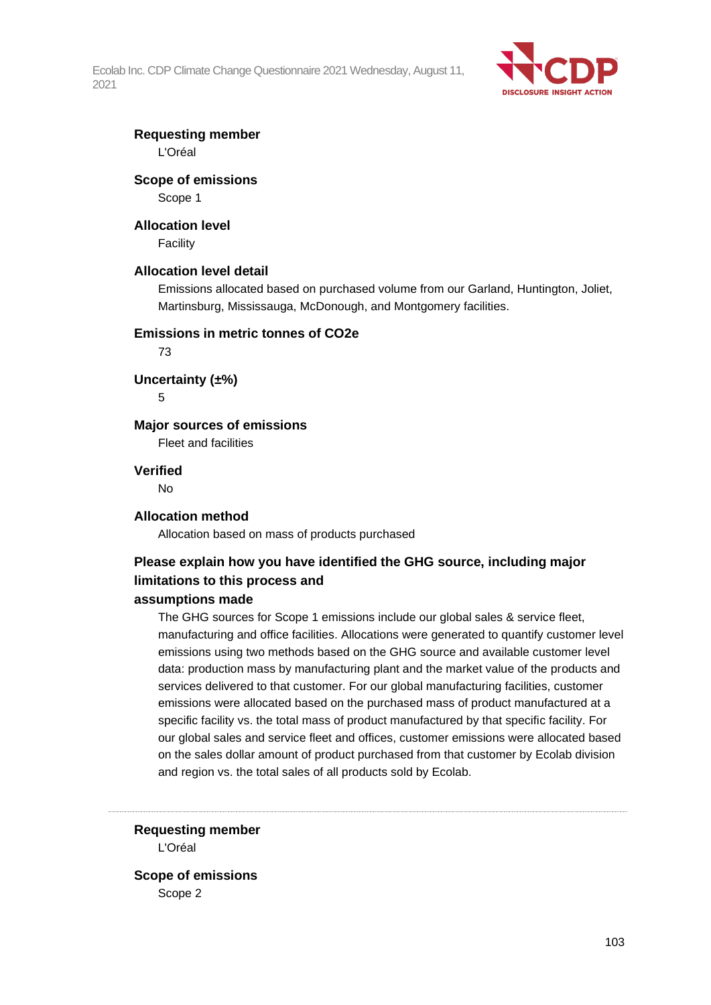

## **Requesting member**

L'Oréal

#### **Scope of emissions**

Scope 1

#### **Allocation level**

Facility

#### **Allocation level detail**

Emissions allocated based on purchased volume from our Garland, Huntington, Joliet, Martinsburg, Mississauga, McDonough, and Montgomery facilities.

#### **Emissions in metric tonnes of CO2e**

73

**Uncertainty (±%)**

5

### **Major sources of emissions**

Fleet and facilities

#### **Verified**

No

#### **Allocation method**

Allocation based on mass of products purchased

## **Please explain how you have identified the GHG source, including major limitations to this process and**

#### **assumptions made**

The GHG sources for Scope 1 emissions include our global sales & service fleet, manufacturing and office facilities. Allocations were generated to quantify customer level emissions using two methods based on the GHG source and available customer level data: production mass by manufacturing plant and the market value of the products and services delivered to that customer. For our global manufacturing facilities, customer emissions were allocated based on the purchased mass of product manufactured at a specific facility vs. the total mass of product manufactured by that specific facility. For our global sales and service fleet and offices, customer emissions were allocated based on the sales dollar amount of product purchased from that customer by Ecolab division and region vs. the total sales of all products sold by Ecolab.

**Requesting member** L'Oréal

**Scope of emissions** Scope 2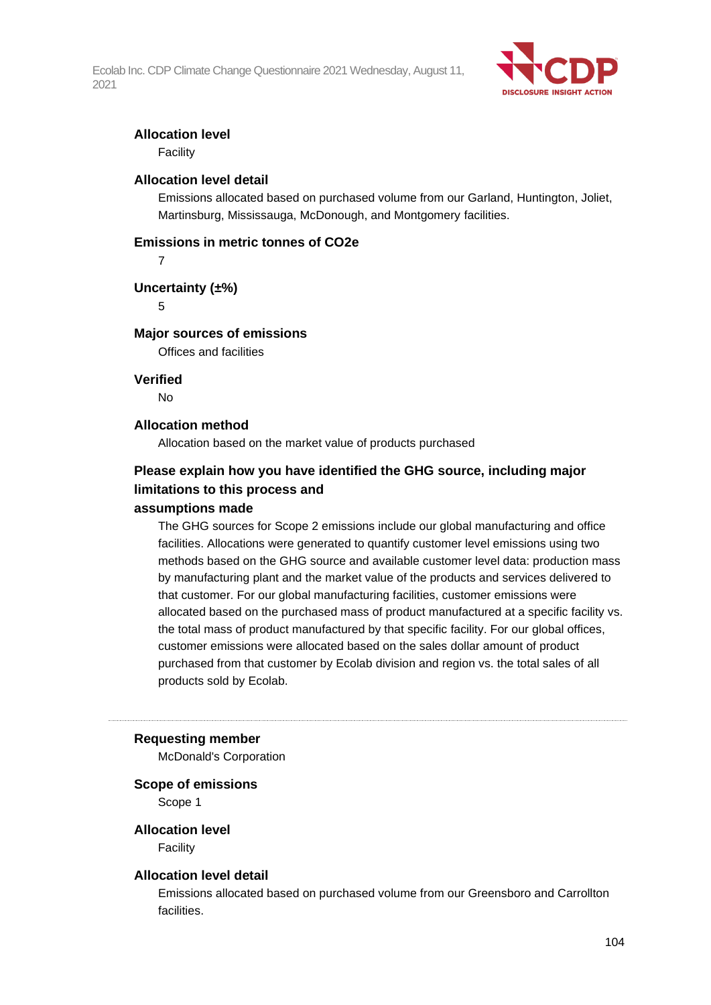

#### **Allocation level**

Facility

#### **Allocation level detail**

Emissions allocated based on purchased volume from our Garland, Huntington, Joliet, Martinsburg, Mississauga, McDonough, and Montgomery facilities.

### **Emissions in metric tonnes of CO2e**

 $\overline{z}$ 

## **Uncertainty (±%)**

5

## **Major sources of emissions**

Offices and facilities

#### **Verified**

No

#### **Allocation method**

Allocation based on the market value of products purchased

## **Please explain how you have identified the GHG source, including major limitations to this process and**

#### **assumptions made**

The GHG sources for Scope 2 emissions include our global manufacturing and office facilities. Allocations were generated to quantify customer level emissions using two methods based on the GHG source and available customer level data: production mass by manufacturing plant and the market value of the products and services delivered to that customer. For our global manufacturing facilities, customer emissions were allocated based on the purchased mass of product manufactured at a specific facility vs. the total mass of product manufactured by that specific facility. For our global offices, customer emissions were allocated based on the sales dollar amount of product purchased from that customer by Ecolab division and region vs. the total sales of all products sold by Ecolab.

#### **Requesting member**

McDonald's Corporation

#### **Scope of emissions**

Scope 1

## **Allocation level**

Facility

#### **Allocation level detail**

Emissions allocated based on purchased volume from our Greensboro and Carrollton facilities.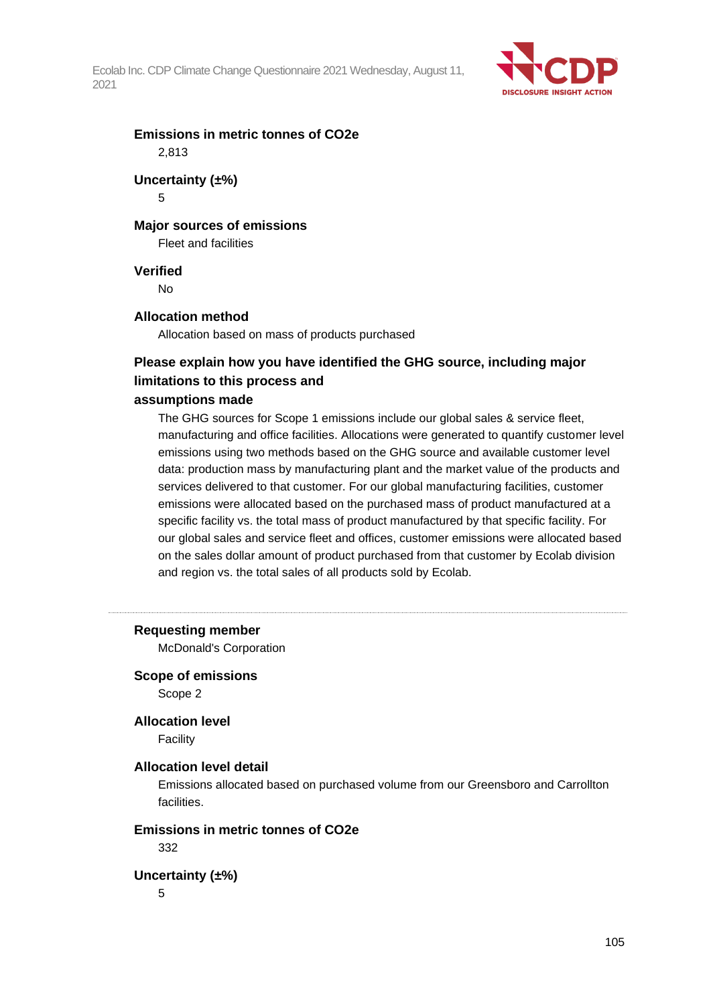

## **Emissions in metric tonnes of CO2e** 2,813

# **Uncertainty (±%)**

5

## **Major sources of emissions**

Fleet and facilities

## **Verified**

No

## **Allocation method**

Allocation based on mass of products purchased

## **Please explain how you have identified the GHG source, including major limitations to this process and**

## **assumptions made**

The GHG sources for Scope 1 emissions include our global sales & service fleet, manufacturing and office facilities. Allocations were generated to quantify customer level emissions using two methods based on the GHG source and available customer level data: production mass by manufacturing plant and the market value of the products and services delivered to that customer. For our global manufacturing facilities, customer emissions were allocated based on the purchased mass of product manufactured at a specific facility vs. the total mass of product manufactured by that specific facility. For our global sales and service fleet and offices, customer emissions were allocated based on the sales dollar amount of product purchased from that customer by Ecolab division and region vs. the total sales of all products sold by Ecolab.

#### **Requesting member**

McDonald's Corporation

## **Scope of emissions**

Scope 2

## **Allocation level**

Facility

## **Allocation level detail**

Emissions allocated based on purchased volume from our Greensboro and Carrollton facilities.

## **Emissions in metric tonnes of CO2e**

332

## **Uncertainty (±%)**

5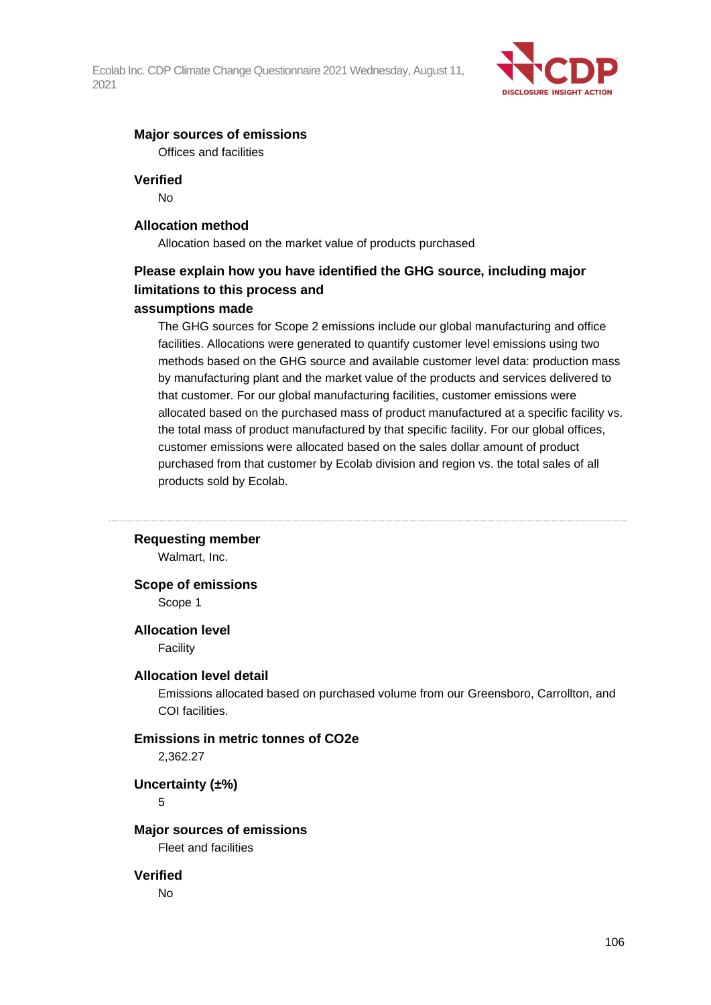

#### **Major sources of emissions**

Offices and facilities

#### **Verified**

No

#### **Allocation method**

Allocation based on the market value of products purchased

## **Please explain how you have identified the GHG source, including major limitations to this process and**

### **assumptions made**

The GHG sources for Scope 2 emissions include our global manufacturing and office facilities. Allocations were generated to quantify customer level emissions using two methods based on the GHG source and available customer level data: production mass by manufacturing plant and the market value of the products and services delivered to that customer. For our global manufacturing facilities, customer emissions were allocated based on the purchased mass of product manufactured at a specific facility vs. the total mass of product manufactured by that specific facility. For our global offices, customer emissions were allocated based on the sales dollar amount of product purchased from that customer by Ecolab division and region vs. the total sales of all products sold by Ecolab.

#### **Requesting member**

Walmart, Inc.

#### **Scope of emissions**

Scope 1

#### **Allocation level**

Facility

#### **Allocation level detail**

Emissions allocated based on purchased volume from our Greensboro, Carrollton, and COI facilities.

## **Emissions in metric tonnes of CO2e**

2,362.27

**Uncertainty (±%)**

## 5

## **Major sources of emissions**

Fleet and facilities

#### **Verified**

No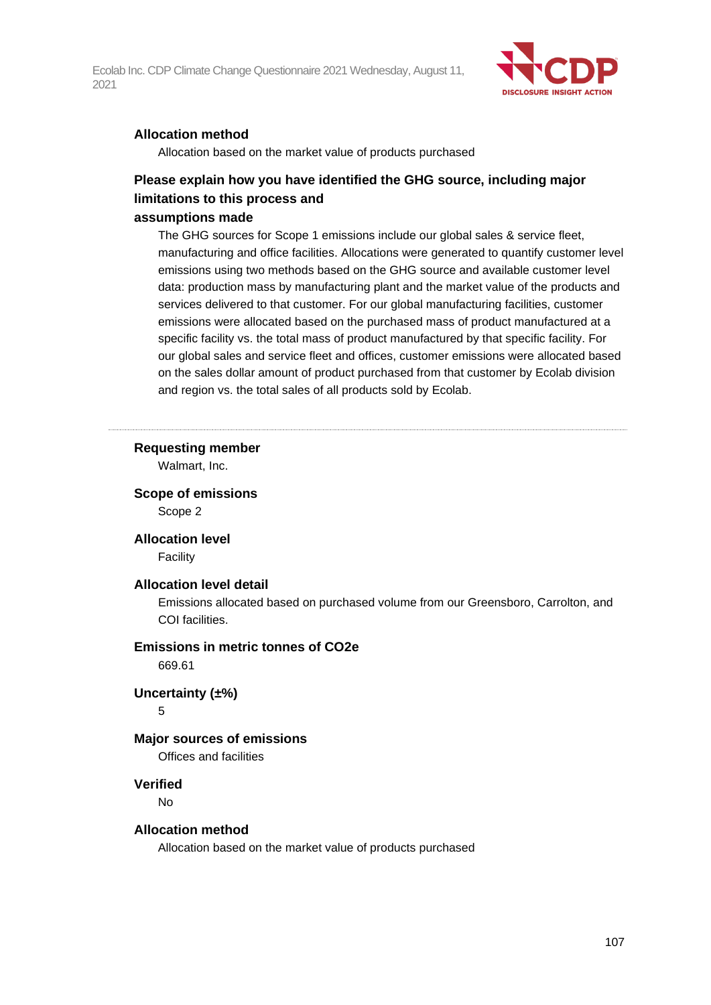

### **Allocation method**

Allocation based on the market value of products purchased

## **Please explain how you have identified the GHG source, including major limitations to this process and**

#### **assumptions made**

The GHG sources for Scope 1 emissions include our global sales & service fleet, manufacturing and office facilities. Allocations were generated to quantify customer level emissions using two methods based on the GHG source and available customer level data: production mass by manufacturing plant and the market value of the products and services delivered to that customer. For our global manufacturing facilities, customer emissions were allocated based on the purchased mass of product manufactured at a specific facility vs. the total mass of product manufactured by that specific facility. For our global sales and service fleet and offices, customer emissions were allocated based on the sales dollar amount of product purchased from that customer by Ecolab division and region vs. the total sales of all products sold by Ecolab.

#### **Requesting member**

Walmart, Inc.

## **Scope of emissions**

Scope 2

#### **Allocation level**

Facility

#### **Allocation level detail**

Emissions allocated based on purchased volume from our Greensboro, Carrolton, and COI facilities.

#### **Emissions in metric tonnes of CO2e**

669.61

#### **Uncertainty (±%)**

5

#### **Major sources of emissions**

Offices and facilities

#### **Verified**

No

#### **Allocation method**

Allocation based on the market value of products purchased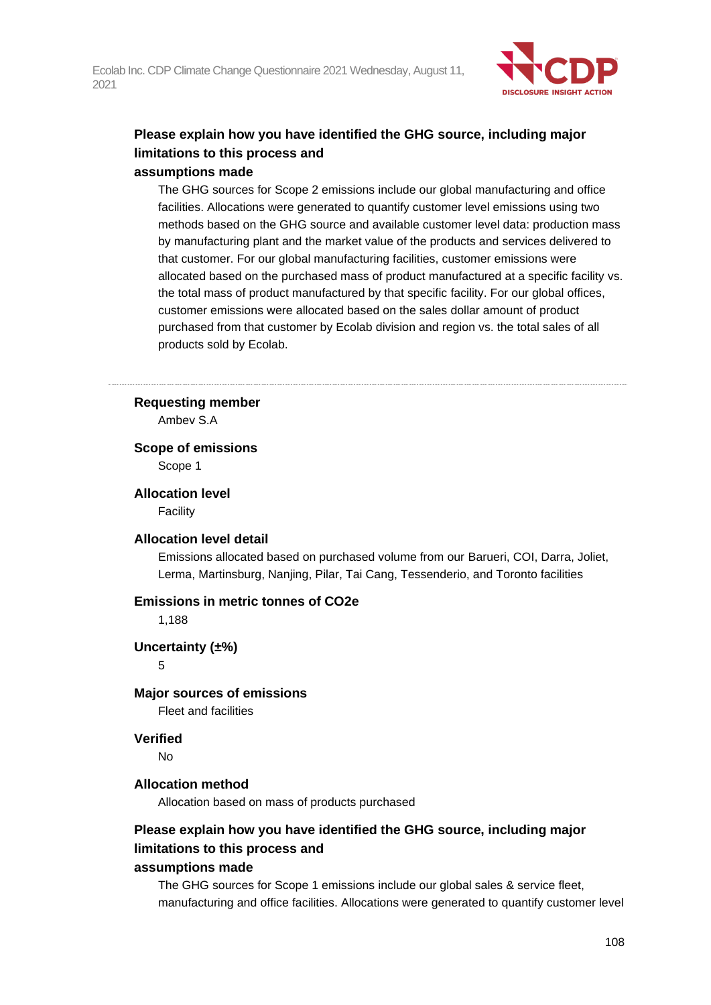

## **Please explain how you have identified the GHG source, including major limitations to this process and assumptions made**

## The GHG sources for Scope 2 emissions include our global manufacturing and office facilities. Allocations were generated to quantify customer level emissions using two methods based on the GHG source and available customer level data: production mass by manufacturing plant and the market value of the products and services delivered to that customer. For our global manufacturing facilities, customer emissions were allocated based on the purchased mass of product manufactured at a specific facility vs. the total mass of product manufactured by that specific facility. For our global offices, customer emissions were allocated based on the sales dollar amount of product purchased from that customer by Ecolab division and region vs. the total sales of all products sold by Ecolab.

#### **Requesting member**

Ambev S.A

#### **Scope of emissions**

Scope 1

**Allocation level**

Facility

#### **Allocation level detail**

Emissions allocated based on purchased volume from our Barueri, COI, Darra, Joliet, Lerma, Martinsburg, Nanjing, Pilar, Tai Cang, Tessenderio, and Toronto facilities

#### **Emissions in metric tonnes of CO2e**

1,188

## **Uncertainty (±%)**

5

#### **Major sources of emissions**

Fleet and facilities

#### **Verified**

No

#### **Allocation method**

Allocation based on mass of products purchased

## **Please explain how you have identified the GHG source, including major limitations to this process and**

#### **assumptions made**

The GHG sources for Scope 1 emissions include our global sales & service fleet, manufacturing and office facilities. Allocations were generated to quantify customer level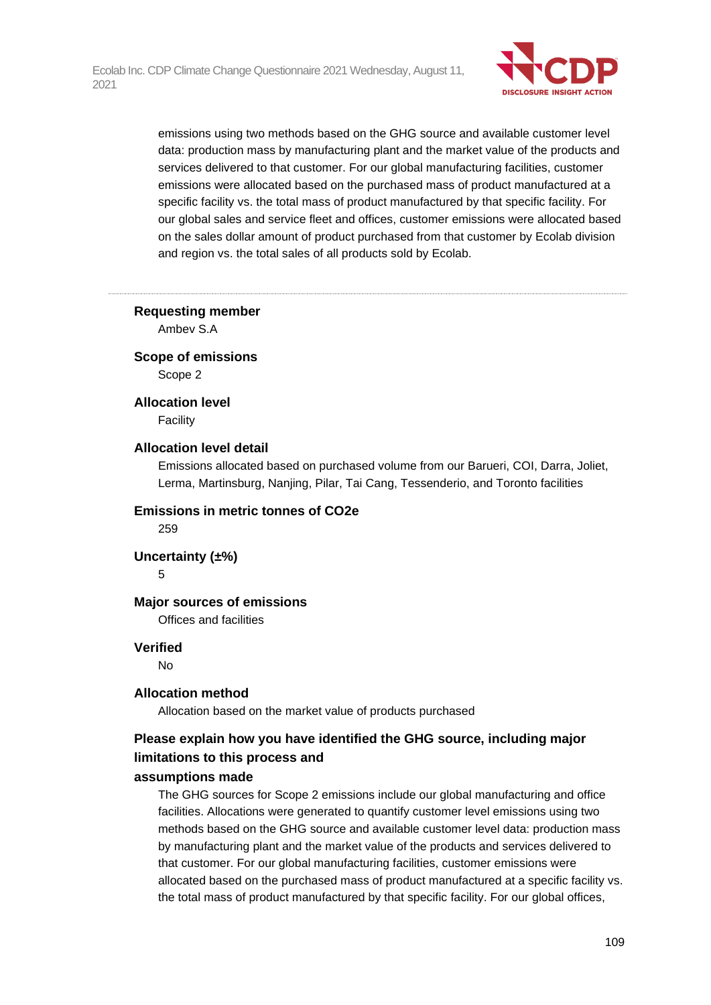

emissions using two methods based on the GHG source and available customer level data: production mass by manufacturing plant and the market value of the products and services delivered to that customer. For our global manufacturing facilities, customer emissions were allocated based on the purchased mass of product manufactured at a specific facility vs. the total mass of product manufactured by that specific facility. For our global sales and service fleet and offices, customer emissions were allocated based on the sales dollar amount of product purchased from that customer by Ecolab division and region vs. the total sales of all products sold by Ecolab.

#### **Requesting member**

Ambev S.A

#### **Scope of emissions**

Scope 2

#### **Allocation level**

Facility

#### **Allocation level detail**

Emissions allocated based on purchased volume from our Barueri, COI, Darra, Joliet, Lerma, Martinsburg, Nanjing, Pilar, Tai Cang, Tessenderio, and Toronto facilities

#### **Emissions in metric tonnes of CO2e**

259

#### **Uncertainty (±%)**

5

#### **Major sources of emissions**

Offices and facilities

#### **Verified**

No

#### **Allocation method**

Allocation based on the market value of products purchased

## **Please explain how you have identified the GHG source, including major limitations to this process and**

#### **assumptions made**

The GHG sources for Scope 2 emissions include our global manufacturing and office facilities. Allocations were generated to quantify customer level emissions using two methods based on the GHG source and available customer level data: production mass by manufacturing plant and the market value of the products and services delivered to that customer. For our global manufacturing facilities, customer emissions were allocated based on the purchased mass of product manufactured at a specific facility vs. the total mass of product manufactured by that specific facility. For our global offices,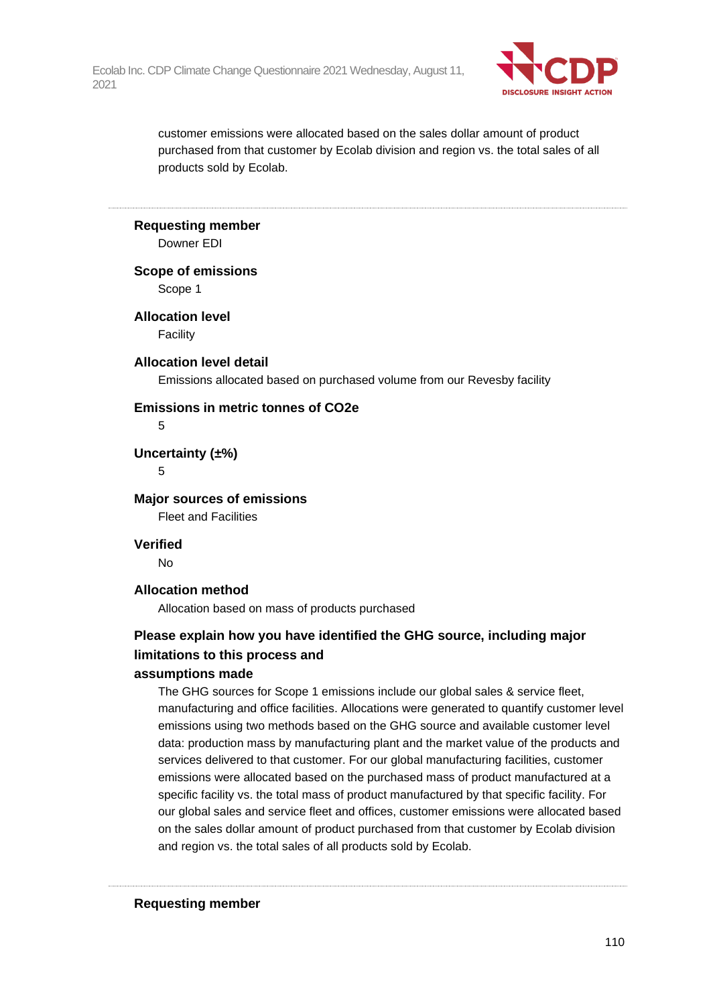

customer emissions were allocated based on the sales dollar amount of product purchased from that customer by Ecolab division and region vs. the total sales of all products sold by Ecolab.

#### **Requesting member**

Downer EDI

#### **Scope of emissions**

Scope 1

#### **Allocation level**

**Facility** 

#### **Allocation level detail**

Emissions allocated based on purchased volume from our Revesby facility

#### **Emissions in metric tonnes of CO2e**

5

**Uncertainty (±%)**

5

**Major sources of emissions** Fleet and Facilities

**Verified**

No

#### **Allocation method**

Allocation based on mass of products purchased

# **Please explain how you have identified the GHG source, including major limitations to this process and**

#### **assumptions made**

The GHG sources for Scope 1 emissions include our global sales & service fleet, manufacturing and office facilities. Allocations were generated to quantify customer level emissions using two methods based on the GHG source and available customer level data: production mass by manufacturing plant and the market value of the products and services delivered to that customer. For our global manufacturing facilities, customer emissions were allocated based on the purchased mass of product manufactured at a specific facility vs. the total mass of product manufactured by that specific facility. For our global sales and service fleet and offices, customer emissions were allocated based on the sales dollar amount of product purchased from that customer by Ecolab division and region vs. the total sales of all products sold by Ecolab.

**Requesting member**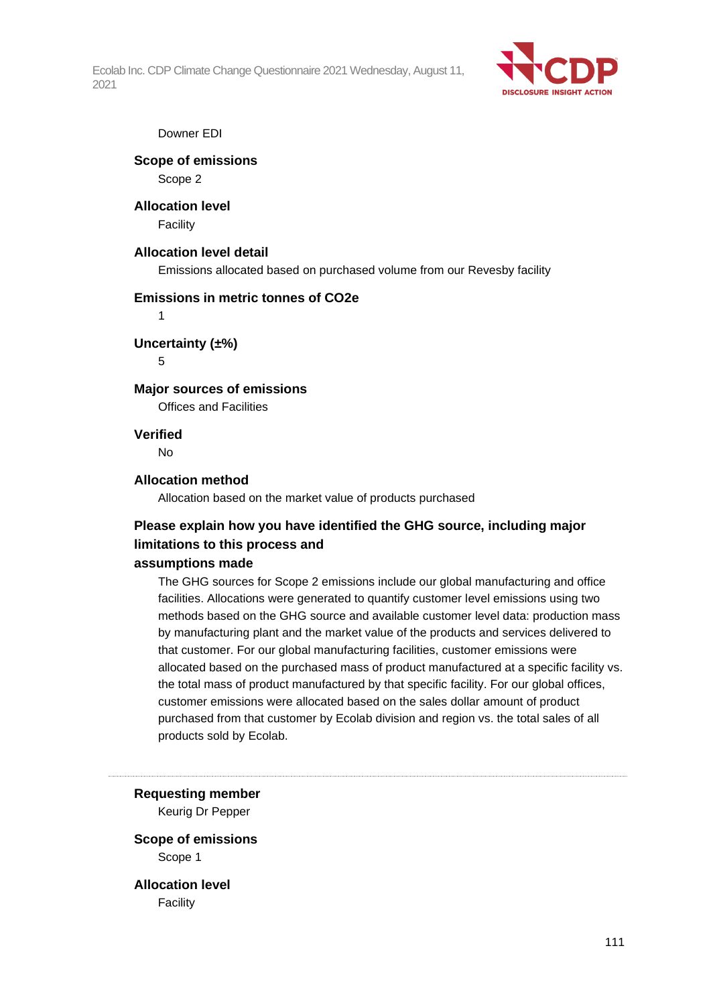

#### Downer EDI

# **Scope of emissions**

Scope 2

# **Allocation level**

**Facility** 

## **Allocation level detail**

Emissions allocated based on purchased volume from our Revesby facility

## **Emissions in metric tonnes of CO2e**

1

## **Uncertainty (±%)**

5

## **Major sources of emissions**

Offices and Facilities

## **Verified**

No

## **Allocation method**

Allocation based on the market value of products purchased

# **Please explain how you have identified the GHG source, including major limitations to this process and**

#### **assumptions made**

The GHG sources for Scope 2 emissions include our global manufacturing and office facilities. Allocations were generated to quantify customer level emissions using two methods based on the GHG source and available customer level data: production mass by manufacturing plant and the market value of the products and services delivered to that customer. For our global manufacturing facilities, customer emissions were allocated based on the purchased mass of product manufactured at a specific facility vs. the total mass of product manufactured by that specific facility. For our global offices, customer emissions were allocated based on the sales dollar amount of product purchased from that customer by Ecolab division and region vs. the total sales of all products sold by Ecolab.

**Requesting member** Keurig Dr Pepper

**Scope of emissions** Scope 1

**Allocation level** Facility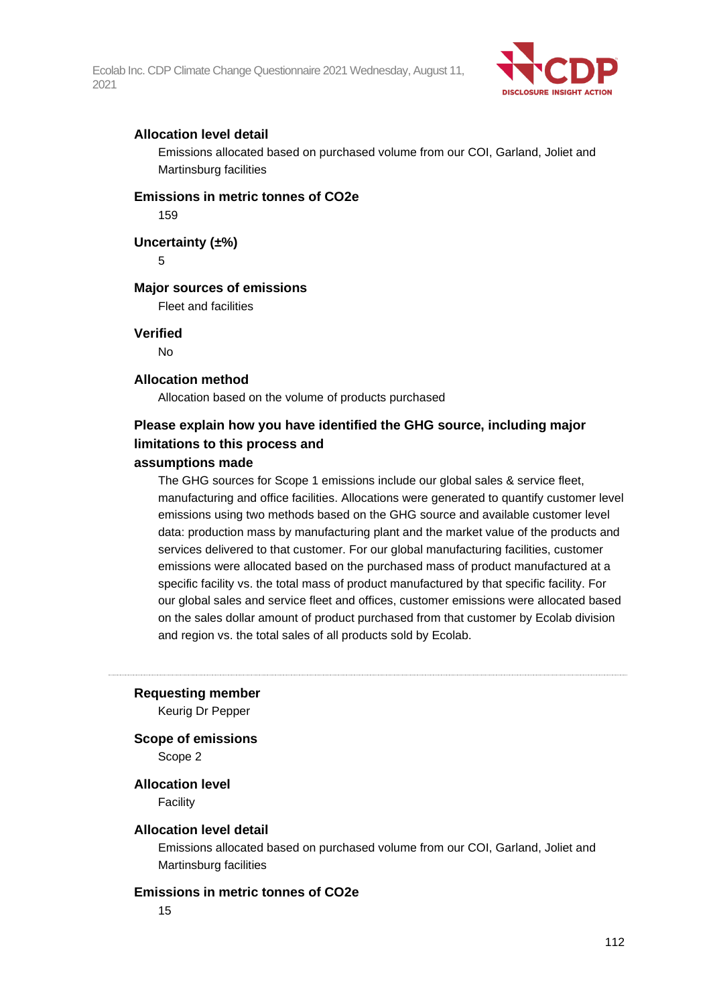

## **Allocation level detail**

Emissions allocated based on purchased volume from our COI, Garland, Joliet and Martinsburg facilities

## **Emissions in metric tonnes of CO2e**

159

**Uncertainty (±%)**

5

#### **Major sources of emissions**

Fleet and facilities

#### **Verified**

No

#### **Allocation method**

Allocation based on the volume of products purchased

## **Please explain how you have identified the GHG source, including major limitations to this process and**

#### **assumptions made**

The GHG sources for Scope 1 emissions include our global sales & service fleet, manufacturing and office facilities. Allocations were generated to quantify customer level emissions using two methods based on the GHG source and available customer level data: production mass by manufacturing plant and the market value of the products and services delivered to that customer. For our global manufacturing facilities, customer emissions were allocated based on the purchased mass of product manufactured at a specific facility vs. the total mass of product manufactured by that specific facility. For our global sales and service fleet and offices, customer emissions were allocated based on the sales dollar amount of product purchased from that customer by Ecolab division and region vs. the total sales of all products sold by Ecolab.

#### **Requesting member**

Keurig Dr Pepper

**Scope of emissions**

Scope 2

## **Allocation level**

Facility

#### **Allocation level detail**

Emissions allocated based on purchased volume from our COI, Garland, Joliet and Martinsburg facilities

#### **Emissions in metric tonnes of CO2e**

15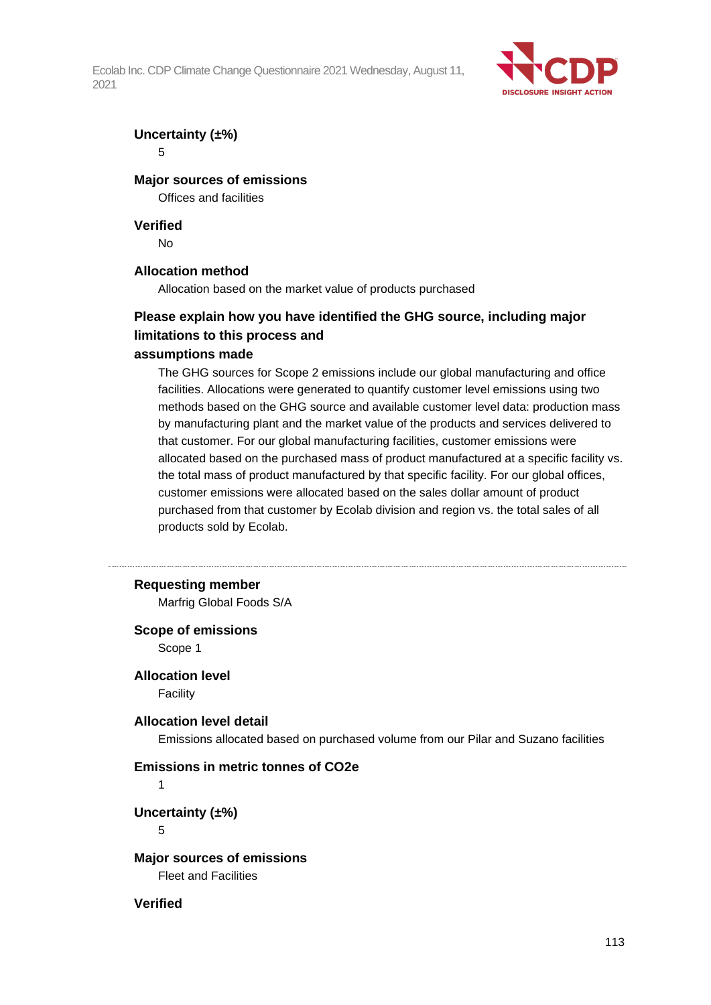

## **Uncertainty (±%)**

5

## **Major sources of emissions**

Offices and facilities

#### **Verified**

No

## **Allocation method**

Allocation based on the market value of products purchased

## **Please explain how you have identified the GHG source, including major limitations to this process and**

## **assumptions made**

The GHG sources for Scope 2 emissions include our global manufacturing and office facilities. Allocations were generated to quantify customer level emissions using two methods based on the GHG source and available customer level data: production mass by manufacturing plant and the market value of the products and services delivered to that customer. For our global manufacturing facilities, customer emissions were allocated based on the purchased mass of product manufactured at a specific facility vs. the total mass of product manufactured by that specific facility. For our global offices, customer emissions were allocated based on the sales dollar amount of product purchased from that customer by Ecolab division and region vs. the total sales of all products sold by Ecolab.

#### **Requesting member**

Marfrig Global Foods S/A

#### **Scope of emissions**

Scope 1

## **Allocation level**

Facility

#### **Allocation level detail**

Emissions allocated based on purchased volume from our Pilar and Suzano facilities

#### **Emissions in metric tonnes of CO2e**

1

## **Uncertainty (±%)**

5

**Major sources of emissions** Fleet and Facilities

### **Verified**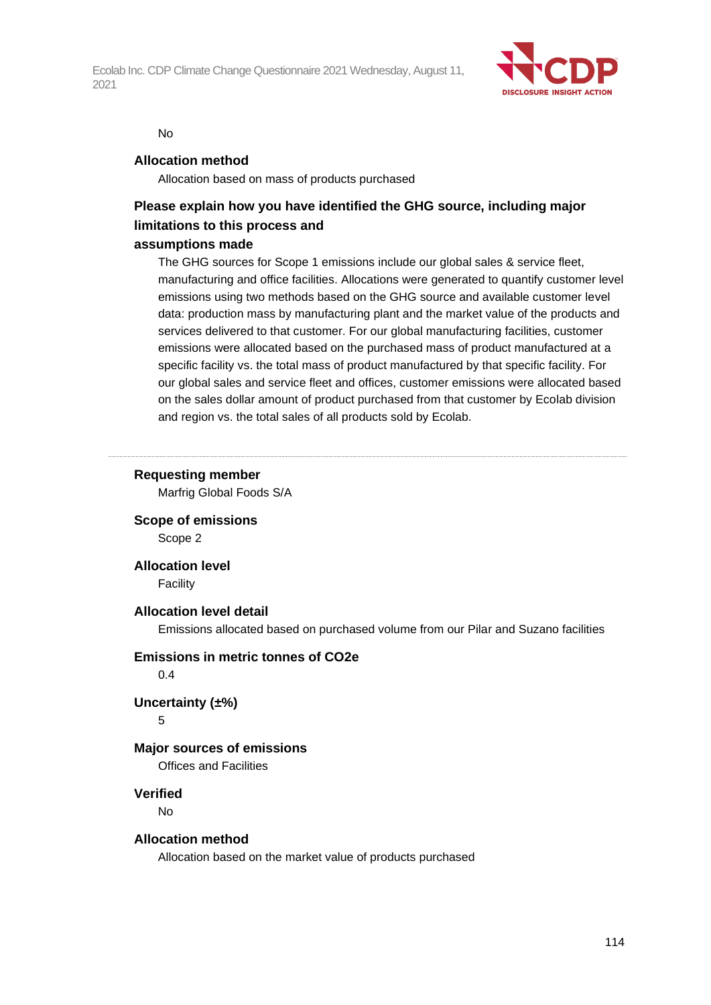

#### No

#### **Allocation method**

Allocation based on mass of products purchased

# **Please explain how you have identified the GHG source, including major limitations to this process and**

## **assumptions made**

The GHG sources for Scope 1 emissions include our global sales & service fleet, manufacturing and office facilities. Allocations were generated to quantify customer level emissions using two methods based on the GHG source and available customer level data: production mass by manufacturing plant and the market value of the products and services delivered to that customer. For our global manufacturing facilities, customer emissions were allocated based on the purchased mass of product manufactured at a specific facility vs. the total mass of product manufactured by that specific facility. For our global sales and service fleet and offices, customer emissions were allocated based on the sales dollar amount of product purchased from that customer by Ecolab division and region vs. the total sales of all products sold by Ecolab.

## **Requesting member**

Marfrig Global Foods S/A

**Scope of emissions** Scope 2

**Allocation level**

Facility

#### **Allocation level detail**

Emissions allocated based on purchased volume from our Pilar and Suzano facilities

#### **Emissions in metric tonnes of CO2e**

0.4

#### **Uncertainty (±%)**

5

#### **Major sources of emissions**

Offices and Facilities

#### **Verified**

No

#### **Allocation method**

Allocation based on the market value of products purchased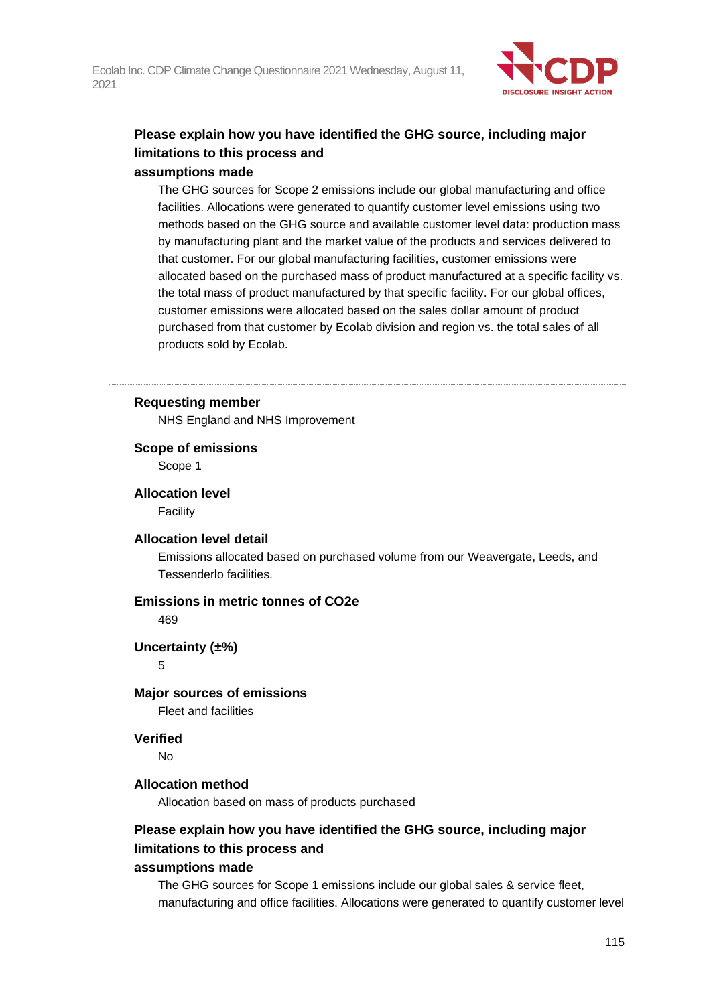

## **Please explain how you have identified the GHG source, including major limitations to this process and assumptions made**

## The GHG sources for Scope 2 emissions include our global manufacturing and office facilities. Allocations were generated to quantify customer level emissions using two methods based on the GHG source and available customer level data: production mass by manufacturing plant and the market value of the products and services delivered to that customer. For our global manufacturing facilities, customer emissions were allocated based on the purchased mass of product manufactured at a specific facility vs. the total mass of product manufactured by that specific facility. For our global offices, customer emissions were allocated based on the sales dollar amount of product purchased from that customer by Ecolab division and region vs. the total sales of all products sold by Ecolab.

#### **Requesting member**

NHS England and NHS Improvement

#### **Scope of emissions**

Scope 1

#### **Allocation level**

Facility

#### **Allocation level detail**

Emissions allocated based on purchased volume from our Weavergate, Leeds, and Tessenderlo facilities.

## **Emissions in metric tonnes of CO2e**

469

#### **Uncertainty (±%)**

5

#### **Major sources of emissions**

Fleet and facilities

## **Verified**

No

#### **Allocation method**

Allocation based on mass of products purchased

## **Please explain how you have identified the GHG source, including major limitations to this process and**

#### **assumptions made**

The GHG sources for Scope 1 emissions include our global sales & service fleet, manufacturing and office facilities. Allocations were generated to quantify customer level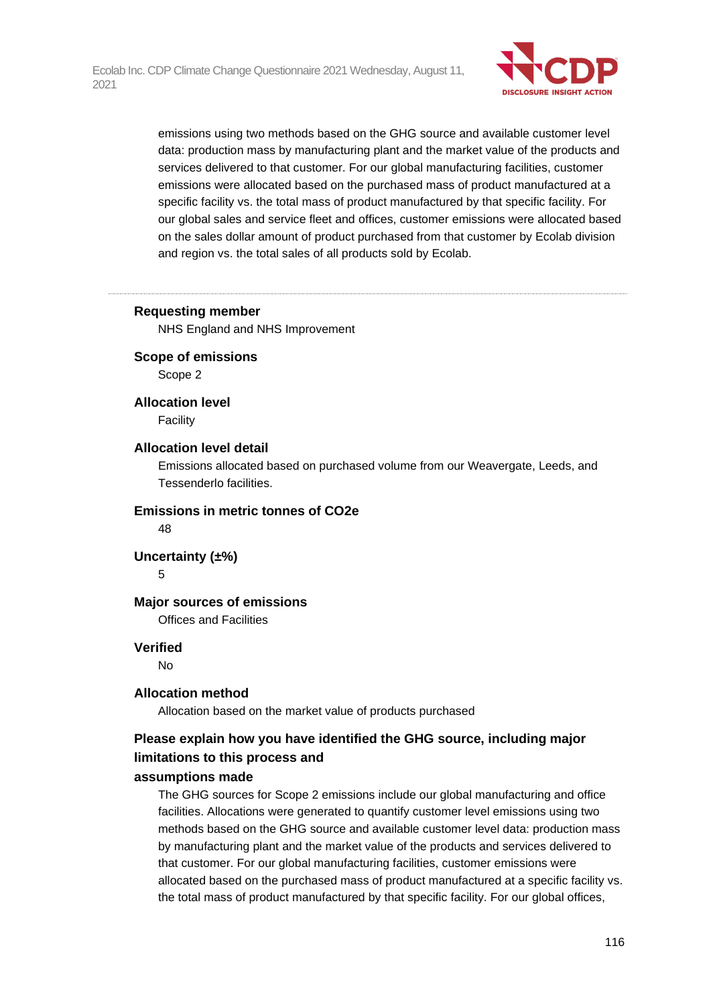

emissions using two methods based on the GHG source and available customer level data: production mass by manufacturing plant and the market value of the products and services delivered to that customer. For our global manufacturing facilities, customer emissions were allocated based on the purchased mass of product manufactured at a specific facility vs. the total mass of product manufactured by that specific facility. For our global sales and service fleet and offices, customer emissions were allocated based on the sales dollar amount of product purchased from that customer by Ecolab division and region vs. the total sales of all products sold by Ecolab.

#### **Requesting member**

NHS England and NHS Improvement

#### **Scope of emissions**

Scope 2

#### **Allocation level**

Facility

#### **Allocation level detail**

Emissions allocated based on purchased volume from our Weavergate, Leeds, and Tessenderlo facilities.

#### **Emissions in metric tonnes of CO2e**

48

#### **Uncertainty (±%)**

5

#### **Major sources of emissions**

Offices and Facilities

#### **Verified**

No

#### **Allocation method**

Allocation based on the market value of products purchased

## **Please explain how you have identified the GHG source, including major limitations to this process and**

#### **assumptions made**

The GHG sources for Scope 2 emissions include our global manufacturing and office facilities. Allocations were generated to quantify customer level emissions using two methods based on the GHG source and available customer level data: production mass by manufacturing plant and the market value of the products and services delivered to that customer. For our global manufacturing facilities, customer emissions were allocated based on the purchased mass of product manufactured at a specific facility vs. the total mass of product manufactured by that specific facility. For our global offices,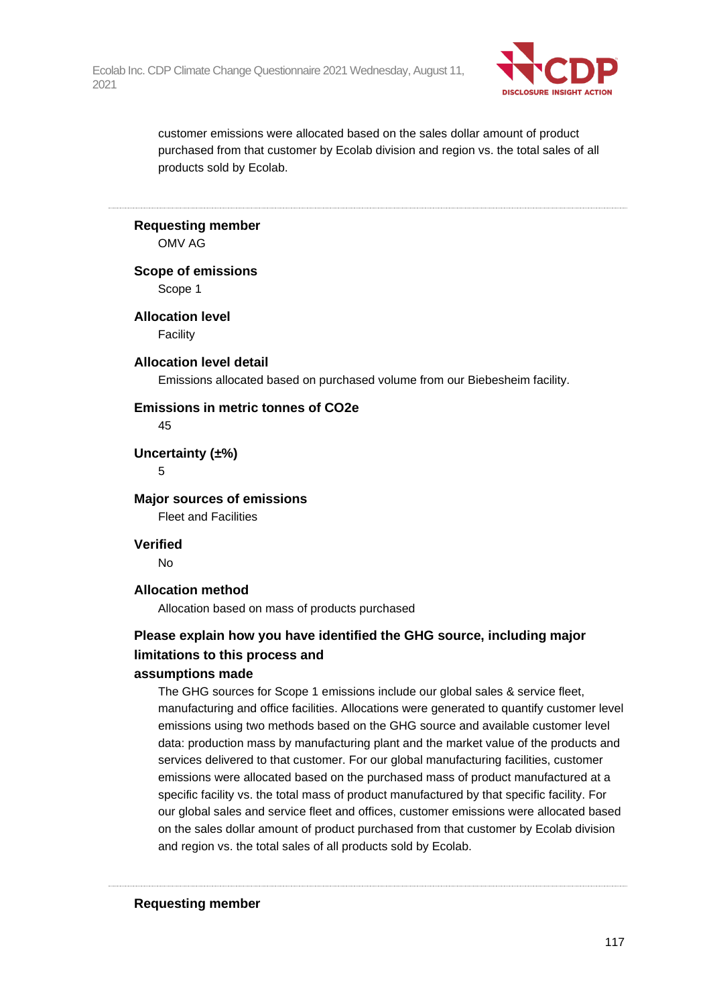

customer emissions were allocated based on the sales dollar amount of product purchased from that customer by Ecolab division and region vs. the total sales of all products sold by Ecolab.

**Requesting member**

OMV AG

**Scope of emissions**

Scope 1

**Allocation level**

**Facility** 

**Allocation level detail**

Emissions allocated based on purchased volume from our Biebesheim facility.

#### **Emissions in metric tonnes of CO2e**

45

**Uncertainty (±%)**

5

**Major sources of emissions** Fleet and Facilities

**Verified**

No

## **Allocation method**

Allocation based on mass of products purchased

# **Please explain how you have identified the GHG source, including major limitations to this process and**

#### **assumptions made**

The GHG sources for Scope 1 emissions include our global sales & service fleet, manufacturing and office facilities. Allocations were generated to quantify customer level emissions using two methods based on the GHG source and available customer level data: production mass by manufacturing plant and the market value of the products and services delivered to that customer. For our global manufacturing facilities, customer emissions were allocated based on the purchased mass of product manufactured at a specific facility vs. the total mass of product manufactured by that specific facility. For our global sales and service fleet and offices, customer emissions were allocated based on the sales dollar amount of product purchased from that customer by Ecolab division and region vs. the total sales of all products sold by Ecolab.

**Requesting member**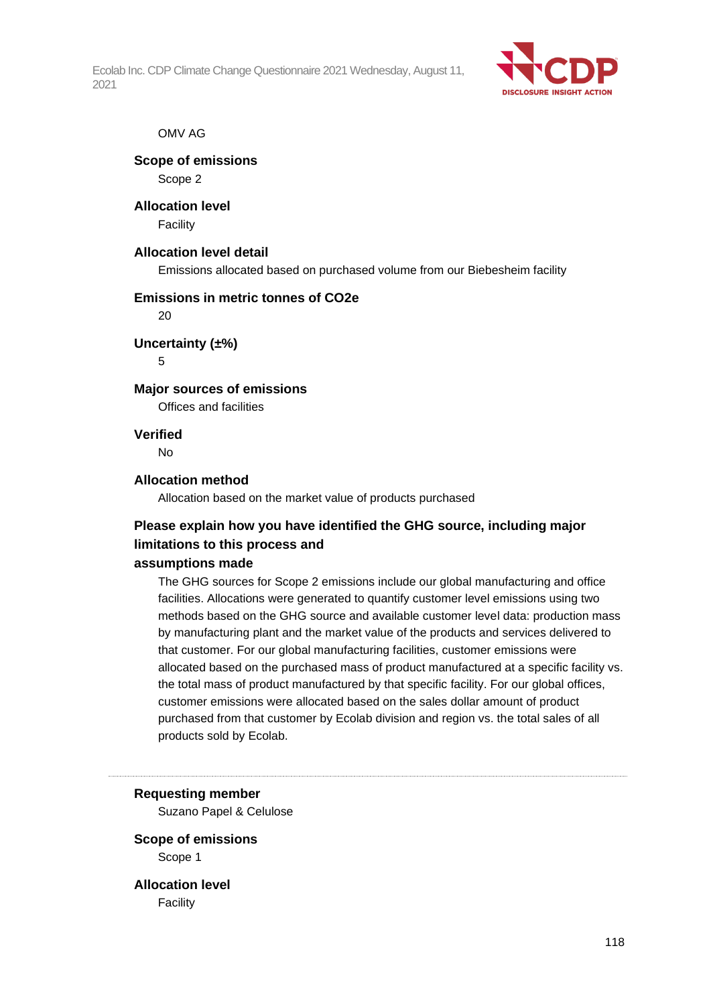

#### OMV AG

## **Scope of emissions**

Scope 2

# **Allocation level**

**Facility** 

## **Allocation level detail**

Emissions allocated based on purchased volume from our Biebesheim facility

## **Emissions in metric tonnes of CO2e**

 $20$ 

## **Uncertainty (±%)**

5

## **Major sources of emissions**

Offices and facilities

## **Verified**

No

## **Allocation method**

Allocation based on the market value of products purchased

# **Please explain how you have identified the GHG source, including major limitations to this process and**

#### **assumptions made**

The GHG sources for Scope 2 emissions include our global manufacturing and office facilities. Allocations were generated to quantify customer level emissions using two methods based on the GHG source and available customer level data: production mass by manufacturing plant and the market value of the products and services delivered to that customer. For our global manufacturing facilities, customer emissions were allocated based on the purchased mass of product manufactured at a specific facility vs. the total mass of product manufactured by that specific facility. For our global offices, customer emissions were allocated based on the sales dollar amount of product purchased from that customer by Ecolab division and region vs. the total sales of all products sold by Ecolab.

#### **Requesting member**

Suzano Papel & Celulose

## **Scope of emissions** Scope 1

**Allocation level** Facility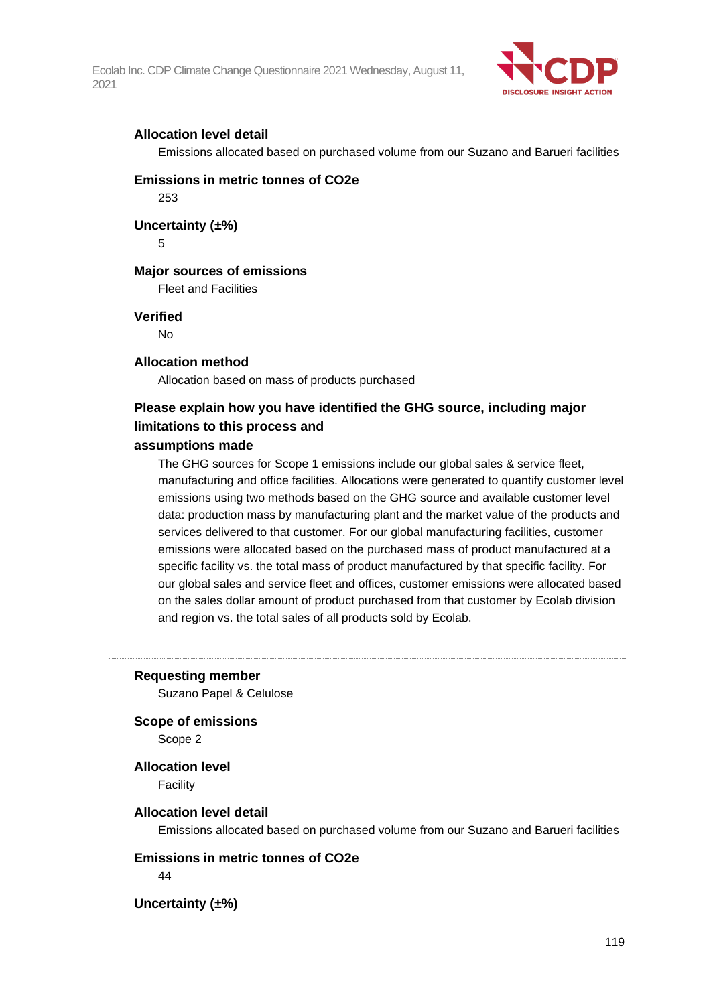

### **Allocation level detail**

Emissions allocated based on purchased volume from our Suzano and Barueri facilities

# **Emissions in metric tonnes of CO2e**

253

**Uncertainty (±%)**

5

## **Major sources of emissions**

Fleet and Facilities

#### **Verified**

No

## **Allocation method**

Allocation based on mass of products purchased

# **Please explain how you have identified the GHG source, including major limitations to this process and**

#### **assumptions made**

The GHG sources for Scope 1 emissions include our global sales & service fleet, manufacturing and office facilities. Allocations were generated to quantify customer level emissions using two methods based on the GHG source and available customer level data: production mass by manufacturing plant and the market value of the products and services delivered to that customer. For our global manufacturing facilities, customer emissions were allocated based on the purchased mass of product manufactured at a specific facility vs. the total mass of product manufactured by that specific facility. For our global sales and service fleet and offices, customer emissions were allocated based on the sales dollar amount of product purchased from that customer by Ecolab division and region vs. the total sales of all products sold by Ecolab.

**Requesting member**

Suzano Papel & Celulose

**Scope of emissions**

Scope 2

**Allocation level**

Facility

#### **Allocation level detail**

Emissions allocated based on purchased volume from our Suzano and Barueri facilities

**Emissions in metric tonnes of CO2e**

 $\overline{A}A$ 

**Uncertainty (±%)**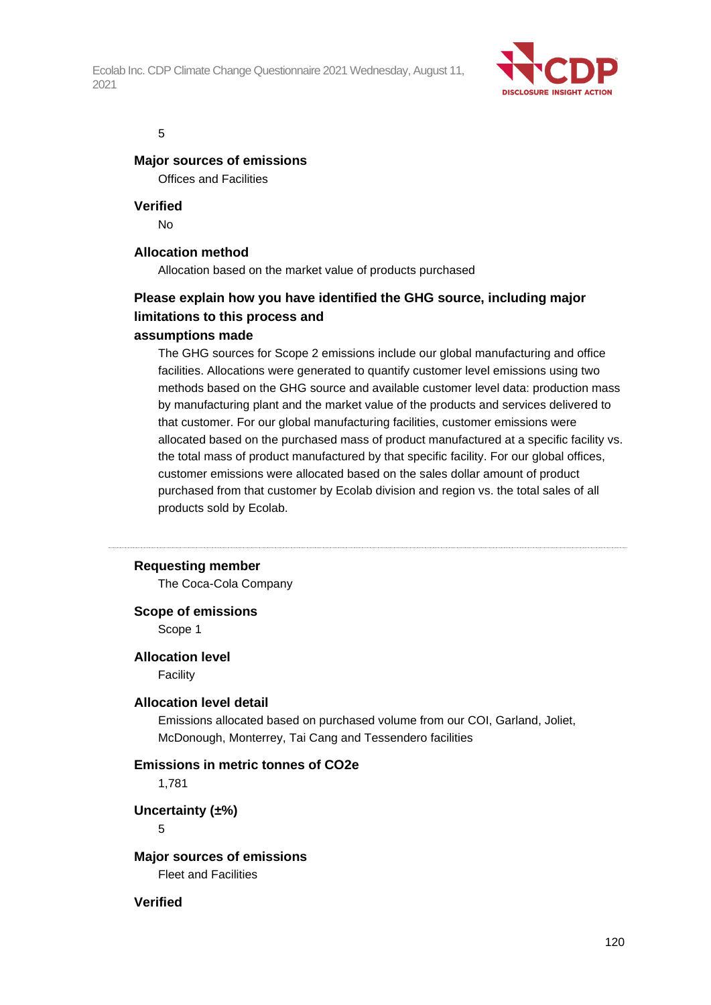

#### 5

#### **Major sources of emissions**

Offices and Facilities

**Verified**

No

## **Allocation method**

Allocation based on the market value of products purchased

# **Please explain how you have identified the GHG source, including major limitations to this process and**

## **assumptions made**

The GHG sources for Scope 2 emissions include our global manufacturing and office facilities. Allocations were generated to quantify customer level emissions using two methods based on the GHG source and available customer level data: production mass by manufacturing plant and the market value of the products and services delivered to that customer. For our global manufacturing facilities, customer emissions were allocated based on the purchased mass of product manufactured at a specific facility vs. the total mass of product manufactured by that specific facility. For our global offices, customer emissions were allocated based on the sales dollar amount of product purchased from that customer by Ecolab division and region vs. the total sales of all products sold by Ecolab.

#### **Requesting member**

The Coca-Cola Company

#### **Scope of emissions**

Scope 1

#### **Allocation level**

Facility

#### **Allocation level detail**

Emissions allocated based on purchased volume from our COI, Garland, Joliet, McDonough, Monterrey, Tai Cang and Tessendero facilities

#### **Emissions in metric tonnes of CO2e**

1,781

**Uncertainty (±%)**

5

## **Major sources of emissions**

Fleet and Facilities

#### **Verified**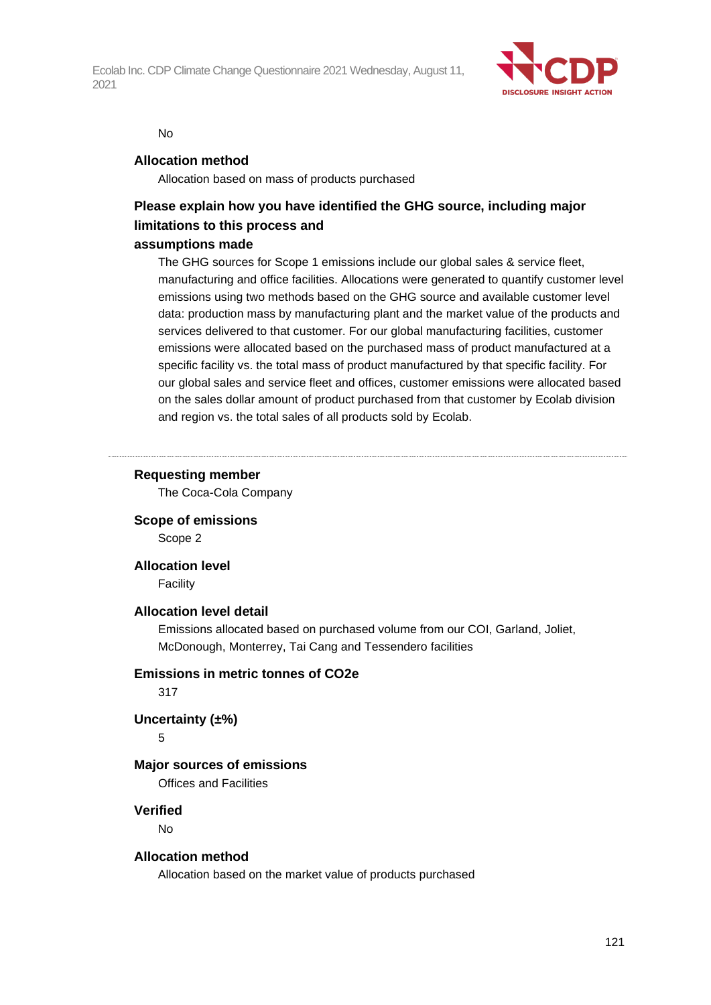

#### No

#### **Allocation method**

Allocation based on mass of products purchased

# **Please explain how you have identified the GHG source, including major limitations to this process and**

## **assumptions made**

The GHG sources for Scope 1 emissions include our global sales & service fleet, manufacturing and office facilities. Allocations were generated to quantify customer level emissions using two methods based on the GHG source and available customer level data: production mass by manufacturing plant and the market value of the products and services delivered to that customer. For our global manufacturing facilities, customer emissions were allocated based on the purchased mass of product manufactured at a specific facility vs. the total mass of product manufactured by that specific facility. For our global sales and service fleet and offices, customer emissions were allocated based on the sales dollar amount of product purchased from that customer by Ecolab division and region vs. the total sales of all products sold by Ecolab.

## **Requesting member**

The Coca-Cola Company

**Scope of emissions**

Scope 2

**Allocation level**

Facility

#### **Allocation level detail**

Emissions allocated based on purchased volume from our COI, Garland, Joliet, McDonough, Monterrey, Tai Cang and Tessendero facilities

#### **Emissions in metric tonnes of CO2e**

317

#### **Uncertainty (±%)**

5

## **Major sources of emissions**

Offices and Facilities

#### **Verified**

No

## **Allocation method**

Allocation based on the market value of products purchased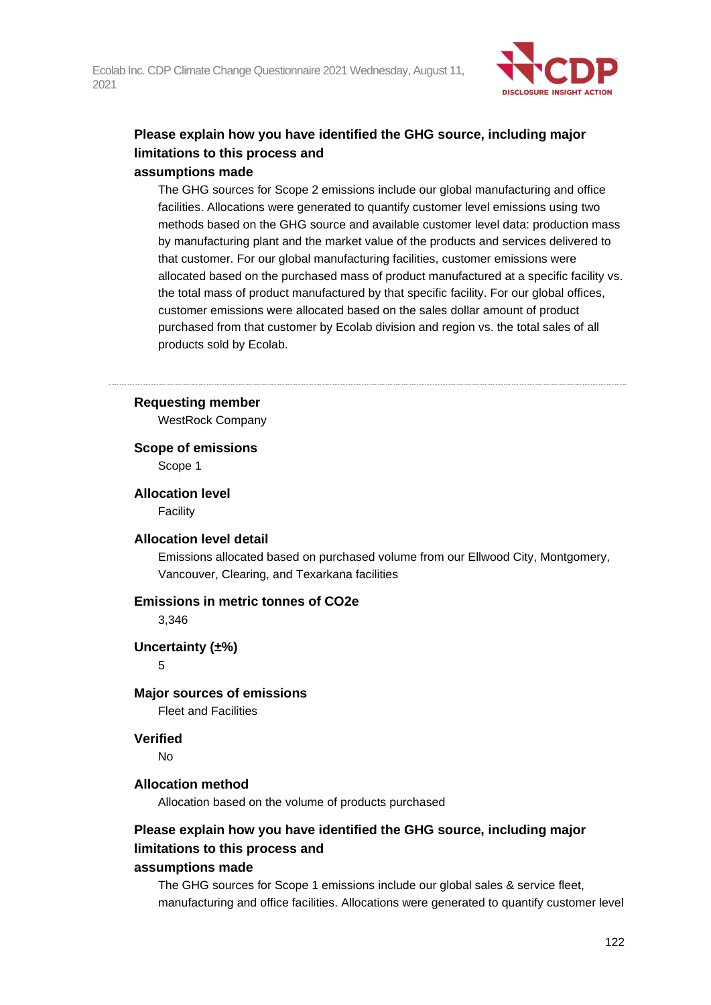

## **Please explain how you have identified the GHG source, including major limitations to this process and assumptions made**

## The GHG sources for Scope 2 emissions include our global manufacturing and office facilities. Allocations were generated to quantify customer level emissions using two methods based on the GHG source and available customer level data: production mass by manufacturing plant and the market value of the products and services delivered to that customer. For our global manufacturing facilities, customer emissions were allocated based on the purchased mass of product manufactured at a specific facility vs. the total mass of product manufactured by that specific facility. For our global offices, customer emissions were allocated based on the sales dollar amount of product purchased from that customer by Ecolab division and region vs. the total sales of all products sold by Ecolab.

#### **Requesting member**

WestRock Company

## **Scope of emissions**

Scope 1

## **Allocation level**

Facility

#### **Allocation level detail**

Emissions allocated based on purchased volume from our Ellwood City, Montgomery, Vancouver, Clearing, and Texarkana facilities

#### **Emissions in metric tonnes of CO2e**

3,346

#### **Uncertainty (±%)**

5

#### **Major sources of emissions**

Fleet and Facilities

## **Verified**

No

## **Allocation method**

Allocation based on the volume of products purchased

## **Please explain how you have identified the GHG source, including major limitations to this process and**

#### **assumptions made**

The GHG sources for Scope 1 emissions include our global sales & service fleet, manufacturing and office facilities. Allocations were generated to quantify customer level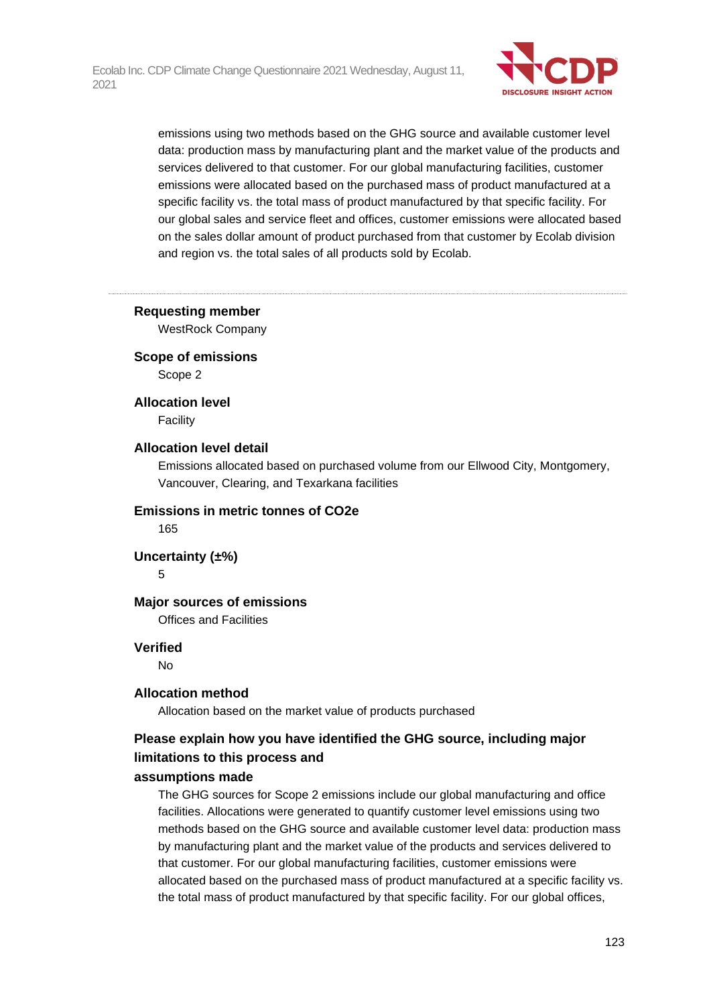

emissions using two methods based on the GHG source and available customer level data: production mass by manufacturing plant and the market value of the products and services delivered to that customer. For our global manufacturing facilities, customer emissions were allocated based on the purchased mass of product manufactured at a specific facility vs. the total mass of product manufactured by that specific facility. For our global sales and service fleet and offices, customer emissions were allocated based on the sales dollar amount of product purchased from that customer by Ecolab division and region vs. the total sales of all products sold by Ecolab.

#### **Requesting member**

WestRock Company

#### **Scope of emissions**

Scope 2

#### **Allocation level**

Facility

#### **Allocation level detail**

Emissions allocated based on purchased volume from our Ellwood City, Montgomery, Vancouver, Clearing, and Texarkana facilities

#### **Emissions in metric tonnes of CO2e**

165

### **Uncertainty (±%)**

5

#### **Major sources of emissions**

Offices and Facilities

#### **Verified**

No

#### **Allocation method**

Allocation based on the market value of products purchased

## **Please explain how you have identified the GHG source, including major limitations to this process and**

#### **assumptions made**

The GHG sources for Scope 2 emissions include our global manufacturing and office facilities. Allocations were generated to quantify customer level emissions using two methods based on the GHG source and available customer level data: production mass by manufacturing plant and the market value of the products and services delivered to that customer. For our global manufacturing facilities, customer emissions were allocated based on the purchased mass of product manufactured at a specific facility vs. the total mass of product manufactured by that specific facility. For our global offices,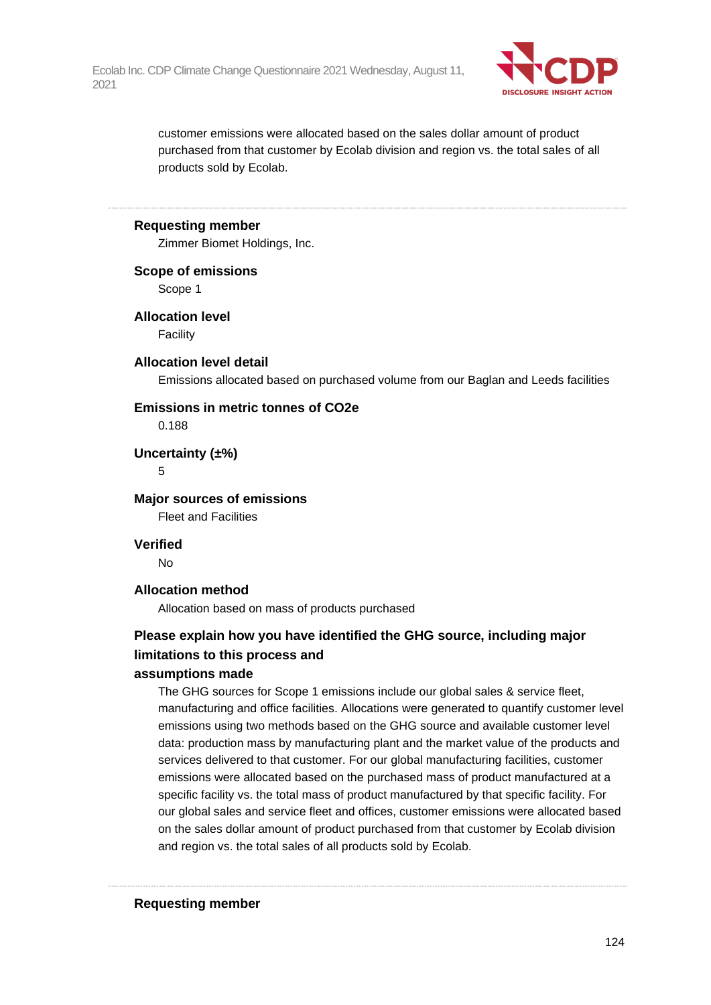

customer emissions were allocated based on the sales dollar amount of product purchased from that customer by Ecolab division and region vs. the total sales of all products sold by Ecolab.

#### **Requesting member**

Zimmer Biomet Holdings, Inc.

**Scope of emissions**

Scope 1

**Allocation level**

**Facility** 

#### **Allocation level detail**

Emissions allocated based on purchased volume from our Baglan and Leeds facilities

#### **Emissions in metric tonnes of CO2e**

0.188

**Uncertainty (±%)**

5

**Major sources of emissions** Fleet and Facilities

**Verified**

No

#### **Allocation method**

Allocation based on mass of products purchased

## **Please explain how you have identified the GHG source, including major limitations to this process and**

#### **assumptions made**

The GHG sources for Scope 1 emissions include our global sales & service fleet, manufacturing and office facilities. Allocations were generated to quantify customer level emissions using two methods based on the GHG source and available customer level data: production mass by manufacturing plant and the market value of the products and services delivered to that customer. For our global manufacturing facilities, customer emissions were allocated based on the purchased mass of product manufactured at a specific facility vs. the total mass of product manufactured by that specific facility. For our global sales and service fleet and offices, customer emissions were allocated based on the sales dollar amount of product purchased from that customer by Ecolab division and region vs. the total sales of all products sold by Ecolab.

**Requesting member**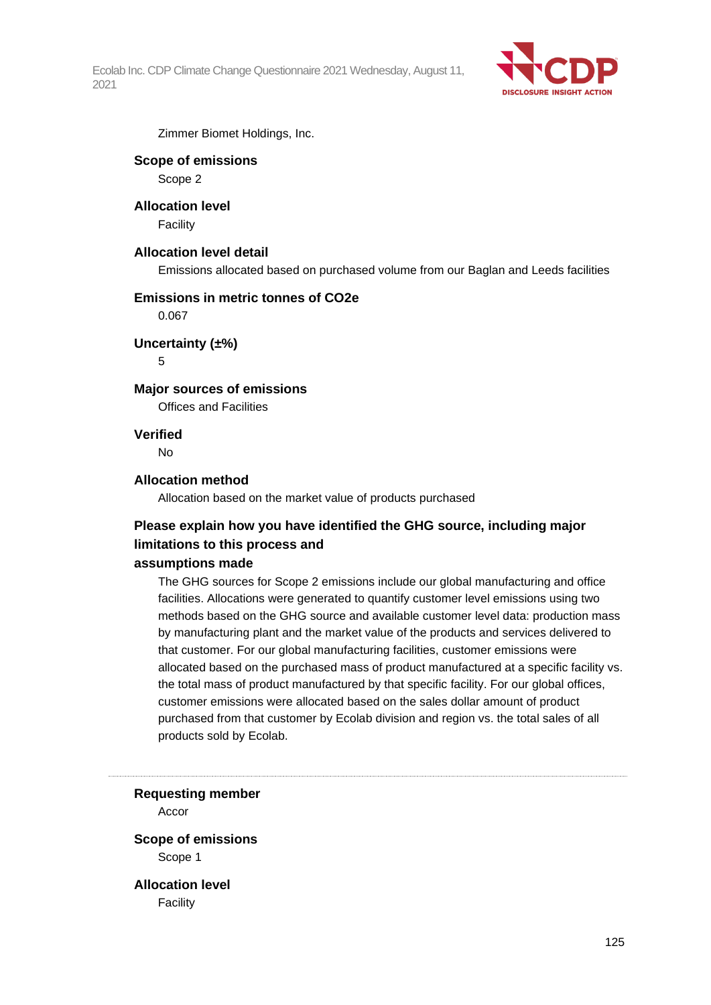

Zimmer Biomet Holdings, Inc.

### **Scope of emissions**

Scope 2

## **Allocation level**

**Facility** 

## **Allocation level detail**

Emissions allocated based on purchased volume from our Baglan and Leeds facilities

#### **Emissions in metric tonnes of CO2e**

0.067

## **Uncertainty (±%)**

5

## **Major sources of emissions**

Offices and Facilities

## **Verified**

No

## **Allocation method**

Allocation based on the market value of products purchased

# **Please explain how you have identified the GHG source, including major limitations to this process and**

#### **assumptions made**

The GHG sources for Scope 2 emissions include our global manufacturing and office facilities. Allocations were generated to quantify customer level emissions using two methods based on the GHG source and available customer level data: production mass by manufacturing plant and the market value of the products and services delivered to that customer. For our global manufacturing facilities, customer emissions were allocated based on the purchased mass of product manufactured at a specific facility vs. the total mass of product manufactured by that specific facility. For our global offices, customer emissions were allocated based on the sales dollar amount of product purchased from that customer by Ecolab division and region vs. the total sales of all products sold by Ecolab.

**Requesting member**

Accor

**Scope of emissions** Scope 1

**Allocation level** Facility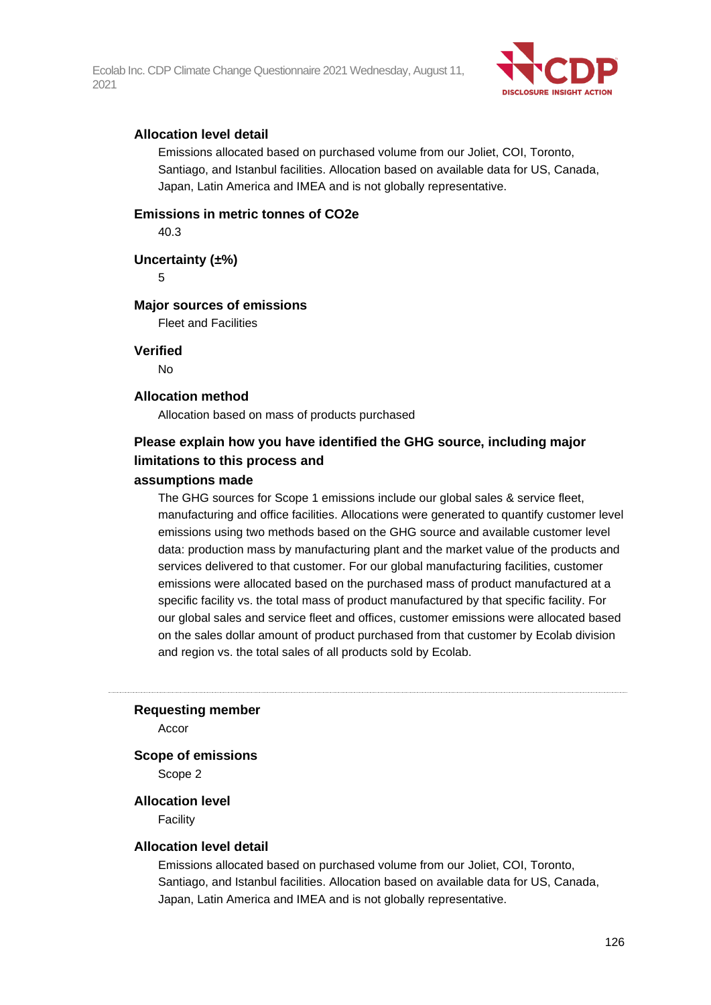

### **Allocation level detail**

Emissions allocated based on purchased volume from our Joliet, COI, Toronto, Santiago, and Istanbul facilities. Allocation based on available data for US, Canada, Japan, Latin America and IMEA and is not globally representative.

#### **Emissions in metric tonnes of CO2e**

40.3

**Uncertainty (±%)**

5

#### **Major sources of emissions**

Fleet and Facilities

**Verified**

No

#### **Allocation method**

Allocation based on mass of products purchased

# **Please explain how you have identified the GHG source, including major limitations to this process and**

## **assumptions made**

The GHG sources for Scope 1 emissions include our global sales & service fleet, manufacturing and office facilities. Allocations were generated to quantify customer level emissions using two methods based on the GHG source and available customer level data: production mass by manufacturing plant and the market value of the products and services delivered to that customer. For our global manufacturing facilities, customer emissions were allocated based on the purchased mass of product manufactured at a specific facility vs. the total mass of product manufactured by that specific facility. For our global sales and service fleet and offices, customer emissions were allocated based on the sales dollar amount of product purchased from that customer by Ecolab division and region vs. the total sales of all products sold by Ecolab.

#### **Requesting member**

Accor

#### **Scope of emissions**

Scope 2

#### **Allocation level**

Facility

#### **Allocation level detail**

Emissions allocated based on purchased volume from our Joliet, COI, Toronto, Santiago, and Istanbul facilities. Allocation based on available data for US, Canada, Japan, Latin America and IMEA and is not globally representative.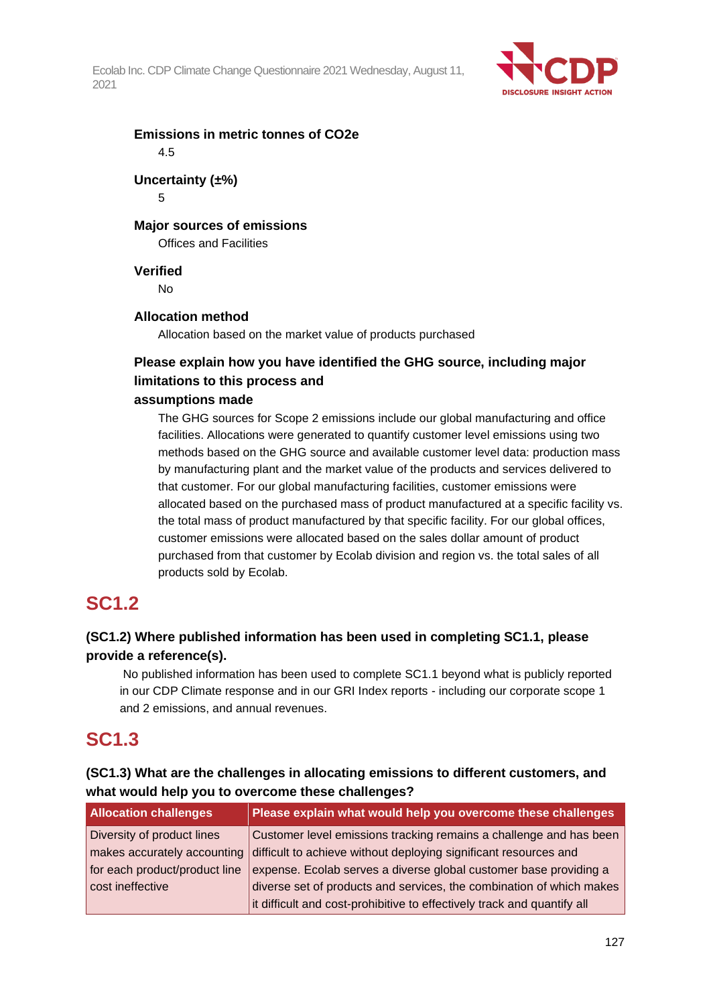

**Emissions in metric tonnes of CO2e** 4.5

# **Uncertainty (±%)**

5

## **Major sources of emissions**

Offices and Facilities

## **Verified**

No

## **Allocation method**

Allocation based on the market value of products purchased

# **Please explain how you have identified the GHG source, including major limitations to this process and**

## **assumptions made**

The GHG sources for Scope 2 emissions include our global manufacturing and office facilities. Allocations were generated to quantify customer level emissions using two methods based on the GHG source and available customer level data: production mass by manufacturing plant and the market value of the products and services delivered to that customer. For our global manufacturing facilities, customer emissions were allocated based on the purchased mass of product manufactured at a specific facility vs. the total mass of product manufactured by that specific facility. For our global offices, customer emissions were allocated based on the sales dollar amount of product purchased from that customer by Ecolab division and region vs. the total sales of all products sold by Ecolab.

# **SC1.2**

## **(SC1.2) Where published information has been used in completing SC1.1, please provide a reference(s).**

No published information has been used to complete SC1.1 beyond what is publicly reported in our CDP Climate response and in our GRI Index reports - including our corporate scope 1 and 2 emissions, and annual revenues.

# **SC1.3**

| (SC1.3) What are the challenges in allocating emissions to different customers, and |
|-------------------------------------------------------------------------------------|
| what would help you to overcome these challenges?                                   |

| <b>Allocation challenges</b>  | Please explain what would help you overcome these challenges            |
|-------------------------------|-------------------------------------------------------------------------|
| Diversity of product lines    | Customer level emissions tracking remains a challenge and has been      |
| makes accurately accounting   | difficult to achieve without deploying significant resources and        |
| for each product/product line | expense. Ecolab serves a diverse global customer base providing a       |
| cost ineffective              | diverse set of products and services, the combination of which makes    |
|                               | it difficult and cost-prohibitive to effectively track and quantify all |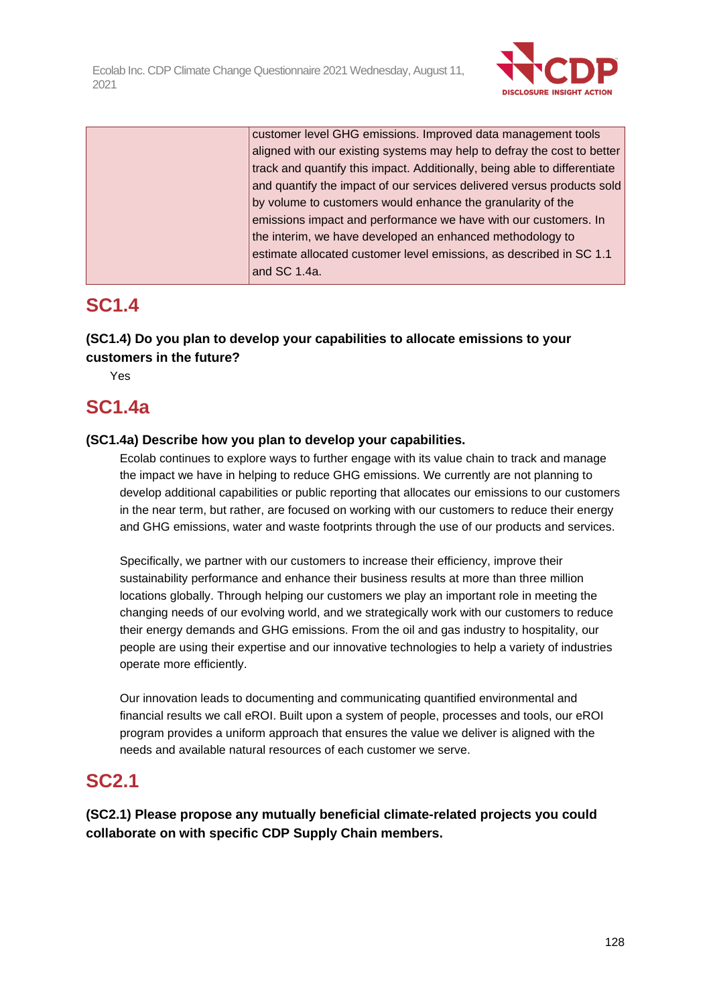

| customer level GHG emissions. Improved data management tools              |
|---------------------------------------------------------------------------|
| aligned with our existing systems may help to defray the cost to better   |
| track and quantify this impact. Additionally, being able to differentiate |
| and quantify the impact of our services delivered versus products sold    |
| by volume to customers would enhance the granularity of the               |
| emissions impact and performance we have with our customers. In           |
| the interim, we have developed an enhanced methodology to                 |
| estimate allocated customer level emissions, as described in SC 1.1       |
| and $SC$ 1.4a.                                                            |
|                                                                           |

# **SC1.4**

# **(SC1.4) Do you plan to develop your capabilities to allocate emissions to your customers in the future?**

Yes

# **SC1.4a**

## **(SC1.4a) Describe how you plan to develop your capabilities.**

Ecolab continues to explore ways to further engage with its value chain to track and manage the impact we have in helping to reduce GHG emissions. We currently are not planning to develop additional capabilities or public reporting that allocates our emissions to our customers in the near term, but rather, are focused on working with our customers to reduce their energy and GHG emissions, water and waste footprints through the use of our products and services.

Specifically, we partner with our customers to increase their efficiency, improve their sustainability performance and enhance their business results at more than three million locations globally. Through helping our customers we play an important role in meeting the changing needs of our evolving world, and we strategically work with our customers to reduce their energy demands and GHG emissions. From the oil and gas industry to hospitality, our people are using their expertise and our innovative technologies to help a variety of industries operate more efficiently.

Our innovation leads to documenting and communicating quantified environmental and financial results we call eROI. Built upon a system of people, processes and tools, our eROI program provides a uniform approach that ensures the value we deliver is aligned with the needs and available natural resources of each customer we serve.

# **SC2.1**

**(SC2.1) Please propose any mutually beneficial climate-related projects you could collaborate on with specific CDP Supply Chain members.**